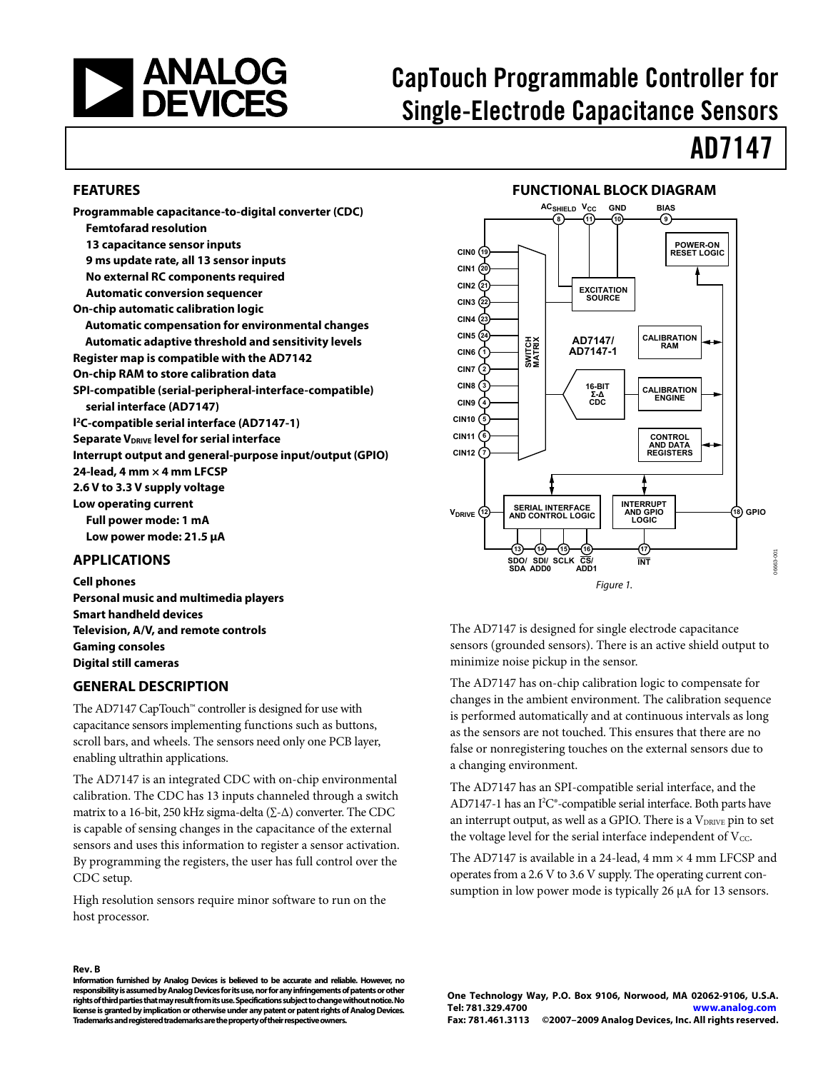<span id="page-0-0"></span>

# CapTouch Programmable Controller for Single-Electrode Capacitance Sensors

# AD7147

### **FEATURES**

**Programmable capacitance-to-digital converter (CDC) Femtofarad resolution 13 capacitance sensor inputs 9 ms update rate, all 13 sensor inputs No external RC components required Automatic conversion sequencer On-chip automatic calibration logic Automatic compensation for environmental changes Automatic adaptive threshold and sensitivity levels Register map is compatible with the AD7142 On-chip RAM to store calibration data SPI-compatible (serial-peripheral-interface-compatible) serial interface (AD7147) I 2C-compatible serial interface (AD7147-1) Separate VDRIVE level for serial interface Interrupt output and general-purpose input/output (GPIO) 24-lead, 4 mm × 4 mm LFCSP 2.6 V to 3.3 V supply voltage Low operating current Full power mode: 1 mA Low power mode: 21.5 μA** 

### **APPLICATIONS**

**Cell phones** 

**Personal music and multimedia players Smart handheld devices Television, A/V, and remote controls Gaming consoles Digital still cameras** 

### **GENERAL DESCRIPTION**

The AD7147 CapTouch™ controller is designed for use with capacitance sensors implementing functions such as buttons, scroll bars, and wheels. The sensors need only one PCB layer, enabling ultrathin applications.

The AD7147 is an integrated CDC with on-chip environmental calibration. The CDC has 13 inputs channeled through a switch matrix to a 16-bit, 250 kHz sigma-delta ( $\Sigma$ - $\Delta$ ) converter. The CDC is capable of sensing changes in the capacitance of the external sensors and uses this information to register a sensor activation. By programming the registers, the user has full control over the CDC setup.

High resolution sensors require minor software to run on the host processor.

#### **Rev. B**

**Information furnished by Analog Devices is believed to be accurate and reliable. However, no responsibility is assumed by Analog Devices for its use, nor for any infringements of patents or other rights of third parties that may result from its use. Specifications subject to change without notice. No license is granted by implication or otherwise under any patent or patent rights of Analog Devices. Trademarks and registered trademarks are the property of their respective owners.** 



The AD7147 is designed for single electrode capacitance sensors (grounded sensors). There is an active shield output to minimize noise pickup in the sensor.

The AD7147 has on-chip calibration logic to compensate for changes in the ambient environment. The calibration sequence is performed automatically and at continuous intervals as long as the sensors are not touched. This ensures that there are no false or nonregistering touches on the external sensors due to a changing environment.

The AD7147 has an SPI-compatible serial interface, and the AD7147-1 has an I<sup>2</sup>C®-compatible serial interface. Both parts have an interrupt output, as well as a GPIO. There is a  $V_{DRIVE}$  pin to set the voltage level for the serial interface independent of  $V_{\text{CC}}$ .

The AD7147 is available in a 24-lead,  $4 \text{ mm} \times 4 \text{ mm}$  LFCSP and operates from a 2.6 V to 3.6 V supply. The operating current consumption in low power mode is typically 26 μA for 13 sensors.

**One Technology Way, P.O. Box 9106, Norwood, MA 02062-9106, U.S.A. Tel: 781.329.4700 www.analog.com Fax: 781.461.3113 ©2007–2009 Analog Devices, Inc. All rights reserved.**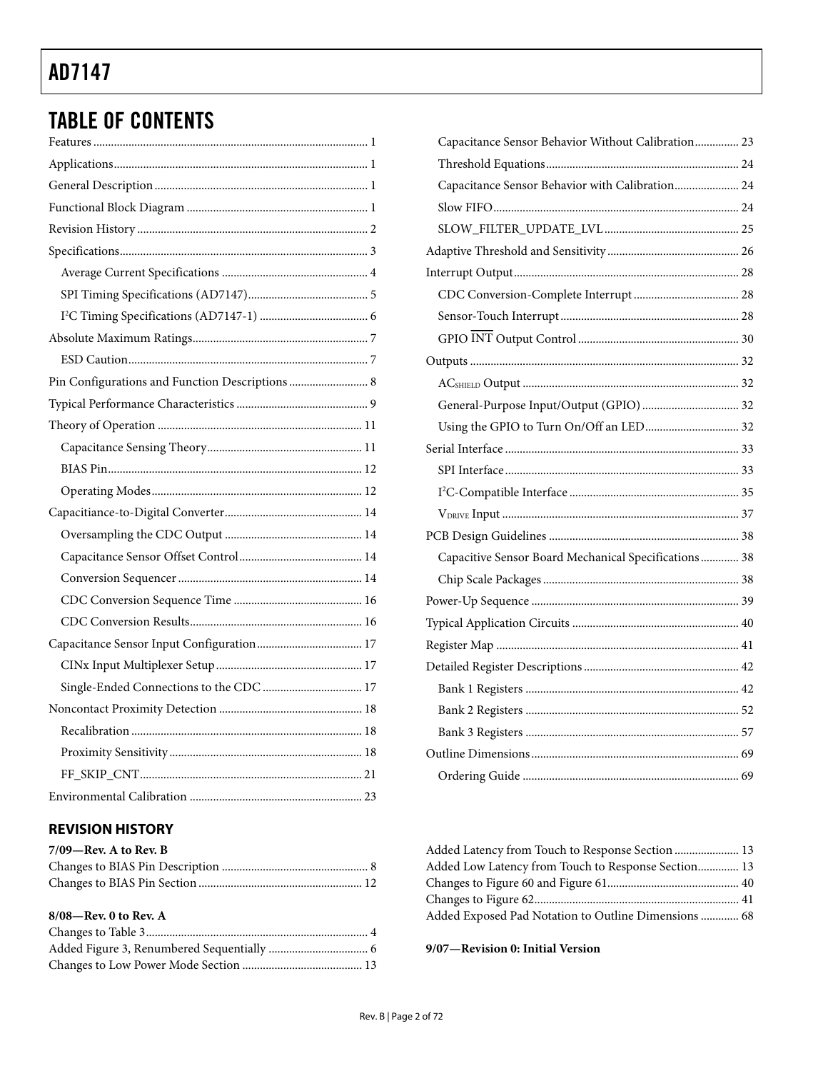### TABLE OF CONTENTS

| Pin Configurations and Function Descriptions  8 |
|-------------------------------------------------|
|                                                 |
|                                                 |
|                                                 |
|                                                 |
|                                                 |
|                                                 |
|                                                 |
|                                                 |
|                                                 |
|                                                 |
|                                                 |
|                                                 |
|                                                 |
|                                                 |
|                                                 |
|                                                 |
|                                                 |
|                                                 |
|                                                 |

### **REVISION HISTORY**

| $7/09$ —Rev. A to Rev. B |  |
|--------------------------|--|
|                          |  |
|                          |  |

### **8/08—Rev. 0 to Rev. A**

| Capacitance Sensor Behavior Without Calibration 23   |  |
|------------------------------------------------------|--|
|                                                      |  |
| Capacitance Sensor Behavior with Calibration 24      |  |
|                                                      |  |
|                                                      |  |
|                                                      |  |
|                                                      |  |
|                                                      |  |
|                                                      |  |
|                                                      |  |
|                                                      |  |
|                                                      |  |
| General-Purpose Input/Output (GPIO)  32              |  |
| Using the GPIO to Turn On/Off an LED 32              |  |
|                                                      |  |
|                                                      |  |
|                                                      |  |
|                                                      |  |
|                                                      |  |
| Capacitive Sensor Board Mechanical Specifications 38 |  |
|                                                      |  |
|                                                      |  |
|                                                      |  |
|                                                      |  |
|                                                      |  |
|                                                      |  |
|                                                      |  |
|                                                      |  |
|                                                      |  |
|                                                      |  |
|                                                      |  |

| Added Latency from Touch to Response Section  13     |  |
|------------------------------------------------------|--|
| Added Low Latency from Touch to Response Section 13  |  |
|                                                      |  |
|                                                      |  |
| Added Exposed Pad Notation to Outline Dimensions  68 |  |

**9/07—Revision 0: Initial Version**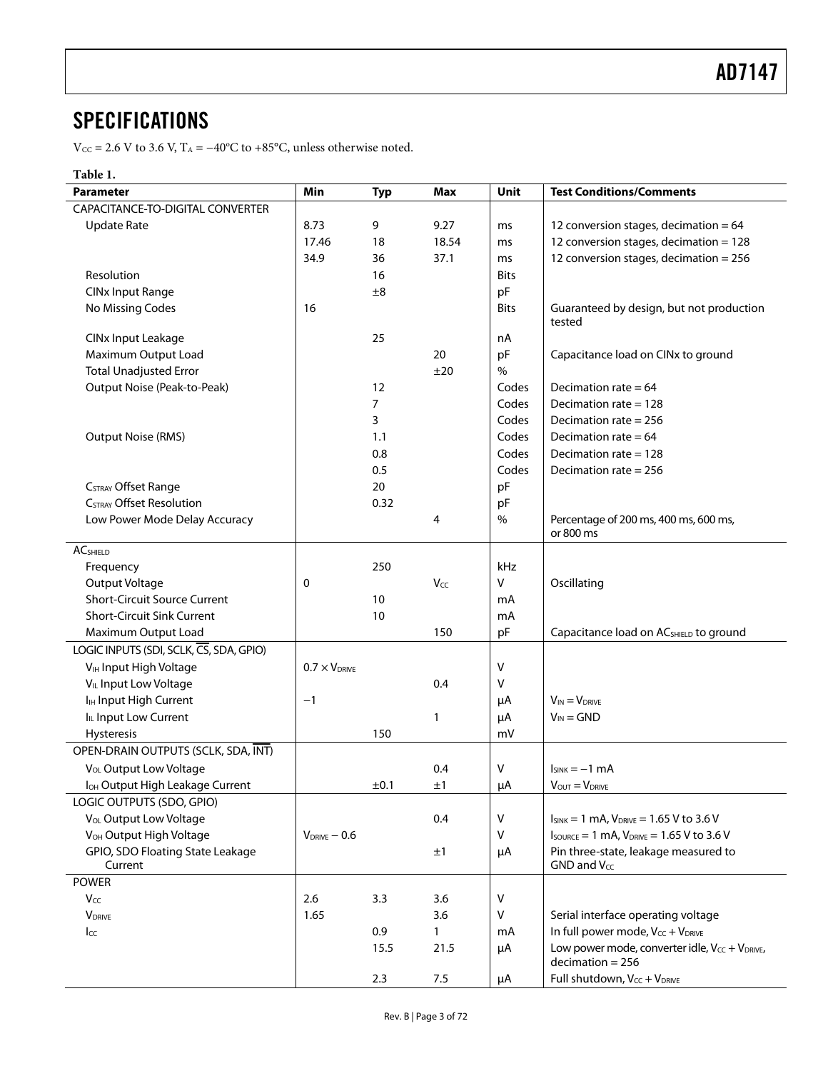### <span id="page-2-0"></span>**SPECIFICATIONS**

 $V_{\text{CC}} = 2.6$  V to 3.6 V, T<sub>A</sub> =  $-40^{\circ}$ C to +85 $^{\circ}$ C, unless otherwise noted.

### **Table 1.**

| CAPACITANCE-TO-DIGITAL CONVERTER<br><b>Update Rate</b><br>8.73<br>9<br>9.27<br>12 conversion stages, decimation = $64$<br>ms<br>12 conversion stages, decimation = 128<br>17.46<br>18.54<br>18<br>ms<br>12 conversion stages, decimation = 256<br>34.9<br>37.1<br>36<br>ms<br>Resolution<br><b>Bits</b><br>16<br><b>CINx Input Range</b><br>pF<br>±8<br>No Missing Codes<br>16<br><b>Bits</b><br>Guaranteed by design, but not production<br>tested<br>CINx Input Leakage<br>25<br>nA<br>Maximum Output Load<br>20<br>pF<br>Capacitance load on CINx to ground<br><b>Total Unadjusted Error</b><br>$\frac{0}{0}$<br>±20<br>Output Noise (Peak-to-Peak)<br>12<br>Codes<br>Decimation rate = $64$<br>7<br>Codes<br>Decimation rate $= 128$<br>Codes<br>3<br>Decimation rate = $256$<br>Codes<br>Decimation rate = $64$<br><b>Output Noise (RMS)</b><br>1.1<br>Codes<br>0.8<br>Decimation rate $= 128$<br>Codes<br>0.5<br>Decimation rate = $256$<br><b>CSTRAY Offset Range</b><br>20<br>pF<br><b>CSTRAY Offset Resolution</b><br>0.32<br>pF<br>$\%$<br>Low Power Mode Delay Accuracy<br>4<br>Percentage of 200 ms, 400 ms, 600 ms,<br>or 800 ms<br>AC <sub>SHIELD</sub><br>Frequency<br>kHz<br>250<br>V<br>Output Voltage<br>Vcc<br>Oscillating<br>0<br><b>Short-Circuit Source Current</b><br>10<br>mA<br><b>Short-Circuit Sink Current</b><br>10<br>mA<br>Maximum Output Load<br>150<br>pF<br>Capacitance load on AC <sub>SHIELD</sub> to ground<br>LOGIC INPUTS (SDI, SCLK, CS, SDA, GPIO)<br>V <sub>IH</sub> Input High Voltage<br>v<br>$0.7 \times V_{DRIVE}$<br>V <sub>IL</sub> Input Low Voltage<br>0.4<br>$\vee$<br>I <sub>IH</sub> Input High Current<br>$V_{IN} = V_{DRIVE}$<br>$-1$<br>μA<br>IL Input Low Current<br>$V_{IN} = GND$<br>1<br>μA<br>150<br>mV<br>Hysteresis<br>OPEN-DRAIN OUTPUTS (SCLK, SDA, INT)<br>V <sub>OL</sub> Output Low Voltage<br>0.4<br>V<br>$I_{SINK} = -1$ mA<br>$V_{\text{OUT}} = V_{\text{DRIVE}}$<br>I <sub>OH</sub> Output High Leakage Current<br>±0.1<br>±1<br>μA<br>LOGIC OUTPUTS (SDO, GPIO)<br>V <sub>OL</sub> Output Low Voltage<br>V<br>0.4<br>$I_{SINK} = 1$ mA, $V_{DRIVE} = 1.65$ V to 3.6 V<br>V <sub>OH</sub> Output High Voltage<br>$\vee$<br>$I_{\text{SOWRCE}} = 1 \text{ mA}$ , $V_{\text{DRIVE}} = 1.65 \text{ V}$ to 3.6 V<br>$V_{DRIVE} - 0.6$<br>GPIO, SDO Floating State Leakage<br>Pin three-state, leakage measured to<br>±1<br>μA<br>Current<br>GND and Vcc<br><b>POWER</b><br>Vcc<br>V<br>2.6<br>3.3<br>3.6<br>1.65<br>V<br><b>V</b> <sub>DRIVE</sub><br>3.6<br>Serial interface operating voltage<br>In full power mode, Vcc + VDRIVE<br>0.9<br>$\mathbf{1}$<br>Icc<br>mA<br>Low power mode, converter idle, $V_{CC} + V_{DRIVE}$ ,<br>15.5<br>21.5<br>μA<br>$decimation = 256$ | <b>Parameter</b> | Min | <b>Typ</b> | <b>Max</b> | Unit | <b>Test Conditions/Comments</b> |
|---------------------------------------------------------------------------------------------------------------------------------------------------------------------------------------------------------------------------------------------------------------------------------------------------------------------------------------------------------------------------------------------------------------------------------------------------------------------------------------------------------------------------------------------------------------------------------------------------------------------------------------------------------------------------------------------------------------------------------------------------------------------------------------------------------------------------------------------------------------------------------------------------------------------------------------------------------------------------------------------------------------------------------------------------------------------------------------------------------------------------------------------------------------------------------------------------------------------------------------------------------------------------------------------------------------------------------------------------------------------------------------------------------------------------------------------------------------------------------------------------------------------------------------------------------------------------------------------------------------------------------------------------------------------------------------------------------------------------------------------------------------------------------------------------------------------------------------------------------------------------------------------------------------------------------------------------------------------------------------------------------------------------------------------------------------------------------------------------------------------------------------------------------------------------------------------------------------------------------------------------------------------------------------------------------------------------------------------------------------------------------------------------------------------------------------------------------------------------------------------------------------------------------------------------------------------------------------------------------------------------------------------------------------------------------------------------------------------------------------------------|------------------|-----|------------|------------|------|---------------------------------|
|                                                                                                                                                                                                                                                                                                                                                                                                                                                                                                                                                                                                                                                                                                                                                                                                                                                                                                                                                                                                                                                                                                                                                                                                                                                                                                                                                                                                                                                                                                                                                                                                                                                                                                                                                                                                                                                                                                                                                                                                                                                                                                                                                                                                                                                                                                                                                                                                                                                                                                                                                                                                                                                                                                                                                   |                  |     |            |            |      |                                 |
|                                                                                                                                                                                                                                                                                                                                                                                                                                                                                                                                                                                                                                                                                                                                                                                                                                                                                                                                                                                                                                                                                                                                                                                                                                                                                                                                                                                                                                                                                                                                                                                                                                                                                                                                                                                                                                                                                                                                                                                                                                                                                                                                                                                                                                                                                                                                                                                                                                                                                                                                                                                                                                                                                                                                                   |                  |     |            |            |      |                                 |
|                                                                                                                                                                                                                                                                                                                                                                                                                                                                                                                                                                                                                                                                                                                                                                                                                                                                                                                                                                                                                                                                                                                                                                                                                                                                                                                                                                                                                                                                                                                                                                                                                                                                                                                                                                                                                                                                                                                                                                                                                                                                                                                                                                                                                                                                                                                                                                                                                                                                                                                                                                                                                                                                                                                                                   |                  |     |            |            |      |                                 |
|                                                                                                                                                                                                                                                                                                                                                                                                                                                                                                                                                                                                                                                                                                                                                                                                                                                                                                                                                                                                                                                                                                                                                                                                                                                                                                                                                                                                                                                                                                                                                                                                                                                                                                                                                                                                                                                                                                                                                                                                                                                                                                                                                                                                                                                                                                                                                                                                                                                                                                                                                                                                                                                                                                                                                   |                  |     |            |            |      |                                 |
|                                                                                                                                                                                                                                                                                                                                                                                                                                                                                                                                                                                                                                                                                                                                                                                                                                                                                                                                                                                                                                                                                                                                                                                                                                                                                                                                                                                                                                                                                                                                                                                                                                                                                                                                                                                                                                                                                                                                                                                                                                                                                                                                                                                                                                                                                                                                                                                                                                                                                                                                                                                                                                                                                                                                                   |                  |     |            |            |      |                                 |
|                                                                                                                                                                                                                                                                                                                                                                                                                                                                                                                                                                                                                                                                                                                                                                                                                                                                                                                                                                                                                                                                                                                                                                                                                                                                                                                                                                                                                                                                                                                                                                                                                                                                                                                                                                                                                                                                                                                                                                                                                                                                                                                                                                                                                                                                                                                                                                                                                                                                                                                                                                                                                                                                                                                                                   |                  |     |            |            |      |                                 |
|                                                                                                                                                                                                                                                                                                                                                                                                                                                                                                                                                                                                                                                                                                                                                                                                                                                                                                                                                                                                                                                                                                                                                                                                                                                                                                                                                                                                                                                                                                                                                                                                                                                                                                                                                                                                                                                                                                                                                                                                                                                                                                                                                                                                                                                                                                                                                                                                                                                                                                                                                                                                                                                                                                                                                   |                  |     |            |            |      |                                 |
|                                                                                                                                                                                                                                                                                                                                                                                                                                                                                                                                                                                                                                                                                                                                                                                                                                                                                                                                                                                                                                                                                                                                                                                                                                                                                                                                                                                                                                                                                                                                                                                                                                                                                                                                                                                                                                                                                                                                                                                                                                                                                                                                                                                                                                                                                                                                                                                                                                                                                                                                                                                                                                                                                                                                                   |                  |     |            |            |      |                                 |
|                                                                                                                                                                                                                                                                                                                                                                                                                                                                                                                                                                                                                                                                                                                                                                                                                                                                                                                                                                                                                                                                                                                                                                                                                                                                                                                                                                                                                                                                                                                                                                                                                                                                                                                                                                                                                                                                                                                                                                                                                                                                                                                                                                                                                                                                                                                                                                                                                                                                                                                                                                                                                                                                                                                                                   |                  |     |            |            |      |                                 |
|                                                                                                                                                                                                                                                                                                                                                                                                                                                                                                                                                                                                                                                                                                                                                                                                                                                                                                                                                                                                                                                                                                                                                                                                                                                                                                                                                                                                                                                                                                                                                                                                                                                                                                                                                                                                                                                                                                                                                                                                                                                                                                                                                                                                                                                                                                                                                                                                                                                                                                                                                                                                                                                                                                                                                   |                  |     |            |            |      |                                 |
|                                                                                                                                                                                                                                                                                                                                                                                                                                                                                                                                                                                                                                                                                                                                                                                                                                                                                                                                                                                                                                                                                                                                                                                                                                                                                                                                                                                                                                                                                                                                                                                                                                                                                                                                                                                                                                                                                                                                                                                                                                                                                                                                                                                                                                                                                                                                                                                                                                                                                                                                                                                                                                                                                                                                                   |                  |     |            |            |      |                                 |
|                                                                                                                                                                                                                                                                                                                                                                                                                                                                                                                                                                                                                                                                                                                                                                                                                                                                                                                                                                                                                                                                                                                                                                                                                                                                                                                                                                                                                                                                                                                                                                                                                                                                                                                                                                                                                                                                                                                                                                                                                                                                                                                                                                                                                                                                                                                                                                                                                                                                                                                                                                                                                                                                                                                                                   |                  |     |            |            |      |                                 |
|                                                                                                                                                                                                                                                                                                                                                                                                                                                                                                                                                                                                                                                                                                                                                                                                                                                                                                                                                                                                                                                                                                                                                                                                                                                                                                                                                                                                                                                                                                                                                                                                                                                                                                                                                                                                                                                                                                                                                                                                                                                                                                                                                                                                                                                                                                                                                                                                                                                                                                                                                                                                                                                                                                                                                   |                  |     |            |            |      |                                 |
|                                                                                                                                                                                                                                                                                                                                                                                                                                                                                                                                                                                                                                                                                                                                                                                                                                                                                                                                                                                                                                                                                                                                                                                                                                                                                                                                                                                                                                                                                                                                                                                                                                                                                                                                                                                                                                                                                                                                                                                                                                                                                                                                                                                                                                                                                                                                                                                                                                                                                                                                                                                                                                                                                                                                                   |                  |     |            |            |      |                                 |
|                                                                                                                                                                                                                                                                                                                                                                                                                                                                                                                                                                                                                                                                                                                                                                                                                                                                                                                                                                                                                                                                                                                                                                                                                                                                                                                                                                                                                                                                                                                                                                                                                                                                                                                                                                                                                                                                                                                                                                                                                                                                                                                                                                                                                                                                                                                                                                                                                                                                                                                                                                                                                                                                                                                                                   |                  |     |            |            |      |                                 |
|                                                                                                                                                                                                                                                                                                                                                                                                                                                                                                                                                                                                                                                                                                                                                                                                                                                                                                                                                                                                                                                                                                                                                                                                                                                                                                                                                                                                                                                                                                                                                                                                                                                                                                                                                                                                                                                                                                                                                                                                                                                                                                                                                                                                                                                                                                                                                                                                                                                                                                                                                                                                                                                                                                                                                   |                  |     |            |            |      |                                 |
|                                                                                                                                                                                                                                                                                                                                                                                                                                                                                                                                                                                                                                                                                                                                                                                                                                                                                                                                                                                                                                                                                                                                                                                                                                                                                                                                                                                                                                                                                                                                                                                                                                                                                                                                                                                                                                                                                                                                                                                                                                                                                                                                                                                                                                                                                                                                                                                                                                                                                                                                                                                                                                                                                                                                                   |                  |     |            |            |      |                                 |
|                                                                                                                                                                                                                                                                                                                                                                                                                                                                                                                                                                                                                                                                                                                                                                                                                                                                                                                                                                                                                                                                                                                                                                                                                                                                                                                                                                                                                                                                                                                                                                                                                                                                                                                                                                                                                                                                                                                                                                                                                                                                                                                                                                                                                                                                                                                                                                                                                                                                                                                                                                                                                                                                                                                                                   |                  |     |            |            |      |                                 |
|                                                                                                                                                                                                                                                                                                                                                                                                                                                                                                                                                                                                                                                                                                                                                                                                                                                                                                                                                                                                                                                                                                                                                                                                                                                                                                                                                                                                                                                                                                                                                                                                                                                                                                                                                                                                                                                                                                                                                                                                                                                                                                                                                                                                                                                                                                                                                                                                                                                                                                                                                                                                                                                                                                                                                   |                  |     |            |            |      |                                 |
|                                                                                                                                                                                                                                                                                                                                                                                                                                                                                                                                                                                                                                                                                                                                                                                                                                                                                                                                                                                                                                                                                                                                                                                                                                                                                                                                                                                                                                                                                                                                                                                                                                                                                                                                                                                                                                                                                                                                                                                                                                                                                                                                                                                                                                                                                                                                                                                                                                                                                                                                                                                                                                                                                                                                                   |                  |     |            |            |      |                                 |
|                                                                                                                                                                                                                                                                                                                                                                                                                                                                                                                                                                                                                                                                                                                                                                                                                                                                                                                                                                                                                                                                                                                                                                                                                                                                                                                                                                                                                                                                                                                                                                                                                                                                                                                                                                                                                                                                                                                                                                                                                                                                                                                                                                                                                                                                                                                                                                                                                                                                                                                                                                                                                                                                                                                                                   |                  |     |            |            |      |                                 |
|                                                                                                                                                                                                                                                                                                                                                                                                                                                                                                                                                                                                                                                                                                                                                                                                                                                                                                                                                                                                                                                                                                                                                                                                                                                                                                                                                                                                                                                                                                                                                                                                                                                                                                                                                                                                                                                                                                                                                                                                                                                                                                                                                                                                                                                                                                                                                                                                                                                                                                                                                                                                                                                                                                                                                   |                  |     |            |            |      |                                 |
|                                                                                                                                                                                                                                                                                                                                                                                                                                                                                                                                                                                                                                                                                                                                                                                                                                                                                                                                                                                                                                                                                                                                                                                                                                                                                                                                                                                                                                                                                                                                                                                                                                                                                                                                                                                                                                                                                                                                                                                                                                                                                                                                                                                                                                                                                                                                                                                                                                                                                                                                                                                                                                                                                                                                                   |                  |     |            |            |      |                                 |
|                                                                                                                                                                                                                                                                                                                                                                                                                                                                                                                                                                                                                                                                                                                                                                                                                                                                                                                                                                                                                                                                                                                                                                                                                                                                                                                                                                                                                                                                                                                                                                                                                                                                                                                                                                                                                                                                                                                                                                                                                                                                                                                                                                                                                                                                                                                                                                                                                                                                                                                                                                                                                                                                                                                                                   |                  |     |            |            |      |                                 |
|                                                                                                                                                                                                                                                                                                                                                                                                                                                                                                                                                                                                                                                                                                                                                                                                                                                                                                                                                                                                                                                                                                                                                                                                                                                                                                                                                                                                                                                                                                                                                                                                                                                                                                                                                                                                                                                                                                                                                                                                                                                                                                                                                                                                                                                                                                                                                                                                                                                                                                                                                                                                                                                                                                                                                   |                  |     |            |            |      |                                 |
|                                                                                                                                                                                                                                                                                                                                                                                                                                                                                                                                                                                                                                                                                                                                                                                                                                                                                                                                                                                                                                                                                                                                                                                                                                                                                                                                                                                                                                                                                                                                                                                                                                                                                                                                                                                                                                                                                                                                                                                                                                                                                                                                                                                                                                                                                                                                                                                                                                                                                                                                                                                                                                                                                                                                                   |                  |     |            |            |      |                                 |
|                                                                                                                                                                                                                                                                                                                                                                                                                                                                                                                                                                                                                                                                                                                                                                                                                                                                                                                                                                                                                                                                                                                                                                                                                                                                                                                                                                                                                                                                                                                                                                                                                                                                                                                                                                                                                                                                                                                                                                                                                                                                                                                                                                                                                                                                                                                                                                                                                                                                                                                                                                                                                                                                                                                                                   |                  |     |            |            |      |                                 |
|                                                                                                                                                                                                                                                                                                                                                                                                                                                                                                                                                                                                                                                                                                                                                                                                                                                                                                                                                                                                                                                                                                                                                                                                                                                                                                                                                                                                                                                                                                                                                                                                                                                                                                                                                                                                                                                                                                                                                                                                                                                                                                                                                                                                                                                                                                                                                                                                                                                                                                                                                                                                                                                                                                                                                   |                  |     |            |            |      |                                 |
|                                                                                                                                                                                                                                                                                                                                                                                                                                                                                                                                                                                                                                                                                                                                                                                                                                                                                                                                                                                                                                                                                                                                                                                                                                                                                                                                                                                                                                                                                                                                                                                                                                                                                                                                                                                                                                                                                                                                                                                                                                                                                                                                                                                                                                                                                                                                                                                                                                                                                                                                                                                                                                                                                                                                                   |                  |     |            |            |      |                                 |
|                                                                                                                                                                                                                                                                                                                                                                                                                                                                                                                                                                                                                                                                                                                                                                                                                                                                                                                                                                                                                                                                                                                                                                                                                                                                                                                                                                                                                                                                                                                                                                                                                                                                                                                                                                                                                                                                                                                                                                                                                                                                                                                                                                                                                                                                                                                                                                                                                                                                                                                                                                                                                                                                                                                                                   |                  |     |            |            |      |                                 |
|                                                                                                                                                                                                                                                                                                                                                                                                                                                                                                                                                                                                                                                                                                                                                                                                                                                                                                                                                                                                                                                                                                                                                                                                                                                                                                                                                                                                                                                                                                                                                                                                                                                                                                                                                                                                                                                                                                                                                                                                                                                                                                                                                                                                                                                                                                                                                                                                                                                                                                                                                                                                                                                                                                                                                   |                  |     |            |            |      |                                 |
|                                                                                                                                                                                                                                                                                                                                                                                                                                                                                                                                                                                                                                                                                                                                                                                                                                                                                                                                                                                                                                                                                                                                                                                                                                                                                                                                                                                                                                                                                                                                                                                                                                                                                                                                                                                                                                                                                                                                                                                                                                                                                                                                                                                                                                                                                                                                                                                                                                                                                                                                                                                                                                                                                                                                                   |                  |     |            |            |      |                                 |
|                                                                                                                                                                                                                                                                                                                                                                                                                                                                                                                                                                                                                                                                                                                                                                                                                                                                                                                                                                                                                                                                                                                                                                                                                                                                                                                                                                                                                                                                                                                                                                                                                                                                                                                                                                                                                                                                                                                                                                                                                                                                                                                                                                                                                                                                                                                                                                                                                                                                                                                                                                                                                                                                                                                                                   |                  |     |            |            |      |                                 |
|                                                                                                                                                                                                                                                                                                                                                                                                                                                                                                                                                                                                                                                                                                                                                                                                                                                                                                                                                                                                                                                                                                                                                                                                                                                                                                                                                                                                                                                                                                                                                                                                                                                                                                                                                                                                                                                                                                                                                                                                                                                                                                                                                                                                                                                                                                                                                                                                                                                                                                                                                                                                                                                                                                                                                   |                  |     |            |            |      |                                 |
|                                                                                                                                                                                                                                                                                                                                                                                                                                                                                                                                                                                                                                                                                                                                                                                                                                                                                                                                                                                                                                                                                                                                                                                                                                                                                                                                                                                                                                                                                                                                                                                                                                                                                                                                                                                                                                                                                                                                                                                                                                                                                                                                                                                                                                                                                                                                                                                                                                                                                                                                                                                                                                                                                                                                                   |                  |     |            |            |      |                                 |
|                                                                                                                                                                                                                                                                                                                                                                                                                                                                                                                                                                                                                                                                                                                                                                                                                                                                                                                                                                                                                                                                                                                                                                                                                                                                                                                                                                                                                                                                                                                                                                                                                                                                                                                                                                                                                                                                                                                                                                                                                                                                                                                                                                                                                                                                                                                                                                                                                                                                                                                                                                                                                                                                                                                                                   |                  |     |            |            |      |                                 |
|                                                                                                                                                                                                                                                                                                                                                                                                                                                                                                                                                                                                                                                                                                                                                                                                                                                                                                                                                                                                                                                                                                                                                                                                                                                                                                                                                                                                                                                                                                                                                                                                                                                                                                                                                                                                                                                                                                                                                                                                                                                                                                                                                                                                                                                                                                                                                                                                                                                                                                                                                                                                                                                                                                                                                   |                  |     |            |            |      |                                 |
|                                                                                                                                                                                                                                                                                                                                                                                                                                                                                                                                                                                                                                                                                                                                                                                                                                                                                                                                                                                                                                                                                                                                                                                                                                                                                                                                                                                                                                                                                                                                                                                                                                                                                                                                                                                                                                                                                                                                                                                                                                                                                                                                                                                                                                                                                                                                                                                                                                                                                                                                                                                                                                                                                                                                                   |                  |     |            |            |      |                                 |
|                                                                                                                                                                                                                                                                                                                                                                                                                                                                                                                                                                                                                                                                                                                                                                                                                                                                                                                                                                                                                                                                                                                                                                                                                                                                                                                                                                                                                                                                                                                                                                                                                                                                                                                                                                                                                                                                                                                                                                                                                                                                                                                                                                                                                                                                                                                                                                                                                                                                                                                                                                                                                                                                                                                                                   |                  |     |            |            |      |                                 |
|                                                                                                                                                                                                                                                                                                                                                                                                                                                                                                                                                                                                                                                                                                                                                                                                                                                                                                                                                                                                                                                                                                                                                                                                                                                                                                                                                                                                                                                                                                                                                                                                                                                                                                                                                                                                                                                                                                                                                                                                                                                                                                                                                                                                                                                                                                                                                                                                                                                                                                                                                                                                                                                                                                                                                   |                  |     |            |            |      |                                 |
|                                                                                                                                                                                                                                                                                                                                                                                                                                                                                                                                                                                                                                                                                                                                                                                                                                                                                                                                                                                                                                                                                                                                                                                                                                                                                                                                                                                                                                                                                                                                                                                                                                                                                                                                                                                                                                                                                                                                                                                                                                                                                                                                                                                                                                                                                                                                                                                                                                                                                                                                                                                                                                                                                                                                                   |                  |     |            |            |      |                                 |
|                                                                                                                                                                                                                                                                                                                                                                                                                                                                                                                                                                                                                                                                                                                                                                                                                                                                                                                                                                                                                                                                                                                                                                                                                                                                                                                                                                                                                                                                                                                                                                                                                                                                                                                                                                                                                                                                                                                                                                                                                                                                                                                                                                                                                                                                                                                                                                                                                                                                                                                                                                                                                                                                                                                                                   |                  |     |            |            |      |                                 |
|                                                                                                                                                                                                                                                                                                                                                                                                                                                                                                                                                                                                                                                                                                                                                                                                                                                                                                                                                                                                                                                                                                                                                                                                                                                                                                                                                                                                                                                                                                                                                                                                                                                                                                                                                                                                                                                                                                                                                                                                                                                                                                                                                                                                                                                                                                                                                                                                                                                                                                                                                                                                                                                                                                                                                   |                  |     |            |            |      |                                 |
|                                                                                                                                                                                                                                                                                                                                                                                                                                                                                                                                                                                                                                                                                                                                                                                                                                                                                                                                                                                                                                                                                                                                                                                                                                                                                                                                                                                                                                                                                                                                                                                                                                                                                                                                                                                                                                                                                                                                                                                                                                                                                                                                                                                                                                                                                                                                                                                                                                                                                                                                                                                                                                                                                                                                                   |                  |     |            |            |      |                                 |
|                                                                                                                                                                                                                                                                                                                                                                                                                                                                                                                                                                                                                                                                                                                                                                                                                                                                                                                                                                                                                                                                                                                                                                                                                                                                                                                                                                                                                                                                                                                                                                                                                                                                                                                                                                                                                                                                                                                                                                                                                                                                                                                                                                                                                                                                                                                                                                                                                                                                                                                                                                                                                                                                                                                                                   |                  |     | 2.3        | 7.5        | μA   | Full shutdown, Vcc + VDRIVE     |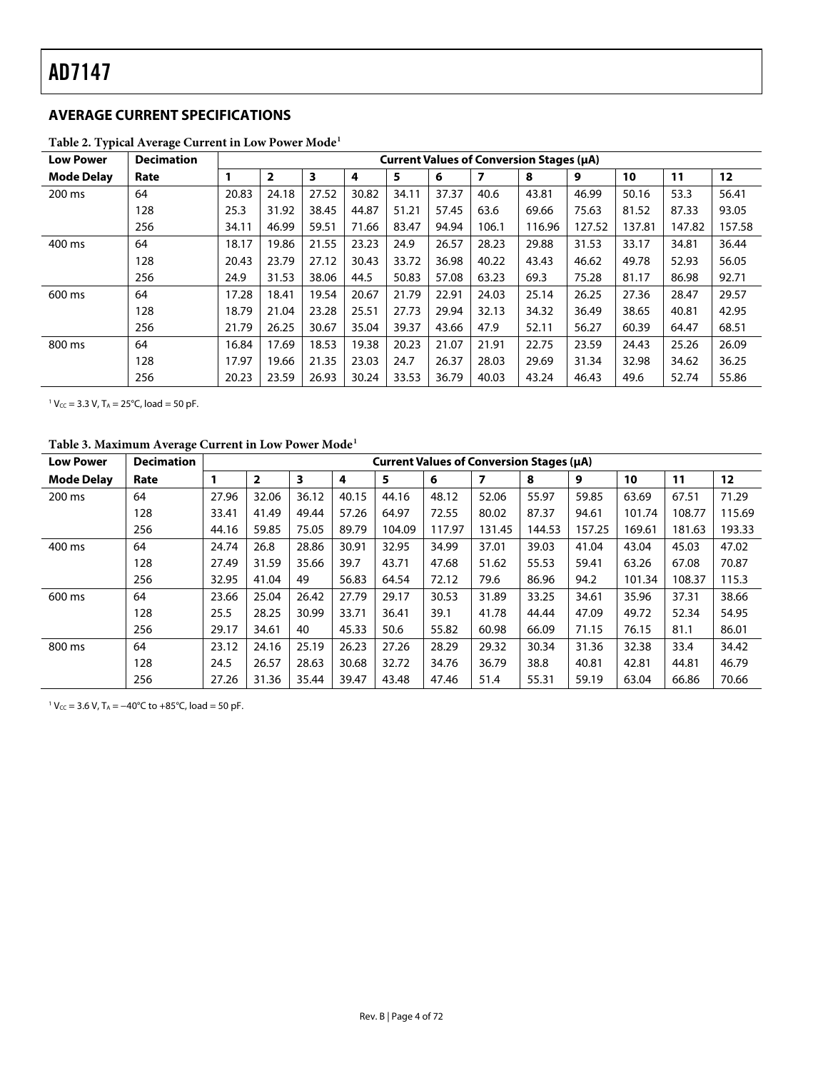### <span id="page-3-0"></span>**AVERAGE CURRENT SPECIFICATIONS**

| <b>Low Power</b>  | <b>Decimation</b> |       |                |       |       |       |       |       | <b>Current Values of Conversion Stages (µA)</b> |        |        |        |        |
|-------------------|-------------------|-------|----------------|-------|-------|-------|-------|-------|-------------------------------------------------|--------|--------|--------|--------|
| <b>Mode Delay</b> | Rate              |       | $\overline{2}$ | 3     | 4     | 5     | 6     |       | 8                                               | 9      | 10     | 11     | 12     |
| 200 ms            | 64                | 20.83 | 24.18          | 27.52 | 30.82 | 34.11 | 37.37 | 40.6  | 43.81                                           | 46.99  | 50.16  | 53.3   | 56.41  |
|                   | 128               | 25.3  | 31.92          | 38.45 | 44.87 | 51.21 | 57.45 | 63.6  | 69.66                                           | 75.63  | 81.52  | 87.33  | 93.05  |
|                   | 256               | 34.11 | 46.99          | 59.51 | 71.66 | 83.47 | 94.94 | 106.1 | 116.96                                          | 127.52 | 137.81 | 147.82 | 157.58 |
| 400 ms            | 64                | 18.17 | 19.86          | 21.55 | 23.23 | 24.9  | 26.57 | 28.23 | 29.88                                           | 31.53  | 33.17  | 34.81  | 36.44  |
|                   | 128               | 20.43 | 23.79          | 27.12 | 30.43 | 33.72 | 36.98 | 40.22 | 43.43                                           | 46.62  | 49.78  | 52.93  | 56.05  |
|                   | 256               | 24.9  | 31.53          | 38.06 | 44.5  | 50.83 | 57.08 | 63.23 | 69.3                                            | 75.28  | 81.17  | 86.98  | 92.71  |
| 600 ms            | 64                | 17.28 | 18.41          | 19.54 | 20.67 | 21.79 | 22.91 | 24.03 | 25.14                                           | 26.25  | 27.36  | 28.47  | 29.57  |
|                   | 128               | 18.79 | 21.04          | 23.28 | 25.51 | 27.73 | 29.94 | 32.13 | 34.32                                           | 36.49  | 38.65  | 40.81  | 42.95  |
|                   | 256               | 21.79 | 26.25          | 30.67 | 35.04 | 39.37 | 43.66 | 47.9  | 52.11                                           | 56.27  | 60.39  | 64.47  | 68.51  |
| 800 ms            | 64                | 16.84 | 17.69          | 18.53 | 19.38 | 20.23 | 21.07 | 21.91 | 22.75                                           | 23.59  | 24.43  | 25.26  | 26.09  |
|                   | 128               | 17.97 | 19.66          | 21.35 | 23.03 | 24.7  | 26.37 | 28.03 | 29.69                                           | 31.34  | 32.98  | 34.62  | 36.25  |
|                   | 256               | 20.23 | 23.59          | 26.93 | 30.24 | 33.53 | 36.79 | 40.03 | 43.24                                           | 46.43  | 49.6   | 52.74  | 55.86  |

#### **Table 2. Typical Average Current in Low Power Mode1**

 $1$  V<sub>CC</sub> = 3.3 V, T<sub>A</sub> = 25<sup>o</sup>C, load = 50 pF.

### **Table 3. Maximum Average Current in Low Power Mode1**

| <b>Low Power</b>  | <b>Decimation</b> |       | <b>Current Values of Conversion Stages (µA)</b> |       |       |        |        |        |        |        |        |        |        |
|-------------------|-------------------|-------|-------------------------------------------------|-------|-------|--------|--------|--------|--------|--------|--------|--------|--------|
| <b>Mode Delay</b> | Rate              |       | $\overline{\mathbf{2}}$                         | 3     | 4     | 5      | 6      | 7      | 8      | 9      | 10     | 11     | 12     |
| 200 ms            | 64                | 27.96 | 32.06                                           | 36.12 | 40.15 | 44.16  | 48.12  | 52.06  | 55.97  | 59.85  | 63.69  | 67.51  | 71.29  |
|                   | 128               | 33.41 | 41.49                                           | 49.44 | 57.26 | 64.97  | 72.55  | 80.02  | 87.37  | 94.61  | 101.74 | 108.77 | 115.69 |
|                   | 256               | 44.16 | 59.85                                           | 75.05 | 89.79 | 104.09 | 117.97 | 131.45 | 144.53 | 157.25 | 169.61 | 181.63 | 193.33 |
| 400 ms            | 64                | 24.74 | 26.8                                            | 28.86 | 30.91 | 32.95  | 34.99  | 37.01  | 39.03  | 41.04  | 43.04  | 45.03  | 47.02  |
|                   | 128               | 27.49 | 31.59                                           | 35.66 | 39.7  | 43.71  | 47.68  | 51.62  | 55.53  | 59.41  | 63.26  | 67.08  | 70.87  |
|                   | 256               | 32.95 | 41.04                                           | 49    | 56.83 | 64.54  | 72.12  | 79.6   | 86.96  | 94.2   | 101.34 | 108.37 | 115.3  |
| 600 ms            | 64                | 23.66 | 25.04                                           | 26.42 | 27.79 | 29.17  | 30.53  | 31.89  | 33.25  | 34.61  | 35.96  | 37.31  | 38.66  |
|                   | 128               | 25.5  | 28.25                                           | 30.99 | 33.71 | 36.41  | 39.1   | 41.78  | 44.44  | 47.09  | 49.72  | 52.34  | 54.95  |
|                   | 256               | 29.17 | 34.61                                           | 40    | 45.33 | 50.6   | 55.82  | 60.98  | 66.09  | 71.15  | 76.15  | 81.1   | 86.01  |
| 800 ms            | 64                | 23.12 | 24.16                                           | 25.19 | 26.23 | 27.26  | 28.29  | 29.32  | 30.34  | 31.36  | 32.38  | 33.4   | 34.42  |
|                   | 128               | 24.5  | 26.57                                           | 28.63 | 30.68 | 32.72  | 34.76  | 36.79  | 38.8   | 40.81  | 42.81  | 44.81  | 46.79  |
|                   | 256               | 27.26 | 31.36                                           | 35.44 | 39.47 | 43.48  | 47.46  | 51.4   | 55.31  | 59.19  | 63.04  | 66.86  | 70.66  |

 $1$  V<sub>CC</sub> = 3.6 V, T<sub>A</sub> =  $-40^{\circ}$ C to  $+85^{\circ}$ C, load = 50 pF.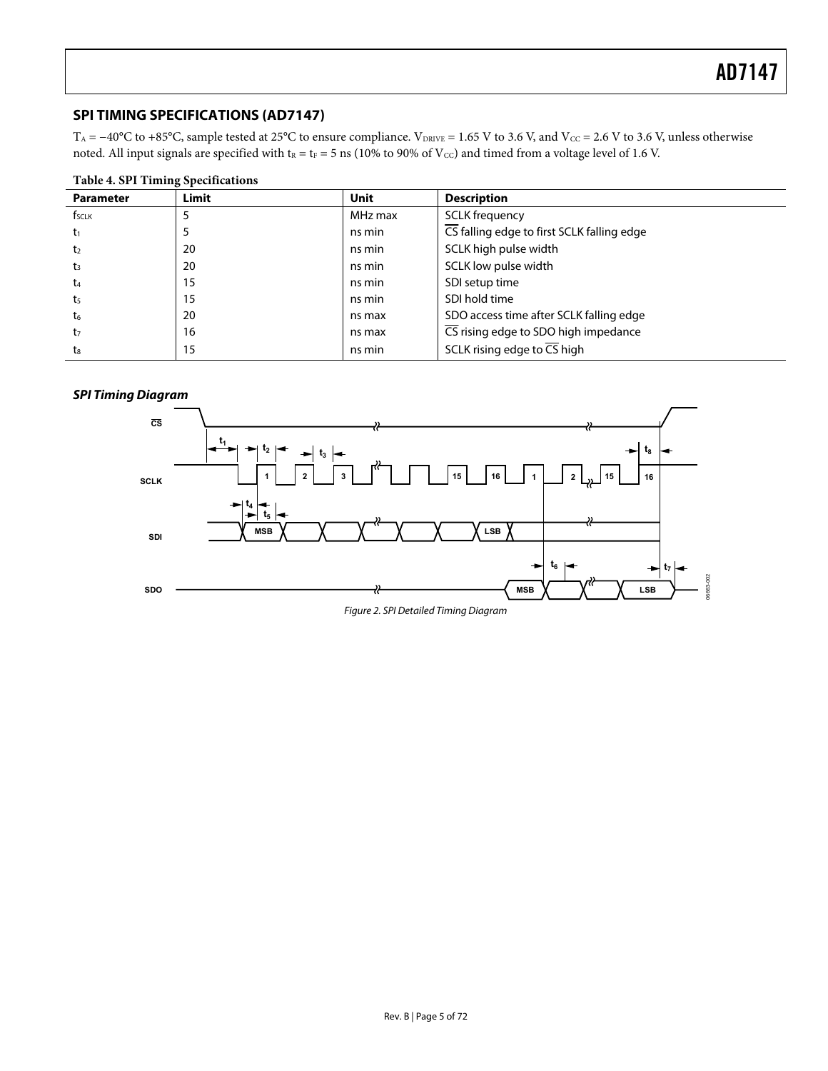### <span id="page-4-0"></span>**SPI TIMING SPECIFICATIONS (AD7147)**

T<sub>A</sub> = −40°C to +85°C, sample tested at 25°C to ensure compliance. V<sub>DRIVE</sub> = 1.65 V to 3.6 V, and V<sub>CC</sub> = 2.6 V to 3.6 V, unless otherwise noted. All input signals are specified with  $t_R = t_F = 5$  ns (10% to 90% of  $V_{CC}$ ) and timed from a voltage level of 1.6 V.

| <b>Table 4. SPI Timing Specifications</b> |       |         |                                            |  |  |  |
|-------------------------------------------|-------|---------|--------------------------------------------|--|--|--|
| <b>Parameter</b>                          | Limit | Unit    | <b>Description</b>                         |  |  |  |
| $f_{SCLK}$                                | 5     | MHz max | <b>SCLK</b> frequency                      |  |  |  |
| t1                                        | 5     | ns min  | CS falling edge to first SCLK falling edge |  |  |  |
| t <sub>2</sub>                            | 20    | ns min  | SCLK high pulse width                      |  |  |  |
| $t_3$                                     | 20    | ns min  | SCLK low pulse width                       |  |  |  |
| t4                                        | 15    | ns min  | SDI setup time                             |  |  |  |
| t5                                        | 15    | ns min  | SDI hold time                              |  |  |  |
| t6                                        | 20    | ns max  | SDO access time after SCLK falling edge    |  |  |  |
| t7                                        | 16    | ns max  | CS rising edge to SDO high impedance       |  |  |  |
| $t_8$                                     | 15    | ns min  | SCLK rising edge to $\overline{CS}$ high   |  |  |  |





Figure 2. SPI Detailed Timing Diagram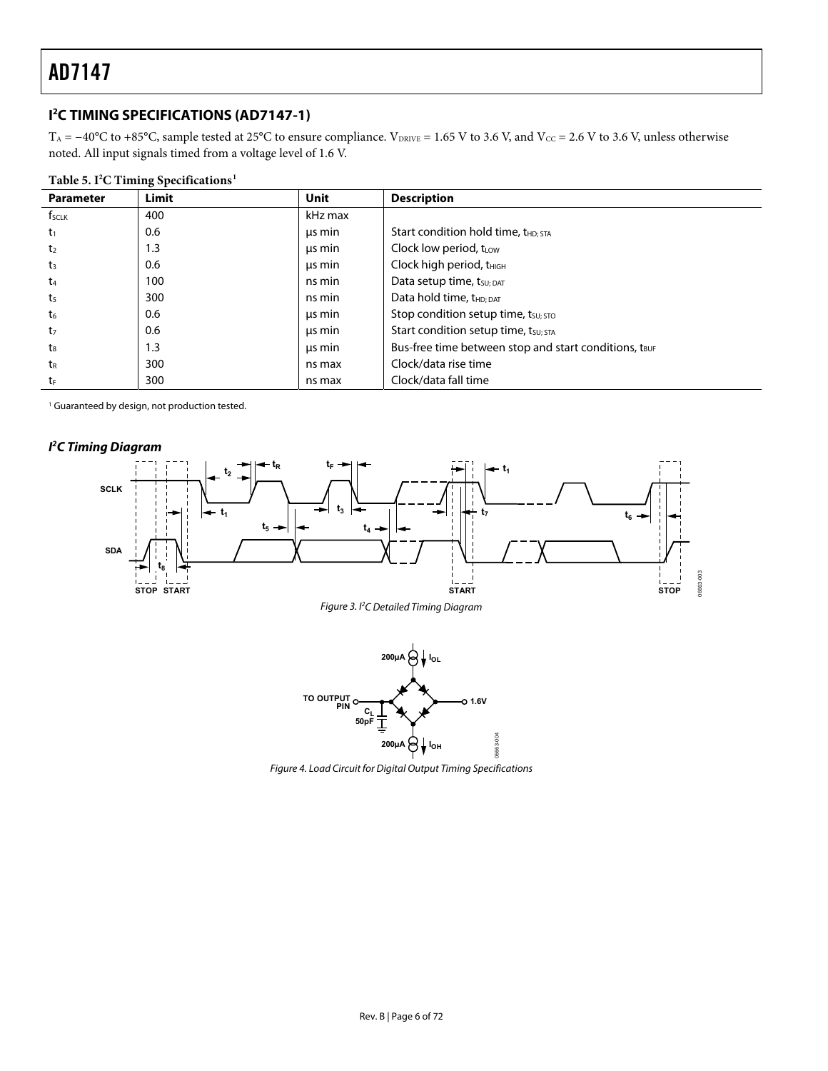### <span id="page-5-0"></span>**I 2 C TIMING SPECIFICATIONS (AD7147-1)**

T<sub>A</sub> = −40°C to +85°C, sample tested at 25°C to ensure compliance. V<sub>DRIVE</sub> = 1.65 V to 3.6 V, and V<sub>CC</sub> = 2.6 V to 3.6 V, unless otherwise noted. All input signals timed from a voltage level of 1.6 V.

| <b>Parameter</b>  | $\sigma$ - $\mathbf{r}$ - $\mathbf{r}$<br>Limit | <b>Unit</b> | <b>Description</b>                                    |
|-------------------|-------------------------------------------------|-------------|-------------------------------------------------------|
| f <sub>SCLK</sub> | 400                                             | kHz max     |                                                       |
| $t_1$             | 0.6                                             | us min      | Start condition hold time, $t_{HD:STA}$               |
| t <sub>2</sub>    | 1.3                                             | us min      | Clock low period, tow                                 |
| $t_3$             | 0.6                                             | us min      | Clock high period, t <sub>HIGH</sub>                  |
| t <sub>4</sub>    | 100                                             | ns min      | Data setup time, tsu; DAT                             |
| $t_5$             | 300                                             | ns min      | Data hold time, t <sub>HD; DAT</sub>                  |
| t6                | 0.6                                             | us min      | Stop condition setup time, tsu; sto                   |
| t <sub>7</sub>    | 0.6                                             | us min      | Start condition setup time, t <sub>su; STA</sub>      |
| t.                | 1.3                                             | us min      | Bus-free time between stop and start conditions, tBUF |
| $t_{R}$           | 300                                             | ns max      | Clock/data rise time                                  |
| tr                | 300                                             | ns max      | Clock/data fall time                                  |

### **Table 5. I2 C Timing Specifications1**

<sup>1</sup> Guaranteed by design, not production tested.





Figure 3. PC Detailed Timing Diagram



Figure 4. Load Circuit for Digital Output Timing Specifications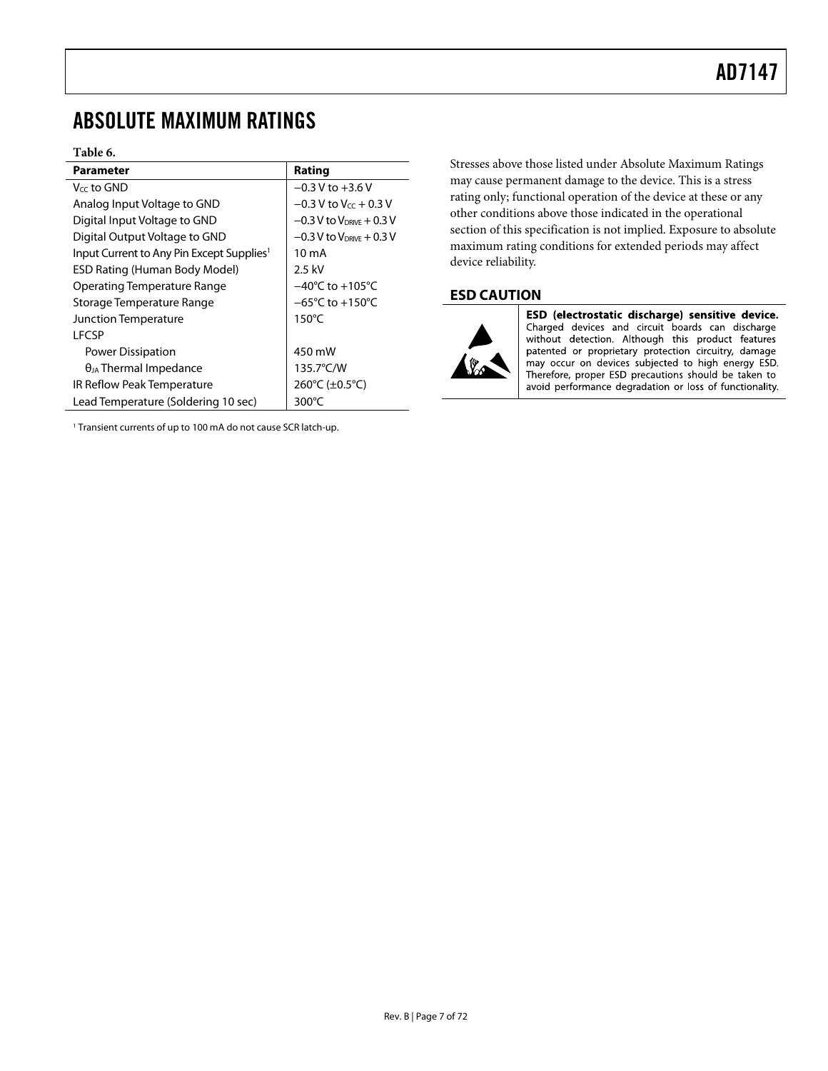### <span id="page-6-1"></span><span id="page-6-0"></span>ABSOLUTE MAXIMUM RATINGS

#### **Table 6.**

| <b>Parameter</b>                                      | Rating                              |
|-------------------------------------------------------|-------------------------------------|
| V <sub>CC</sub> to GND                                | $-0.3$ V to $+3.6$ V                |
| Analog Input Voltage to GND                           | $-0.3$ V to V $cc + 0.3$ V          |
| Digital Input Voltage to GND                          | $-0.3$ V to $V_{DRIVE} + 0.3$ V     |
| Digital Output Voltage to GND                         | $-0.3$ V to $V_{DRIVE} + 0.3$ V     |
| Input Current to Any Pin Except Supplies <sup>1</sup> | $10 \text{ mA}$                     |
| <b>ESD Rating (Human Body Model)</b>                  | 2.5 kV                              |
| Operating Temperature Range                           | $-40^{\circ}$ C to $+105^{\circ}$ C |
| Storage Temperature Range                             | $-65^{\circ}$ C to $+150^{\circ}$ C |
| <b>Junction Temperature</b>                           | $150^{\circ}$ C                     |
| I FCSP                                                |                                     |
| Power Dissipation                                     | 450 mW                              |
| $\theta_{JA}$ Thermal Impedance                       | 135.7°C/W                           |
| IR Reflow Peak Temperature                            | 260°C (±0.5°C)                      |
| Lead Temperature (Soldering 10 sec)                   | 300 $\degree$ C                     |

<sup>1</sup> Transient currents of up to 100 mA do not cause SCR latch-up.

Stresses above those listed under Absolute Maximum Ratings may cause permanent damage to the device. This is a stress rating only; functional operation of the device at these or any other conditions above those indicated in the operational section of this specification is not implied. Exposure to absolute maximum rating conditions for extended periods may affect device reliability.

### **ESD CAUTION**



ESD (electrostatic discharge) sensitive device. Charged devices and circuit boards can discharge without detection. Although this product features patented or proprietary protection circuitry, damage may occur on devices subjected to high energy ESD. Therefore, proper ESD precautions should be taken to avoid performance degradation or loss of functionality.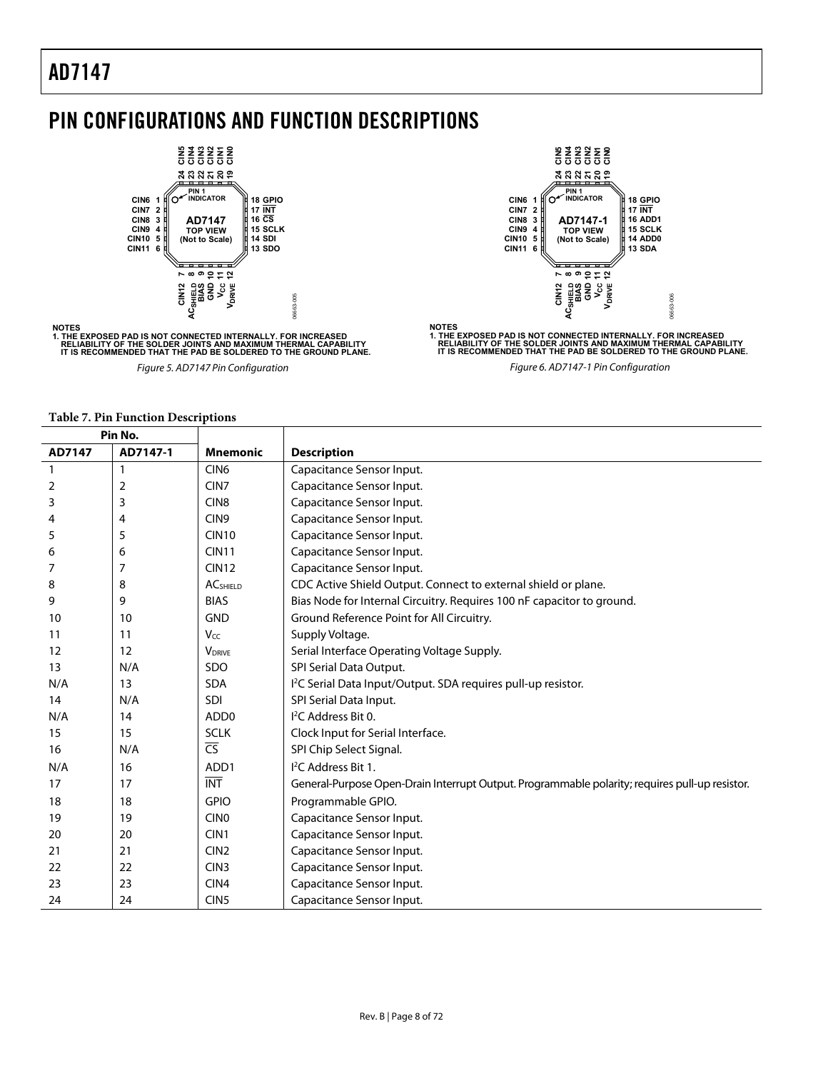### <span id="page-7-0"></span>PIN CONFIGURATIONS AND FUNCTION DESCRIPTIONS



**22 C NI 3 23 C NI 4 24 C NI 5 20 C NI 1 19 C NI 0 GND 21 C NI 2 PIN 1 CIN6 1 INDICATOR 18 GPIO CIN7 2 16 ADD1 17 INT CIN8 3 AD7147-1 CIN9 4 15 SCLK 14 ADD0 TOP VIEW (Not to Scale) CIN10 5 CIN11 6 13 SDA** <del>`n n n n n n</del> **7 8**<br>AC<sub>SHIELD</sub> **B AI S 11 VCC 9** <u>۽</u> **12 C NI 12 VDR VI E** 06663-006 06663-006

**NOTES 1. THE EXPOSED PAD IS NOT CONNECTED INTERNALLY. FOR INCREASED RELIABILITY OF THE SOLDER JOINTS AND MAXIMUM THERMAL CAPABILITY IT IS RECOMMENDED THAT THE PAD BE SOLDERED TO THE GROUND PLANE.**

Figure 6. AD7147-1 Pin Configuration

**NOTES 1. THE EXPOSED PAD IS NOT CONNECTED INTERNALLY. FOR INCREASED RELIABILITY OF THE SOLDER JOINTS AND MAXIMUM THERMAL CAPABILITY IT IS RECOMMENDED THAT THE PAD BE SOLDERED TO THE GROUND PLANE.**

#### Figure 5. AD7147 Pin Configuration

#### **Table 7. Pin Function Descriptions**

|              | Pin No.      |                           |                                                                                                |
|--------------|--------------|---------------------------|------------------------------------------------------------------------------------------------|
| AD7147       | AD7147-1     | <b>Mnemonic</b>           | <b>Description</b>                                                                             |
| $\mathbf{1}$ | $\mathbf{1}$ | CIN <sub>6</sub>          | Capacitance Sensor Input.                                                                      |
| 2            | 2            | CIN <sub>7</sub>          | Capacitance Sensor Input.                                                                      |
| 3            | 3            | CIN <sub>8</sub>          | Capacitance Sensor Input.                                                                      |
| 4            | 4            | CIN <sub>9</sub>          | Capacitance Sensor Input.                                                                      |
| 5            | 5            | <b>CIN10</b>              | Capacitance Sensor Input.                                                                      |
| 6            | 6            | <b>CIN11</b>              | Capacitance Sensor Input.                                                                      |
| 7            | 7            | CIN12                     | Capacitance Sensor Input.                                                                      |
| 8            | 8            | <b>ACSHIELD</b>           | CDC Active Shield Output. Connect to external shield or plane.                                 |
| 9            | 9            | <b>BIAS</b>               | Bias Node for Internal Circuitry. Requires 100 nF capacitor to ground.                         |
| 10           | 10           | <b>GND</b>                | Ground Reference Point for All Circuitry.                                                      |
| 11           | 11           | Vcc                       | Supply Voltage.                                                                                |
| 12           | 12           | <b>V</b> <sub>DRIVE</sub> | Serial Interface Operating Voltage Supply.                                                     |
| 13           | N/A          | SDO                       | SPI Serial Data Output.                                                                        |
| N/A          | 13           | <b>SDA</b>                | I <sup>2</sup> C Serial Data Input/Output. SDA requires pull-up resistor.                      |
| 14           | N/A          | SDI                       | SPI Serial Data Input.                                                                         |
| N/A          | 14           | ADD <sub>0</sub>          | <sup>2</sup> C Address Bit 0.                                                                  |
| 15           | 15           | <b>SCLK</b>               | Clock Input for Serial Interface.                                                              |
| 16           | N/A          | $\overline{\text{CS}}$    | SPI Chip Select Signal.                                                                        |
| N/A          | 16           | ADD1                      | I <sup>2</sup> C Address Bit 1.                                                                |
| 17           | 17           | <b>INT</b>                | General-Purpose Open-Drain Interrupt Output. Programmable polarity; requires pull-up resistor. |
| 18           | 18           | <b>GPIO</b>               | Programmable GPIO.                                                                             |
| 19           | 19           | <b>CINO</b>               | Capacitance Sensor Input.                                                                      |
| 20           | 20           | CIN1                      | Capacitance Sensor Input.                                                                      |
| 21           | 21           | CIN2                      | Capacitance Sensor Input.                                                                      |
| 22           | 22           | CIN <sub>3</sub>          | Capacitance Sensor Input.                                                                      |
| 23           | 23           | CIN4                      | Capacitance Sensor Input.                                                                      |
| 24           | 24           | CIN <sub>5</sub>          | Capacitance Sensor Input.                                                                      |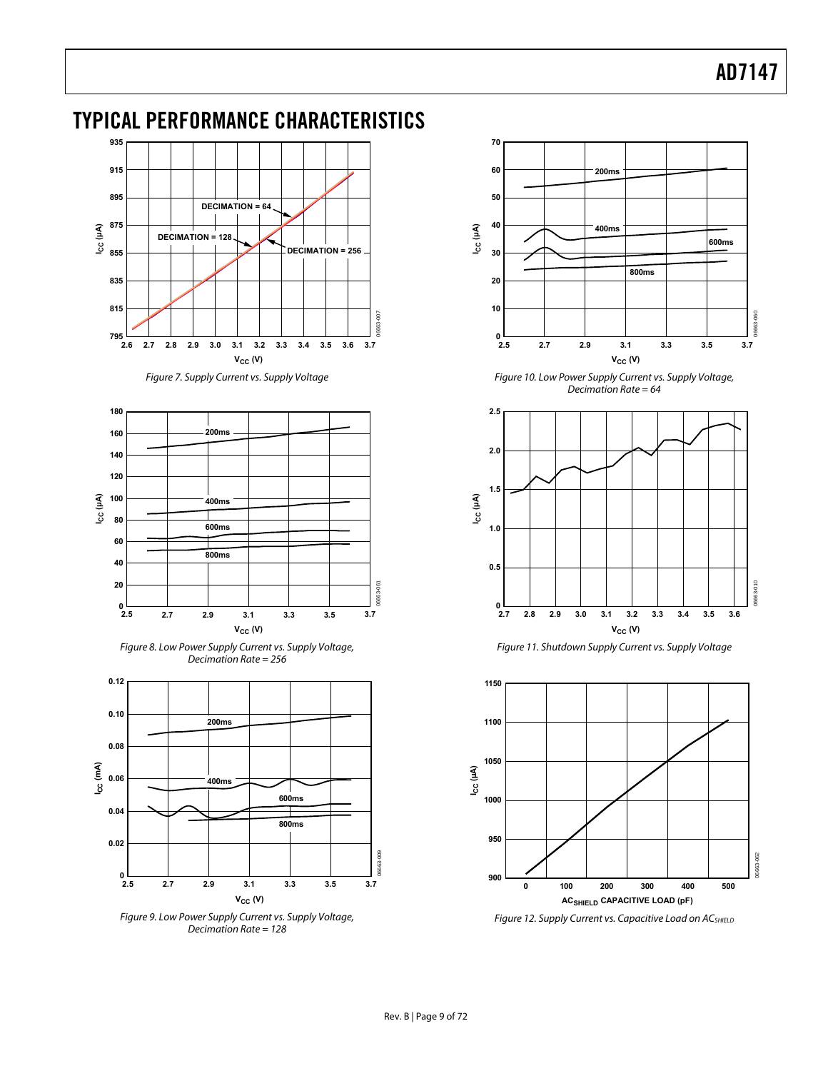### <span id="page-8-0"></span>TYPICAL PERFORMANCE CHARACTERISTICS



Figure 7. Supply Current vs. Supply Voltage



Figure 8. Low Power Supply Current vs. Supply Voltage, Decimation Rate = 256



Figure 9. Low Power Supply Current vs. Supply Voltage, Decimation Rate = 128



Figure 10. Low Power Supply Current vs. Supply Voltage, Decimation Rate =  $64$ 



Figure 11. Shutdown Supply Current vs. Supply Voltage



Figure 12. Supply Current vs. Capacitive Load on ACSHIELD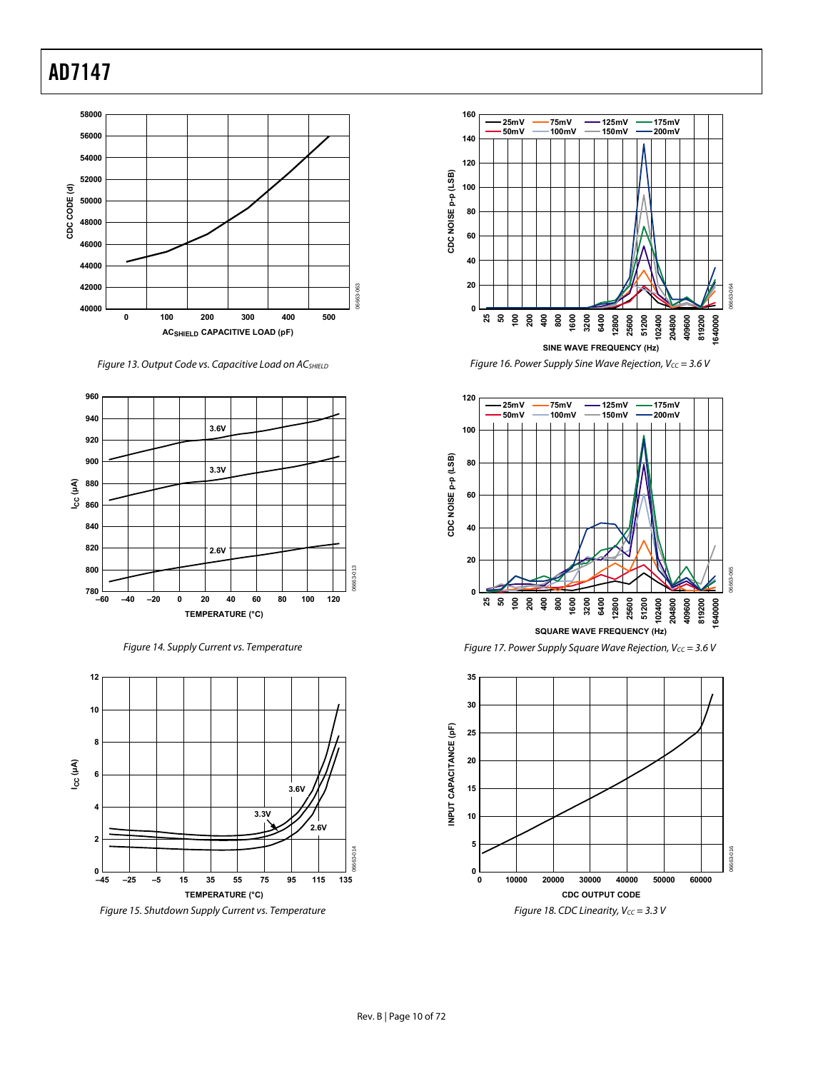

Figure 13. Output Code vs. Capacitive Load on AC<sub>SHIELD</sub>



Figure 14. Supply Current vs. Temperature



Figure 15. Shutdown Supply Current vs. Temperature



Figure 16. Power Supply Sine Wave Rejection,  $V_{CC} = 3.6$  V





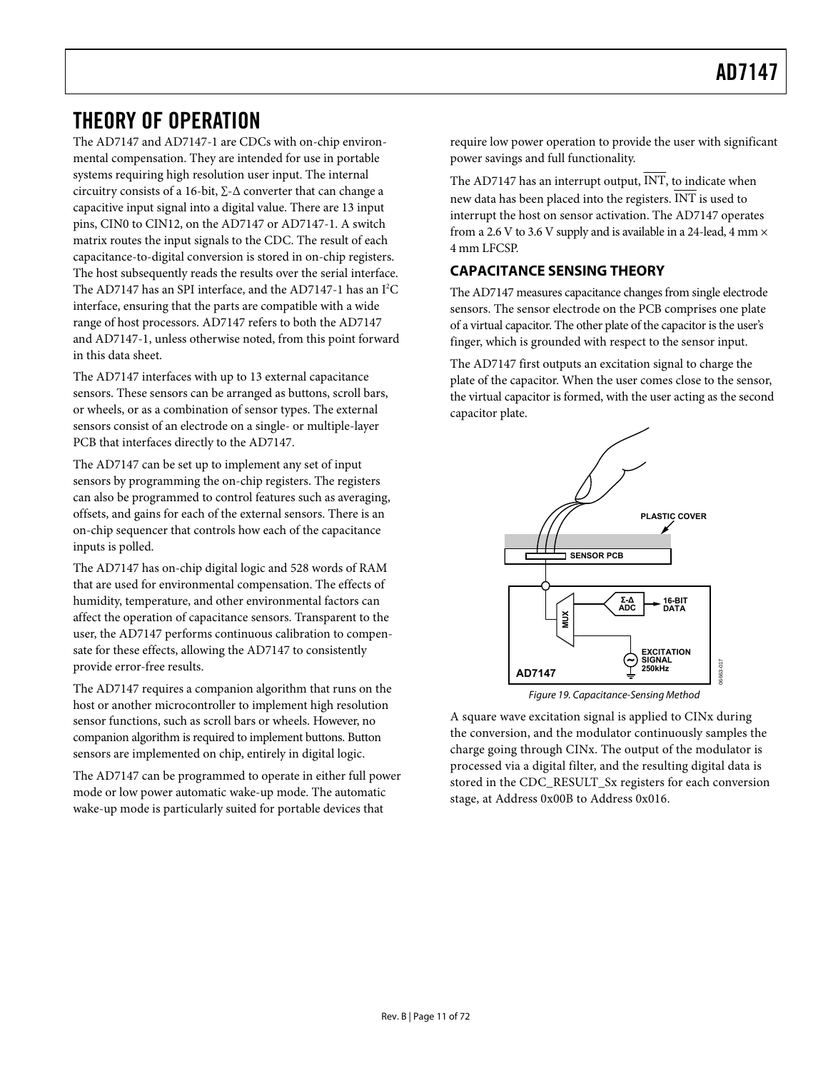### <span id="page-10-1"></span><span id="page-10-0"></span>THEORY OF OPERATION

The AD7147 and AD7147-1 are CDCs with on-chip environmental compensation. They are intended for use in portable systems requiring high resolution user input. The internal circuitry consists of a 16-bit,  $\Sigma$ - $\Delta$  converter that can change a capacitive input signal into a digital value. There are 13 input pins, CIN0 to CIN12, on the AD7147 or AD7147-1. A switch matrix routes the input signals to the CDC. The result of each capacitance-to-digital conversion is stored in on-chip registers. The host subsequently reads the results over the serial interface. The AD7147 has an SPI interface, and the AD7147-1 has an I<sup>2</sup>C interface, ensuring that the parts are compatible with a wide range of host processors. AD7147 refers to both the AD7147 and AD7147-1, unless otherwise noted, from this point forward in this data sheet.

The AD7147 interfaces with up to 13 external capacitance sensors. These sensors can be arranged as buttons, scroll bars, or wheels, or as a combination of sensor types. The external sensors consist of an electrode on a single- or multiple-layer PCB that interfaces directly to the AD7147.

The AD7147 can be set up to implement any set of input sensors by programming the on-chip registers. The registers can also be programmed to control features such as averaging, offsets, and gains for each of the external sensors. There is an on-chip sequencer that controls how each of the capacitance inputs is polled.

The AD7147 has on-chip digital logic and 528 words of RAM that are used for environmental compensation. The effects of humidity, temperature, and other environmental factors can affect the operation of capacitance sensors. Transparent to the user, the AD7147 performs continuous calibration to compensate for these effects, allowing the AD7147 to consistently provide error-free results.

The AD7147 requires a companion algorithm that runs on the host or another microcontroller to implement high resolution sensor functions, such as scroll bars or wheels. However, no companion algorithm is required to implement buttons. Button sensors are implemented on chip, entirely in digital logic.

The AD7147 can be programmed to operate in either full power mode or low power automatic wake-up mode. The automatic wake-up mode is particularly suited for portable devices that

require low power operation to provide the user with significant power savings and full functionality.

The AD7147 has an interrupt output,  $\overline{\text{INT}}$ , to indicate when new data has been placed into the registers. INT is used to interrupt the host on sensor activation. The AD7147 operates from a 2.6 V to 3.6 V supply and is available in a 24-lead, 4 mm  $\times$ 4 mm LFCSP.

### **CAPACITANCE SENSING THEORY**

The AD7147 measures capacitance changes from single electrode sensors. The sensor electrode on the PCB comprises one plate of a virtual capacitor. The other plate of the capacitor is the user's finger, which is grounded with respect to the sensor input.

The AD7147 first outputs an excitation signal to charge the plate of the capacitor. When the user comes close to the sensor, the virtual capacitor is formed, with the user acting as the second capacitor plate.



Figure 19. Capacitance-Sensing Method

A square wave excitation signal is applied to CINx during the conversion, and the modulator continuously samples the charge going through CINx. The output of the modulator is processed via a digital filter, and the resulting digital data is stored in the CDC\_RESULT\_Sx registers for each conversion stage, at Address 0x00B to Address 0x016.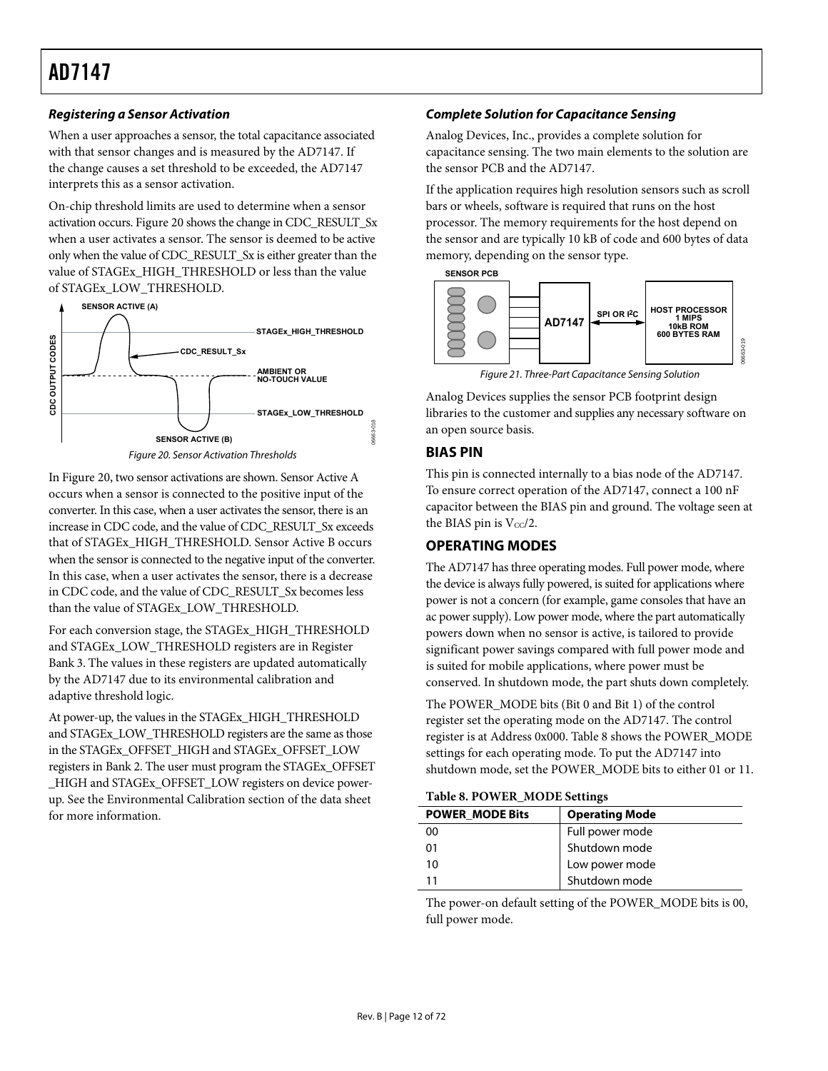### <span id="page-11-0"></span>**Registering a Sensor Activation**

When a user approaches a sensor, the total capacitance associated with that sensor changes and is measured by the AD7147. If the change causes a set threshold to be exceeded, the AD7147 interprets this as a sensor activation.

On-chip threshold limits are used to determine when a sensor activation occurs. [Figure 20](#page-11-1) shows the change in CDC\_RESULT\_Sx when a user activates a sensor. The sensor is deemed to be active only when the value of CDC\_RESULT\_Sx is either greater than the value of STAGEx\_HIGH\_THRESHOLD or less than the value of STAGEx\_LOW\_THRESHOLD.



<span id="page-11-1"></span>In [Figure 20](#page-11-1), two sensor activations are shown. Sensor Active A occurs when a sensor is connected to the positive input of the converter. In this case, when a user activates the sensor, there is an increase in CDC code, and the value of CDC\_RESULT\_Sx exceeds that of STAGEx\_HIGH\_THRESHOLD. Sensor Active B occurs when the sensor is connected to the negative input of the converter. In this case, when a user activates the sensor, there is a decrease in CDC code, and the value of CDC\_RESULT\_Sx becomes less than the value of STAGEx\_LOW\_THRESHOLD.

For each conversion stage, the STAGEx\_HIGH\_THRESHOLD and STAGEx\_LOW\_THRESHOLD registers are in Register Bank 3. The values in these registers are updated automatically by the AD7147 due to its environmental calibration and adaptive threshold logic.

<span id="page-11-2"></span>At power-up, the values in the STAGEx\_HIGH\_THRESHOLD and STAGEx\_LOW\_THRESHOLD registers are the same as those in the STAGEx\_OFFSET\_HIGH and STAGEx\_OFFSET\_LOW registers in Bank 2. The user must program the STAGEx\_OFFSET \_HIGH and STAGEx\_OFFSET\_LOW registers on device powerup. See the [Environmental Calibration](#page-22-2) section of the data sheet for more information.

### **Complete Solution for Capacitance Sensing**

[Analog Devices, Inc.](http://www.analog.com/), provides a complete solution for capacitance sensing. The two main elements to the solution are the sensor PCB and the AD7147.

If the application requires high resolution sensors such as scroll bars or wheels, software is required that runs on the host processor. The memory requirements for the host depend on the sensor and are typically 10 kB of code and 600 bytes of data memory, depending on the sensor type.



Analog Devices supplies the sensor PCB footprint design libraries to the customer and supplies any necessary software on an open source basis.

### **BIAS PIN**

This pin is connected internally to a bias node of the AD7147. To ensure correct operation of the AD7147, connect a 100 nF capacitor between the BIAS pin and ground. The voltage seen at the BIAS pin is  $V_{\text{CC}}/2$ .

### **OPERATING MODES**

The AD7147 has three operating modes. Full power mode, where the device is always fully powered, is suited for applications where power is not a concern (for example, game consoles that have an ac power supply). Low power mode, where the part automatically powers down when no sensor is active, is tailored to provide significant power savings compared with full power mode and is suited for mobile applications, where power must be conserved. In shutdown mode, the part shuts down completely.

The POWER\_MODE bits (Bit 0 and Bit 1) of the control register set the operating mode on the AD7147. The control register is at Address 0x000. [Table 8](#page-11-2) shows the POWER\_MODE settings for each operating mode. To put the AD7147 into shutdown mode, set the POWER\_MODE bits to either 01 or 11.

**Table 8. POWER\_MODE Settings** 

| <b>POWER MODE Bits</b> | <b>Operating Mode</b> |
|------------------------|-----------------------|
| 00                     | Full power mode       |
| 01                     | Shutdown mode         |
| 10                     | Low power mode        |
| 11                     | Shutdown mode         |

The power-on default setting of the POWER\_MODE bits is 00, full power mode.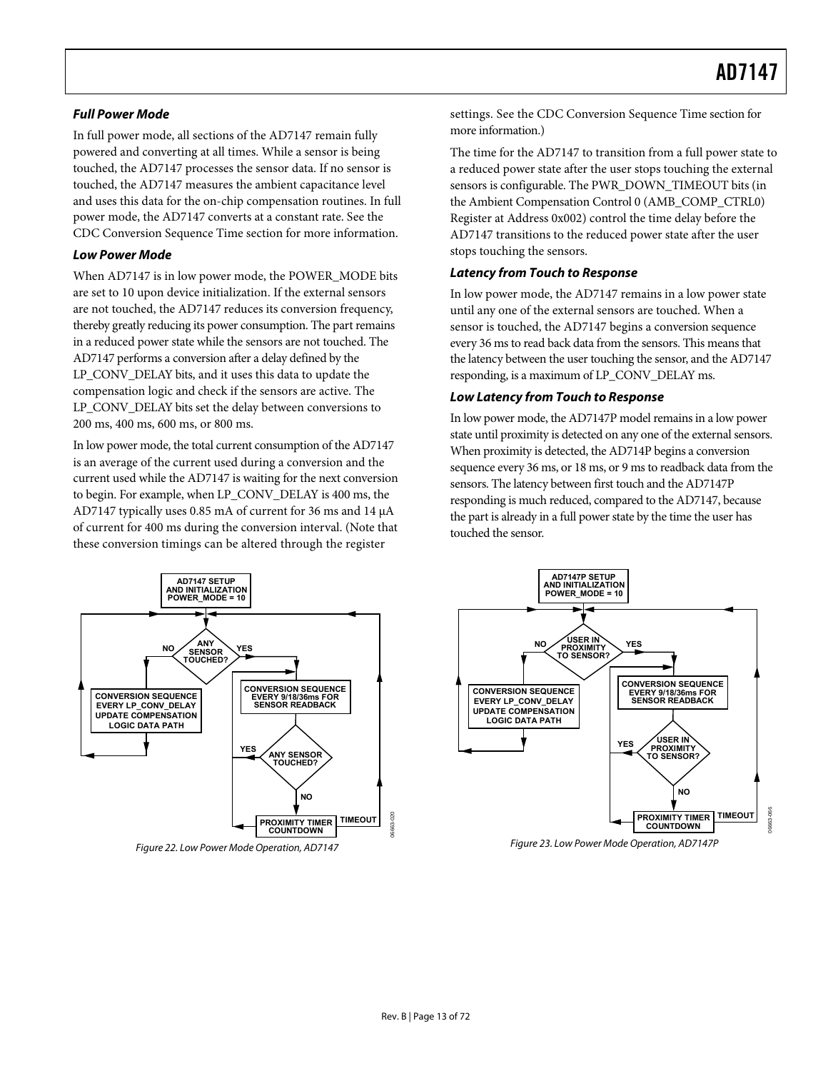### **Full Power Mode**

In full power mode, all sections of the AD7147 remain fully powered and converting at all times. While a sensor is being touched, the AD7147 processes the sensor data. If no sensor is touched, the AD7147 measures the ambient capacitance level and uses this data for the on-chip compensation routines. In full power mode, the AD7147 converts at a constant rate. See the [CDC Conversion Sequence Time](#page-15-2) section for more information.

#### **Low Power Mode**

When AD7147 is in low power mode, the POWER\_MODE bits are set to 10 upon device initialization. If the external sensors are not touched, the AD7147 reduces its conversion frequency, thereby greatly reducing its power consumption. The part remains in a reduced power state while the sensors are not touched. The AD7147 performs a conversion after a delay defined by the LP\_CONV\_DELAY bits, and it uses this data to update the compensation logic and check if the sensors are active. The LP\_CONV\_DELAY bits set the delay between conversions to 200 ms, 400 ms, 600 ms, or 800 ms.

In low power mode, the total current consumption of the AD7147 is an average of the current used during a conversion and the current used while the AD7147 is waiting for the next conversion to begin. For example, when LP\_CONV\_DELAY is 400 ms, the AD7147 typically uses 0.85 mA of current for 36 ms and 14 μA of current for 400 ms during the conversion interval. (Note that these conversion timings can be altered through the register



settings. See the [CDC Conversion Sequence Time](#page-15-2) section for more information.)

The time for the AD7147 to transition from a full power state to a reduced power state after the user stops touching the external sensors is configurable. The PWR\_DOWN\_TIMEOUT bits (in the Ambient Compensation Control 0 (AMB\_COMP\_CTRL0) Register at Address 0x002) control the time delay before the AD7147 transitions to the reduced power state after the user stops touching the sensors.

#### **Latency from Touch to Response**

In low power mode, the AD7147 remains in a low power state until any one of the external sensors are touched. When a sensor is touched, the AD7147 begins a conversion sequence every 36 ms to read back data from the sensors. This means that the latency between the user touching the sensor, and the AD7147 responding, is a maximum of LP\_CONV\_DELAY ms.

#### **Low Latency from Touch to Response**

In low power mode, the AD7147P model remains in a low power state until proximity is detected on any one of the external sensors. When proximity is detected, the AD714P begins a conversion sequence every 36 ms, or 18 ms, or 9 ms to readback data from the sensors. The latency between first touch and the AD7147P responding is much reduced, compared to the AD7147, because the part is already in a full power state by the time the user has touched the sensor.

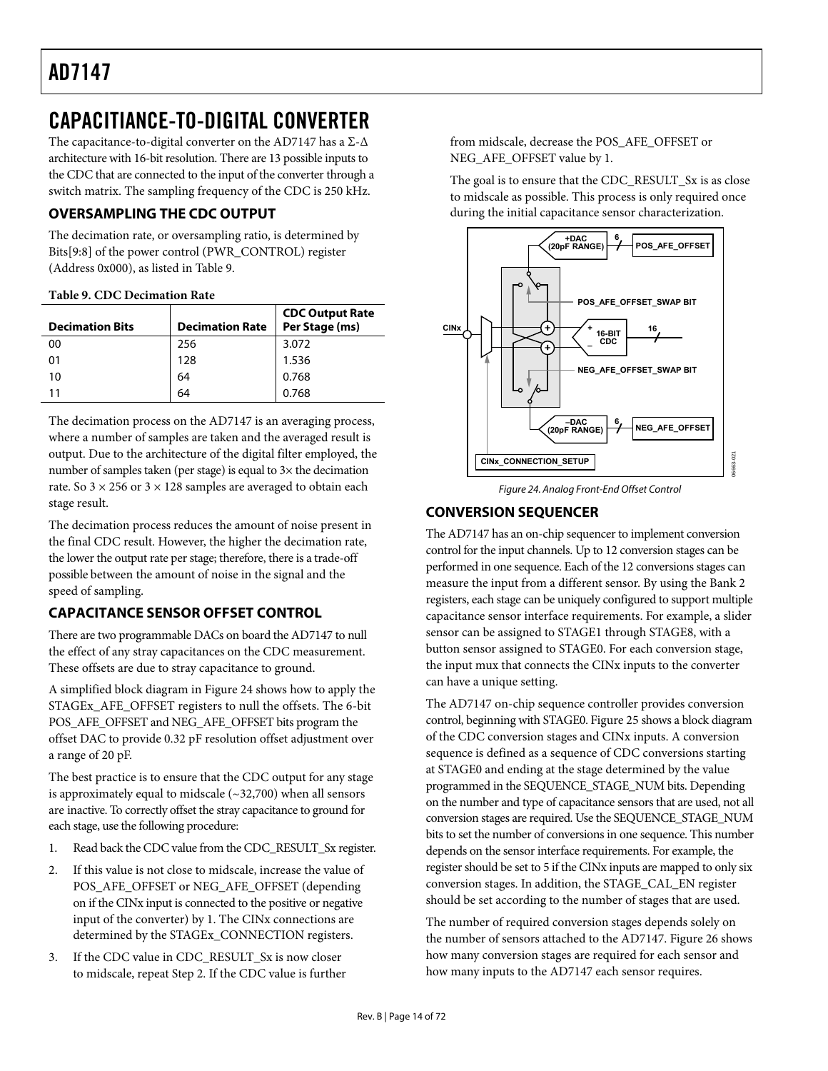### <span id="page-13-1"></span><span id="page-13-0"></span>CAPACITIANCE-TO-DIGITAL CONVERTER

The capacitance-to-digital converter on the AD7147 has a  $\Sigma$ - $\Delta$ architecture with 16-bit resolution. There are 13 possible inputs to the CDC that are connected to the input of the converter through a switch matrix. The sampling frequency of the CDC is 250 kHz.

### **OVERSAMPLING THE CDC OUTPUT**

The decimation rate, or oversampling ratio, is determined by Bits[9:8] of the power control (PWR\_CONTROL) register (Address 0x000), as listed in Table 9.

### **Table 9. CDC Decimation Rate**

| <b>Decimation Bits</b> | <b>Decimation Rate</b> | <b>CDC Output Rate</b><br>Per Stage (ms) |
|------------------------|------------------------|------------------------------------------|
| 00                     | 256                    | 3.072                                    |
| 01                     | 128                    | 1.536                                    |
| 10                     | 64                     | 0.768                                    |
|                        | 64                     | 0.768                                    |

The decimation process on the AD7147 is an averaging process, where a number of samples are taken and the averaged result is output. Due to the architecture of the digital filter employed, the number of samples taken (per stage) is equal to 3× the decimation rate. So  $3 \times 256$  or  $3 \times 128$  samples are averaged to obtain each stage result.

<span id="page-13-2"></span>The decimation process reduces the amount of noise present in the final CDC result. However, the higher the decimation rate, the lower the output rate per stage; therefore, there is a trade-off possible between the amount of noise in the signal and the speed of sampling.

### **CAPACITANCE SENSOR OFFSET CONTROL**

There are two programmable DACs on board the AD7147 to null the effect of any stray capacitances on the CDC measurement. These offsets are due to stray capacitance to ground.

A simplified block diagram in [Figure 24](#page-13-2) shows how to apply the STAGEx\_AFE\_OFFSET registers to null the offsets. The 6-bit POS\_AFE\_OFFSET and NEG\_AFE\_OFFSET bits program the offset DAC to provide 0.32 pF resolution offset adjustment over a range of 20 pF.

The best practice is to ensure that the CDC output for any stage is approximately equal to midscale (~32,700) when all sensors are inactive. To correctly offset the stray capacitance to ground for each stage, use the following procedure:

- 1. Read back the CDC value from the CDC\_RESULT\_Sx register.
- 2. If this value is not close to midscale, increase the value of POS\_AFE\_OFFSET or NEG\_AFE\_OFFSET (depending on if the CINx input is connected to the positive or negative input of the converter) by 1. The CINx connections are determined by the STAGEx\_CONNECTION registers.
- 3. If the CDC value in CDC\_RESULT\_Sx is now closer to midscale, repeat Step 2. If the CDC value is further

from midscale, decrease the POS\_AFE\_OFFSET or NEG\_AFE\_OFFSET value by 1.

The goal is to ensure that the CDC\_RESULT\_Sx is as close to midscale as possible. This process is only required once during the initial capacitance sensor characterization.



Figure 24. Analog Front-End Offset Control

### **CONVERSION SEQUENCER**

The AD7147 has an on-chip sequencer to implement conversion control for the input channels. Up to 12 conversion stages can be performed in one sequence. Each of the 12 conversions stages can measure the input from a different sensor. By using the Bank 2 registers, each stage can be uniquely configured to support multiple capacitance sensor interface requirements. For example, a slider sensor can be assigned to STAGE1 through STAGE8, with a button sensor assigned to STAGE0. For each conversion stage, the input mux that connects the CINx inputs to the converter can have a unique setting.

The AD7147 on-chip sequence controller provides conversion control, beginning with STAGE0. [Figure 25](#page-14-0) shows a block diagram of the CDC conversion stages and CINx inputs. A conversion sequence is defined as a sequence of CDC conversions starting at STAGE0 and ending at the stage determined by the value programmed in the SEQUENCE\_STAGE\_NUM bits. Depending on the number and type of capacitance sensors that are used, not all conversion stages are required. Use the SEQUENCE\_STAGE\_NUM bits to set the number of conversions in one sequence. This number depends on the sensor interface requirements. For example, the register should be set to 5 if the CINx inputs are mapped to only six conversion stages. In addition, the STAGE\_CAL\_EN register should be set according to the number of stages that are used.

The number of required conversion stages depends solely on the number of sensors attached to the AD7147. [Figure 26](#page-14-1) shows how many conversion stages are required for each sensor and how many inputs to the AD7147 each sensor requires.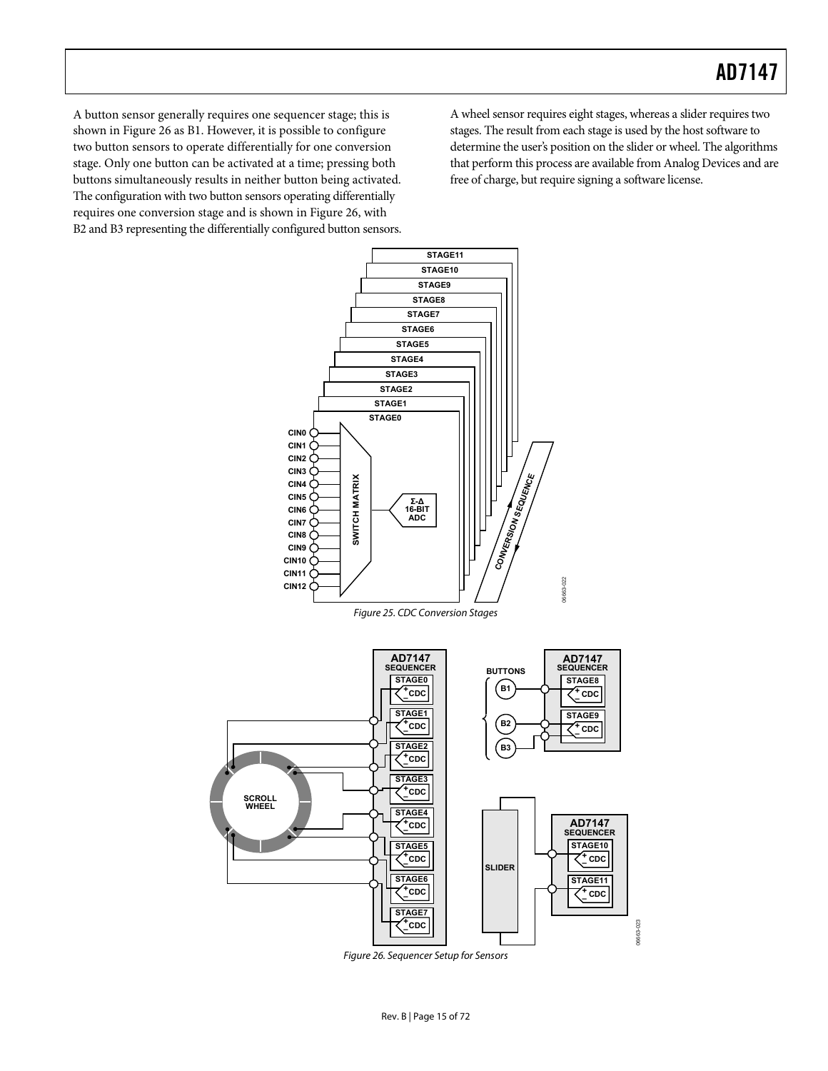A button sensor generally requires one sequencer stage; this is shown in [Figure 26](#page-14-1) as B1. However, it is possible to configure two button sensors to operate differentially for one conversion stage. Only one button can be activated at a time; pressing both buttons simultaneously results in neither button being activated. The configuration with two button sensors operating differentially requires one conversion stage and is shown in [Figure 26,](#page-14-1) with B2 and B3 representing the differentially configured button sensors. A wheel sensor requires eight stages, whereas a slider requires two stages. The result from each stage is used by the host software to determine the user's position on the slider or wheel. The algorithms that perform this process are available from Analog Devices and are free of charge, but require signing a software license.

<span id="page-14-0"></span>

<span id="page-14-1"></span>Figure 26. Sequencer Setup for Sensors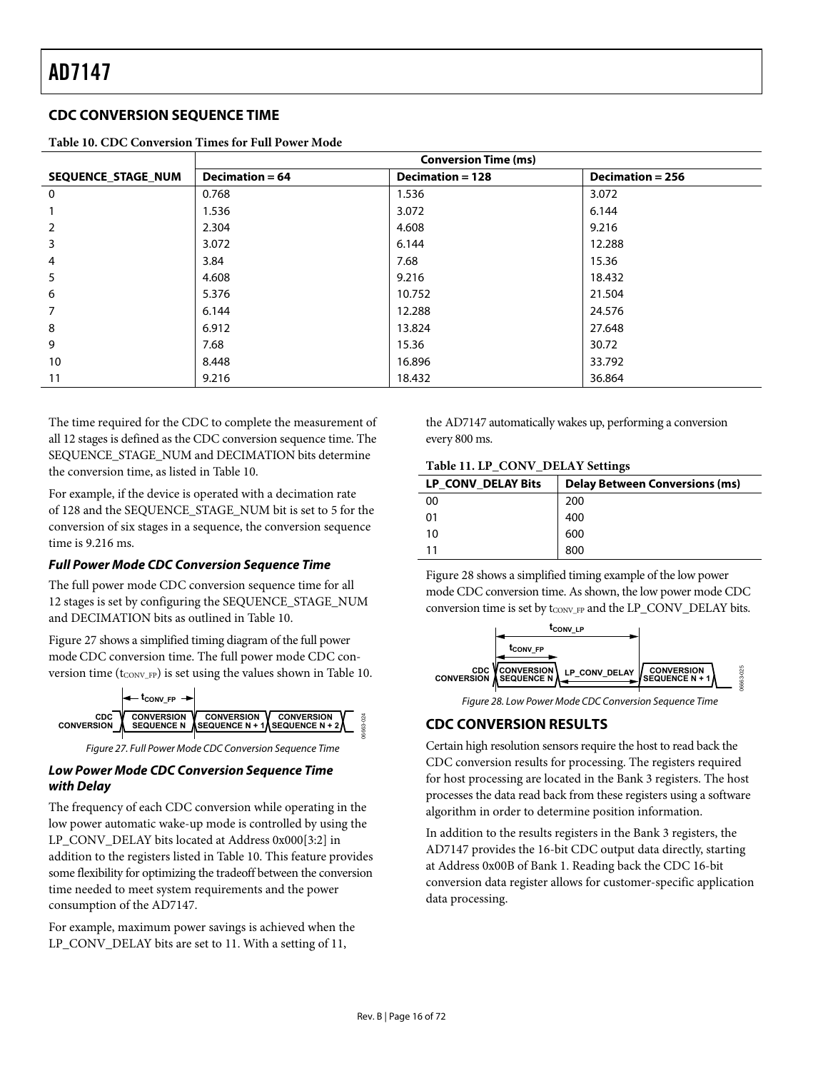### <span id="page-15-2"></span><span id="page-15-1"></span><span id="page-15-0"></span>**CDC CONVERSION SEQUENCE TIME**

<span id="page-15-3"></span>

|                    | <b>Conversion Time (ms)</b> |                    |                    |  |
|--------------------|-----------------------------|--------------------|--------------------|--|
| SEQUENCE_STAGE_NUM | Decimation = $64$           | Decimation = $128$ | Decimation = $256$ |  |
| 0                  | 0.768                       | 1.536              | 3.072              |  |
|                    | 1.536                       | 3.072              | 6.144              |  |
|                    | 2.304                       | 4.608              | 9.216              |  |
| 3                  | 3.072                       | 6.144              | 12.288             |  |
| 4                  | 3.84                        | 7.68               | 15.36              |  |
| 5                  | 4.608                       | 9.216              | 18.432             |  |
| 6                  | 5.376                       | 10.752             | 21.504             |  |
|                    | 6.144                       | 12.288             | 24.576             |  |
| 8                  | 6.912                       | 13.824             | 27.648             |  |
| 9                  | 7.68                        | 15.36              | 30.72              |  |
| 10                 | 8.448                       | 16.896             | 33.792             |  |
| 11                 | 9.216                       | 18.432             | 36.864             |  |

**Table 10. CDC Conversion Times for Full Power Mode** 

The time required for the CDC to complete the measurement of all 12 stages is defined as the CDC conversion sequence time. The SEQUENCE\_STAGE\_NUM and DECIMATION bits determine the conversion time, as listed in [Table 10](#page-15-3).

For example, if the device is operated with a decimation rate of 128 and the SEQUENCE\_STAGE\_NUM bit is set to 5 for the conversion of six stages in a sequence, the conversion sequence time is 9.216 ms.

### **Full Power Mode CDC Conversion Sequence Time**

The full power mode CDC conversion sequence time for all 12 stages is set by configuring the SEQUENCE\_STAGE\_NUM and DECIMATION bits as outlined in [Table 10](#page-15-3).

[Figure 27](#page-15-4) shows a simplified timing diagram of the full power mode CDC conversion time. The full power mode CDC conversion time ( $t_{\text{CONV\_FP}}$ ) is set using the values shown in [Table 10](#page-15-3).

<span id="page-15-5"></span>

Figure 27. Full Power Mode CDC Conversion Sequence Time

### <span id="page-15-4"></span>**Low Power Mode CDC Conversion Sequence Time with Delay**

The frequency of each CDC conversion while operating in the low power automatic wake-up mode is controlled by using the LP\_CONV\_DELAY bits located at Address 0x000[3:2] in addition to the registers listed in [Table 10](#page-15-3). This feature provides some flexibility for optimizing the tradeoff between the conversion time needed to meet system requirements and the power consumption of the AD7147.

For example, maximum power savings is achieved when the LP\_CONV\_DELAY bits are set to 11. With a setting of 11,

the AD7147 automatically wakes up, performing a conversion every 800 ms.

#### **Table 11. LP\_CONV\_DELAY Settings**

| LP CONV DELAY Bits | <b>Delay Between Conversions (ms)</b> |
|--------------------|---------------------------------------|
| 00                 | 200                                   |
| 01                 | 400                                   |
| 10                 | 600                                   |
| 11                 | 800                                   |

[Figure 28](#page-15-5) shows a simplified timing example of the low power mode CDC conversion time. As shown, the low power mode CDC conversion time is set by tconv\_FP and the LP\_CONV\_DELAY bits.



Figure 28. Low Power Mode CDC Conversion Sequence Time

### **CDC CONVERSION RESULTS**

Certain high resolution sensors require the host to read back the CDC conversion results for processing. The registers required for host processing are located in the Bank 3 registers. The host processes the data read back from these registers using a software algorithm in order to determine position information.

In addition to the results registers in the Bank 3 registers, the AD7147 provides the 16-bit CDC output data directly, starting at Address 0x00B of Bank 1. Reading back the CDC 16-bit conversion data register allows for customer-specific application data processing.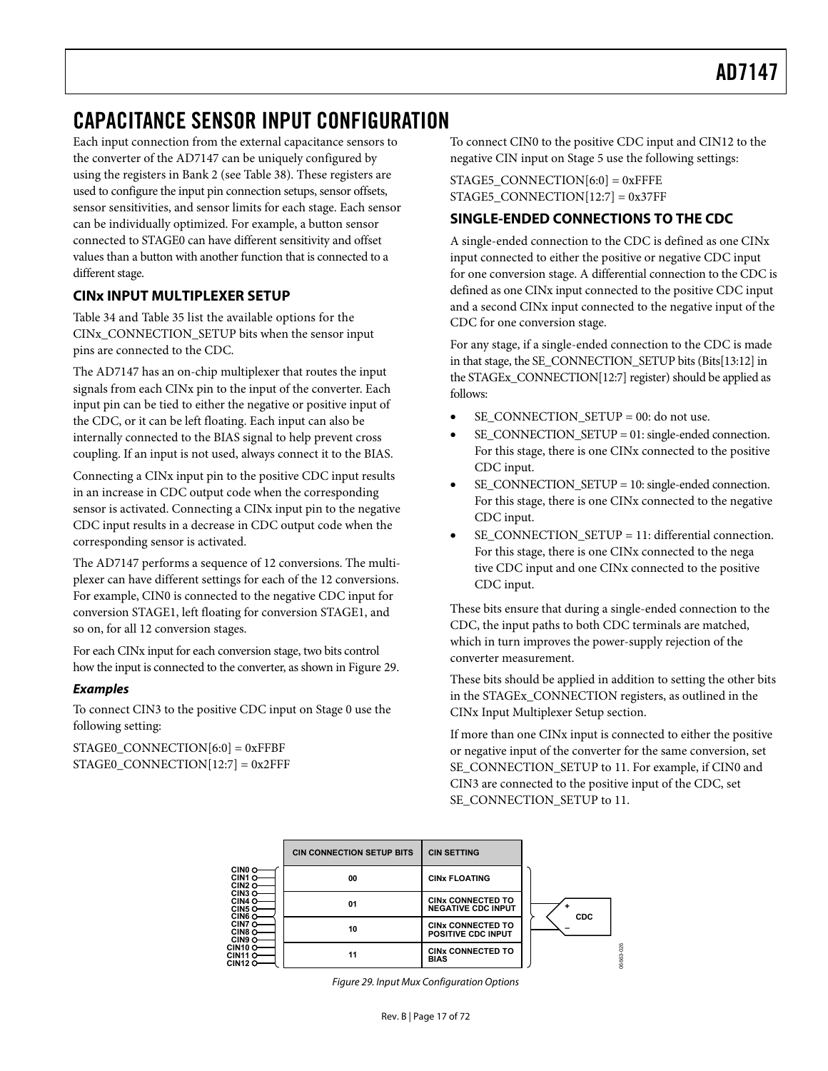### <span id="page-16-1"></span><span id="page-16-0"></span>CAPACITANCE SENSOR INPUT CONFIGURATION

Each input connection from the external capacitance sensors to the converter of the AD7147 can be uniquely configured by using the registers in Bank 2 (see [Table 38](#page-54-0)). These registers are used to configure the input pin connection setups, sensor offsets, sensor sensitivities, and sensor limits for each stage. Each sensor can be individually optimized. For example, a button sensor connected to STAGE0 can have different sensitivity and offset values than a button with another function that is connected to a different stage.

### **CINx INPUT MULTIPLEXER SETUP**

[Table 34](#page-51-1) and [Table 35](#page-52-0) list the available options for the CINx\_CONNECTION\_SETUP bits when the sensor input pins are connected to the CDC.

The AD7147 has an on-chip multiplexer that routes the input signals from each CINx pin to the input of the converter. Each input pin can be tied to either the negative or positive input of the CDC, or it can be left floating. Each input can also be internally connected to the BIAS signal to help prevent cross coupling. If an input is not used, always connect it to the BIAS.

Connecting a CINx input pin to the positive CDC input results in an increase in CDC output code when the corresponding sensor is activated. Connecting a CINx input pin to the negative CDC input results in a decrease in CDC output code when the corresponding sensor is activated.

The AD7147 performs a sequence of 12 conversions. The multiplexer can have different settings for each of the 12 conversions. For example, CIN0 is connected to the negative CDC input for conversion STAGE1, left floating for conversion STAGE1, and so on, for all 12 conversion stages.

For each CINx input for each conversion stage, two bits control how the input is connected to the converter, as shown in [Figure 29](#page-16-2).

### **Examples**

To connect CIN3 to the positive CDC input on Stage 0 use the following setting:

<span id="page-16-2"></span>STAGE0\_CONNECTION[6:0] = 0xFFBF STAGE0\_CONNECTION[12:7] = 0x2FFF To connect CIN0 to the positive CDC input and CIN12 to the negative CIN input on Stage 5 use the following settings:

 $STAGE5$  CONNECTION $[6:0] = 0$ xFFFE STAGE5\_CONNECTION $[12:7] = 0x37$ FF

### **SINGLE-ENDED CONNECTIONS TO THE CDC**

A single-ended connection to the CDC is defined as one CINx input connected to either the positive or negative CDC input for one conversion stage. A differential connection to the CDC is defined as one CINx input connected to the positive CDC input and a second CINx input connected to the negative input of the CDC for one conversion stage.

For any stage, if a single-ended connection to the CDC is made in that stage, the SE\_CONNECTION\_SETUP bits (Bits[13:12] in the STAGEx\_CONNECTION[12:7] register) should be applied as follows:

- SE\_CONNECTION\_SETUP = 00: do not use.
- $SE$  CONNECTION  $SETUP = 01$ : single-ended connection. For this stage, there is one CINx connected to the positive CDC input.
- SE\_CONNECTION\_SETUP = 10: single-ended connection. For this stage, there is one CINx connected to the negative CDC input.
- SE\_CONNECTION\_SETUP = 11: differential connection. For this stage, there is one CINx connected to the nega tive CDC input and one CINx connected to the positive CDC input.

These bits ensure that during a single-ended connection to the CDC, the input paths to both CDC terminals are matched, which in turn improves the power-supply rejection of the converter measurement.

These bits should be applied in addition to setting the other bits in the STAGEx\_CONNECTION registers, as outlined in the CINx Input Multiplexer Setup section.

If more than one CINx input is connected to either the positive or negative input of the converter for the same conversion, set SE\_CONNECTION\_SETUP to 11. For example, if CIN0 and CIN3 are connected to the positive input of the CDC, set SE\_CONNECTION\_SETUP to 11.

|                                                                                     | <b>CIN CONNECTION SETUP BITS</b> | <b>CIN SETTING</b>                                    |              |
|-------------------------------------------------------------------------------------|----------------------------------|-------------------------------------------------------|--------------|
| CINO <sub>O</sub><br>CIN1 <sub>O</sub><br>CIN2O                                     | 00                               | <b>CINX FLOATING</b>                                  |              |
| CIN <sub>3</sub> O<br>CIN <sub>4</sub> O<br>CIN5 <sub>O</sub><br>CIN <sub>6</sub> O | 01                               | <b>CINX CONNECTED TO</b><br><b>NEGATIVE CDC INPUT</b> | <b>CDC</b>   |
| CIN7 <sub>O</sub><br>CIN <sub>8</sub> O<br>CIN <sub>9</sub> O                       | 10                               | <b>CINX CONNECTED TO</b><br><b>POSITIVE CDC INPUT</b> |              |
| CIN10 O<br>CIN11 O<br>CIN12 O                                                       | 11                               | <b>CINX CONNECTED TO</b><br><b>BIAS</b>               | 026<br>06663 |

Figure 29. Input Mux Configuration Options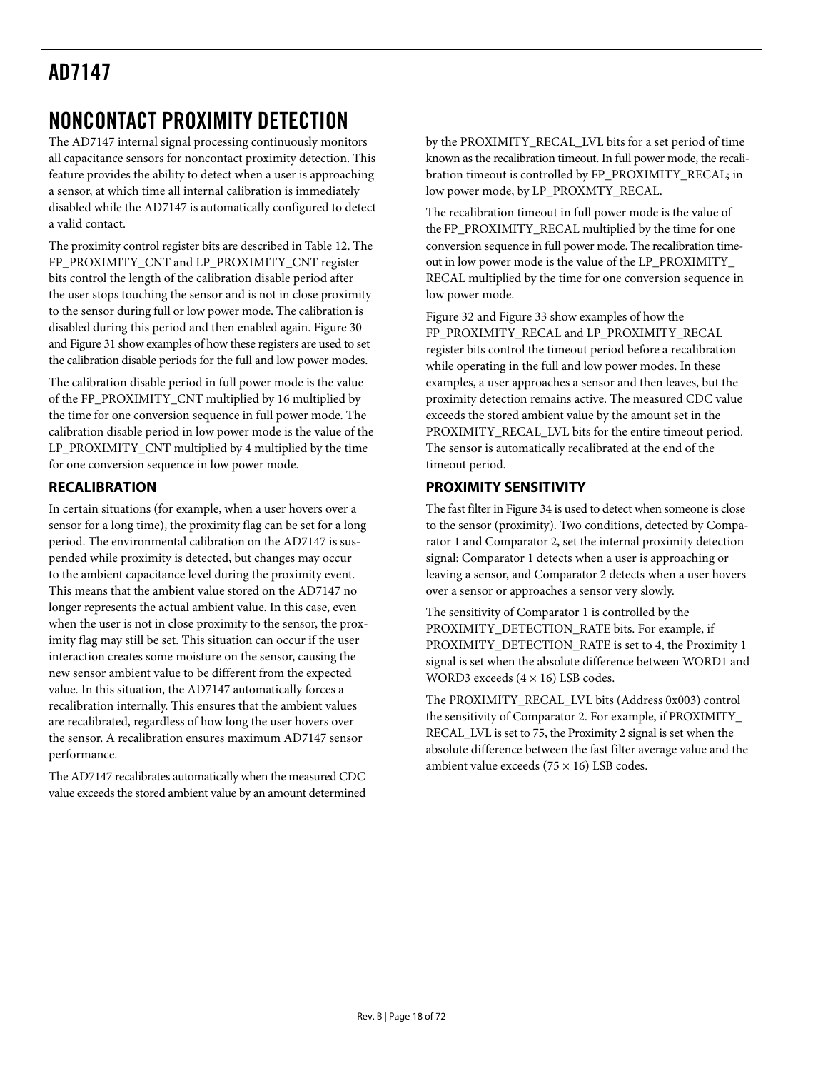### <span id="page-17-1"></span><span id="page-17-0"></span>NONCONTACT PROXIMITY DETECTION

The AD7147 internal signal processing continuously monitors all capacitance sensors for noncontact proximity detection. This feature provides the ability to detect when a user is approaching a sensor, at which time all internal calibration is immediately disabled while the AD7147 is automatically configured to detect a valid contact.

The proximity control register bits are described in [Table 12](#page-18-0). The FP\_PROXIMITY\_CNT and LP\_PROXIMITY\_CNT register bits control the length of the calibration disable period after the user stops touching the sensor and is not in close proximity to the sensor during full or low power mode. The calibration is disabled during this period and then enabled again. [Figure 30](#page-18-1) and [Figure 31](#page-18-2) show examples of how these registers are used to set the calibration disable periods for the full and low power modes.

The calibration disable period in full power mode is the value of the FP\_PROXIMITY\_CNT multiplied by 16 multiplied by the time for one conversion sequence in full power mode. The calibration disable period in low power mode is the value of the LP\_PROXIMITY\_CNT multiplied by 4 multiplied by the time for one conversion sequence in low power mode.

### **RECALIBRATION**

In certain situations (for example, when a user hovers over a sensor for a long time), the proximity flag can be set for a long period. The environmental calibration on the AD7147 is suspended while proximity is detected, but changes may occur to the ambient capacitance level during the proximity event. This means that the ambient value stored on the AD7147 no longer represents the actual ambient value. In this case, even when the user is not in close proximity to the sensor, the proximity flag may still be set. This situation can occur if the user interaction creates some moisture on the sensor, causing the new sensor ambient value to be different from the expected value. In this situation, the AD7147 automatically forces a recalibration internally. This ensures that the ambient values are recalibrated, regardless of how long the user hovers over the sensor. A recalibration ensures maximum AD7147 sensor performance.

The AD7147 recalibrates automatically when the measured CDC value exceeds the stored ambient value by an amount determined by the PROXIMITY\_RECAL\_LVL bits for a set period of time known as the recalibration timeout. In full power mode, the recalibration timeout is controlled by FP\_PROXIMITY\_RECAL; in low power mode, by LP\_PROXMTY\_RECAL.

The recalibration timeout in full power mode is the value of the FP\_PROXIMITY\_RECAL multiplied by the time for one conversion sequence in full power mode. The recalibration timeout in low power mode is the value of the LP\_PROXIMITY\_ RECAL multiplied by the time for one conversion sequence in low power mode.

[Figure 32](#page-19-0) and [Figure 33](#page-19-1) show examples of how the FP\_PROXIMITY\_RECAL and LP\_PROXIMITY\_RECAL register bits control the timeout period before a recalibration while operating in the full and low power modes. In these examples, a user approaches a sensor and then leaves, but the proximity detection remains active. The measured CDC value exceeds the stored ambient value by the amount set in the PROXIMITY\_RECAL\_LVL bits for the entire timeout period. The sensor is automatically recalibrated at the end of the timeout period.

### **PROXIMITY SENSITIVITY**

The fast filter in [Figure 34](#page-21-0) is used to detect when someone is close to the sensor (proximity). Two conditions, detected by Comparator 1 and Comparator 2, set the internal proximity detection signal: Comparator 1 detects when a user is approaching or leaving a sensor, and Comparator 2 detects when a user hovers over a sensor or approaches a sensor very slowly.

The sensitivity of Comparator 1 is controlled by the PROXIMITY\_DETECTION\_RATE bits. For example, if PROXIMITY\_DETECTION\_RATE is set to 4, the Proximity 1 signal is set when the absolute difference between WORD1 and WORD3 exceeds  $(4 \times 16)$  LSB codes.

The PROXIMITY\_RECAL\_LVL bits (Address 0x003) control the sensitivity of Comparator 2. For example, if PROXIMITY\_ RECAL\_LVL is set to 75, the Proximity 2 signal is set when the absolute difference between the fast filter average value and the ambient value exceeds (75  $\times$  16) LSB codes.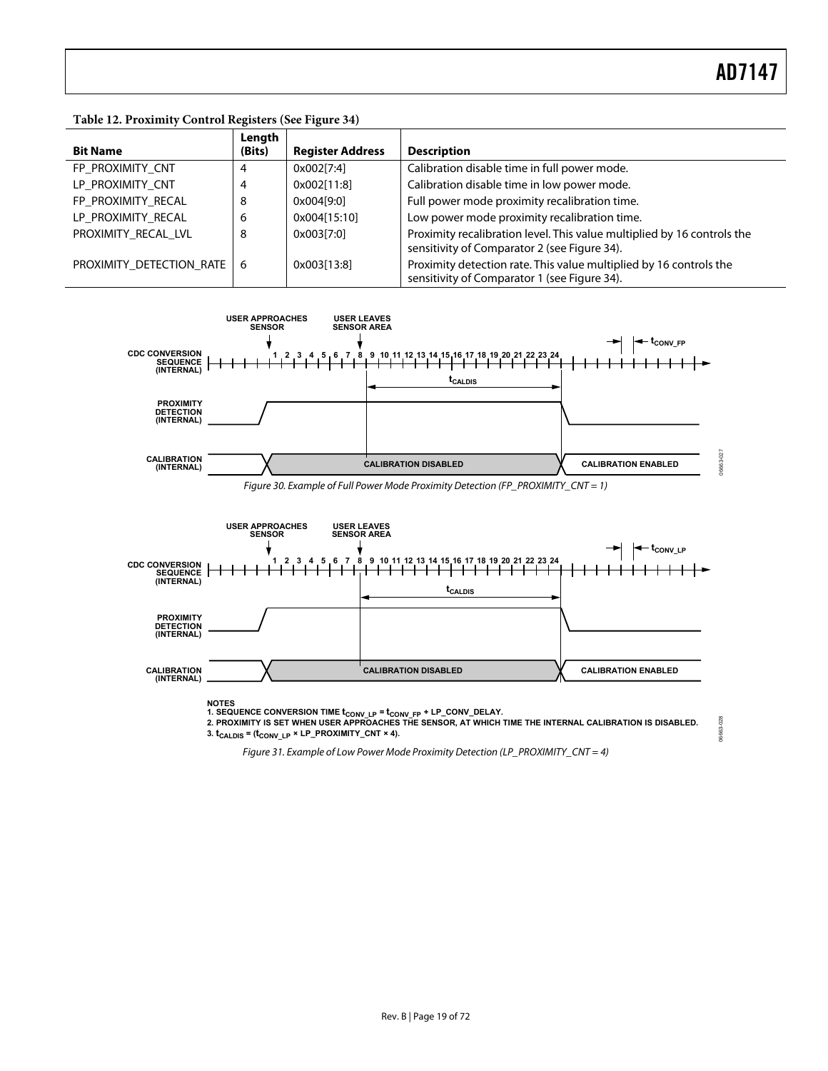06663-028

06663-028

#### **Table 12. Proximity Control Registers (See [Figure 34\)](#page-21-0)**

<span id="page-18-0"></span>

|                          | Length |                         |                                                                                                                         |
|--------------------------|--------|-------------------------|-------------------------------------------------------------------------------------------------------------------------|
| <b>Bit Name</b>          | (Bits) | <b>Register Address</b> | <b>Description</b>                                                                                                      |
| FP PROXIMITY CNT         | 4      | 0x002[7:4]              | Calibration disable time in full power mode.                                                                            |
| LP PROXIMITY CNT         | 4      | 0x002[11:8]             | Calibration disable time in low power mode.                                                                             |
| FP PROXIMITY RECAL       | 8      | 0x004[9:0]              | Full power mode proximity recalibration time.                                                                           |
| LP PROXIMITY RECAL       | 6      | 0x004[15:10]            | Low power mode proximity recalibration time.                                                                            |
| PROXIMITY RECAL LVL      | 8      | 0x003[7:0]              | Proximity recalibration level. This value multiplied by 16 controls the<br>sensitivity of Comparator 2 (see Figure 34). |
| PROXIMITY DETECTION RATE | 6      | 0x003[13:8]             | Proximity detection rate. This value multiplied by 16 controls the<br>sensitivity of Comparator 1 (see Figure 34).      |





<span id="page-18-1"></span>

<span id="page-18-2"></span>NOTES<br>1. SEQUENCE CONVERSION TIME t<sub>CONV\_LP</sub> = t<sub>CONV\_FP</sub> + LP\_CONV\_DELAY.<br>2. PROXIMITY IS SET WHEN USER APPROACHES THE SENSOR, AT WHICH TIME THE INTERNAL CALIBRATION IS DISABLED.<br>3. t<sub>CALDIS</sub> = (t<sub>CONV\_LP</sub> × LP\_PROXIMITY\_

Figure 31. Example of Low Power Mode Proximity Detection (LP\_PROXIMITY\_CNT = 4)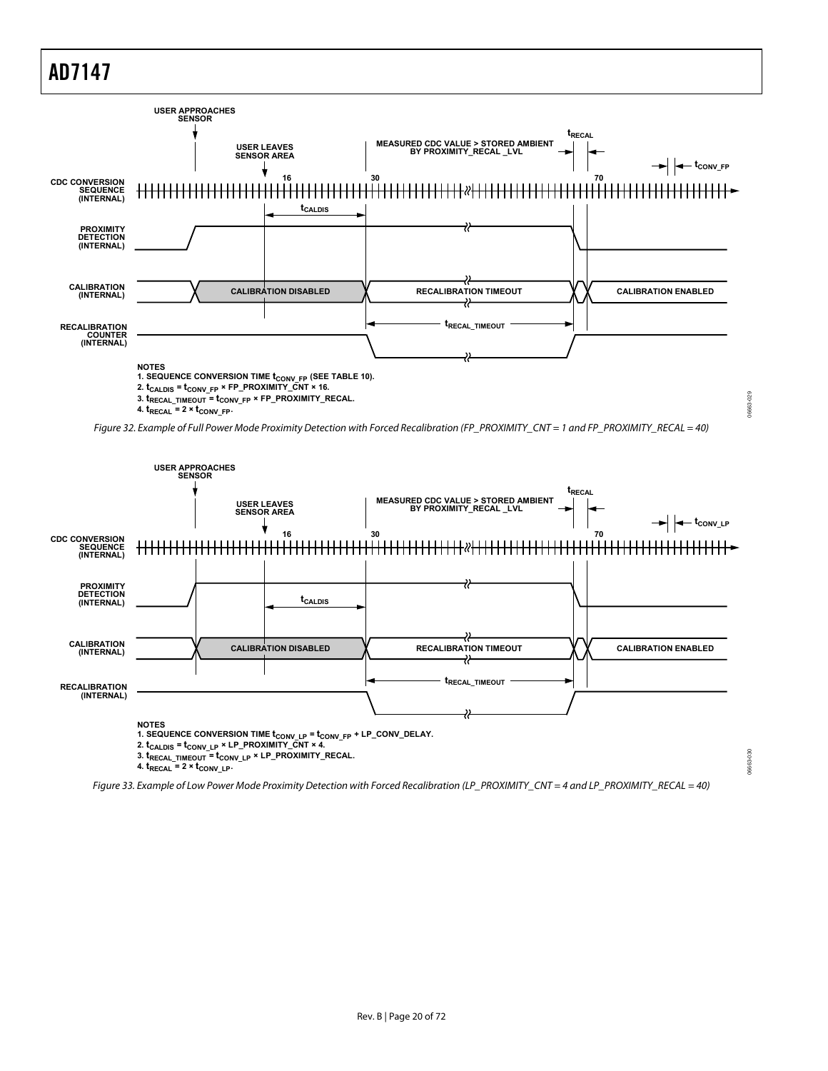

 $4. t_{\text{RECAL}} = 2 \times t_{\text{CONV_FP}}$ 

06663-029

06663-029

06663-030

)6663-030

<span id="page-19-0"></span>

 $4. t_{RECAL} = 2 \times t_{CONV_L}$ 

<span id="page-19-1"></span>Figure 33. Example of Low Power Mode Proximity Detection with Forced Recalibration (LP\_PROXIMITY\_CNT = 4 and LP\_PROXIMITY\_RECAL = 40)

Figure 32. Example of Full Power Mode Proximity Detection with Forced Recalibration (FP\_PROXIMITY\_CNT = 1 and FP\_PROXIMITY\_RECAL = 40)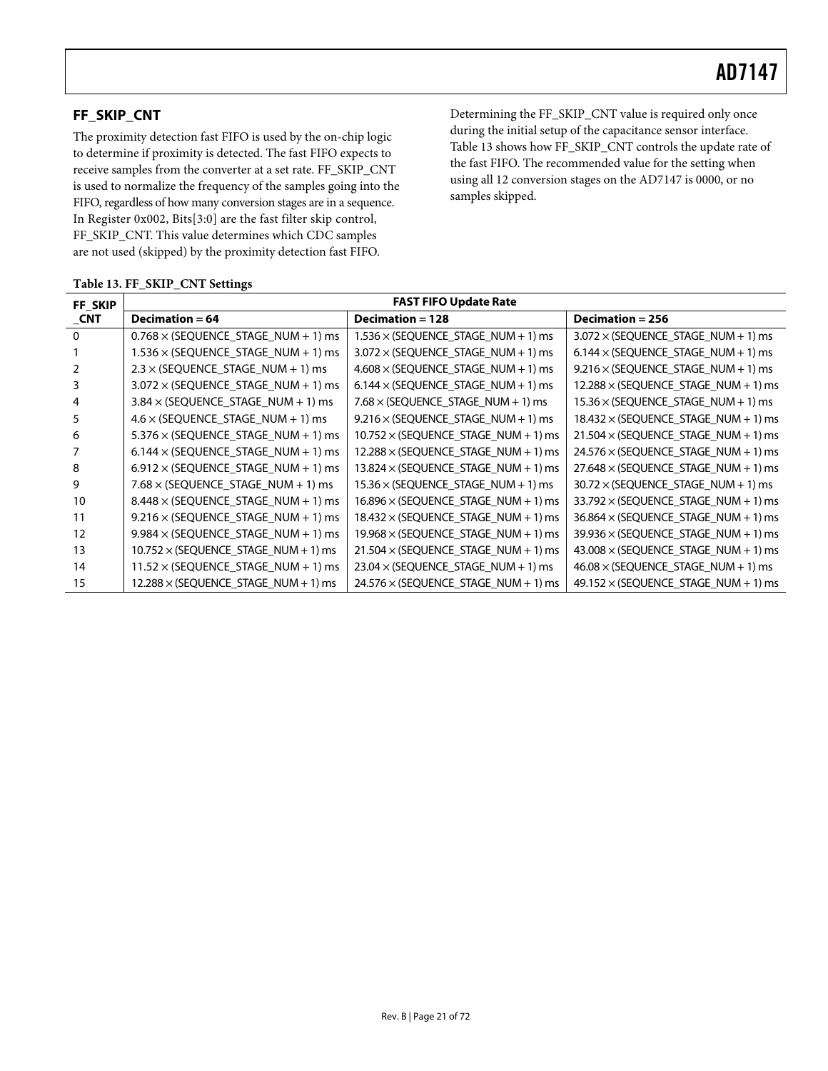### <span id="page-20-0"></span>**FF\_SKIP\_CNT**

The proximity detection fast FIFO is used by the on-chip logic to determine if proximity is detected. The fast FIFO expects to receive samples from the converter at a set rate. FF\_SKIP\_CNT is used to normalize the frequency of the samples going into the FIFO, regardless of how many conversion stages are in a sequence. In Register 0x002, Bits[3:0] are the fast filter skip control, FF\_SKIP\_CNT. This value determines which CDC samples are not used (skipped) by the proximity detection fast FIFO.

Determining the FF\_SKIP\_CNT value is required only once during the initial setup of the capacitance sensor interface. Table 13 shows how FF\_SKIP\_CNT controls the update rate of the fast FIFO. The recommended value for the setting when using all 12 conversion stages on the AD7147 is 0000, or no samples skipped.

| FF_SKIP  | <b>FAST FIFO Update Rate</b>                       |                                                 |                                                    |  |  |
|----------|----------------------------------------------------|-------------------------------------------------|----------------------------------------------------|--|--|
| CNT      | Decimation $= 64$                                  | Decimation $= 128$                              | Decimation $= 256$                                 |  |  |
| $\Omega$ | $0.768 \times (SEQUENCE\_STAGE\_NUM + 1)$ ms       | $1.536 \times$ (SEQUENCE STAGE NUM + 1) ms      | $3.072 \times (SEQUENCE\_STAGE\_NUM + 1)$ ms       |  |  |
|          | $1.536 \times$ (SEQUENCE STAGE NUM + 1) ms         | $3.072 \times$ (SEQUENCE STAGE NUM + 1) ms      | $6.144 \times$ (SEQUENCE STAGE NUM + 1) ms         |  |  |
| 2        | $2.3 \times$ (SEQUENCE_STAGE_NUM + 1) ms           | $4.608 \times$ (SEQUENCE_STAGE_NUM + 1) ms      | $9.216 \times$ (SEQUENCE_STAGE_NUM + 1) ms         |  |  |
| 3        | $3.072 \times$ (SEQUENCE_STAGE_NUM + 1) ms         | $6.144 \times$ (SEQUENCE STAGE NUM + 1) ms      | $12.288 \times$ (SEQUENCE STAGE NUM + 1) ms        |  |  |
| 4        | $3.84 \times$ (SEQUENCE_STAGE_NUM + 1) ms          | $7.68 \times$ (SEQUENCE STAGE NUM + 1) ms       | $15.36 \times$ (SEQUENCE STAGE NUM + 1) ms         |  |  |
| 5        | $4.6 \times$ (SEQUENCE_STAGE_NUM + 1) ms           | $9.216 \times$ (SEQUENCE_STAGE_NUM + 1) ms      | $18.432 \times$ (SEQUENCE STAGE NUM + 1) ms        |  |  |
| 6        | $5.376 \times$ (SEQUENCE_STAGE_NUM + 1) ms         | $10.752 \times$ (SEQUENCE_STAGE_NUM + 1) ms     | $21.504 \times$ (SEQUENCE STAGE NUM + 1) ms        |  |  |
|          | $6.144 \times$ (SEQUENCE_STAGE_NUM + 1) ms         | $12.288 \times$ (SEQUENCE STAGE NUM + 1) ms     | $24.576 \times$ (SEQUENCE STAGE NUM + 1) ms        |  |  |
| 8        | $6.912 \times$ (SEQUENCE_STAGE_NUM + 1) ms         | $13.824 \times$ (SEQUENCE_STAGE_NUM + 1) ms     | $27.648 \times$ (SEQUENCE STAGE NUM + 1) ms        |  |  |
| 9        | 7.68 $\times$ (SEQUENCE STAGE NUM + 1) ms          | $15.36 \times$ (SEQUENCE STAGE NUM + 1) ms      | $30.72 \times$ (SEQUENCE STAGE NUM + 1) ms         |  |  |
| 10       | $8.448 \times$ (SEQUENCE STAGE NUM + 1) ms         | $16.896 \times$ (SEQUENCE STAGE NUM + 1) ms     | $33.792 \times$ (SEQUENCE STAGE NUM + 1) ms        |  |  |
| 11       | $9.216 \times$ (SEQUENCE_STAGE_NUM + 1) ms         | $18.432 \times$ (SEQUENCE STAGE NUM + 1) ms     | $36.864 \times (SEQUENCE STATE NUMBER NUM + 1)$ ms |  |  |
| 12       | $9.984 \times$ (SEQUENCE_STAGE_NUM + 1) ms         | $19.968 \times$ (SEQUENCE STAGE NUM + 1) ms     | $39.936 \times (SEQUENCE - STAGE - NUM + 1)$ ms    |  |  |
| 13       | $10.752 \times (SEQUENCE STATE NUMBER NUM + 1)$ ms | $21.504 \times (SEQUENCE - STAGE - NUM + 1)$ ms | $43.008 \times$ (SEQUENCE STAGE NUM + 1) ms        |  |  |
| 14       | $11.52 \times (SEQUENCE\_STAGE\_NUM + 1)$ ms       | $23.04 \times$ (SEQUENCE_STAGE_NUM + 1) ms      | $46.08 \times$ (SEQUENCE STAGE NUM + 1) ms         |  |  |
| 15       | $12.288 \times$ (SEQUENCE STAGE NUM + 1) ms        | $24.576 \times$ (SEQUENCE STAGE NUM + 1) ms     | $49.152 \times (SEQUENCE STATE NUMBER NUM + 1)$ ms |  |  |

#### **Table 13. FF\_SKIP\_CNT Settings**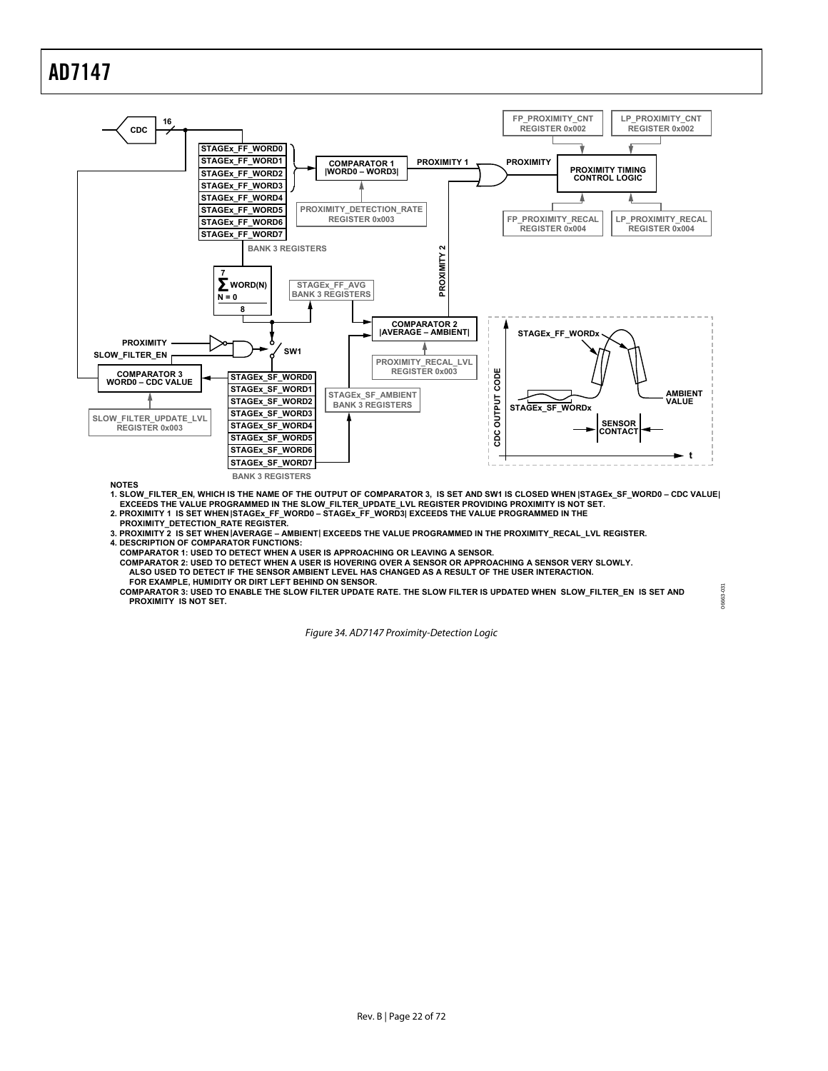

**NOTES**

**1. SLOW\_FILTER\_EN, WHICH IS THE NAME OF THE OUTPUT OF COMPARATOR 3, IS SET AND SW1 IS CLOSED WHEN |STAGEx\_SF\_WORD0 – CDC VALUE| EXCEEDS THE VALUE PROGRAMMED IN THE SLOW\_FILTER\_UPDATE\_LVL REGISTER PROVIDING PROXIMITY IS NOT SET.**

**2. PROXIMITY 1 IS SET WHEN |STAGEx\_FF\_WORD0 – STAGEx\_FF\_WORD3| EXCEEDS THE VALUE PROGRAMMED IN THE**

 **PROXIMITY\_DETECTION\_RATE REGISTER. 3. PROXIMITY 2 IS SET WHEN |AVERAGE – AMBIENT| EXCEEDS THE VALUE PROGRAMMED IN THE PROXIMITY\_RECAL\_LVL REGISTER.**

**4. DESCRIPTION OF COMPARATOR FUNCTIONS:**

 **COMPARATOR 1: USED TO DETECT WHEN A USER IS APPROACHING OR LEAVING A SENSOR.**

 **COMPARATOR 2: USED TO DETECT WHEN A USER IS HOVERING OVER A SENSOR OR APPROACHING A SENSOR VERY SLOWLY. ALSO USED TO DETECT IF THE SENSOR AMBIENT LEVEL HAS CHANGED AS A RESULT OF THE USER INTERACTION. FOR EXAMPLE, HUMIDITY OR DIRT LEFT BEHIND ON SENSOR.**

<span id="page-21-0"></span> **COMPARATOR 3: USED TO ENABLE THE SLOW FILTER UPDATE RATE. THE SLOW FILTER IS UPDATED WHEN SLOW\_FILTER\_EN IS SET AND PROXIMITY IS NOT SET.**

06663-031

 $\tilde{q}$ 6663

Figure 34. AD7147 Proximity-Detection Logic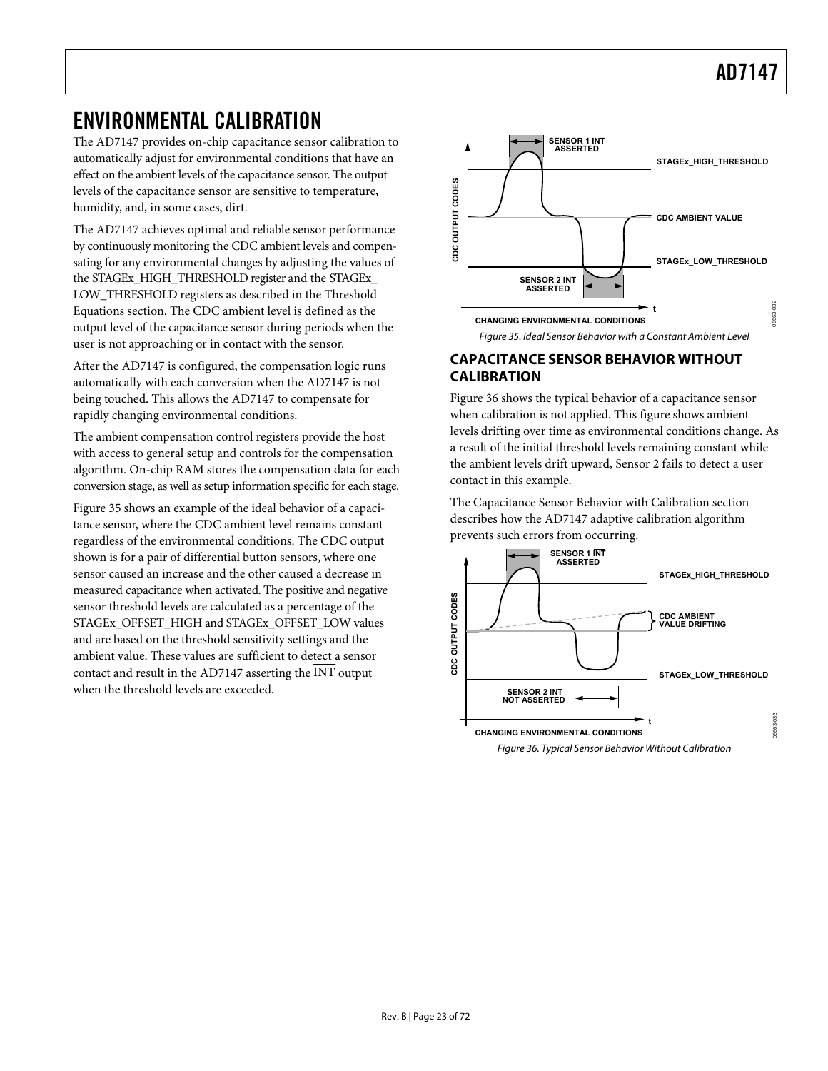### <span id="page-22-2"></span><span id="page-22-1"></span><span id="page-22-0"></span>ENVIRONMENTAL CALIBRATION

The AD7147 provides on-chip capacitance sensor calibration to automatically adjust for environmental conditions that have an effect on the ambient levels of the capacitance sensor. The output levels of the capacitance sensor are sensitive to temperature, humidity, and, in some cases, dirt.

The AD7147 achieves optimal and reliable sensor performance by continuously monitoring the CDC ambient levels and compensating for any environmental changes by adjusting the values of the STAGEx\_HIGH\_THRESHOLD register and the STAGEx\_ LOW\_THRESHOLD registers as described in the [Threshold](#page-23-2)  [Equations](#page-23-2) section. The CDC ambient level is defined as the output level of the capacitance sensor during periods when the user is not approaching or in contact with the sensor.<br>
Figure 35. Ideal Sensor Behavior with a Constant Ambient Level<br>
Figure 35. Ideal Sensor Behavior with a Constant Ambient Level

<span id="page-22-3"></span>After the AD7147 is configured, the compensation logic runs<br>
automatically with each conversion when the AD7147 is not **CALIBRATION** being touched. This allows the AD7147 to compensate for rapidly changing environmental conditions.

The ambient compensation control registers provide the host with access to general setup and controls for the compensation algorithm. On-chip RAM stores the compensation data for each conversion stage, as well as setup information specific for each stage.

<span id="page-22-4"></span>[Figure 35](#page-22-3) shows an example of the ideal behavior of a capacitance sensor, where the CDC ambient level remains constant regardless of the environmental conditions. The CDC output shown is for a pair of differential button sensors, where one sensor caused an increase and the other caused a decrease in measured capacitance when activated. The positive and negative sensor threshold levels are calculated as a percentage of the STAGEx\_OFFSET\_HIGH and STAGEx\_OFFSET\_LOW values and are based on the threshold sensitivity settings and the ambient value. These values are sufficient to detect a sensor contact and result in the AD7147 asserting the INT output when the threshold levels are exceeded.



# **CAPACITANCE SENSOR BEHAVIOR WITHOUT**

[Figure 36](#page-22-4) shows the typical behavior of a capacitance sensor when calibration is not applied. This figure shows ambient levels drifting over time as environmental conditions change. As a result of the initial threshold levels remaining constant while the ambient levels drift upward, Sensor 2 fails to detect a user contact in this example.

The [Capacitance Sensor Behavior with Calibration](#page-23-3) section describes how the AD7147 adaptive calibration algorithm prevents such errors from occurring.



Figure 36. Typical Sensor Behavior Without Calibration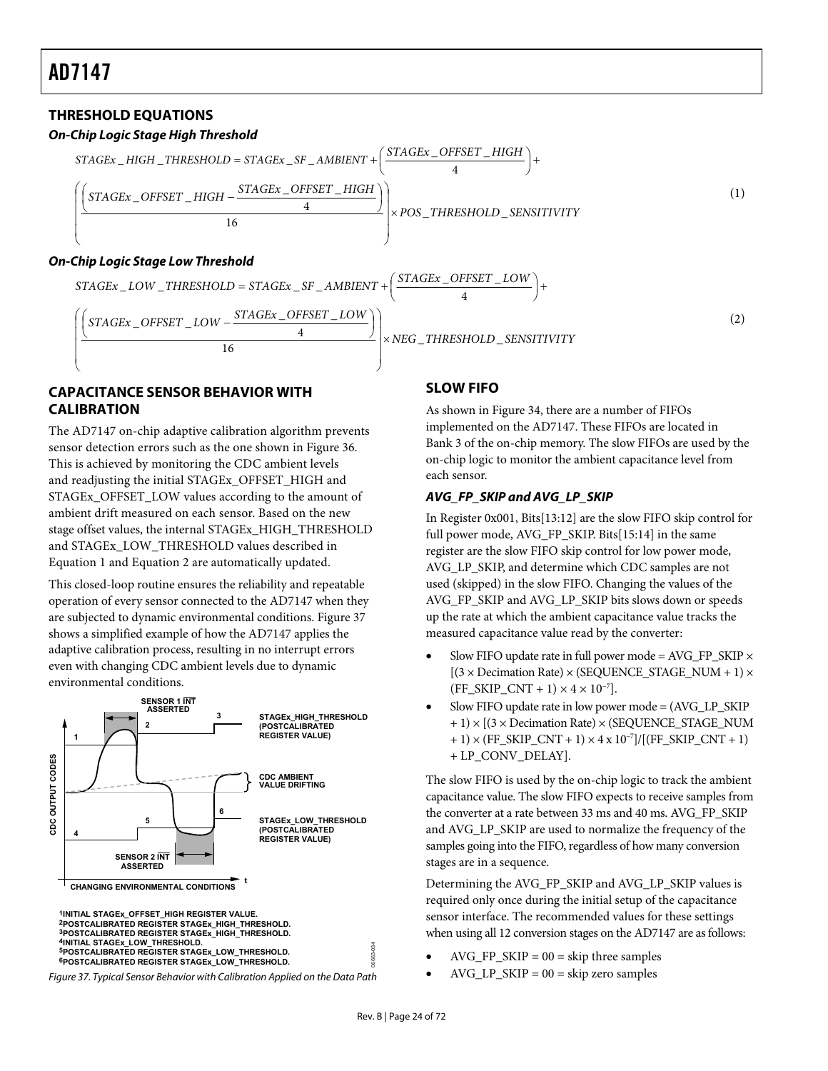### <span id="page-23-2"></span><span id="page-23-1"></span><span id="page-23-0"></span>**THRESHOLD EQUATIONS**

### **On-Chip Logic Stage High Threshold**



### **On-Chip Logic Stage Low Threshold**



### <span id="page-23-3"></span>**CAPACITANCE SENSOR BEHAVIOR WITH CALIBRATION**

The AD7147 on-chip adaptive calibration algorithm prevents sensor detection errors such as the one shown in [Figure 36](#page-22-4). This is achieved by monitoring the CDC ambient levels and readjusting the initial STAGEx\_OFFSET\_HIGH and STAGEx\_OFFSET\_LOW values according to the amount of ambient drift measured on each sensor. Based on the new stage offset values, the internal STAGEx\_HIGH\_THRESHOLD and STAGEx\_LOW\_THRESHOLD values described in Equation 1 and Equation 2 are automatically updated.

This closed-loop routine ensures the reliability and repeatable operation of every sensor connected to the AD7147 when they are subjected to dynamic environmental conditions. [Figure 37](#page-23-4) shows a simplified example of how the AD7147 applies the adaptive calibration process, resulting in no interrupt errors even with changing CDC ambient levels due to dynamic environmental conditions.



**3POSTCALIBRATED REGISTER STAGEx\_HIGH\_THRESHOLD. 4INITIAL STAGEx\_LOW\_THRESHOLD. 5POSTCALIBRATED REGISTER STAGEx\_LOW\_THRESHOLD. 6POSTCALIBRATED REGISTER STAGEx\_LOW\_THRESHOLD.**

<span id="page-23-4"></span>Figure 37. Typical Sensor Behavior with Calibration Applied on the Data Path

### **SLOW FIFO**

As shown in [Figure 34,](#page-21-0) there are a number of FIFOs implemented on the AD7147. These FIFOs are located in Bank 3 of the on-chip memory. The slow FIFOs are used by the on-chip logic to monitor the ambient capacitance level from each sensor.

### **AVG\_FP\_SKIP and AVG\_LP\_SKIP**

In Register 0x001, Bits[13:12] are the slow FIFO skip control for full power mode, AVG\_FP\_SKIP. Bits[15:14] in the same register are the slow FIFO skip control for low power mode, AVG\_LP\_SKIP, and determine which CDC samples are not used (skipped) in the slow FIFO. Changing the values of the AVG\_FP\_SKIP and AVG\_LP\_SKIP bits slows down or speeds up the rate at which the ambient capacitance value tracks the measured capacitance value read by the converter:

- Slow FIFO update rate in full power mode = AVG\_FP\_SKIP  $\times$  $[(3 \times Decmation Rate) \times (SEQUENCE STATE NUMBER - NUM + 1) \times$ (FF\_SKIP\_CNT + 1)  $\times$  4  $\times$  10<sup>-7</sup>].
- Slow FIFO update rate in low power mode = (AVG\_LP\_SKIP  $+ 1$ ) ×  $[(3 \times$  Decimation Rate) × (SEQUENCE\_STAGE\_NUM  $+ 1$ ) × (FF\_SKIP\_CNT + 1) × 4 x 10<sup>-7</sup>]/[(FF\_SKIP\_CNT + 1) + LP\_CONV\_DELAY].

The slow FIFO is used by the on-chip logic to track the ambient capacitance value. The slow FIFO expects to receive samples from the converter at a rate between 33 ms and 40 ms. AVG\_FP\_SKIP and AVG\_LP\_SKIP are used to normalize the frequency of the samples going into the FIFO, regardless of how many conversion stages are in a sequence.

Determining the AVG\_FP\_SKIP and AVG\_LP\_SKIP values is required only once during the initial setup of the capacitance sensor interface. The recommended values for these settings when using all 12 conversion stages on the AD7147 are as follows:

- AVG FP\_SKIP =  $00 =$  skip three samples
- $AVG_LP_SKIP = 00 =$  skip zero samples

06663-034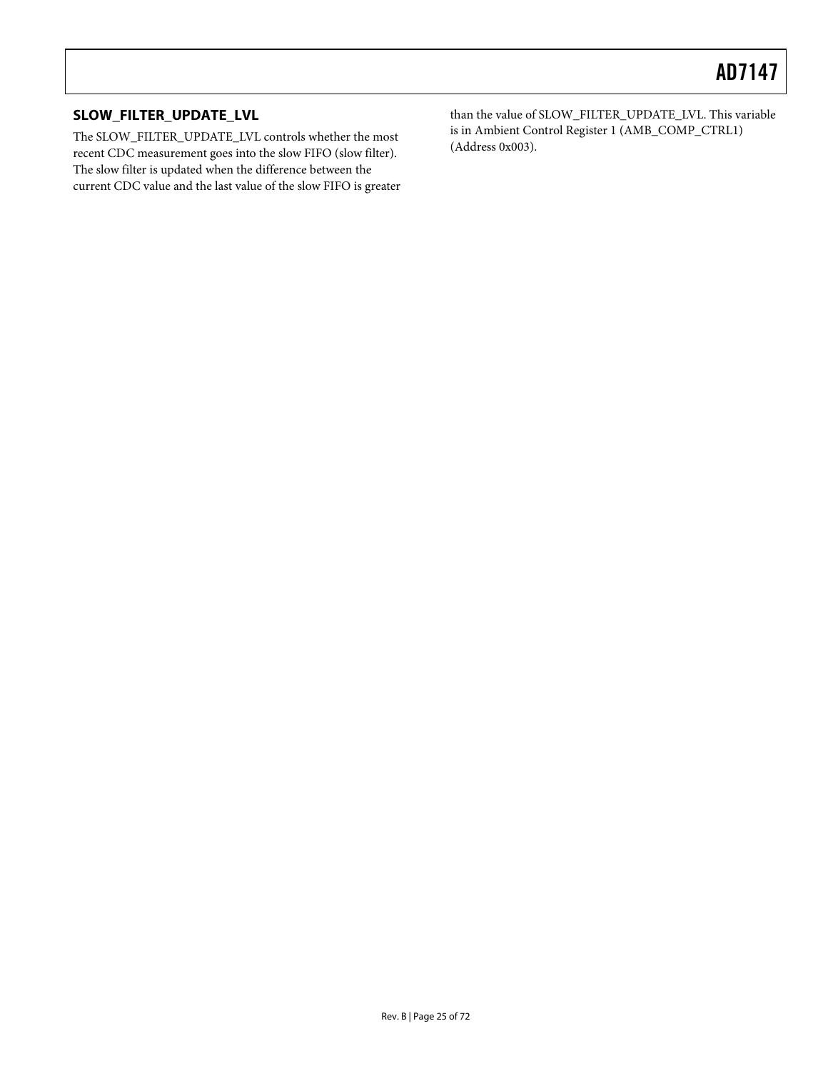### <span id="page-24-0"></span>**SLOW\_FILTER\_UPDATE\_LVL**

The SLOW\_FILTER\_UPDATE\_LVL controls whether the most recent CDC measurement goes into the slow FIFO (slow filter). The slow filter is updated when the difference between the current CDC value and the last value of the slow FIFO is greater than the value of SLOW\_FILTER\_UPDATE\_LVL. This variable is in Ambient Control Register 1 (AMB\_COMP\_CTRL1) (Address 0x003).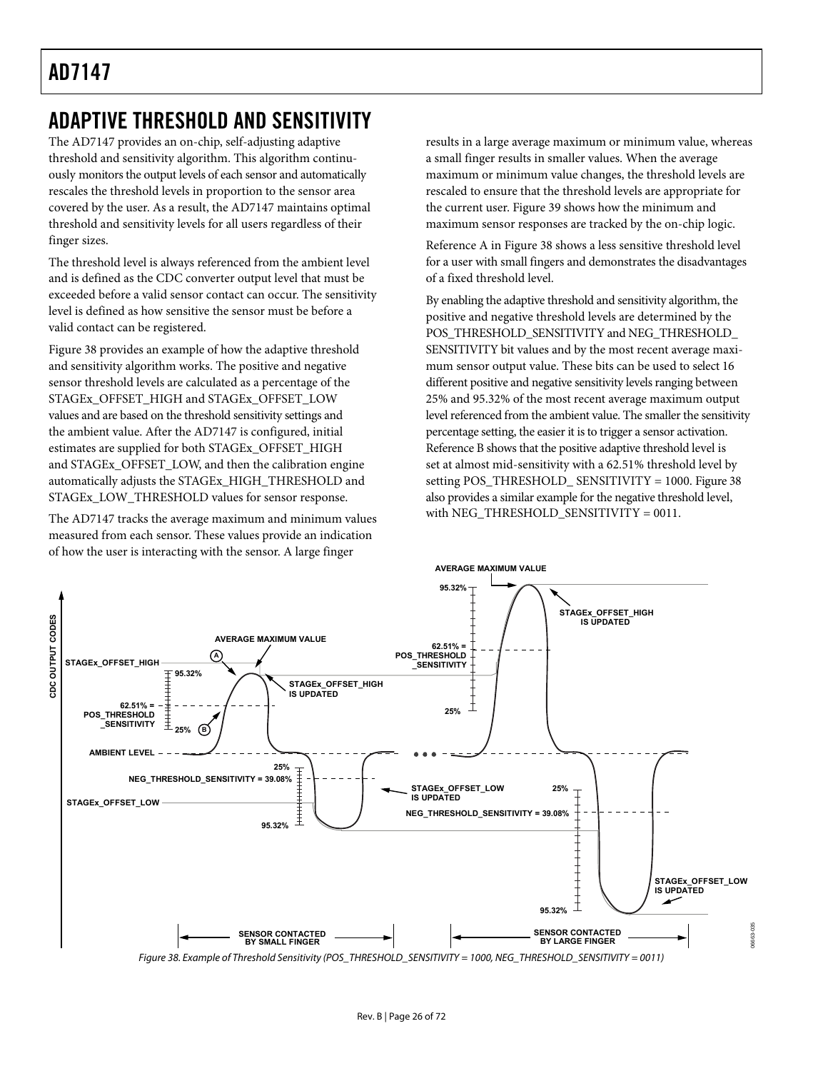### <span id="page-25-0"></span>ADAPTIVE THRESHOLD AND SENSITIVITY

The AD7147 provides an on-chip, self-adjusting adaptive threshold and sensitivity algorithm. This algorithm continuously monitors the output levels of each sensor and automatically rescales the threshold levels in proportion to the sensor area covered by the user. As a result, the AD7147 maintains optimal threshold and sensitivity levels for all users regardless of their finger sizes.

The threshold level is always referenced from the ambient level and is defined as the CDC converter output level that must be exceeded before a valid sensor contact can occur. The sensitivity level is defined as how sensitive the sensor must be before a valid contact can be registered.

[Figure 38](#page-25-1) provides an example of how the adaptive threshold and sensitivity algorithm works. The positive and negative sensor threshold levels are calculated as a percentage of the STAGEx\_OFFSET\_HIGH and STAGEx\_OFFSET\_LOW values and are based on the threshold sensitivity settings and the ambient value. After the AD7147 is configured, initial estimates are supplied for both STAGEx\_OFFSET\_HIGH and STAGEx\_OFFSET\_LOW, and then the calibration engine automatically adjusts the STAGEx\_HIGH\_THRESHOLD and STAGEx\_LOW\_THRESHOLD values for sensor response.

The AD7147 tracks the average maximum and minimum values measured from each sensor. These values provide an indication of how the user is interacting with the sensor. A large finger

results in a large average maximum or minimum value, whereas a small finger results in smaller values. When the average maximum or minimum value changes, the threshold levels are rescaled to ensure that the threshold levels are appropriate for the current user. [Figure 39](#page-26-0) shows how the minimum and maximum sensor responses are tracked by the on-chip logic.

Reference A in [Figure 38](#page-25-1) shows a less sensitive threshold level for a user with small fingers and demonstrates the disadvantages of a fixed threshold level.

By enabling the adaptive threshold and sensitivity algorithm, the positive and negative threshold levels are determined by the POS\_THRESHOLD\_SENSITIVITY and NEG\_THRESHOLD\_ SENSITIVITY bit values and by the most recent average maximum sensor output value. These bits can be used to select 16 different positive and negative sensitivity levels ranging between 25% and 95.32% of the most recent average maximum output level referenced from the ambient value. The smaller the sensitivity percentage setting, the easier it is to trigger a sensor activation. Reference B shows that the positive adaptive threshold level is set at almost mid-sensitivity with a 62.51% threshold level by setting POS\_THRESHOLD\_SENSITIVITY = 1000. [Figure 38](#page-25-1) also provides a similar example for the negative threshold level, with NEG\_THRESHOLD\_SENSITIVITY = 0011.

<span id="page-25-1"></span>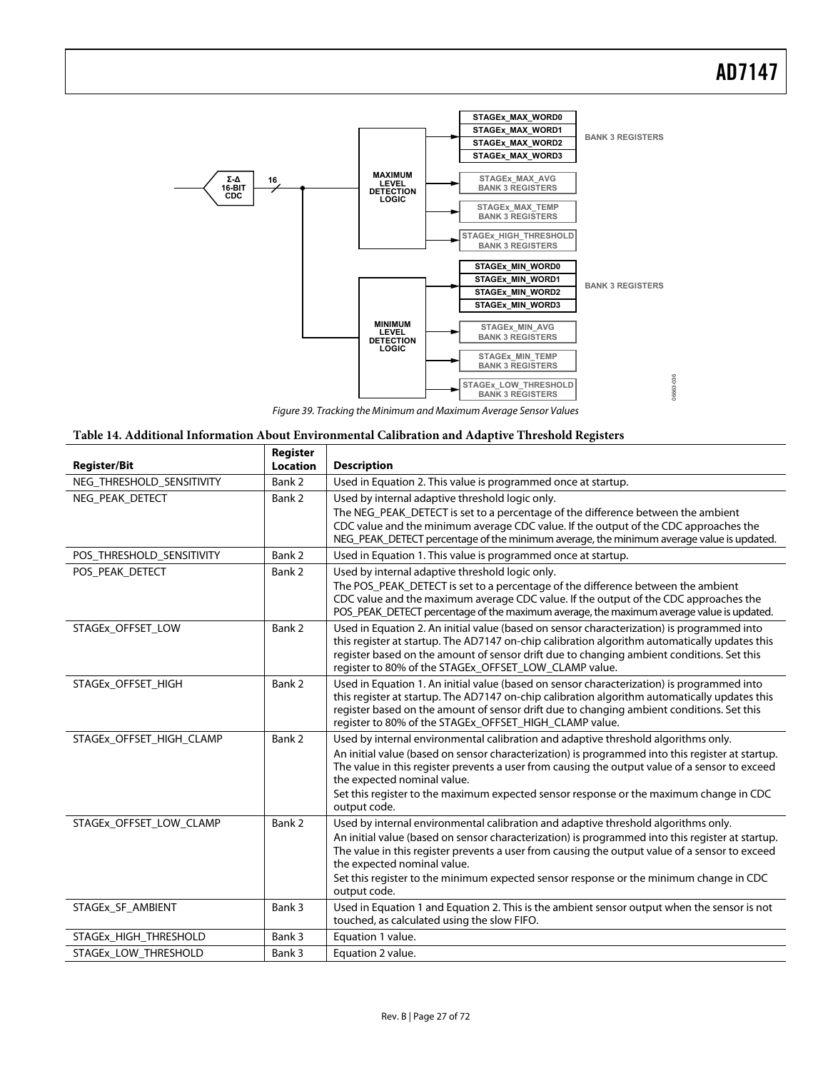

Figure 39. Tracking the Minimum and Maximum Average Sensor Values

<span id="page-26-0"></span>

| Table 14. Additional Information About Environmental Calibration and Adaptive Threshold Registers |  |  |
|---------------------------------------------------------------------------------------------------|--|--|
|---------------------------------------------------------------------------------------------------|--|--|

|                           | Register        |                                                                                                                                                                                                                                                                                                                                                                                                                                   |
|---------------------------|-----------------|-----------------------------------------------------------------------------------------------------------------------------------------------------------------------------------------------------------------------------------------------------------------------------------------------------------------------------------------------------------------------------------------------------------------------------------|
| <b>Register/Bit</b>       | <b>Location</b> | <b>Description</b>                                                                                                                                                                                                                                                                                                                                                                                                                |
| NEG_THRESHOLD_SENSITIVITY | Bank 2          | Used in Equation 2. This value is programmed once at startup.                                                                                                                                                                                                                                                                                                                                                                     |
| NEG PEAK DETECT           | Bank 2          | Used by internal adaptive threshold logic only.<br>The NEG_PEAK_DETECT is set to a percentage of the difference between the ambient<br>CDC value and the minimum average CDC value. If the output of the CDC approaches the<br>NEG_PEAK_DETECT percentage of the minimum average, the minimum average value is updated.                                                                                                           |
| POS_THRESHOLD_SENSITIVITY | Bank 2          | Used in Equation 1. This value is programmed once at startup.                                                                                                                                                                                                                                                                                                                                                                     |
| POS PEAK DETECT           | Bank 2          | Used by internal adaptive threshold logic only.<br>The POS_PEAK_DETECT is set to a percentage of the difference between the ambient<br>CDC value and the maximum average CDC value. If the output of the CDC approaches the<br>POS_PEAK_DETECT percentage of the maximum average, the maximum average value is updated.                                                                                                           |
| STAGEx OFFSET LOW         | Bank 2          | Used in Equation 2. An initial value (based on sensor characterization) is programmed into<br>this register at startup. The AD7147 on-chip calibration algorithm automatically updates this<br>register based on the amount of sensor drift due to changing ambient conditions. Set this<br>register to 80% of the STAGEx_OFFSET_LOW_CLAMP value.                                                                                 |
| STAGEx OFFSET HIGH        | Bank 2          | Used in Equation 1. An initial value (based on sensor characterization) is programmed into<br>this register at startup. The AD7147 on-chip calibration algorithm automatically updates this<br>register based on the amount of sensor drift due to changing ambient conditions. Set this<br>register to 80% of the STAGEx_OFFSET_HIGH_CLAMP value.                                                                                |
| STAGEx OFFSET HIGH CLAMP  | Bank 2          | Used by internal environmental calibration and adaptive threshold algorithms only.<br>An initial value (based on sensor characterization) is programmed into this register at startup.<br>The value in this register prevents a user from causing the output value of a sensor to exceed<br>the expected nominal value.<br>Set this register to the maximum expected sensor response or the maximum change in CDC<br>output code. |
| STAGEx OFFSET LOW CLAMP   | Bank 2          | Used by internal environmental calibration and adaptive threshold algorithms only.<br>An initial value (based on sensor characterization) is programmed into this register at startup.<br>The value in this register prevents a user from causing the output value of a sensor to exceed<br>the expected nominal value.<br>Set this register to the minimum expected sensor response or the minimum change in CDC<br>output code. |
| STAGEx_SF_AMBIENT         | Bank 3          | Used in Equation 1 and Equation 2. This is the ambient sensor output when the sensor is not<br>touched, as calculated using the slow FIFO.                                                                                                                                                                                                                                                                                        |
| STAGEx_HIGH_THRESHOLD     | Bank 3          | Equation 1 value.                                                                                                                                                                                                                                                                                                                                                                                                                 |
| STAGEx LOW THRESHOLD      | Bank 3          | Equation 2 value.                                                                                                                                                                                                                                                                                                                                                                                                                 |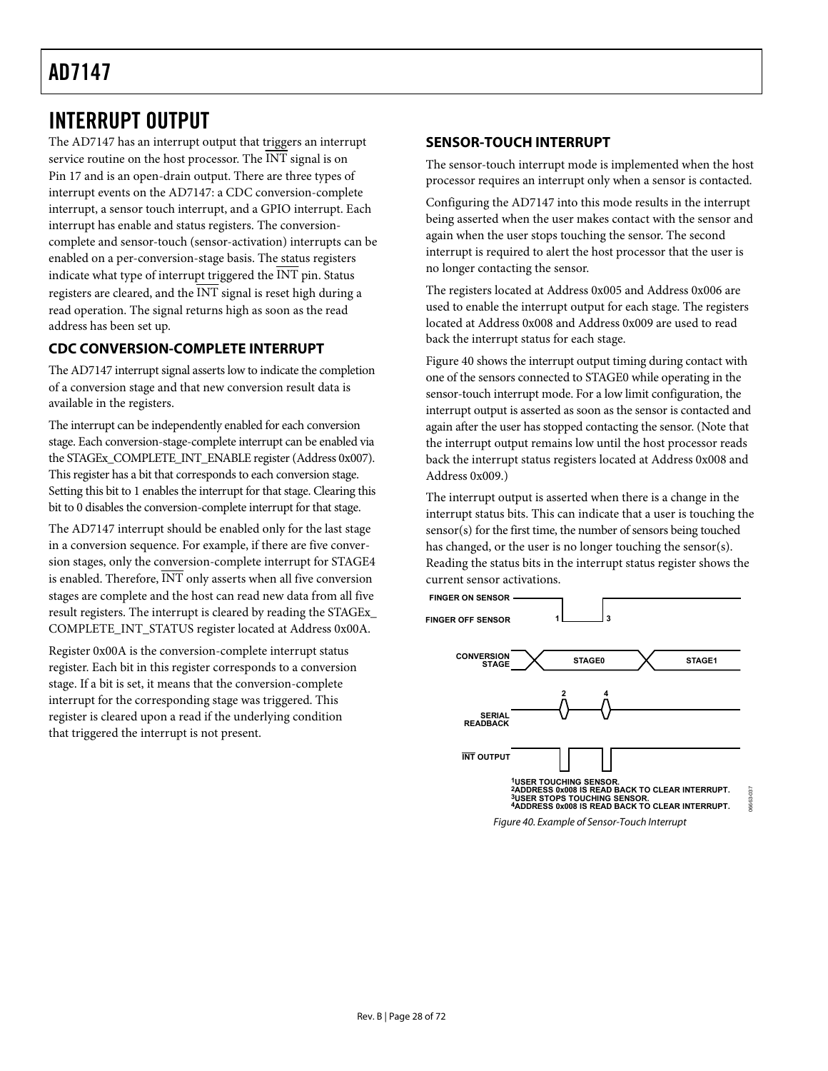### <span id="page-27-1"></span><span id="page-27-0"></span>INTERRUPT OUTPUT

The AD7147 has an interrupt output that triggers an interrupt **SENSOR-TOUCH INTERRUPT**  service routine on the host processor. The INT signal is on Pin 17 and is an open-drain output. There are three types of interrupt events on the AD7147: a CDC conversion-complete interrupt, a sensor touch interrupt, and a GPIO interrupt. Each interrupt has enable and status registers. The conversioncomplete and sensor-touch (sensor-activation) interrupts can be enabled on a per-conversion-stage basis. The status registers indicate what type of interrupt triggered the INT pin. Status registers are cleared, and the  $\overline{\text{INT}}$  signal is reset high during a read operation. The signal returns high as soon as the read address has been set up.

### back the interrupt status for each stage. **CDC CONVERSION-COMPLETE INTERRUPT**

The AD7147 interrupt signal asserts low to indicate the completion of a conversion stage and that new conversion result data is available in the registers.

The interrupt can be independently enabled for each conversion stage. Each conversion-stage-complete interrupt can be enabled via the STAGEx\_COMPLETE\_INT\_ENABLE register (Address 0x007). This register has a bit that corresponds to each conversion stage. Setting this bit to 1 enables the interrupt for that stage. Clearing this bit to 0 disables the conversion-complete interrupt for that stage. The interrupt output is asserted when there is a change in the bit to 0 disables the conversion-complete interrupt for that stage.

The AD7147 interrupt should be enabled only for the last stage in a conversion sequence. For example, if there are five conversion stages, only the conversion-complete interrupt for STAGE4 is enabled. Therefore, INT only asserts when all five conversion stages are complete and the host can read new data from all five result registers. The interrupt is cleared by reading the STAGEx\_ COMPLETE\_INT\_STATUS register located at Address 0x00A.

<span id="page-27-2"></span>Register 0x00A is the conversion-complete interrupt status register. Each bit in this register corresponds to a conversion stage. If a bit is set, it means that the conversion-complete interrupt for the corresponding stage was triggered. This register is cleared upon a read if the underlying condition that triggered the interrupt is not present.

The sensor-touch interrupt mode is implemented when the host processor requires an interrupt only when a sensor is contacted.

Configuring the AD7147 into this mode results in the interrupt being asserted when the user makes contact with the sensor and again when the user stops touching the sensor. The second interrupt is required to alert the host processor that the user is no longer contacting the sensor.

The registers located at Address 0x005 and Address 0x006 are used to enable the interrupt output for each stage. The registers located at Address 0x008 and Address 0x009 are used to read

[Figure 40](#page-27-2) shows the interrupt output timing during contact with one of the sensors connected to STAGE0 while operating in the sensor-touch interrupt mode. For a low limit configuration, the interrupt output is asserted as soon as the sensor is contacted and again after the user has stopped contacting the sensor. (Note that the interrupt output remains low until the host processor reads back the interrupt status registers located at Address 0x008 and Address 0x009.)

interrupt status bits. This can indicate that a user is touching the sensor(s) for the first time, the number of sensors being touched has changed, or the user is no longer touching the sensor(s). Reading the status bits in the interrupt status register shows the current sensor activations.

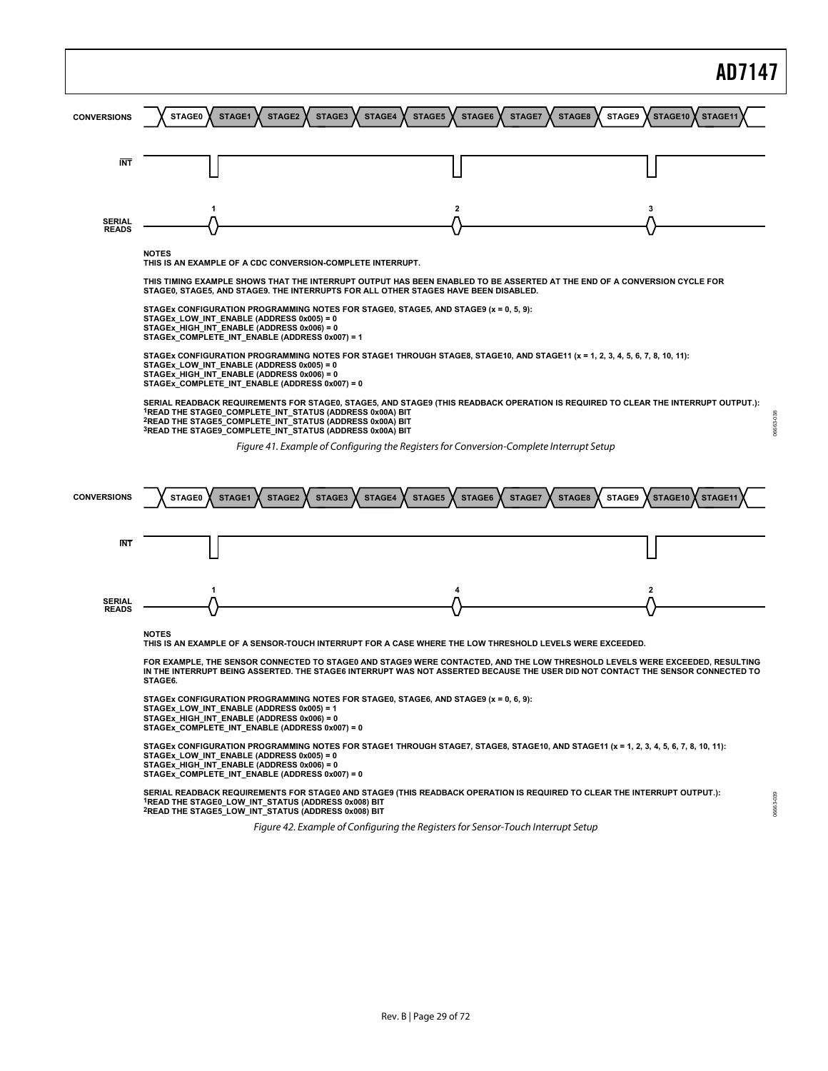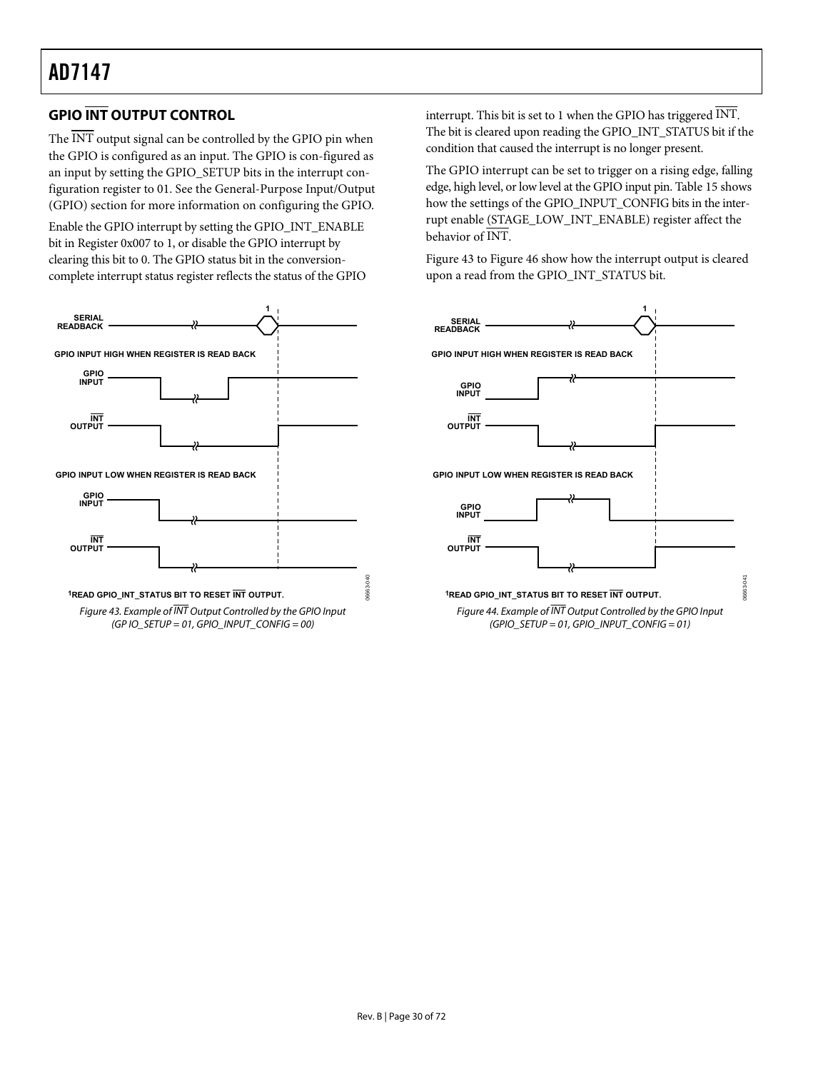### <span id="page-29-0"></span>**GPIO INT OUTPUT CONTROL**

The INT output signal can be controlled by the GPIO pin when the GPIO is configured as an input. The GPIO is con-figured as an input by setting the GPIO\_SETUP bits in the interrupt configuration register to 01. See the [General-Purpose Input/Output](#page-31-2)  [\(GPIO\)](#page-31-2) section for more information on configuring the GPIO.

Enable the GPIO interrupt by setting the GPIO\_INT\_ENABLE bit in Register 0x007 to 1, or disable the GPIO interrupt by clearing this bit to 0. The GPIO status bit in the conversioncomplete interrupt status register reflects the status of the GPIO



<span id="page-29-1"></span>Figure 43. Example of INT Output Controlled by the GPIO Input  $(GPIO$ <sub>\_</sub>SETUP = 01, GPIO\_INPUT\_CONFIG = 00)

interrupt. This bit is set to 1 when the GPIO has triggered INT. The bit is cleared upon reading the GPIO\_INT\_STATUS bit if the condition that caused the interrupt is no longer present.

The GPIO interrupt can be set to trigger on a rising edge, falling edge, high level, or low level at the GPIO input pin. [Table 15](#page-30-0) shows how the settings of the GPIO\_INPUT\_CONFIG bits in the interrupt enable (STAGE\_LOW\_INT\_ENABLE) register affect the behavior of INT.

[Figure 43](#page-29-1) to [Figure 46](#page-30-1) show how the interrupt output is cleared upon a read from the GPIO\_INT\_STATUS bit.



Figure 44. Example of INT Output Controlled by the GPIO Input  $(GPIO_SETUP = 01, GPIO_NPUT_SONFIG = 01)$ 

06663-041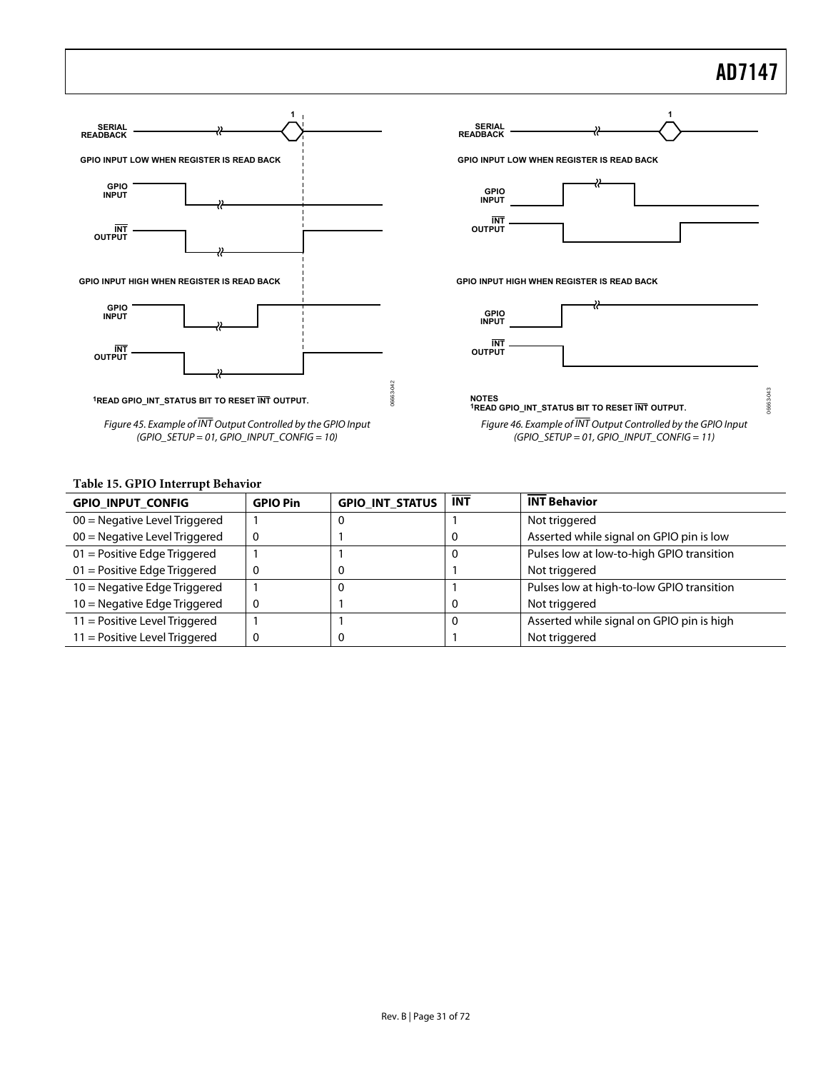

### <span id="page-30-1"></span>**Table 15. GPIO Interrupt Behavior**

<span id="page-30-0"></span>

| <b>GPIO INPUT CONFIG</b>        | <b>GPIO Pin</b> | <b>GPIO_INT_STATUS</b> | <b>INT</b> | <b>INT Behavior</b>                       |
|---------------------------------|-----------------|------------------------|------------|-------------------------------------------|
| 00 = Negative Level Triggered   |                 | U                      |            | Not triggered                             |
| $00$ = Negative Level Triggered |                 |                        |            | Asserted while signal on GPIO pin is low  |
| 01 = Positive Edge Triggered    |                 |                        |            | Pulses low at low-to-high GPIO transition |
| 01 = Positive Edge Triggered    |                 | 0                      |            | Not triggered                             |
| $10 =$ Negative Edge Triggered  |                 | 0                      |            | Pulses low at high-to-low GPIO transition |
| 10 = Negative Edge Triggered    |                 |                        | C          | Not triggered                             |
| $11 =$ Positive Level Triggered |                 |                        | 0          | Asserted while signal on GPIO pin is high |
| 11 = Positive Level Triggered   |                 | 0                      |            | Not triggered                             |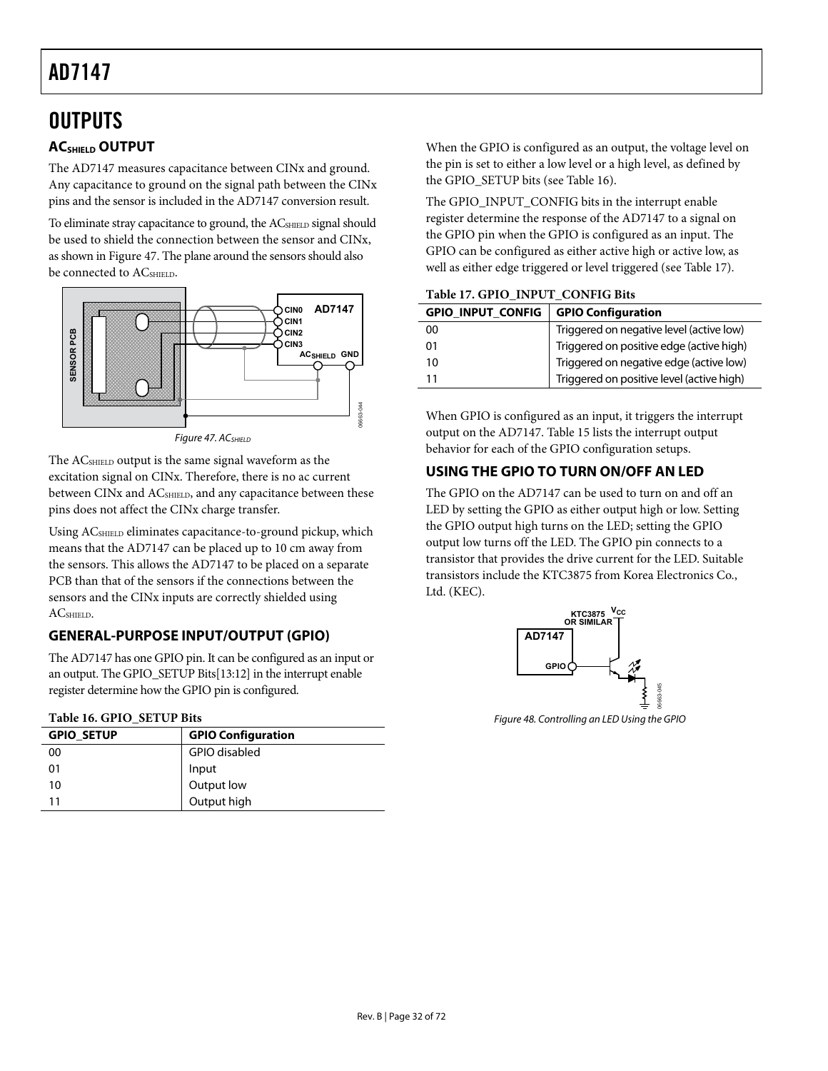### <span id="page-31-1"></span><span id="page-31-0"></span>**OUTPUTS**

### **ACSHIELD OUTPUT**

The AD7147 measures capacitance between CINx and ground. Any capacitance to ground on the signal path between the CINx pins and the sensor is included in the AD7147 conversion result.

To eliminate stray capacitance to ground, the AC<sub>SHIELD</sub> signal should be used to shield the connection between the sensor and CINx, as shown in [Figure 47.](#page-31-3) The plane around the sensors should also be connected to AC<sub>SHIELD</sub>.



Figure 47. AC<sub>SHIELD</sub>

<span id="page-31-3"></span>The ACSHIELD output is the same signal waveform as the excitation signal on CINx. Therefore, there is no ac current between CINx and AC<sub>SHIELD</sub>, and any capacitance between these pins does not affect the CINx charge transfer.

Using AC<sub>SHIELD</sub> eliminates capacitance-to-ground pickup, which means that the AD7147 can be placed up to 10 cm away from the sensors. This allows the AD7147 to be placed on a separate PCB than that of the sensors if the connections between the sensors and the CINx inputs are correctly shielded using ACSHIELD.

### <span id="page-31-2"></span>**GENERAL-PURPOSE INPUT/OUTPUT (GPIO)**

The AD7147 has one GPIO pin. It can be configured as an input or an output. The GPIO\_SETUP Bits[13:12] in the interrupt enable register determine how the GPIO pin is configured.

### **Table 16. GPIO\_SETUP Bits**

<span id="page-31-4"></span>

| <b>GPIO SETUP</b> | <b>GPIO Configuration</b> |
|-------------------|---------------------------|
| 00                | GPIO disabled             |
| 01                | Input                     |
| 10                | Output low                |
| 11                | Output high               |

When the GPIO is configured as an output, the voltage level on the pin is set to either a low level or a high level, as defined by the GPIO\_SETUP bits (see [Table 16](#page-31-4)).

The GPIO\_INPUT\_CONFIG bits in the interrupt enable register determine the response of the AD7147 to a signal on the GPIO pin when the GPIO is configured as an input. The GPIO can be configured as either active high or active low, as well as either edge triggered or level triggered (see Table 17).

### **Table 17. GPIO\_INPUT\_CONFIG Bits**

| GPIO_INPUT_CONFIG   GPIO Configuration |                                           |
|----------------------------------------|-------------------------------------------|
| 00                                     | Triggered on negative level (active low)  |
| 01                                     | Triggered on positive edge (active high)  |
| 10                                     | Triggered on negative edge (active low)   |
| 11                                     | Triggered on positive level (active high) |

When GPIO is configured as an input, it triggers the interrupt output on the AD7147. [Table 15](#page-30-0) lists the interrupt output behavior for each of the GPIO configuration setups.

### **USING THE GPIO TO TURN ON/OFF AN LED**

The GPIO on the AD7147 can be used to turn on and off an LED by setting the GPIO as either output high or low. Setting the GPIO output high turns on the LED; setting the GPIO output low turns off the LED. The GPIO pin connects to a transistor that provides the drive current for the LED. Suitable transistors include the KTC3875 from Korea Electronics Co., Ltd. (KEC).



Figure 48. Controlling an LED Using the GPIO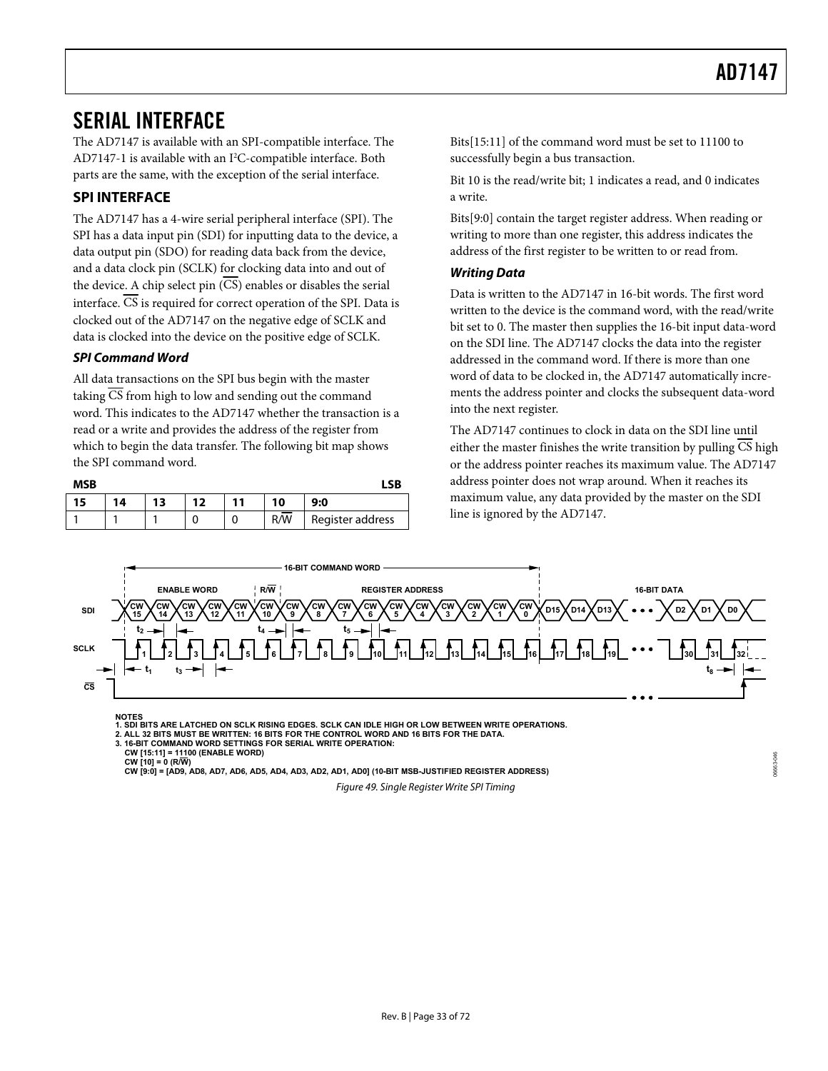06663-046

663

### <span id="page-32-1"></span><span id="page-32-0"></span>SERIAL INTERFACE

The AD7147 is available with an SPI-compatible interface. The AD7147-1 is available with an I<sup>2</sup>C-compatible interface. Both parts are the same, with the exception of the serial interface.

### **SPI INTERFACE**

The AD7147 has a 4-wire serial peripheral interface (SPI). The SPI has a data input pin (SDI) for inputting data to the device, a data output pin (SDO) for reading data back from the device, and a data clock pin (SCLK) for clocking data into and out of the device. A chip select pin (CS) enables or disables the serial interface. CS is required for correct operation of the SPI. Data is clocked out of the AD7147 on the negative edge of SCLK and data is clocked into the device on the positive edge of SCLK.

### **SPI Command Word**

All data transactions on the SPI bus begin with the master taking CS from high to low and sending out the command word. This indicates to the AD7147 whether the transaction is a read or a write and provides the address of the register from which to begin the data transfer. The following bit map shows the SPI command word.

| <b>MSB</b> |    |    |    |  |     |                  |  |
|------------|----|----|----|--|-----|------------------|--|
| 15         | 14 | 13 | 12 |  | 10  | 9:0              |  |
|            |    |    |    |  | R/W | Register address |  |

Bits[15:11] of the command word must be set to 11100 to successfully begin a bus transaction.

Bit 10 is the read/write bit; 1 indicates a read, and 0 indicates a write.

Bits[9:0] contain the target register address. When reading or writing to more than one register, this address indicates the address of the first register to be written to or read from.

### **Writing Data**

Data is written to the AD7147 in 16-bit words. The first word written to the device is the command word, with the read/write bit set to 0. The master then supplies the 16-bit input data-word on the SDI line. The AD7147 clocks the data into the register addressed in the command word. If there is more than one word of data to be clocked in, the AD7147 automatically increments the address pointer and clocks the subsequent data-word into the next register.

The AD7147 continues to clock in data on the SDI line until either the master finishes the write transition by pulling CS high or the address pointer reaches its maximum value. The AD7147 address pointer does not wrap around. When it reaches its maximum value, any data provided by the master on the SDI line is ignored by the AD7147.



**NOTES 1. SDI BITS ARE LATCHED ON SCLK RISING EDGES. SCLK CAN IDLE HIGH OR LOW BETWEEN WRITE OPERATIONS.**

- **2. ALL 32 BITS MUST BE WRITTEN: 16 BITS FOR THE CONTROL WORD AND 16 BITS FOR THE DATA. 3. 16-BIT COMMAND WORD SETTINGS FOR SERIAL WRITE OPERATION:**
- **CW [15:11] = 11100 (ENABLE WORD)**
- $CW$   $I$   $I$   $O$   $I$   $=$   $O$   $(R/\overline{W})$

 **CW [9:0] = [AD9, AD8, AD7, AD6, AD5, AD4, AD3, AD2, AD1, AD0] (10-BIT MSB-JUSTIFIED REGISTER ADDRESS)**

Figure 49. Single Register Write SPI Timing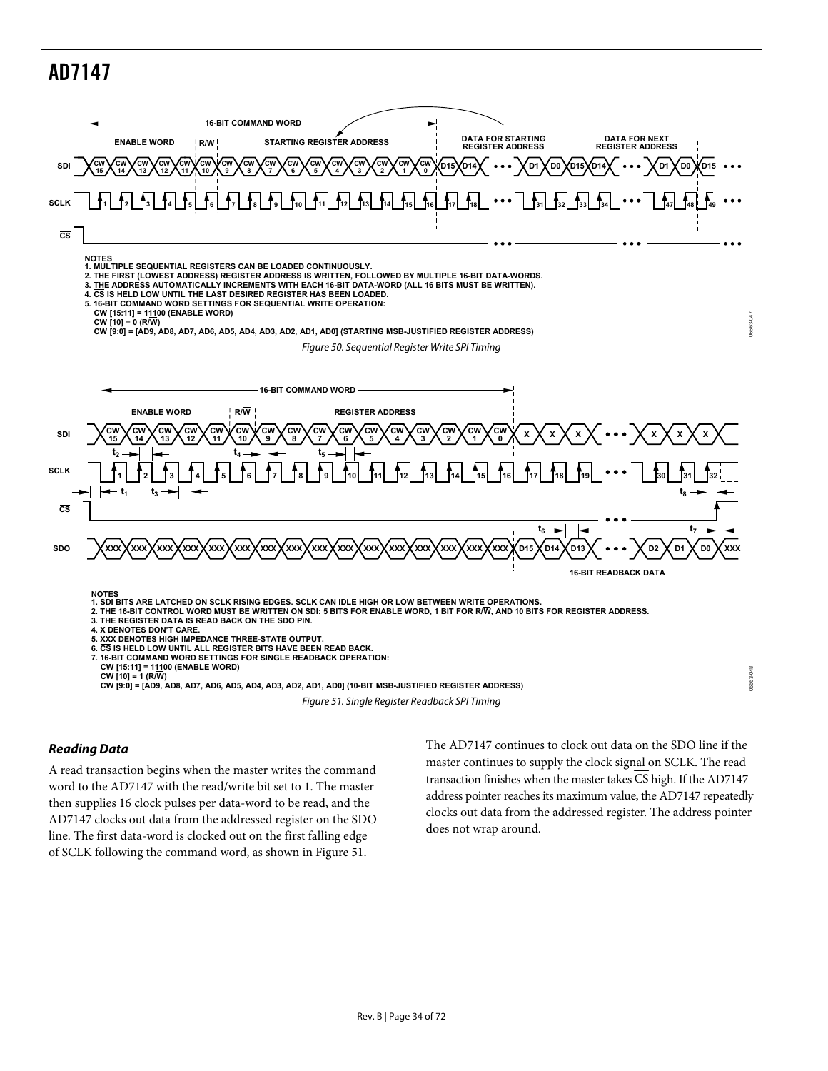

#### <span id="page-33-0"></span>**Reading Data**

A read transaction begins when the master writes the command word to the AD7147 with the read/write bit set to 1. The master then supplies 16 clock pulses per data-word to be read, and the AD7147 clocks out data from the addressed register on the SDO line. The first data-word is clocked out on the first falling edge of SCLK following the command word, as shown in [Figure 51](#page-33-0).

The AD7147 continues to clock out data on the SDO line if the master continues to supply the clock signal on SCLK. The read transaction finishes when the master takes CS high. If the AD7147 address pointer reaches its maximum value, the AD7147 repeatedly clocks out data from the addressed register. The address pointer does not wrap around.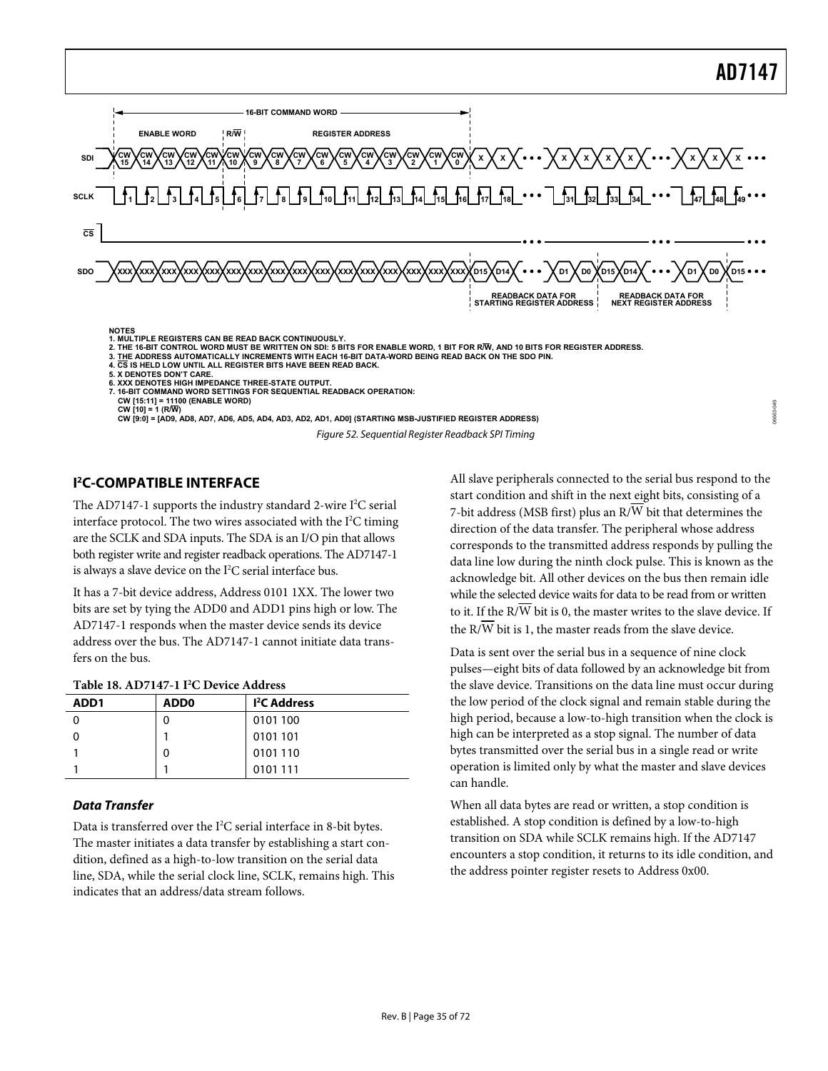<span id="page-34-0"></span>

- 
- **5. X DENOTES DON'T CARE. 6. XXX DENOTES HIGH IMPEDANCE THREE-STATE OUTPUT.**
- **7. 16-BIT COMMAND WORD SETTINGS FOR SEQUENTIAL READBACK OPERATION:**
- **CW [15:11] = 11100 (ENABLE WORD)**
- **CW [10] = 1 (R/W)**

 **CW [9:0] = [AD9, AD8, AD7, AD6, AD5, AD4, AD3, AD2, AD1, AD0] (STARTING MSB-JUSTIFIED REGISTER ADDRESS)** Figure 52. Sequential Register Readback SPI Timing

### **I 2 C-COMPATIBLE INTERFACE**

The AD7147-1 supports the industry standard 2-wire  $I^2C$  serial interface protocol. The two wires associated with the  $I<sup>2</sup>C$  timing are the SCLK and SDA inputs. The SDA is an I/O pin that allows both register write and register readback operations. The AD7147-1 is always a slave device on the I<sup>2</sup>C serial interface bus.

It has a 7-bit device address, Address 0101 1XX. The lower two bits are set by tying the ADD0 and ADD1 pins high or low. The AD7147-1 responds when the master device sends its device address over the bus. The AD7147-1 cannot initiate data transfers on the bus.

| Table 18. AD7147-1 I <sup>2</sup> C Device Address |  |
|----------------------------------------------------|--|
|----------------------------------------------------|--|

| ADD <sub>1</sub> | ADD <sub>0</sub> | <sup>12</sup> C Address |
|------------------|------------------|-------------------------|
|                  |                  | 0101 100                |
|                  |                  | 0101 101                |
|                  |                  | 0101 110                |
|                  |                  | 0101 111                |

### **Data Transfer**

Data is transferred over the  $I^2C$  serial interface in 8-bit bytes. The master initiates a data transfer by establishing a start condition, defined as a high-to-low transition on the serial data line, SDA, while the serial clock line, SCLK, remains high. This indicates that an address/data stream follows.

All slave peripherals connected to the serial bus respond to the start condition and shift in the next eight bits, consisting of a 7-bit address (MSB first) plus an  $R/\overline{W}$  bit that determines the direction of the data transfer. The peripheral whose address corresponds to the transmitted address responds by pulling the data line low during the ninth clock pulse. This is known as the acknowledge bit. All other devices on the bus then remain idle while the selected device waits for data to be read from or written to it. If the  $R/\overline{W}$  bit is 0, the master writes to the slave device. If the  $R/\overline{W}$  bit is 1, the master reads from the slave device.

06663-049

Data is sent over the serial bus in a sequence of nine clock pulses—eight bits of data followed by an acknowledge bit from the slave device. Transitions on the data line must occur during the low period of the clock signal and remain stable during the high period, because a low-to-high transition when the clock is high can be interpreted as a stop signal. The number of data bytes transmitted over the serial bus in a single read or write operation is limited only by what the master and slave devices can handle.

When all data bytes are read or written, a stop condition is established. A stop condition is defined by a low-to-high transition on SDA while SCLK remains high. If the AD7147 encounters a stop condition, it returns to its idle condition, and the address pointer register resets to Address 0x00.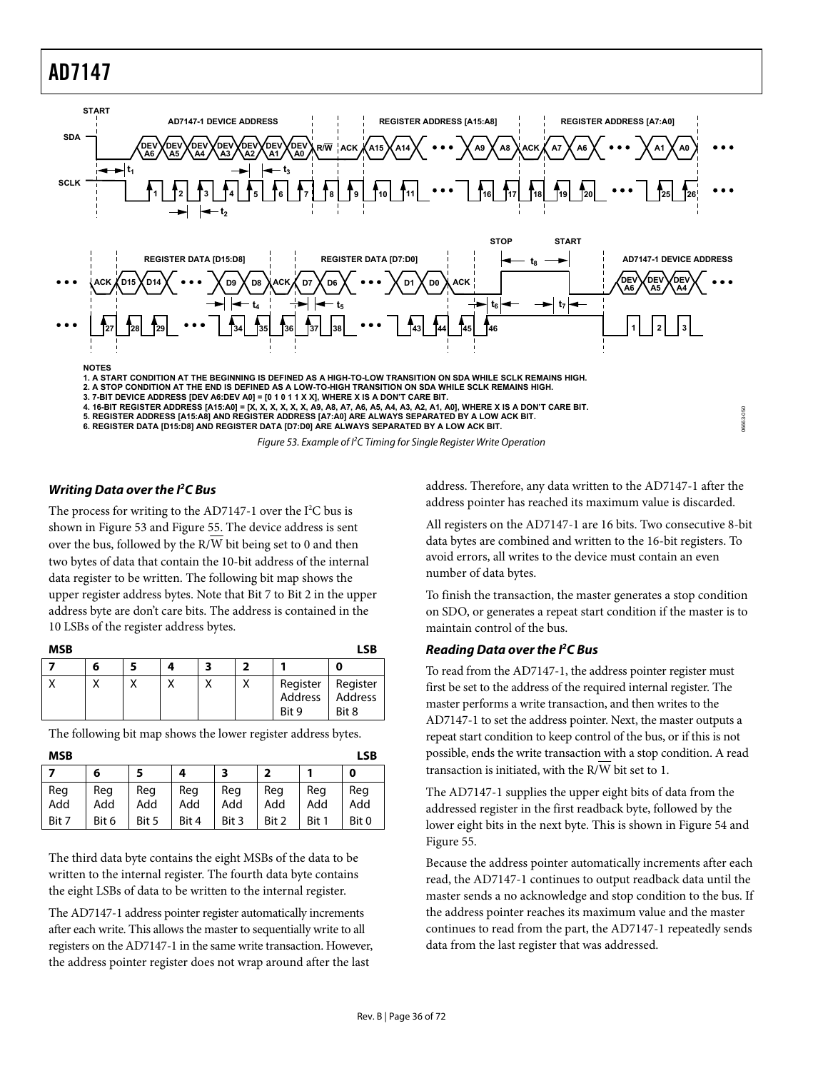

#### <span id="page-35-0"></span>**Writing Data over the I2 C Bus**

The process for writing to the AD7147-1 over the  $I<sup>2</sup>C$  bus is shown in [Figure 53](#page-35-0) and [Figure 55.](#page-36-1) The device address is sent over the bus, followed by the  $R/\overline{W}$  bit being set to 0 and then two bytes of data that contain the 10-bit address of the internal data register to be written. The following bit map shows the upper register address bytes. Note that Bit 7 to Bit 2 in the upper address byte are don't care bits. The address is contained in the 10 LSBs of the register address bytes.

| <b>MSB</b> |  |  |                              | LSB                          |
|------------|--|--|------------------------------|------------------------------|
|            |  |  |                              |                              |
|            |  |  | Register<br>Address<br>Rit 9 | Register<br>Address<br>Bit 8 |

The following bit map shows the lower register address bytes.

| <b>MSB</b> |            |            |            |            |            |            | <b>LSB</b> |
|------------|------------|------------|------------|------------|------------|------------|------------|
|            | 6          |            | 4          |            |            |            | 0          |
| Reg<br>Add | Reg<br>Add | Reg<br>Add | Reg<br>Add | Reg<br>Add | Reg<br>Add | Reg<br>Add | Reg<br>Add |
| Bit 7      | Bit 6      | Bit 5      | Bit 4      | Bit 3      | Bit 2      | Bit 1      | Bit 0      |

The third data byte contains the eight MSBs of the data to be written to the internal register. The fourth data byte contains the eight LSBs of data to be written to the internal register.

The AD7147-1 address pointer register automatically increments after each write. This allows the master to sequentially write to all registers on the AD7147-1 in the same write transaction. However, the address pointer register does not wrap around after the last

address. Therefore, any data written to the AD7147-1 after the address pointer has reached its maximum value is discarded.

All registers on the AD7147-1 are 16 bits. Two consecutive 8-bit data bytes are combined and written to the 16-bit registers. To avoid errors, all writes to the device must contain an even number of data bytes.

To finish the transaction, the master generates a stop condition on SDO, or generates a repeat start condition if the master is to maintain control of the bus.

#### **Reading Data over the I2 C Bus**

To read from the AD7147-1, the address pointer register must first be set to the address of the required internal register. The master performs a write transaction, and then writes to the AD7147-1 to set the address pointer. Next, the master outputs a repeat start condition to keep control of the bus, or if this is not possible, ends the write transaction with a stop condition. A read transaction is initiated, with the  $R/\overline{W}$  bit set to 1.

The AD7147-1 supplies the upper eight bits of data from the addressed register in the first readback byte, followed by the lower eight bits in the next byte. This is shown in [Figure 54](#page-36-2) and [Figure 55](#page-36-1).

Because the address pointer automatically increments after each read, the AD7147-1 continues to output readback data until the master sends a no acknowledge and stop condition to the bus. If the address pointer reaches its maximum value and the master continues to read from the part, the AD7147-1 repeatedly sends data from the last register that was addressed.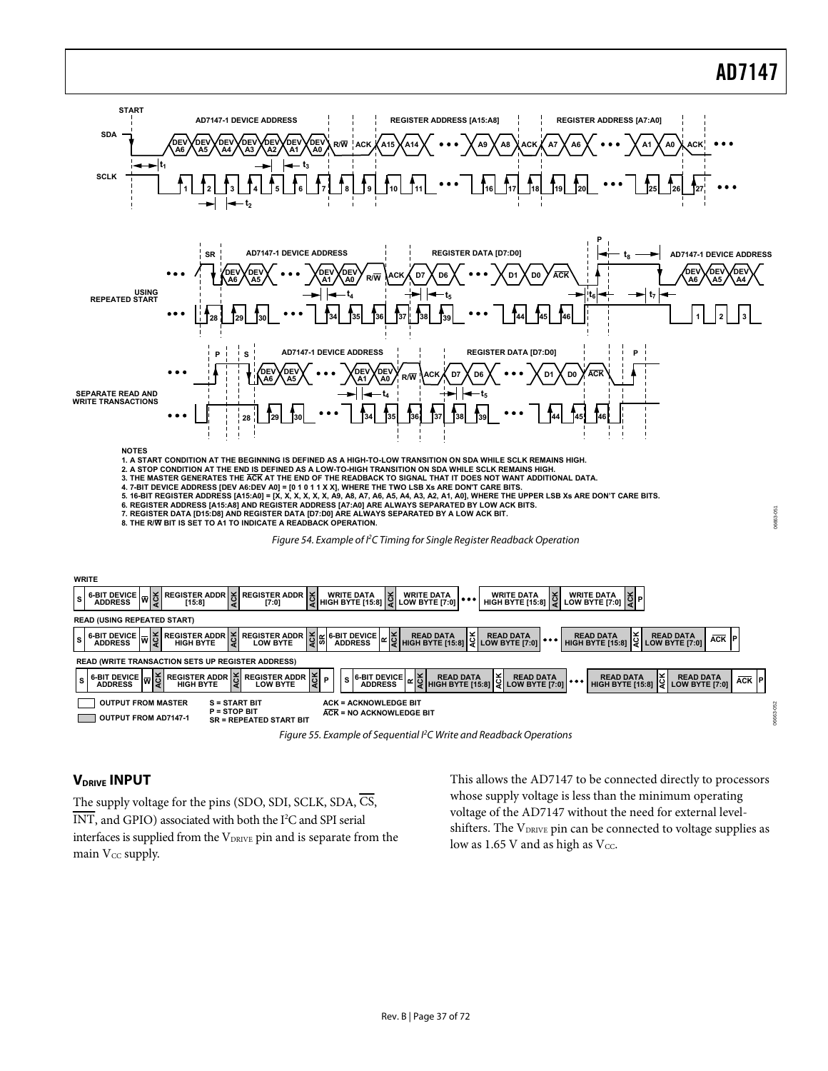

Figure 55. Example of Sequential <sup>P</sup>C Write and Readback Operations

### <span id="page-36-0"></span>**VDRIVE INPUT**

The supply voltage for the pins (SDO, SDI, SCLK, SDA,  $\overline{CS}$ , INT, and GPIO) associated with both the I<sup>2</sup>C and SPI serial interfaces is supplied from the VDRIVE pin and is separate from the main Vcc supply.

This allows the AD7147 to be connected directly to processors whose supply voltage is less than the minimum operating voltage of the AD7147 without the need for external levelshifters. The V<sub>DRIVE</sub> pin can be connected to voltage supplies as low as  $1.65$  V and as high as Vcc.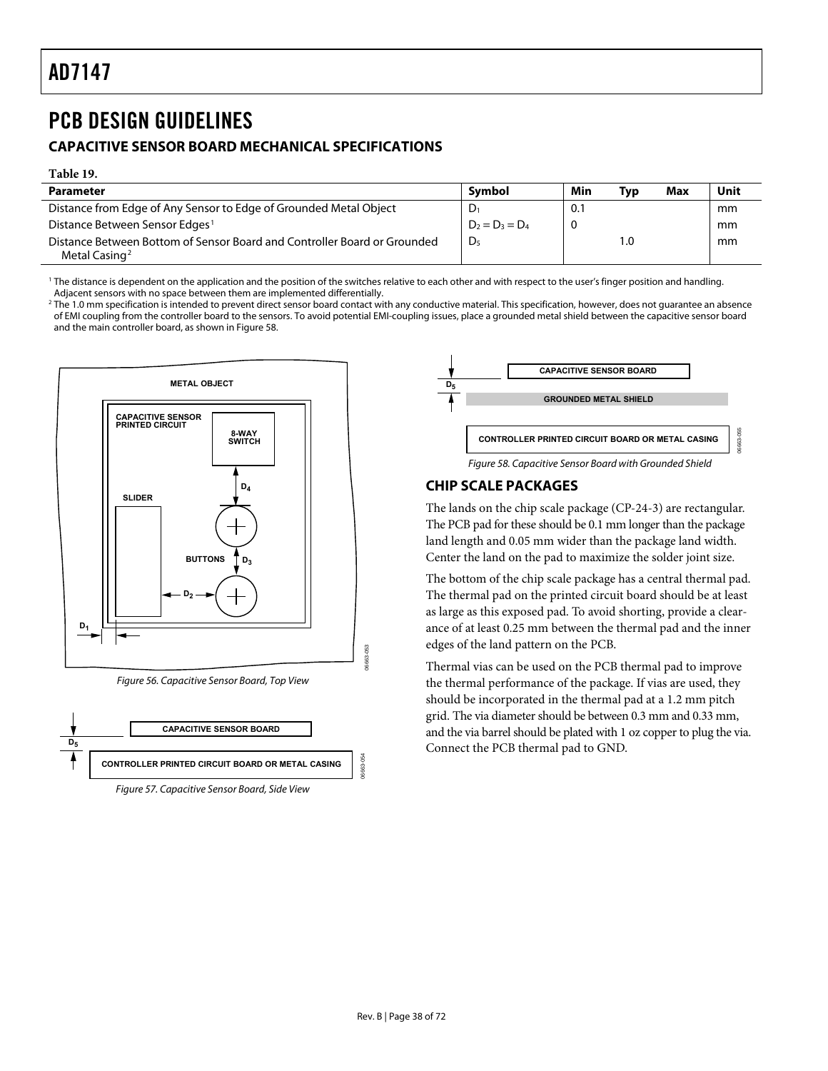## PCB DESIGN GUIDELINES

### **CAPACITIVE SENSOR BOARD MECHANICAL SPECIFICATIONS**

### **Table 19.**

| <b>Parameter</b>                                                         | <b>Symbol</b>     | Min | Tvp | Max | Unit |
|--------------------------------------------------------------------------|-------------------|-----|-----|-----|------|
| Distance from Edge of Any Sensor to Edge of Grounded Metal Object        | $D_1$             | 0.1 |     |     | mm   |
| Distance Between Sensor Edges <sup>1</sup>                               | $D_2 = D_3 = D_4$ |     |     |     | mm   |
| Distance Between Bottom of Sensor Board and Controller Board or Grounded | D,                |     |     |     | mm   |
| Metal Casing <sup>2</sup>                                                |                   |     |     |     |      |

1 The distance is dependent on the application and the position of the switches relative to each other and with respect to the user's finger position and handling. Adjacent sensors with no space between them are implemented differentially.

 $^{\rm 2}$  The 1.0 mm specification is intended to prevent direct sensor board contact with any conductive material. This specification, however, does not guarantee an absence of EMI coupling from the controller board to the sensors. To avoid potential EMI-coupling issues, place a grounded metal shield between the capacitive sensor board and the main controller board, as shown in Figure 58.









Figure 58. Capacitive Sensor Board with Grounded Shield

06663-055

#### **CHIP SCALE PACKAGES**

The lands on the chip scale package (CP-24-3) are rectangular. The PCB pad for these should be 0.1 mm longer than the package land length and 0.05 mm wider than the package land width. Center the land on the pad to maximize the solder joint size.

The bottom of the chip scale package has a central thermal pad. The thermal pad on the printed circuit board should be at least as large as this exposed pad. To avoid shorting, provide a clearance of at least 0.25 mm between the thermal pad and the inner edges of the land pattern on the PCB.

Thermal vias can be used on the PCB thermal pad to improve the thermal performance of the package. If vias are used, they should be incorporated in the thermal pad at a 1.2 mm pitch grid. The via diameter should be between 0.3 mm and 0.33 mm, and the via barrel should be plated with 1 oz copper to plug the via. Connect the PCB thermal pad to GND.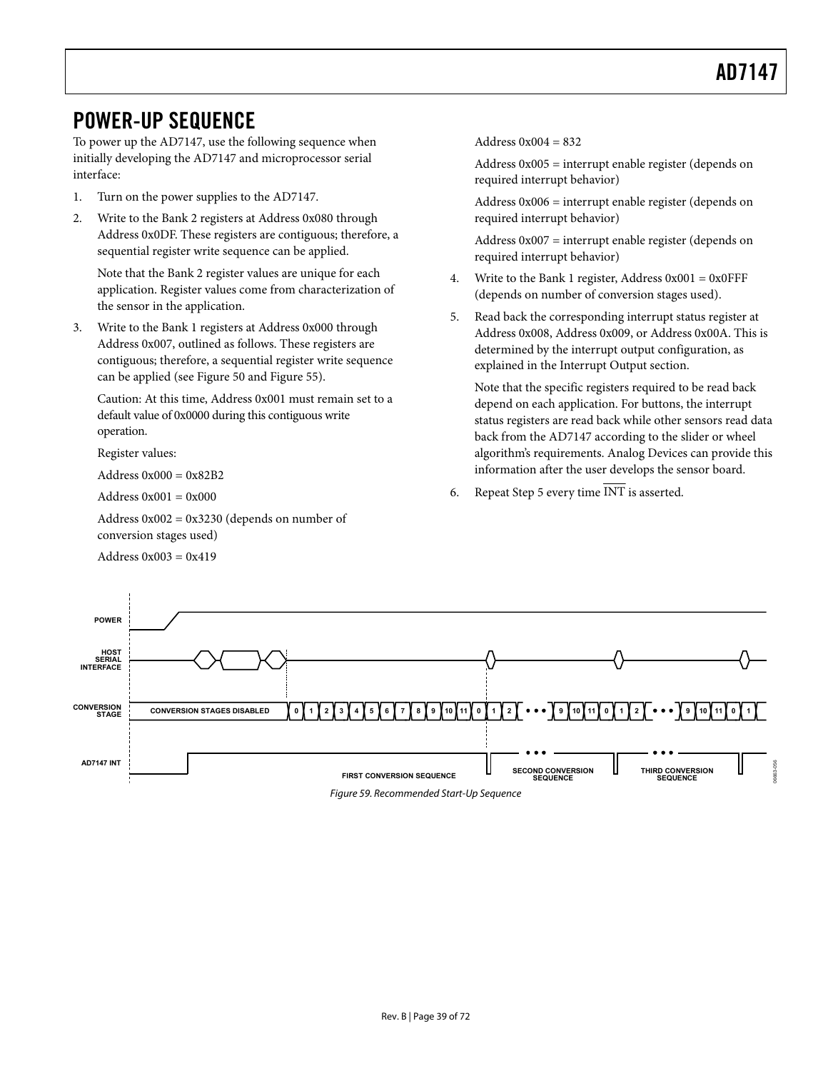## POWER-UP SEQUENCE

To power up the AD7147, use the following sequence when initially developing the AD7147 and microprocessor serial interface:

- 1. Turn on the power supplies to the AD7147.
- 2. Write to the Bank 2 registers at Address 0x080 through Address 0x0DF. These registers are contiguous; therefore, a sequential register write sequence can be applied.

Note that the Bank 2 register values are unique for each application. Register values come from characterization of the sensor in the application.

3. Write to the Bank 1 registers at Address 0x000 through Address 0x007, outlined as follows. These registers are contiguous; therefore, a sequential register write sequence can be applied (see [Figure 50](#page-33-0) and [Figure 55](#page-36-0)).

Caution: At this time, Address 0x001 must remain set to a default value of 0x0000 during this contiguous write operation.

Register values:

 $Address 0x000 = 0x82B2$ 

Address  $0x001 = 0x000$ 

Address  $0x002 = 0x3230$  (depends on number of conversion stages used) Address 0x003 = 0x419

Address 0x004 = 832

Address 0x005 = interrupt enable register (depends on required interrupt behavior)

Address 0x006 = interrupt enable register (depends on required interrupt behavior)

Address 0x007 = interrupt enable register (depends on required interrupt behavior)

- 4. Write to the Bank 1 register, Address  $0x001 = 0x0$ FFF (depends on number of conversion stages used).
- 5. Read back the corresponding interrupt status register at Address 0x008, Address 0x009, or Address 0x00A. This is determined by the interrupt output configuration, as explained in the [Interrupt Output](#page-27-0) section.

Note that the specific registers required to be read back depend on each application. For buttons, the interrupt status registers are read back while other sensors read data back from the AD7147 according to the slider or wheel algorithm's requirements. Analog Devices can provide this information after the user develops the sensor board.

6. Repeat Step 5 every time INT is asserted.

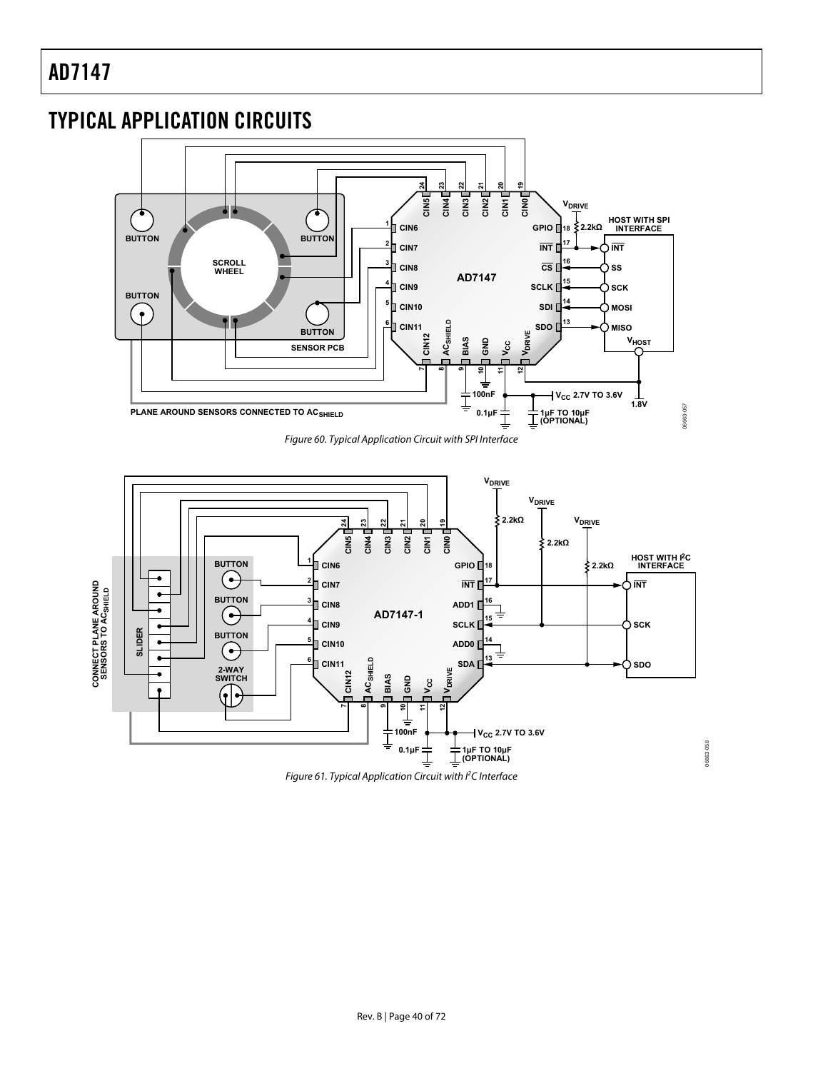## TYPICAL APPLICATION CIRCUITS



Figure 60. Typical Application Circuit with SPI Interface



Figure 61. Typical Application Circuit with <sup>P</sup>C Interface

06663-058

06663-058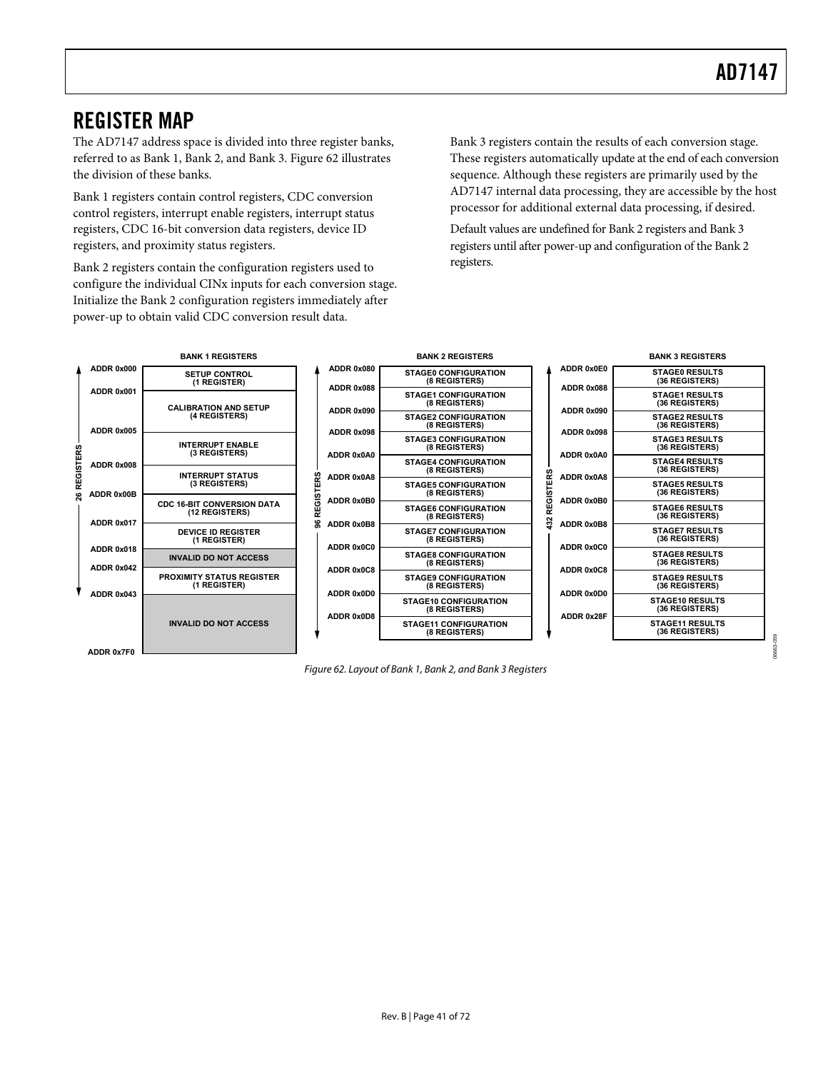## REGISTER MAP

The AD7147 address space is divided into three register banks, referred to as Bank 1, Bank 2, and Bank 3. [Figure 62](#page-40-0) illustrates the division of these banks.

control registers, interrupt enable registers, interrupt status registers, CDC 16-bit conversion data registers, device ID registers, and proximity status registers.

registers. Bank 2 registers contain the configuration registers used to configure the individual CINx inputs for each conversion stage. Initialize the Bank 2 configuration registers immediately after power-up to obtain valid CDC conversion result data.

Bank 3 registers contain the results of each conversion stage. These registers automatically update at the end of each conversion sequence. Although these registers are primarily used by the AD7147 internal data processing, they are accessible by the host Bank 1 registers contain control registers, CDC conversion<br>control registers interrunt enable registers, interrunt status<br>processor for additional external data processing, if desired.

> Default values are undefined for Bank 2 registers and Bank 3 registers until after power-up and configuration of the Bank 2



<span id="page-40-0"></span>Figure 62. Layout of Bank 1, Bank 2, and Bank 3 Registers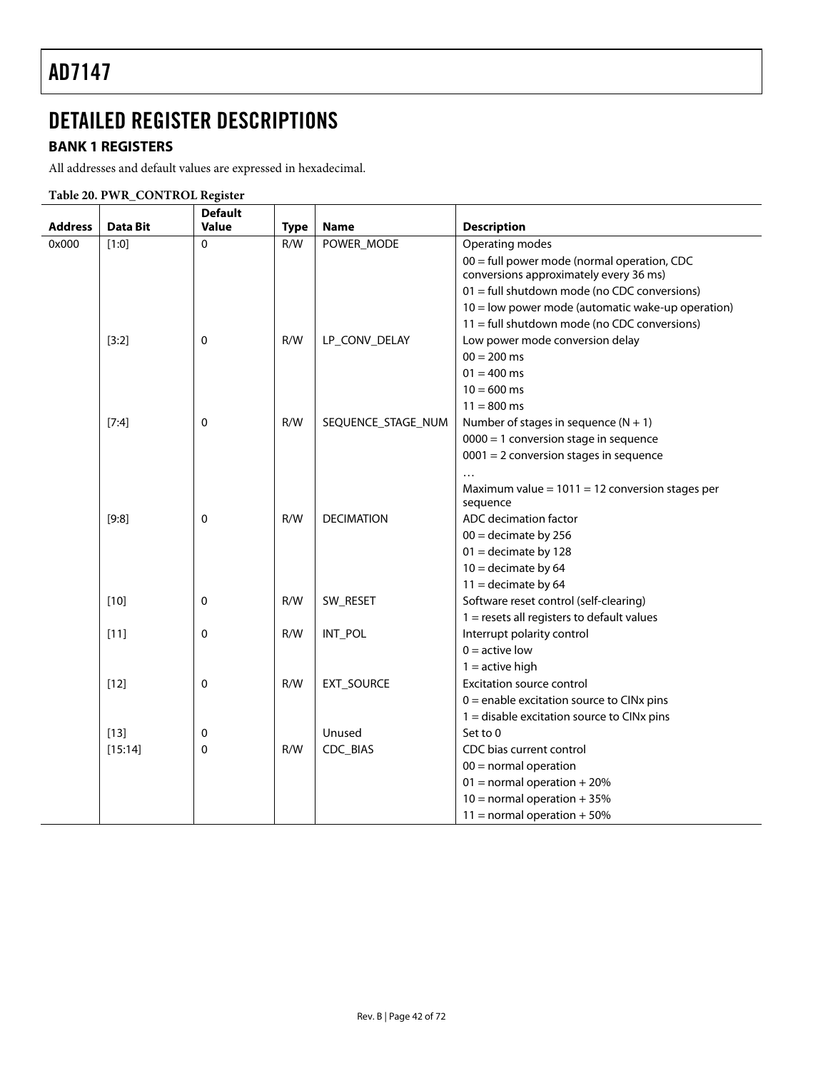# DETAILED REGISTER DESCRIPTIONS

### **BANK 1 REGISTERS**

All addresses and default values are expressed in hexadecimal.

### **Table 20. PWR\_CONTROL Register**

|                |                 | <b>Default</b> |             |                    |                                                   |
|----------------|-----------------|----------------|-------------|--------------------|---------------------------------------------------|
| <b>Address</b> | <b>Data Bit</b> | <b>Value</b>   | <b>Type</b> | <b>Name</b>        | <b>Description</b>                                |
| 0x000          | [1:0]           | $\Omega$       | R/W         | POWER_MODE         | Operating modes                                   |
|                |                 |                |             |                    | $00 =$ full power mode (normal operation, CDC     |
|                |                 |                |             |                    | conversions approximately every 36 ms)            |
|                |                 |                |             |                    | $01 =$ full shutdown mode (no CDC conversions)    |
|                |                 |                |             |                    | 10 = low power mode (automatic wake-up operation) |
|                |                 |                |             |                    | 11 = full shutdown mode (no CDC conversions)      |
|                | $[3:2]$         | $\mathbf{0}$   | R/W         | LP_CONV_DELAY      | Low power mode conversion delay                   |
|                |                 |                |             |                    | $00 = 200$ ms                                     |
|                |                 |                |             |                    | $01 = 400$ ms                                     |
|                |                 |                |             |                    | $10 = 600$ ms                                     |
|                |                 |                |             |                    | $11 = 800$ ms                                     |
|                | $[7:4]$         | $\mathbf{0}$   | R/W         | SEQUENCE_STAGE_NUM | Number of stages in sequence $(N + 1)$            |
|                |                 |                |             |                    | $0000 = 1$ conversion stage in sequence           |
|                |                 |                |             |                    | $0001 = 2$ conversion stages in sequence          |
|                |                 |                |             |                    | $\ddots$                                          |
|                |                 |                |             |                    | Maximum value = $1011 = 12$ conversion stages per |
|                |                 |                |             |                    | sequence                                          |
|                | [9:8]           | $\mathbf 0$    | R/W         | <b>DECIMATION</b>  | ADC decimation factor                             |
|                |                 |                |             |                    | $00 =$ decimate by 256                            |
|                |                 |                |             |                    | $01 =$ decimate by 128                            |
|                |                 |                |             |                    | $10 =$ decimate by 64                             |
|                |                 |                |             |                    | $11 =$ decimate by 64                             |
|                | $[10]$          | 0              | R/W         | SW_RESET           | Software reset control (self-clearing)            |
|                |                 |                |             |                    | $1 =$ resets all registers to default values      |
|                | $[11]$          | $\mathbf 0$    | R/W         | INT_POL            | Interrupt polarity control                        |
|                |                 |                |             |                    | $0 =$ active low                                  |
|                |                 |                |             |                    | $1 =$ active high                                 |
|                | $[12]$          | 0              | R/W         | EXT_SOURCE         | <b>Excitation source control</b>                  |
|                |                 |                |             |                    | $0$ = enable excitation source to CINx pins       |
|                |                 |                |             |                    | $1 =$ disable excitation source to CINx pins      |
|                | $[13]$          | 0              |             | Unused             | Set to 0                                          |
|                | [15:14]         | $\Omega$       | R/W         | CDC_BIAS           | CDC bias current control                          |
|                |                 |                |             |                    | $00 =$ normal operation                           |
|                |                 |                |             |                    | $01 =$ normal operation + 20%                     |
|                |                 |                |             |                    | $10 =$ normal operation + 35%                     |
|                |                 |                |             |                    | $11 =$ normal operation + 50%                     |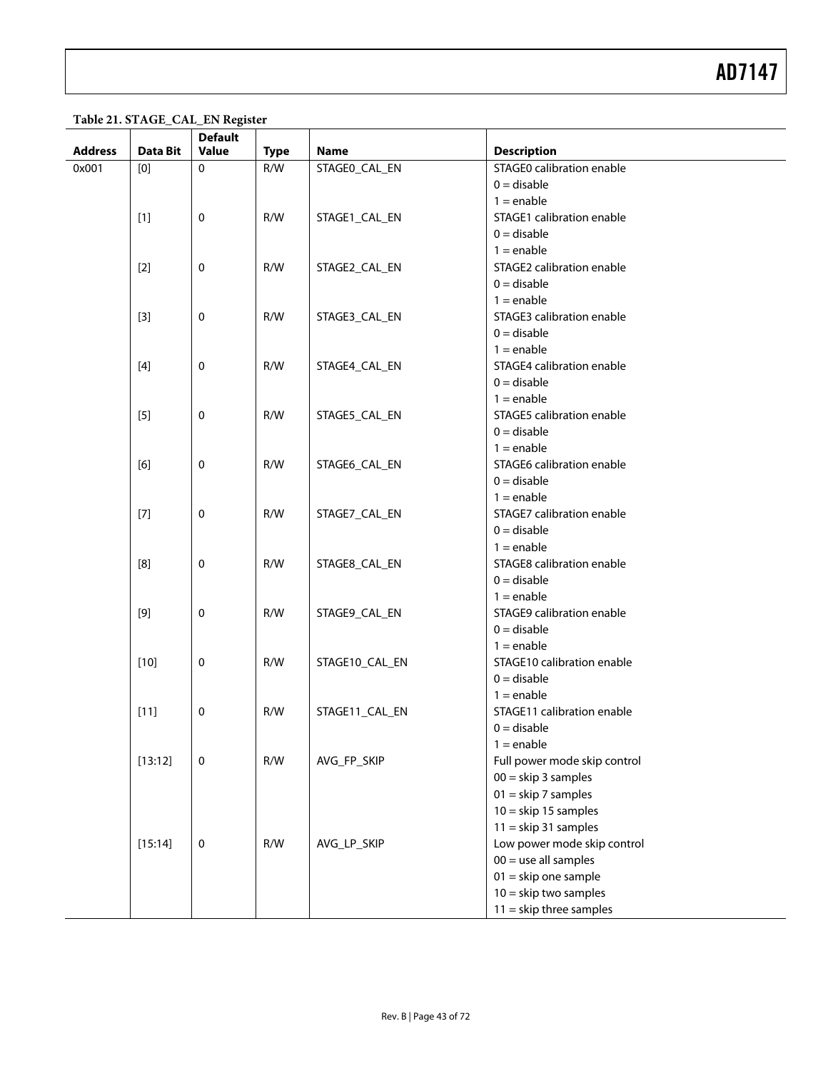**Table 21. STAGE\_CAL\_EN Register** 

| <b>Address</b> | Data Bit                                                                                                                                                                                                                                                                                                                                                                                                                                                                                                                                                                                                                                                                                                                                                                                           | <b>Default</b><br><b>Value</b> | <b>Type</b> | <b>Name</b>    | <b>Description</b>           |
|----------------|----------------------------------------------------------------------------------------------------------------------------------------------------------------------------------------------------------------------------------------------------------------------------------------------------------------------------------------------------------------------------------------------------------------------------------------------------------------------------------------------------------------------------------------------------------------------------------------------------------------------------------------------------------------------------------------------------------------------------------------------------------------------------------------------------|--------------------------------|-------------|----------------|------------------------------|
| 0x001          | [0]                                                                                                                                                                                                                                                                                                                                                                                                                                                                                                                                                                                                                                                                                                                                                                                                | $\mathbf 0$                    | R/W         | STAGEO CAL EN  | STAGE0 calibration enable    |
|                |                                                                                                                                                                                                                                                                                                                                                                                                                                                                                                                                                                                                                                                                                                                                                                                                    |                                |             |                | $0 =$ disable                |
|                |                                                                                                                                                                                                                                                                                                                                                                                                                                                                                                                                                                                                                                                                                                                                                                                                    |                                |             |                | $1 =$ enable                 |
|                | $[1]$                                                                                                                                                                                                                                                                                                                                                                                                                                                                                                                                                                                                                                                                                                                                                                                              | 0                              | R/W         | STAGE1_CAL_EN  | STAGE1 calibration enable    |
|                |                                                                                                                                                                                                                                                                                                                                                                                                                                                                                                                                                                                                                                                                                                                                                                                                    |                                |             |                | $0 =$ disable                |
|                |                                                                                                                                                                                                                                                                                                                                                                                                                                                                                                                                                                                                                                                                                                                                                                                                    |                                |             |                | $1 =$ enable                 |
|                | $[2]$                                                                                                                                                                                                                                                                                                                                                                                                                                                                                                                                                                                                                                                                                                                                                                                              | 0                              | R/W         | STAGE2_CAL_EN  | STAGE2 calibration enable    |
|                |                                                                                                                                                                                                                                                                                                                                                                                                                                                                                                                                                                                                                                                                                                                                                                                                    |                                |             |                | $0 =$ disable                |
|                |                                                                                                                                                                                                                                                                                                                                                                                                                                                                                                                                                                                                                                                                                                                                                                                                    |                                |             |                | $1 =$ enable                 |
|                | $[3]$                                                                                                                                                                                                                                                                                                                                                                                                                                                                                                                                                                                                                                                                                                                                                                                              | 0                              | R/W         | STAGE3_CAL_EN  | STAGE3 calibration enable    |
|                |                                                                                                                                                                                                                                                                                                                                                                                                                                                                                                                                                                                                                                                                                                                                                                                                    |                                |             |                | $0 =$ disable                |
|                |                                                                                                                                                                                                                                                                                                                                                                                                                                                                                                                                                                                                                                                                                                                                                                                                    |                                |             |                | $1 =$ enable                 |
|                | $[4] % \begin{center} \includegraphics[width=\linewidth]{imagesSupplemental/Imh} \end{center} % \vspace*{-1em} \caption{The image shows the number of parameters of the parameter $\mathcal{M}_1$ and the number of parameters of the parameter $\mathcal{M}_1$ and the number of parameters of the parameter $\mathcal{M}_2$ and the number of parameters of the parameter $\mathcal{M}_1$ and the number of parameters of the parameter $\mathcal{M}_2$ and the number of parameters of the parameter $\mathcal{M}_1$ and the number of parameters of the parameter $\mathcal{M}_1$ and the number of parameters of the parameter $\mathcal{M}_2$ and the number of parameters of the parameter $\mathcal{M}_1$. } \vspace{-1em} % \begin{minipage}[h]{0.45\textwidth} \includegraphics[width=\$ | 0                              | R/W         | STAGE4_CAL_EN  | STAGE4 calibration enable    |
|                |                                                                                                                                                                                                                                                                                                                                                                                                                                                                                                                                                                                                                                                                                                                                                                                                    |                                |             |                | $0 =$ disable                |
|                |                                                                                                                                                                                                                                                                                                                                                                                                                                                                                                                                                                                                                                                                                                                                                                                                    |                                |             |                | $1 =$ enable                 |
|                | $[5]$                                                                                                                                                                                                                                                                                                                                                                                                                                                                                                                                                                                                                                                                                                                                                                                              | 0                              | R/W         | STAGE5_CAL_EN  | STAGE5 calibration enable    |
|                |                                                                                                                                                                                                                                                                                                                                                                                                                                                                                                                                                                                                                                                                                                                                                                                                    |                                |             |                | $0 =$ disable                |
|                |                                                                                                                                                                                                                                                                                                                                                                                                                                                                                                                                                                                                                                                                                                                                                                                                    |                                |             |                | $1 =$ enable                 |
|                | [6]                                                                                                                                                                                                                                                                                                                                                                                                                                                                                                                                                                                                                                                                                                                                                                                                | 0                              | R/W         | STAGE6_CAL_EN  | STAGE6 calibration enable    |
|                |                                                                                                                                                                                                                                                                                                                                                                                                                                                                                                                                                                                                                                                                                                                                                                                                    |                                |             |                | $0 =$ disable                |
|                |                                                                                                                                                                                                                                                                                                                                                                                                                                                                                                                                                                                                                                                                                                                                                                                                    |                                |             |                | $1 =$ enable                 |
|                | $[7]$                                                                                                                                                                                                                                                                                                                                                                                                                                                                                                                                                                                                                                                                                                                                                                                              | 0                              | R/W         | STAGE7_CAL_EN  | STAGE7 calibration enable    |
|                |                                                                                                                                                                                                                                                                                                                                                                                                                                                                                                                                                                                                                                                                                                                                                                                                    |                                |             |                | $0 =$ disable                |
|                |                                                                                                                                                                                                                                                                                                                                                                                                                                                                                                                                                                                                                                                                                                                                                                                                    |                                |             |                | $1 =$ enable                 |
|                | [8]                                                                                                                                                                                                                                                                                                                                                                                                                                                                                                                                                                                                                                                                                                                                                                                                | 0                              | R/W         | STAGE8_CAL_EN  | STAGE8 calibration enable    |
|                |                                                                                                                                                                                                                                                                                                                                                                                                                                                                                                                                                                                                                                                                                                                                                                                                    |                                |             |                | $0 =$ disable                |
|                |                                                                                                                                                                                                                                                                                                                                                                                                                                                                                                                                                                                                                                                                                                                                                                                                    |                                |             |                | $1 =$ enable                 |
|                | $[9]$                                                                                                                                                                                                                                                                                                                                                                                                                                                                                                                                                                                                                                                                                                                                                                                              | 0                              | R/W         | STAGE9_CAL_EN  | STAGE9 calibration enable    |
|                |                                                                                                                                                                                                                                                                                                                                                                                                                                                                                                                                                                                                                                                                                                                                                                                                    |                                |             |                | $0 =$ disable                |
|                |                                                                                                                                                                                                                                                                                                                                                                                                                                                                                                                                                                                                                                                                                                                                                                                                    |                                |             |                | $1 =$ enable                 |
|                | $[10]$                                                                                                                                                                                                                                                                                                                                                                                                                                                                                                                                                                                                                                                                                                                                                                                             | 0                              | R/W         | STAGE10_CAL_EN | STAGE10 calibration enable   |
|                |                                                                                                                                                                                                                                                                                                                                                                                                                                                                                                                                                                                                                                                                                                                                                                                                    |                                |             |                | $0 =$ disable                |
|                |                                                                                                                                                                                                                                                                                                                                                                                                                                                                                                                                                                                                                                                                                                                                                                                                    |                                |             |                | $1 =$ enable                 |
|                | $[11]$                                                                                                                                                                                                                                                                                                                                                                                                                                                                                                                                                                                                                                                                                                                                                                                             | 0                              | R/W         | STAGE11_CAL_EN | STAGE11 calibration enable   |
|                |                                                                                                                                                                                                                                                                                                                                                                                                                                                                                                                                                                                                                                                                                                                                                                                                    |                                |             |                | $0 =$ disable                |
|                |                                                                                                                                                                                                                                                                                                                                                                                                                                                                                                                                                                                                                                                                                                                                                                                                    |                                |             |                | $1 =$ enable                 |
|                | [13:12]                                                                                                                                                                                                                                                                                                                                                                                                                                                                                                                                                                                                                                                                                                                                                                                            | $\mathbf 0$                    | R/W         | AVG_FP_SKIP    | Full power mode skip control |
|                |                                                                                                                                                                                                                                                                                                                                                                                                                                                                                                                                                                                                                                                                                                                                                                                                    |                                |             |                | $00 =$ skip 3 samples        |
|                |                                                                                                                                                                                                                                                                                                                                                                                                                                                                                                                                                                                                                                                                                                                                                                                                    |                                |             |                | $01 =$ skip 7 samples        |
|                |                                                                                                                                                                                                                                                                                                                                                                                                                                                                                                                                                                                                                                                                                                                                                                                                    |                                |             |                | $10 =$ skip 15 samples       |
|                |                                                                                                                                                                                                                                                                                                                                                                                                                                                                                                                                                                                                                                                                                                                                                                                                    |                                |             |                | $11 =$ skip 31 samples       |
|                | [15:14]                                                                                                                                                                                                                                                                                                                                                                                                                                                                                                                                                                                                                                                                                                                                                                                            | 0                              | R/W         | AVG_LP_SKIP    | Low power mode skip control  |
|                |                                                                                                                                                                                                                                                                                                                                                                                                                                                                                                                                                                                                                                                                                                                                                                                                    |                                |             |                | $00 =$ use all samples       |
|                |                                                                                                                                                                                                                                                                                                                                                                                                                                                                                                                                                                                                                                                                                                                                                                                                    |                                |             |                | $01 =$ skip one sample       |
|                |                                                                                                                                                                                                                                                                                                                                                                                                                                                                                                                                                                                                                                                                                                                                                                                                    |                                |             |                | $10 =$ skip two samples      |
|                |                                                                                                                                                                                                                                                                                                                                                                                                                                                                                                                                                                                                                                                                                                                                                                                                    |                                |             |                | $11 =$ skip three samples    |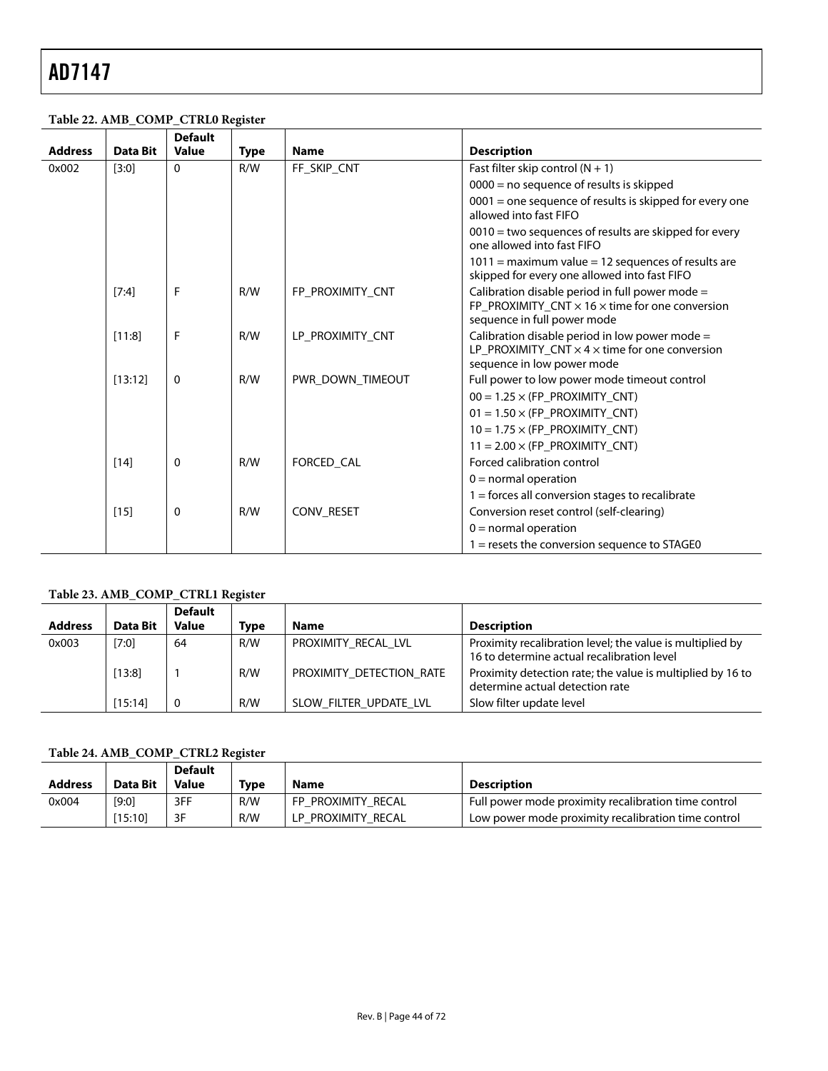|                |                 | <b>Default</b> |             |                  |                                                                                                                                                 |
|----------------|-----------------|----------------|-------------|------------------|-------------------------------------------------------------------------------------------------------------------------------------------------|
| <b>Address</b> | <b>Data Bit</b> | <b>Value</b>   | <b>Type</b> | <b>Name</b>      | <b>Description</b>                                                                                                                              |
| 0x002          | [3:0]           | 0              | R/W         | FF SKIP CNT      | Fast filter skip control $(N + 1)$                                                                                                              |
|                |                 |                |             |                  | $0000$ = no sequence of results is skipped                                                                                                      |
|                |                 |                |             |                  | $0001$ = one sequence of results is skipped for every one<br>allowed into fast FIFO                                                             |
|                |                 |                |             |                  | $0010$ = two sequences of results are skipped for every<br>one allowed into fast FIFO                                                           |
|                |                 |                |             |                  | $1011$ = maximum value = 12 sequences of results are<br>skipped for every one allowed into fast FIFO                                            |
|                | $[7:4]$         | F              | R/W         | FP PROXIMITY CNT | Calibration disable period in full power mode =<br>FP_PROXIMITY_CNT $\times$ 16 $\times$ time for one conversion<br>sequence in full power mode |
|                | [11:8]          | F              | R/W         | LP PROXIMITY CNT | Calibration disable period in low power mode =<br>LP_PROXIMITY_CNT $\times$ 4 $\times$ time for one conversion<br>sequence in low power mode    |
|                | [13:12]         | 0              | R/W         | PWR DOWN TIMEOUT | Full power to low power mode timeout control                                                                                                    |
|                |                 |                |             |                  | $00 = 1.25 \times (FP$ PROXIMITY CNT)                                                                                                           |
|                |                 |                |             |                  | $01 = 1.50 \times (FP \text{ PROXIMITY CNT})$                                                                                                   |
|                |                 |                |             |                  | $10 = 1.75 \times (FP$ PROXIMITY CNT)                                                                                                           |
|                |                 |                |             |                  | $11 = 2.00 \times (FP_PROXIMITY_CNT)$                                                                                                           |
|                | [14]            | 0              | R/W         | FORCED CAL       | Forced calibration control                                                                                                                      |
|                |                 |                |             |                  | $0 =$ normal operation                                                                                                                          |
|                |                 |                |             |                  | $1 =$ forces all conversion stages to recalibrate                                                                                               |
|                | $[15]$          | 0              | R/W         | CONV_RESET       | Conversion reset control (self-clearing)                                                                                                        |
|                |                 |                |             |                  | $0 =$ normal operation                                                                                                                          |
|                |                 |                |             |                  | 1 = resets the conversion sequence to STAGE0                                                                                                    |

#### **Table 22. AMB\_COMP\_CTRL0 Register**

#### **Table 23. AMB\_COMP\_CTRL1 Register**

|                |          | <b>Default</b> |             |                          |                                                                                                         |
|----------------|----------|----------------|-------------|--------------------------|---------------------------------------------------------------------------------------------------------|
| <b>Address</b> | Data Bit | <b>Value</b>   | <b>Type</b> | <b>Name</b>              | <b>Description</b>                                                                                      |
| 0x003          | [7:0]    | 64             | R/W         | PROXIMITY RECAL LVL      | Proximity recalibration level; the value is multiplied by<br>16 to determine actual recalibration level |
|                | [13:8]   |                | R/W         | PROXIMITY DETECTION RATE | Proximity detection rate; the value is multiplied by 16 to<br>determine actual detection rate           |
|                | [15:14]  |                | R/W         | SLOW FILTER UPDATE LVL   | Slow filter update level                                                                                |

### **Table 24. AMB\_COMP\_CTRL2 Register**

| <b>Address</b> | Data Bit | <b>Default</b><br>Value | Type | Name               | <b>Description</b>                                   |
|----------------|----------|-------------------------|------|--------------------|------------------------------------------------------|
| 0x004          | [9:0]    | 3FF                     | R/W  | FP PROXIMITY RECAL | Full power mode proximity recalibration time control |
|                | [15:10]  | 3F                      | R/W  | LP PROXIMITY RECAL | Low power mode proximity recalibration time control  |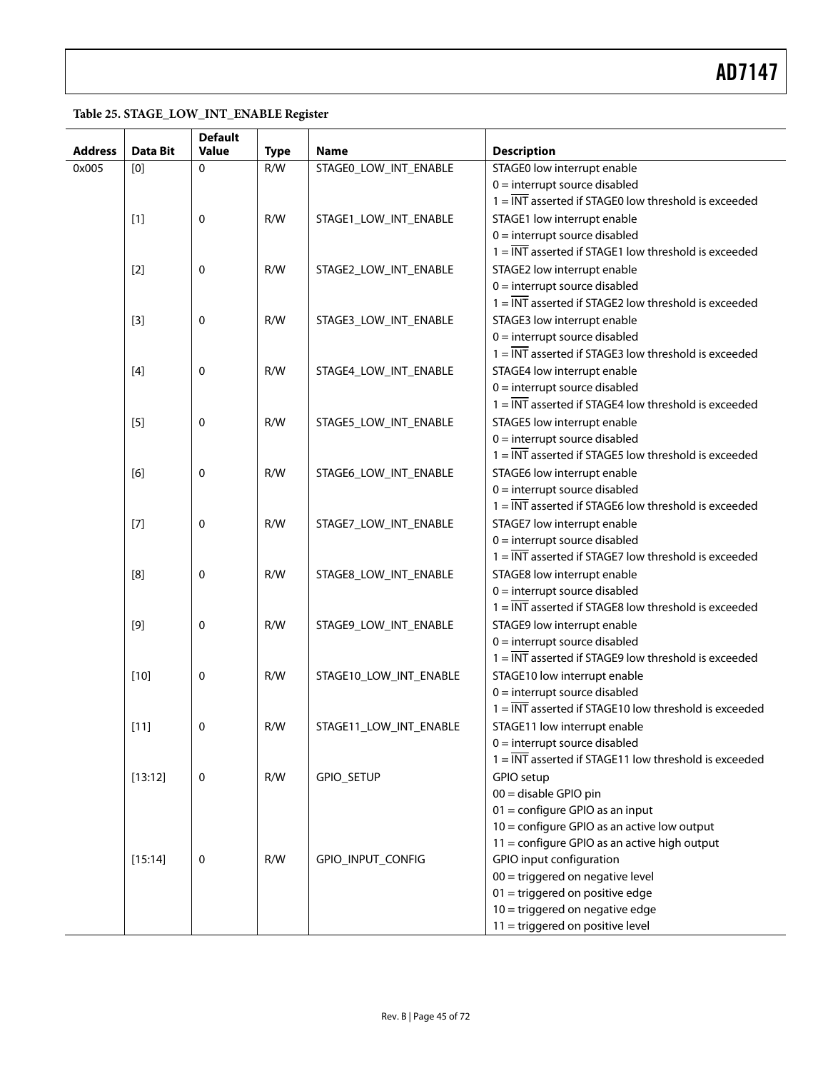**Table 25. STAGE\_LOW\_INT\_ENABLE Register** 

|                |                                                                                                                                                                                                                                      | <b>Default</b> |             |                        |                                                                                                       |
|----------------|--------------------------------------------------------------------------------------------------------------------------------------------------------------------------------------------------------------------------------------|----------------|-------------|------------------------|-------------------------------------------------------------------------------------------------------|
| <b>Address</b> | <b>Data Bit</b>                                                                                                                                                                                                                      | <b>Value</b>   | <b>Type</b> | <b>Name</b>            | <b>Description</b>                                                                                    |
| 0x005          | [0]                                                                                                                                                                                                                                  | 0              | R/W         | STAGE0_LOW_INT_ENABLE  | STAGE0 low interrupt enable                                                                           |
|                |                                                                                                                                                                                                                                      |                |             |                        | $0 =$ interrupt source disabled                                                                       |
|                |                                                                                                                                                                                                                                      |                |             |                        | $1 = \overline{INT}$ asserted if STAGE0 low threshold is exceeded                                     |
|                | $[1]$                                                                                                                                                                                                                                | 0              | R/W         | STAGE1_LOW_INT_ENABLE  | STAGE1 low interrupt enable                                                                           |
|                |                                                                                                                                                                                                                                      |                |             |                        | $0 =$ interrupt source disabled                                                                       |
|                |                                                                                                                                                                                                                                      |                |             |                        | $1 = \overline{\text{INT}}$ asserted if STAGE1 low threshold is exceeded                              |
|                | $[2]$                                                                                                                                                                                                                                | 0              | R/W         | STAGE2_LOW_INT_ENABLE  | STAGE2 low interrupt enable                                                                           |
|                |                                                                                                                                                                                                                                      |                |             |                        | $0 =$ interrupt source disabled                                                                       |
|                |                                                                                                                                                                                                                                      |                |             |                        | $1 = \overline{INT}$ asserted if STAGE2 low threshold is exceeded                                     |
|                | $[3]$                                                                                                                                                                                                                                | 0              | R/W         | STAGE3_LOW_INT_ENABLE  | STAGE3 low interrupt enable                                                                           |
|                |                                                                                                                                                                                                                                      |                |             |                        | $0 =$ interrupt source disabled                                                                       |
|                |                                                                                                                                                                                                                                      |                |             |                        | $1 = \overline{\text{INT}}$ asserted if STAGE3 low threshold is exceeded                              |
|                | $[4]$                                                                                                                                                                                                                                | 0              | R/W         | STAGE4_LOW_INT_ENABLE  | STAGE4 low interrupt enable                                                                           |
|                |                                                                                                                                                                                                                                      |                |             |                        | $0 =$ interrupt source disabled                                                                       |
|                |                                                                                                                                                                                                                                      |                |             |                        | $1 = \overline{\text{INT}}$ asserted if STAGE4 low threshold is exceeded                              |
|                | $[5]$                                                                                                                                                                                                                                | 0              | R/W         | STAGE5_LOW_INT_ENABLE  | STAGE5 low interrupt enable                                                                           |
|                |                                                                                                                                                                                                                                      |                |             |                        | $0 =$ interrupt source disabled                                                                       |
|                |                                                                                                                                                                                                                                      |                |             |                        | $1 = \overline{INT}$ asserted if STAGE5 low threshold is exceeded                                     |
|                | [6]                                                                                                                                                                                                                                  | 0              | R/W         | STAGE6_LOW_INT_ENABLE  | STAGE6 low interrupt enable                                                                           |
|                |                                                                                                                                                                                                                                      |                |             |                        | $0 =$ interrupt source disabled                                                                       |
|                |                                                                                                                                                                                                                                      |                |             |                        | $1 = \overline{INT}$ asserted if STAGE6 low threshold is exceeded                                     |
|                | $[7]$                                                                                                                                                                                                                                | 0              | R/W         | STAGE7_LOW_INT_ENABLE  | STAGE7 low interrupt enable                                                                           |
|                |                                                                                                                                                                                                                                      |                |             |                        | $0 =$ interrupt source disabled                                                                       |
|                |                                                                                                                                                                                                                                      |                |             |                        | $1 = \overline{\text{INT}}$ asserted if STAGE7 low threshold is exceeded                              |
|                | [8]                                                                                                                                                                                                                                  | 0              | R/W         | STAGE8_LOW_INT_ENABLE  | STAGE8 low interrupt enable                                                                           |
|                |                                                                                                                                                                                                                                      |                |             |                        | $0 =$ interrupt source disabled                                                                       |
|                |                                                                                                                                                                                                                                      |                |             |                        | $1 = \overline{INT}$ asserted if STAGE8 low threshold is exceeded                                     |
|                | $[9] % \begin{center} \includegraphics[width=\linewidth]{imagesSupplemental/Imers.png} \end{center} % \vspace*{-1em} \caption{The image shows the number of parameters of the estimators in the left and right.} \label{fig:limall}$ | 0              | R/W         |                        | STAGE9 low interrupt enable                                                                           |
|                |                                                                                                                                                                                                                                      |                |             | STAGE9_LOW_INT_ENABLE  | $0 =$ interrupt source disabled                                                                       |
|                |                                                                                                                                                                                                                                      |                |             |                        | $1 = \overline{\text{INT}}$ asserted if STAGE9 low threshold is exceeded                              |
|                |                                                                                                                                                                                                                                      |                |             |                        |                                                                                                       |
|                | $[10]$                                                                                                                                                                                                                               | 0              | R/W         | STAGE10_LOW_INT_ENABLE | STAGE10 low interrupt enable                                                                          |
|                |                                                                                                                                                                                                                                      |                |             |                        | $0 =$ interrupt source disabled<br>$1 = \overline{INT}$ asserted if STAGE10 low threshold is exceeded |
|                |                                                                                                                                                                                                                                      |                |             |                        |                                                                                                       |
|                | $[11]$                                                                                                                                                                                                                               | 0              | R/W         | STAGE11_LOW_INT_ENABLE | STAGE11 low interrupt enable                                                                          |
|                |                                                                                                                                                                                                                                      |                |             |                        | $0 =$ interrupt source disabled                                                                       |
|                |                                                                                                                                                                                                                                      |                |             |                        | $1 = \overline{\text{INT}}$ asserted if STAGE11 low threshold is exceeded                             |
|                | [13:12]                                                                                                                                                                                                                              | 0              | R/W         | GPIO_SETUP             | GPIO setup                                                                                            |
|                |                                                                                                                                                                                                                                      |                |             |                        | 00 = disable GPIO pin                                                                                 |
|                |                                                                                                                                                                                                                                      |                |             |                        | 01 = configure GPIO as an input                                                                       |
|                |                                                                                                                                                                                                                                      |                |             |                        | 10 = configure GPIO as an active low output                                                           |
|                |                                                                                                                                                                                                                                      |                |             |                        | 11 = configure GPIO as an active high output                                                          |
|                | [15:14]                                                                                                                                                                                                                              | $\mathbf 0$    | R/W         | GPIO_INPUT_CONFIG      | GPIO input configuration                                                                              |
|                |                                                                                                                                                                                                                                      |                |             |                        | 00 = triggered on negative level                                                                      |
|                |                                                                                                                                                                                                                                      |                |             |                        | $01 =$ triggered on positive edge                                                                     |
|                |                                                                                                                                                                                                                                      |                |             |                        | 10 = triggered on negative edge                                                                       |
|                |                                                                                                                                                                                                                                      |                |             |                        | 11 = triggered on positive level                                                                      |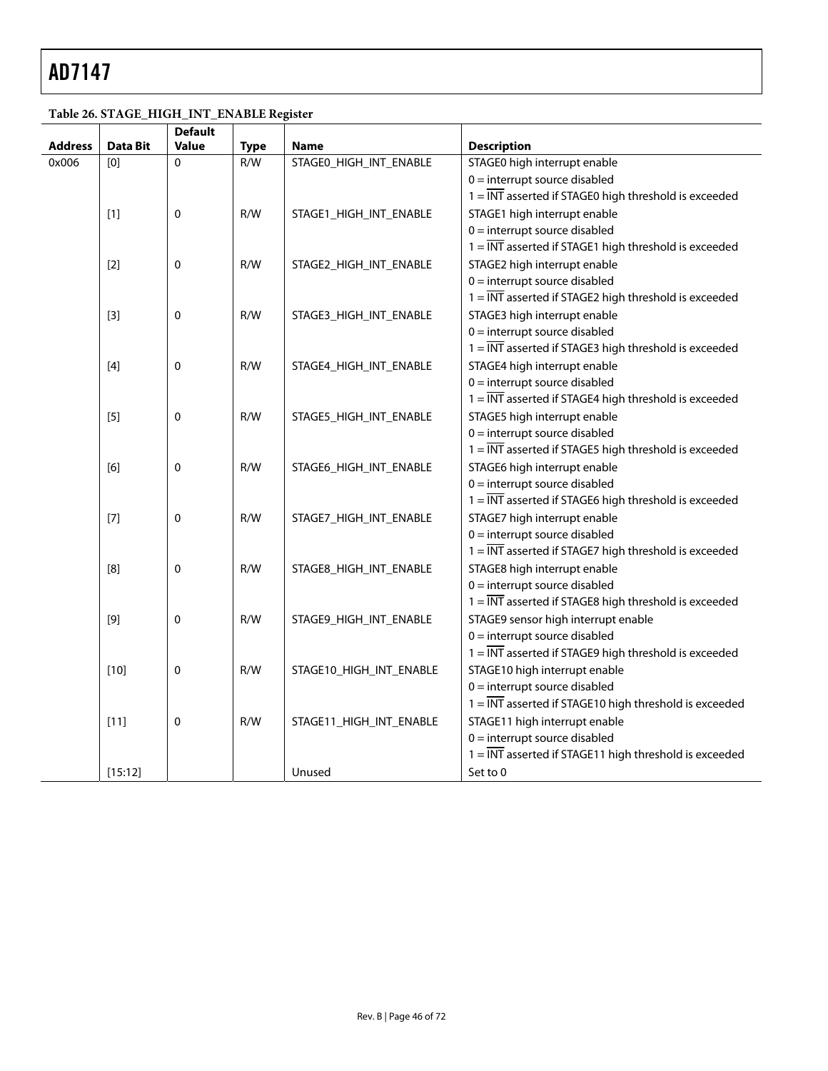|                |          | <b>Default</b> |             |                         |                                                                            |
|----------------|----------|----------------|-------------|-------------------------|----------------------------------------------------------------------------|
| <b>Address</b> | Data Bit | <b>Value</b>   | <b>Type</b> | <b>Name</b>             | <b>Description</b>                                                         |
| 0x006          | [0]      | $\mathbf{0}$   | R/W         | STAGE0_HIGH_INT_ENABLE  | STAGE0 high interrupt enable                                               |
|                |          |                |             |                         | $0 =$ interrupt source disabled                                            |
|                |          |                |             |                         | $1 = \overline{\text{INT}}$ asserted if STAGE0 high threshold is exceeded  |
|                | $[1]$    | 0              | R/W         | STAGE1_HIGH_INT_ENABLE  | STAGE1 high interrupt enable                                               |
|                |          |                |             |                         | $0 =$ interrupt source disabled                                            |
|                |          |                |             |                         | $1 = \overline{\text{INT}}$ asserted if STAGE1 high threshold is exceeded  |
|                | $[2]$    | 0              | R/W         | STAGE2_HIGH_INT_ENABLE  | STAGE2 high interrupt enable                                               |
|                |          |                |             |                         | $0 =$ interrupt source disabled                                            |
|                |          |                |             |                         | $1 = \overline{\text{INT}}$ asserted if STAGE2 high threshold is exceeded  |
|                | $[3]$    | 0              | R/W         | STAGE3_HIGH_INT_ENABLE  | STAGE3 high interrupt enable                                               |
|                |          |                |             |                         | $0 =$ interrupt source disabled                                            |
|                |          |                |             |                         | $1 = \overline{\text{INT}}$ asserted if STAGE3 high threshold is exceeded  |
|                | $[4]$    | 0              | R/W         | STAGE4 HIGH INT ENABLE  | STAGE4 high interrupt enable                                               |
|                |          |                |             |                         | $0 =$ interrupt source disabled                                            |
|                |          |                |             |                         | $1 = \overline{\text{INT}}$ asserted if STAGE4 high threshold is exceeded  |
|                | $[5]$    | 0              | R/W         | STAGE5_HIGH_INT_ENABLE  | STAGE5 high interrupt enable                                               |
|                |          |                |             |                         | $0 =$ interrupt source disabled                                            |
|                |          |                |             |                         | $1 = \overline{\text{INT}}$ asserted if STAGE5 high threshold is exceeded  |
|                | [6]      | 0              | R/W         | STAGE6 HIGH INT ENABLE  | STAGE6 high interrupt enable                                               |
|                |          |                |             |                         | $0 =$ interrupt source disabled                                            |
|                |          |                |             |                         | $1 = \overline{\text{INT}}$ asserted if STAGE6 high threshold is exceeded  |
|                | $[7]$    | 0              | R/W         | STAGE7_HIGH_INT_ENABLE  | STAGE7 high interrupt enable                                               |
|                |          |                |             |                         | $0 =$ interrupt source disabled                                            |
|                |          |                |             |                         | $1 = \overline{\text{INT}}$ asserted if STAGE7 high threshold is exceeded  |
|                | [8]      | 0              | R/W         | STAGE8_HIGH_INT_ENABLE  | STAGE8 high interrupt enable                                               |
|                |          |                |             |                         | $0 =$ interrupt source disabled                                            |
|                |          |                |             |                         | $1 = \overline{INT}$ asserted if STAGE8 high threshold is exceeded         |
|                | $[9]$    | $\pmb{0}$      | R/W         | STAGE9_HIGH_INT_ENABLE  | STAGE9 sensor high interrupt enable                                        |
|                |          |                |             |                         | $0 =$ interrupt source disabled                                            |
|                |          |                |             |                         | $1 = \overline{\text{INT}}$ asserted if STAGE9 high threshold is exceeded  |
|                | $[10]$   | 0              | R/W         | STAGE10_HIGH_INT_ENABLE | STAGE10 high interrupt enable                                              |
|                |          |                |             |                         | $0 =$ interrupt source disabled                                            |
|                |          |                |             |                         | $1 = \overline{\text{INT}}$ asserted if STAGE10 high threshold is exceeded |
|                | $[11]$   | 0              | R/W         | STAGE11_HIGH_INT_ENABLE | STAGE11 high interrupt enable                                              |
|                |          |                |             |                         | $0 =$ interrupt source disabled                                            |
|                |          |                |             |                         | $1 = \overline{\text{INT}}$ asserted if STAGE11 high threshold is exceeded |
|                | [15:12]  |                |             | Unused                  | Set to 0                                                                   |

**Table 26. STAGE\_HIGH\_INT\_ENABLE Register**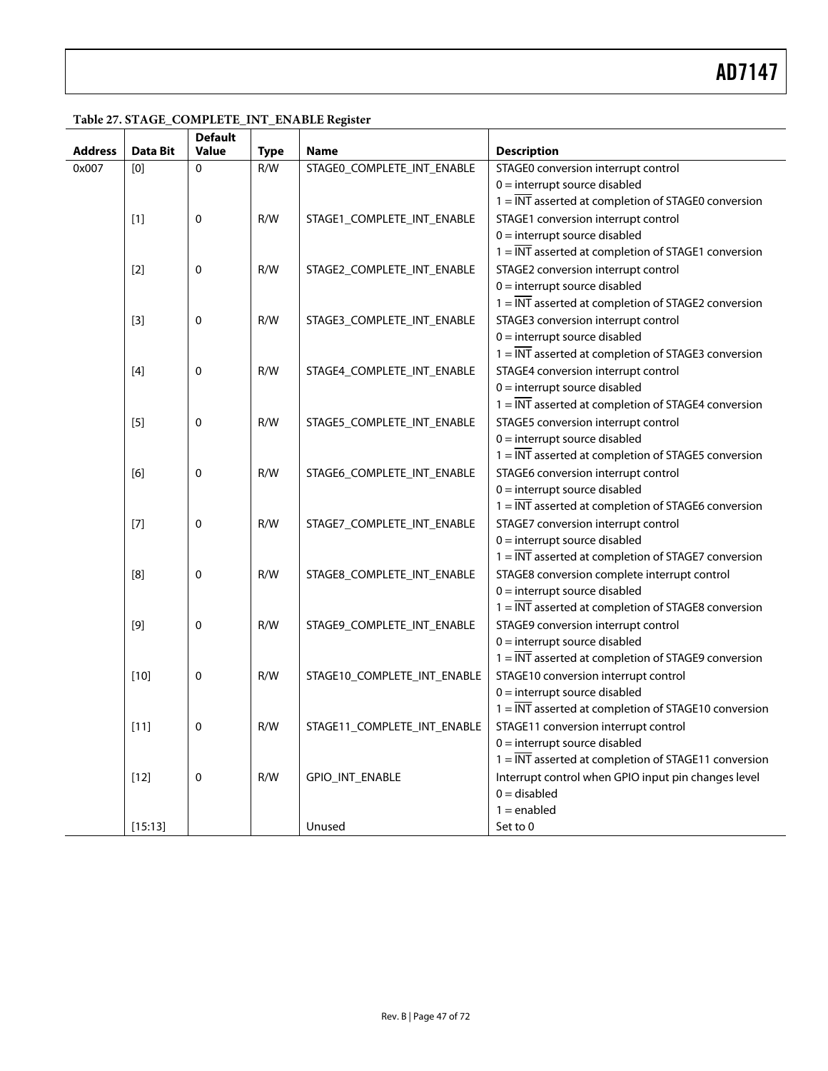|                |                 | <b>Default</b> |             |                             |                                                                          |
|----------------|-----------------|----------------|-------------|-----------------------------|--------------------------------------------------------------------------|
| <b>Address</b> | <b>Data Bit</b> | <b>Value</b>   | <b>Type</b> | <b>Name</b>                 | <b>Description</b>                                                       |
| 0x007          | [0]             | 0              | R/W         | STAGE0_COMPLETE_INT_ENABLE  | STAGE0 conversion interrupt control                                      |
|                |                 |                |             |                             | $0 =$ interrupt source disabled                                          |
|                |                 |                |             |                             | $1 = \overline{INT}$ asserted at completion of STAGE0 conversion         |
|                | $[1]$           | 0              | R/W         | STAGE1_COMPLETE_INT_ENABLE  | STAGE1 conversion interrupt control                                      |
|                |                 |                |             |                             | $0 =$ interrupt source disabled                                          |
|                |                 |                |             |                             | $1 = \overline{\text{INT}}$ asserted at completion of STAGE1 conversion  |
|                | $[2]$           | 0              | R/W         | STAGE2_COMPLETE_INT_ENABLE  | STAGE2 conversion interrupt control                                      |
|                |                 |                |             |                             | $0 =$ interrupt source disabled                                          |
|                |                 |                |             |                             | $1 = \overline{\text{INT}}$ asserted at completion of STAGE2 conversion  |
|                | $[3]$           | 0              | R/W         | STAGE3_COMPLETE_INT_ENABLE  | STAGE3 conversion interrupt control                                      |
|                |                 |                |             |                             | $0 =$ interrupt source disabled                                          |
|                |                 |                |             |                             | $1 = \overline{\text{INT}}$ asserted at completion of STAGE3 conversion  |
|                | $[4]$           | 0              | R/W         | STAGE4_COMPLETE_INT_ENABLE  | STAGE4 conversion interrupt control                                      |
|                |                 |                |             |                             | $0 =$ interrupt source disabled                                          |
|                |                 |                |             |                             | $1 = \overline{\text{INT}}$ asserted at completion of STAGE4 conversion  |
|                | $[5]$           | 0              | R/W         | STAGE5_COMPLETE_INT_ENABLE  | STAGE5 conversion interrupt control                                      |
|                |                 |                |             |                             | $0 =$ interrupt source disabled                                          |
|                |                 |                |             |                             | $1 = \overline{\text{INT}}$ asserted at completion of STAGE5 conversion  |
|                | $[6]$           | 0              | R/W         | STAGE6_COMPLETE_INT_ENABLE  | STAGE6 conversion interrupt control                                      |
|                |                 |                |             |                             | $0 =$ interrupt source disabled                                          |
|                |                 |                |             |                             | $1 = \overline{\text{INT}}$ asserted at completion of STAGE6 conversion  |
|                | $[7]$           | 0              | R/W         | STAGE7_COMPLETE_INT_ENABLE  | STAGE7 conversion interrupt control                                      |
|                |                 |                |             |                             | $0 =$ interrupt source disabled                                          |
|                |                 |                |             |                             | $1 = \overline{INT}$ asserted at completion of STAGE7 conversion         |
|                | [8]             | 0              | R/W         | STAGE8_COMPLETE_INT_ENABLE  | STAGE8 conversion complete interrupt control                             |
|                |                 |                |             |                             | $0 =$ interrupt source disabled                                          |
|                |                 |                |             |                             | $1 = \overline{\text{INT}}$ asserted at completion of STAGE8 conversion  |
|                | $[9]$           | 0              | R/W         | STAGE9_COMPLETE_INT_ENABLE  | STAGE9 conversion interrupt control                                      |
|                |                 |                |             |                             | $0 =$ interrupt source disabled                                          |
|                |                 |                |             |                             | $1 = \overline{\text{INT}}$ asserted at completion of STAGE9 conversion  |
|                | $[10]$          | 0              | R/W         | STAGE10_COMPLETE_INT_ENABLE | STAGE10 conversion interrupt control                                     |
|                |                 |                |             |                             | $0 =$ interrupt source disabled                                          |
|                |                 |                |             |                             | $1 = \overline{\text{INT}}$ asserted at completion of STAGE10 conversion |
|                | $[11]$          | 0              | R/W         | STAGE11_COMPLETE_INT_ENABLE | STAGE11 conversion interrupt control                                     |
|                |                 |                |             |                             | $0 =$ interrupt source disabled                                          |
|                |                 |                |             |                             | $1 = \overline{\text{INT}}$ asserted at completion of STAGE11 conversion |
|                | $[12]$          | 0              | R/W         | GPIO_INT_ENABLE             | Interrupt control when GPIO input pin changes level                      |
|                |                 |                |             |                             | $0 =$ disabled                                                           |
|                |                 |                |             |                             | $1 =$ enabled                                                            |
|                | [15:13]         |                |             | Unused                      | Set to 0                                                                 |

### **Table 27. STAGE\_COMPLETE\_INT\_ENABLE Register**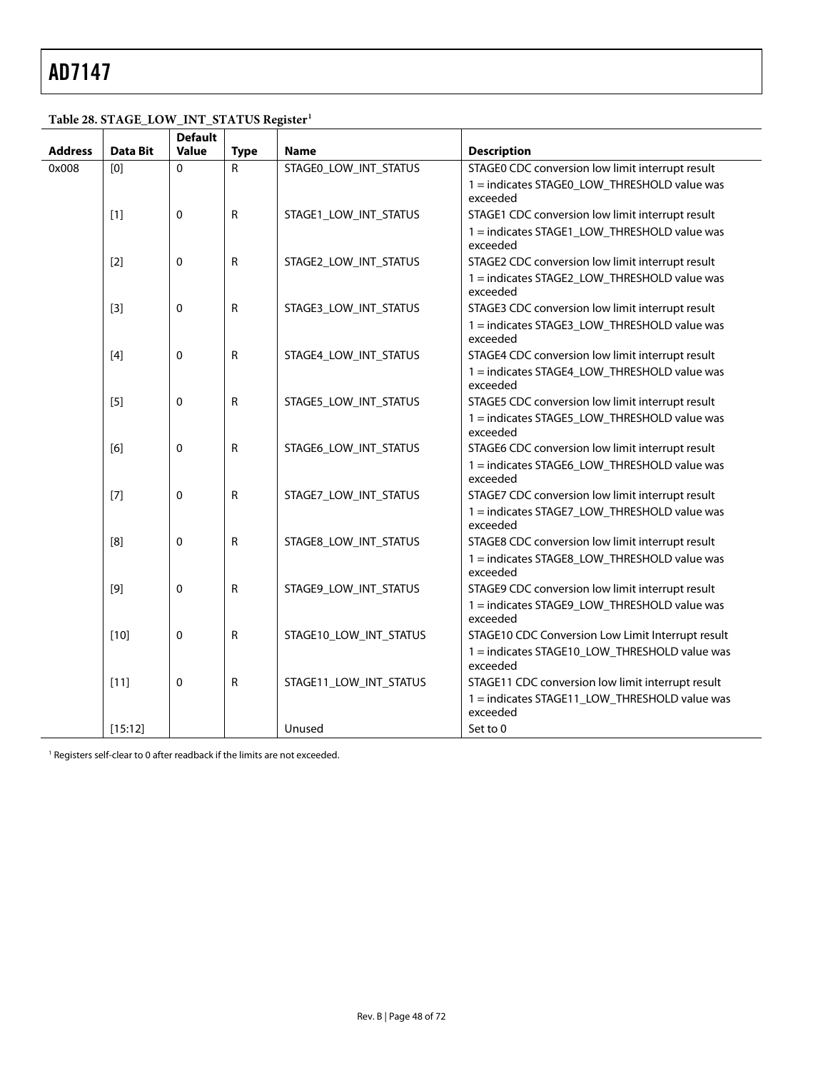|                |          | <b>Default</b> |              |                        |                                                           |
|----------------|----------|----------------|--------------|------------------------|-----------------------------------------------------------|
| <b>Address</b> | Data Bit | <b>Value</b>   | <b>Type</b>  | <b>Name</b>            | <b>Description</b>                                        |
| 0x008          | [0]      | $\Omega$       | R            | STAGE0_LOW_INT_STATUS  | STAGE0 CDC conversion low limit interrupt result          |
|                |          |                |              |                        | 1 = indicates STAGE0_LOW_THRESHOLD value was<br>exceeded  |
|                | $[1]$    | 0              | R            | STAGE1 LOW INT STATUS  | STAGE1 CDC conversion low limit interrupt result          |
|                |          |                |              |                        | 1 = indicates STAGE1_LOW_THRESHOLD value was<br>exceeded  |
|                | $[2]$    | $\mathbf{0}$   | R            | STAGE2_LOW_INT_STATUS  | STAGE2 CDC conversion low limit interrupt result          |
|                |          |                |              |                        | 1 = indicates STAGE2_LOW_THRESHOLD value was<br>exceeded  |
|                | $[3]$    | 0              | R            | STAGE3_LOW_INT_STATUS  | STAGE3 CDC conversion low limit interrupt result          |
|                |          |                |              |                        | 1 = indicates STAGE3_LOW_THRESHOLD value was<br>exceeded  |
|                | $[4]$    | 0              | R            | STAGE4 LOW INT STATUS  | STAGE4 CDC conversion low limit interrupt result          |
|                |          |                |              |                        | 1 = indicates STAGE4_LOW_THRESHOLD value was<br>exceeded  |
|                | $[5]$    | $\mathbf{0}$   | R            | STAGE5 LOW INT STATUS  | STAGE5 CDC conversion low limit interrupt result          |
|                |          |                |              |                        | 1 = indicates STAGE5_LOW_THRESHOLD value was<br>exceeded  |
|                | [6]      | 0              | $\mathsf{R}$ | STAGE6_LOW_INT_STATUS  | STAGE6 CDC conversion low limit interrupt result          |
|                |          |                |              |                        | 1 = indicates STAGE6_LOW_THRESHOLD value was<br>exceeded  |
|                | $[7]$    | 0              | $\mathsf{R}$ | STAGE7_LOW_INT_STATUS  | STAGE7 CDC conversion low limit interrupt result          |
|                |          |                |              |                        | 1 = indicates STAGE7_LOW_THRESHOLD value was<br>exceeded  |
|                | [8]      | $\mathbf{0}$   | $\mathsf{R}$ | STAGE8 LOW INT STATUS  | STAGE8 CDC conversion low limit interrupt result          |
|                |          |                |              |                        | 1 = indicates STAGE8_LOW_THRESHOLD value was<br>exceeded  |
|                | $[9]$    | 0              | $\mathsf{R}$ | STAGE9_LOW_INT_STATUS  | STAGE9 CDC conversion low limit interrupt result          |
|                |          |                |              |                        | 1 = indicates STAGE9_LOW_THRESHOLD value was<br>exceeded  |
|                | $[10]$   | 0              | R            | STAGE10_LOW_INT_STATUS | STAGE10 CDC Conversion Low Limit Interrupt result         |
|                |          |                |              |                        | 1 = indicates STAGE10_LOW_THRESHOLD value was<br>exceeded |
|                | $[11]$   | 0              | R            | STAGE11 LOW INT STATUS | STAGE11 CDC conversion low limit interrupt result         |
|                |          |                |              |                        | 1 = indicates STAGE11_LOW_THRESHOLD value was<br>exceeded |
|                | [15:12]  |                |              | Unused                 | Set to 0                                                  |

**Table 28. STAGE\_LOW\_INT\_STATUS Register1**

<sup>1</sup> Registers self-clear to 0 after readback if the limits are not exceeded.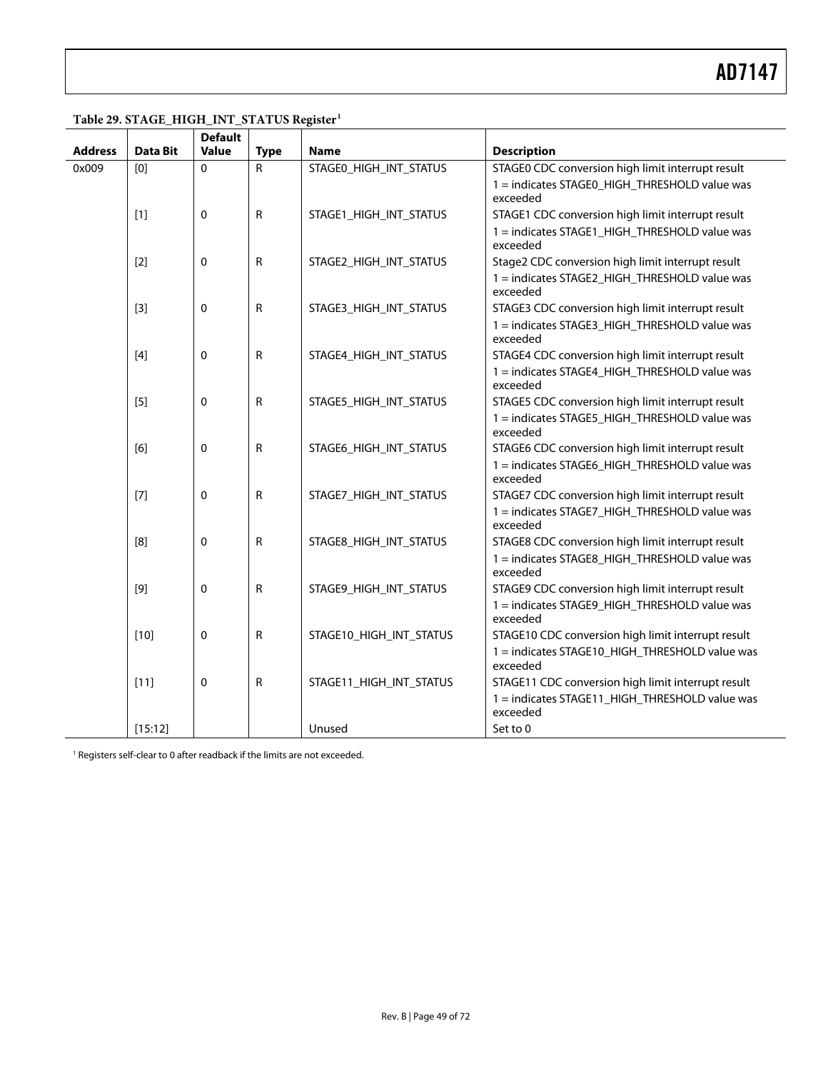|                |                 | <b>Default</b> |             |                         |                                                            |
|----------------|-----------------|----------------|-------------|-------------------------|------------------------------------------------------------|
| <b>Address</b> | <b>Data Bit</b> | <b>Value</b>   | <b>Type</b> | <b>Name</b>             | <b>Description</b>                                         |
| 0x009          | [0]             | $\Omega$       | R           | STAGEO_HIGH_INT_STATUS  | STAGE0 CDC conversion high limit interrupt result          |
|                |                 |                |             |                         | 1 = indicates STAGE0_HIGH_THRESHOLD value was              |
|                |                 |                |             |                         | exceeded                                                   |
|                | $[1]$           | $\mathbf 0$    | R           | STAGE1_HIGH_INT_STATUS  | STAGE1 CDC conversion high limit interrupt result          |
|                |                 |                |             |                         | 1 = indicates STAGE1_HIGH_THRESHOLD value was<br>exceeded  |
|                | $[2]$           | $\Omega$       | R           | STAGE2_HIGH_INT_STATUS  | Stage2 CDC conversion high limit interrupt result          |
|                |                 |                |             |                         | 1 = indicates STAGE2_HIGH_THRESHOLD value was<br>exceeded  |
|                | $[3]$           | $\mathbf 0$    | R           | STAGE3_HIGH_INT_STATUS  | STAGE3 CDC conversion high limit interrupt result          |
|                |                 |                |             |                         | 1 = indicates STAGE3_HIGH_THRESHOLD value was<br>exceeded  |
|                | $[4]$           | $\mathbf 0$    | R           | STAGE4_HIGH_INT_STATUS  | STAGE4 CDC conversion high limit interrupt result          |
|                |                 |                |             |                         | 1 = indicates STAGE4_HIGH_THRESHOLD value was<br>exceeded  |
|                | $[5]$           | $\mathbf 0$    | R           | STAGE5_HIGH_INT_STATUS  | STAGE5 CDC conversion high limit interrupt result          |
|                |                 |                |             |                         | 1 = indicates STAGE5_HIGH_THRESHOLD value was<br>exceeded  |
|                | [6]             | $\Omega$       | R           | STAGE6 HIGH INT STATUS  | STAGE6 CDC conversion high limit interrupt result          |
|                |                 |                |             |                         | 1 = indicates STAGE6_HIGH_THRESHOLD value was<br>exceeded  |
|                | $[7]$           | $\mathbf 0$    | R           | STAGE7_HIGH_INT_STATUS  | STAGE7 CDC conversion high limit interrupt result          |
|                |                 |                |             |                         | 1 = indicates STAGE7_HIGH_THRESHOLD value was<br>exceeded  |
|                | [8]             | $\mathbf 0$    | R           | STAGE8_HIGH_INT_STATUS  | STAGE8 CDC conversion high limit interrupt result          |
|                |                 |                |             |                         | 1 = indicates STAGE8_HIGH_THRESHOLD value was<br>exceeded  |
|                | $[9]$           | $\Omega$       | R           | STAGE9_HIGH_INT_STATUS  | STAGE9 CDC conversion high limit interrupt result          |
|                |                 |                |             |                         | 1 = indicates STAGE9_HIGH_THRESHOLD value was<br>exceeded  |
|                | $[10]$          | 0              | R           | STAGE10_HIGH_INT_STATUS | STAGE10 CDC conversion high limit interrupt result         |
|                |                 |                |             |                         | 1 = indicates STAGE10_HIGH_THRESHOLD value was<br>exceeded |
|                | $[11]$          | $\Omega$       | R           | STAGE11_HIGH_INT_STATUS | STAGE11 CDC conversion high limit interrupt result         |
|                |                 |                |             |                         | 1 = indicates STAGE11_HIGH_THRESHOLD value was<br>exceeded |
|                | [15:12]         |                |             | Unused                  | Set to 0                                                   |
|                |                 |                |             |                         |                                                            |

<sup>1</sup> Registers self-clear to 0 after readback if the limits are not exceeded.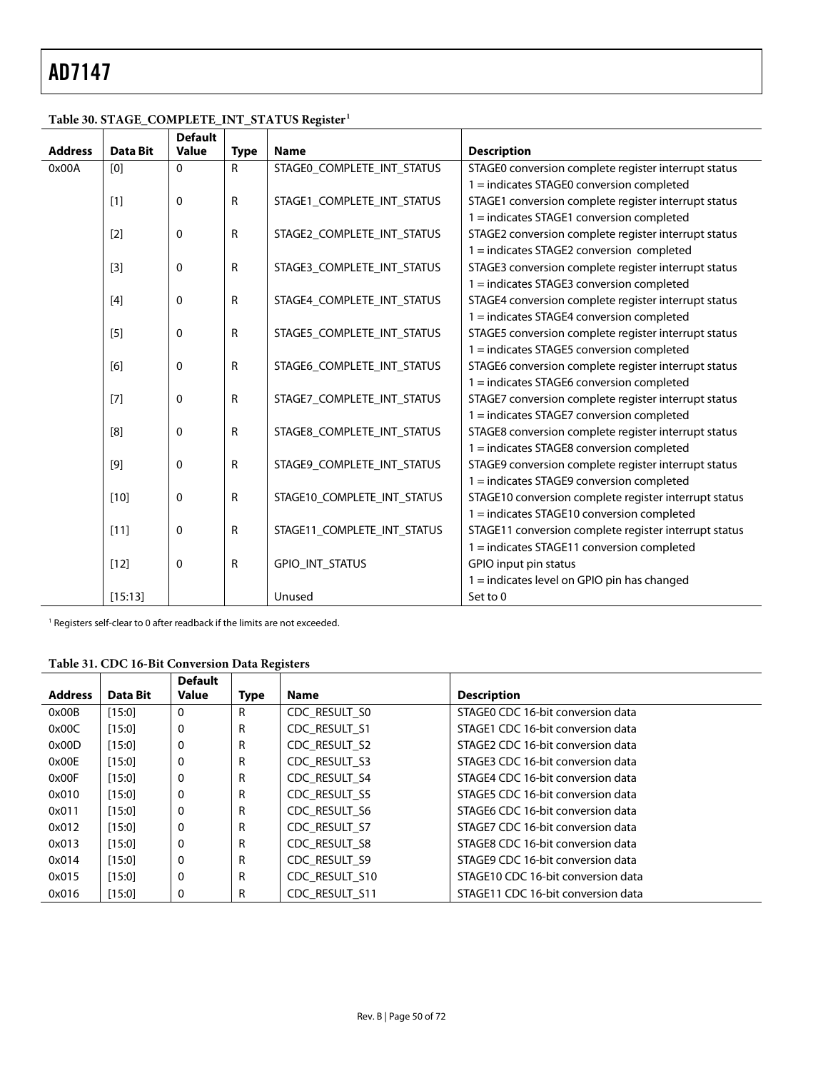|                |          | <b>Default</b> |              |                             |                                                       |
|----------------|----------|----------------|--------------|-----------------------------|-------------------------------------------------------|
| <b>Address</b> | Data Bit | <b>Value</b>   | <b>Type</b>  | <b>Name</b>                 | <b>Description</b>                                    |
| 0x00A          | [0]      | $\Omega$       | $\mathsf{R}$ | STAGEO_COMPLETE_INT_STATUS  | STAGE0 conversion complete register interrupt status  |
|                |          |                |              |                             | $1 =$ indicates STAGE0 conversion completed           |
|                | $[1]$    | 0              | R            | STAGE1 COMPLETE INT STATUS  | STAGE1 conversion complete register interrupt status  |
|                |          |                |              |                             | 1 = indicates STAGE1 conversion completed             |
|                | $[2]$    | 0              | R            | STAGE2_COMPLETE_INT_STATUS  | STAGE2 conversion complete register interrupt status  |
|                |          |                |              |                             | $1 =$ indicates STAGE2 conversion completed           |
|                | $[3]$    | 0              | R            | STAGE3_COMPLETE_INT_STATUS  | STAGE3 conversion complete register interrupt status  |
|                |          |                |              |                             | $1 =$ indicates STAGE3 conversion completed           |
|                | $[4]$    | 0              | R            | STAGE4 COMPLETE INT STATUS  | STAGE4 conversion complete register interrupt status  |
|                |          |                |              |                             | $1 =$ indicates STAGE4 conversion completed           |
|                | $[5]$    | 0              | R            | STAGE5 COMPLETE INT STATUS  | STAGE5 conversion complete register interrupt status  |
|                |          |                |              |                             | $1 =$ indicates STAGE5 conversion completed           |
|                | [6]      | 0              | R            | STAGE6_COMPLETE_INT_STATUS  | STAGE6 conversion complete register interrupt status  |
|                |          |                |              |                             | $1 =$ indicates STAGE6 conversion completed           |
|                | $[7]$    | 0              | $\mathsf R$  | STAGE7_COMPLETE_INT_STATUS  | STAGE7 conversion complete register interrupt status  |
|                |          |                |              |                             | 1 = indicates STAGE7 conversion completed             |
|                | [8]      | 0              | R            | STAGE8 COMPLETE INT STATUS  | STAGE8 conversion complete register interrupt status  |
|                |          |                |              |                             | $1 =$ indicates STAGE8 conversion completed           |
|                | $[9]$    | 0              | $\mathsf R$  | STAGE9 COMPLETE INT STATUS  | STAGE9 conversion complete register interrupt status  |
|                |          |                |              |                             | $1 =$ indicates STAGE9 conversion completed           |
|                | $[10]$   | 0              | R            | STAGE10 COMPLETE INT STATUS | STAGE10 conversion complete register interrupt status |
|                |          |                |              |                             | 1 = indicates STAGE10 conversion completed            |
|                | $[11]$   | 0              | R            | STAGE11 COMPLETE INT STATUS | STAGE11 conversion complete register interrupt status |
|                |          |                |              |                             | 1 = indicates STAGE11 conversion completed            |
|                | $[12]$   | 0              | R            | GPIO_INT_STATUS             | GPIO input pin status                                 |
|                |          |                |              |                             | $1 =$ indicates level on GPIO pin has changed         |
|                | [15:13]  |                |              | Unused                      | Set to 0                                              |

#### **Table 30. STAGE\_COMPLETE\_INT\_STATUS Register1**

<sup>1</sup> Registers self-clear to 0 after readback if the limits are not exceeded.

**Table 31. CDC 16-Bit Conversion Data Registers** 

| <b>Address</b> | Data Bit | <b>Default</b><br>Value | <b>Type</b> | <b>Name</b>                                          | <b>Description</b>                 |
|----------------|----------|-------------------------|-------------|------------------------------------------------------|------------------------------------|
| 0x00B          | [15:0]   | $\mathbf{0}$            | R           | CDC RESULT SO                                        | STAGEO CDC 16-bit conversion data  |
| 0x00C          | [15:0]   | 0                       | R           | CDC RESULT S1                                        | STAGE1 CDC 16-bit conversion data  |
| 0x00D          | [15:0]   | 0                       | R           | CDC RESULT S2                                        | STAGE2 CDC 16-bit conversion data  |
| 0x00E          | [15:0]   | 0                       | R           | CDC RESULT S3                                        | STAGE3 CDC 16-bit conversion data  |
| 0x00F          | [15:0]   | 0                       | R           | CDC RESULT S4                                        | STAGE4 CDC 16-bit conversion data  |
| 0x010          | [15:0]   | 0                       | R           | CDC RESULT S5                                        | STAGE5 CDC 16-bit conversion data  |
| 0x011          | [15:0]   | 0                       | R           | CDC RESULT S6                                        | STAGE6 CDC 16-bit conversion data  |
| 0x012          | [15:0]   | 0                       | R           | CDC RESULT S7                                        | STAGE7 CDC 16-bit conversion data  |
| 0x013          | [15:0]   | 0                       | R           | CDC RESULT S8                                        | STAGE8 CDC 16-bit conversion data  |
| 0x014          | [15:0]   | $\mathbf 0$             | R           | CDC RESULT S9                                        | STAGE9 CDC 16-bit conversion data  |
| 0x015          | [15:0]   | 0                       | R           | CDC RESULT S10                                       | STAGE10 CDC 16-bit conversion data |
| 0x016          | [15:0]   | 0                       | R           | CDC RESULT S11<br>STAGE11 CDC 16-bit conversion data |                                    |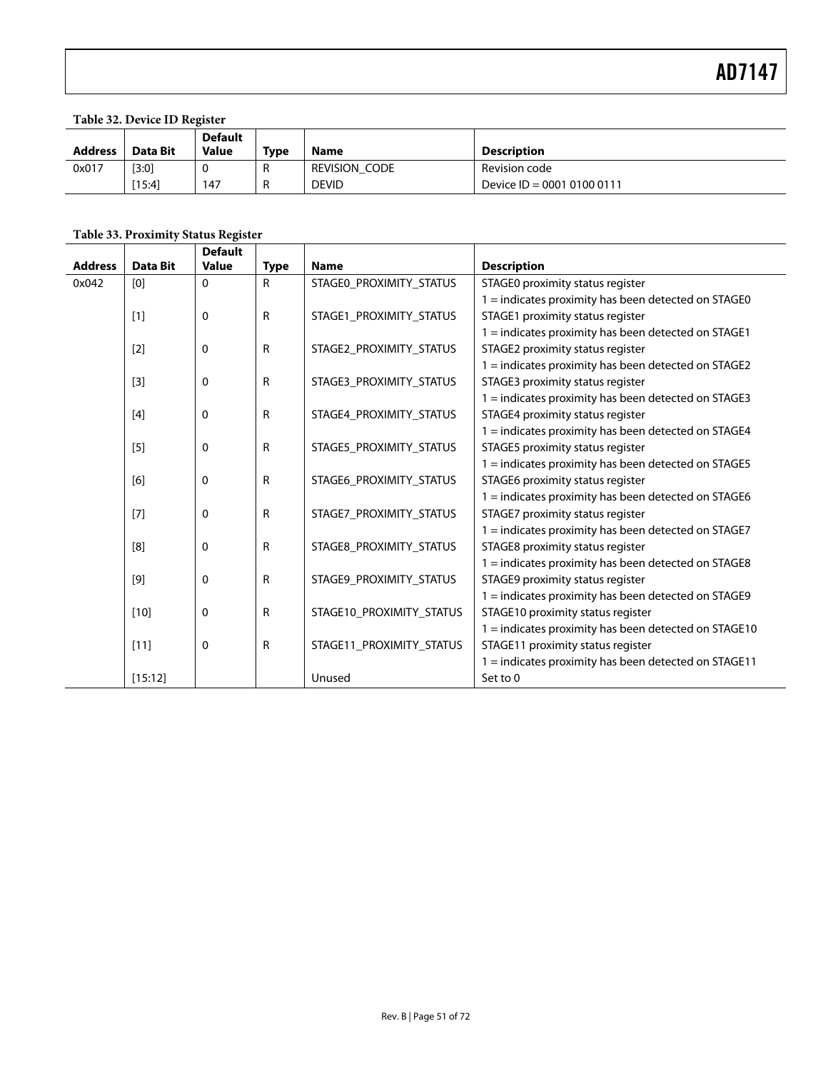#### **Table 32. Device ID Register**

| Address | Data Bit | <b>Default</b><br><b>Value</b> | Type | <b>Name</b>   | <b>Description</b>         |
|---------|----------|--------------------------------|------|---------------|----------------------------|
| 0x017   | $[3:0]$  |                                | R    | REVISION CODE | Revision code              |
|         | [15:4]   | 147                            | R    | <b>DEVID</b>  | Device ID = 0001 0100 0111 |

### **Table 33. Proximity Status Register**

|                |          | <b>Default</b> |             |                          |                                                        |
|----------------|----------|----------------|-------------|--------------------------|--------------------------------------------------------|
| <b>Address</b> | Data Bit | <b>Value</b>   | <b>Type</b> | <b>Name</b>              | <b>Description</b>                                     |
| 0x042          | [0]      | 0              | R           | STAGE0_PROXIMITY_STATUS  | STAGE0 proximity status register                       |
|                |          |                |             |                          | $1 =$ indicates proximity has been detected on STAGE0  |
|                | [1]      | $\mathbf 0$    | R           | STAGE1_PROXIMITY_STATUS  | STAGE1 proximity status register                       |
|                |          |                |             |                          | 1 = indicates proximity has been detected on STAGE1    |
|                | $[2]$    | $\Omega$       | R           | STAGE2_PROXIMITY_STATUS  | STAGE2 proximity status register                       |
|                |          |                |             |                          | $1 =$ indicates proximity has been detected on STAGE2  |
|                | $[3]$    | $\mathbf 0$    | R           | STAGE3_PROXIMITY_STATUS  | STAGE3 proximity status register                       |
|                |          |                |             |                          | 1 = indicates proximity has been detected on STAGE3    |
|                | $[4]$    | 0              | R           | STAGE4_PROXIMITY_STATUS  | STAGE4 proximity status register                       |
|                |          |                |             |                          | 1 = indicates proximity has been detected on STAGE4    |
|                | [5]      | 0              | R           | STAGE5 PROXIMITY STATUS  | STAGE5 proximity status register                       |
|                |          |                |             |                          | 1 = indicates proximity has been detected on STAGE5    |
|                | [6]      | $\mathbf 0$    | R           | STAGE6_PROXIMITY_STATUS  | STAGE6 proximity status register                       |
|                |          |                |             |                          | 1 = indicates proximity has been detected on STAGE6    |
|                | $[7]$    | 0              | R           | STAGE7_PROXIMITY_STATUS  | STAGE7 proximity status register                       |
|                |          |                |             |                          | 1 = indicates proximity has been detected on STAGE7    |
|                | [8]      | 0              | R           | STAGE8_PROXIMITY_STATUS  | STAGE8 proximity status register                       |
|                |          |                |             |                          | 1 = indicates proximity has been detected on STAGE8    |
|                | [9]      | 0              | R           | STAGE9 PROXIMITY STATUS  | STAGE9 proximity status register                       |
|                |          |                |             |                          | 1 = indicates proximity has been detected on STAGE9    |
|                | $[10]$   | $\mathbf 0$    | R           | STAGE10_PROXIMITY_STATUS | STAGE10 proximity status register                      |
|                |          |                |             |                          | $1 =$ indicates proximity has been detected on STAGE10 |
|                | $[11]$   | 0              | R           | STAGE11_PROXIMITY_STATUS | STAGE11 proximity status register                      |
|                |          |                |             |                          | $1 =$ indicates proximity has been detected on STAGE11 |
|                | [15:12]  |                |             | Unused                   | Set to 0                                               |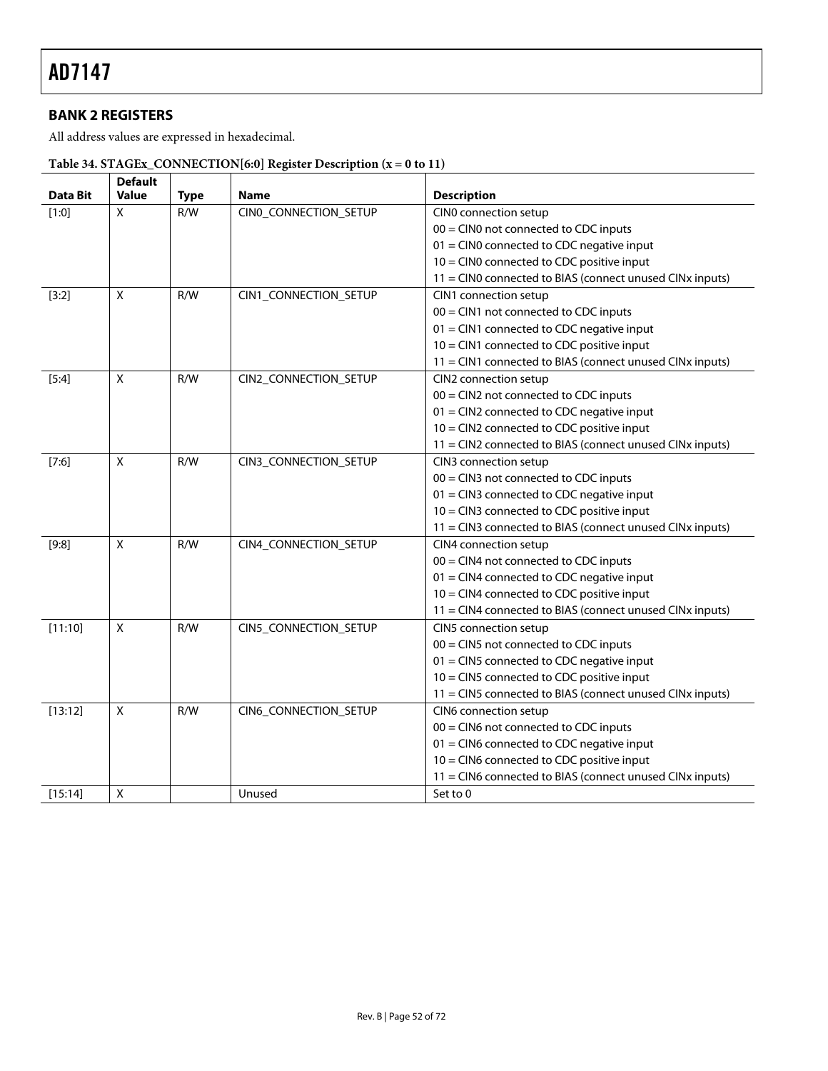### **BANK 2 REGISTERS**

All address values are expressed in hexadecimal.

<span id="page-51-0"></span>

| Table 34. STAGEx_CONNECTION $[6:0]$ Register Description (x = 0 to 11) |            |  |  |  |
|------------------------------------------------------------------------|------------|--|--|--|
|                                                                        | $D$ ofault |  |  |  |

| <b>Data Bit</b> | <b>Default</b><br>Value   | <b>Type</b> | <b>Name</b>           | <b>Description</b>                                       |
|-----------------|---------------------------|-------------|-----------------------|----------------------------------------------------------|
| $[1:0]$         | X                         | R/W         | CINO_CONNECTION_SETUP | CIN0 connection setup                                    |
|                 |                           |             |                       | 00 = CIN0 not connected to CDC inputs                    |
|                 |                           |             |                       | 01 = CIN0 connected to CDC negative input                |
|                 |                           |             |                       | 10 = CIN0 connected to CDC positive input                |
|                 |                           |             |                       | 11 = CIN0 connected to BIAS (connect unused CINx inputs) |
| [3:2]           | X                         | R/W         | CIN1_CONNECTION_SETUP | CIN1 connection setup                                    |
|                 |                           |             |                       | 00 = CIN1 not connected to CDC inputs                    |
|                 |                           |             |                       | 01 = CIN1 connected to CDC negative input                |
|                 |                           |             |                       | 10 = CIN1 connected to CDC positive input                |
|                 |                           |             |                       | 11 = CIN1 connected to BIAS (connect unused CINx inputs) |
| $[5:4]$         | $\boldsymbol{\mathsf{X}}$ | R/W         | CIN2_CONNECTION_SETUP | CIN2 connection setup                                    |
|                 |                           |             |                       | $00 = CIN2$ not connected to CDC inputs                  |
|                 |                           |             |                       | 01 = CIN2 connected to CDC negative input                |
|                 |                           |             |                       | 10 = CIN2 connected to CDC positive input                |
|                 |                           |             |                       | 11 = CIN2 connected to BIAS (connect unused CINx inputs) |
| $[7:6]$         | $\boldsymbol{\mathsf{X}}$ | R/W         | CIN3_CONNECTION_SETUP | CIN3 connection setup                                    |
|                 |                           |             |                       | 00 = CIN3 not connected to CDC inputs                    |
|                 |                           |             |                       | 01 = CIN3 connected to CDC negative input                |
|                 |                           |             |                       | 10 = CIN3 connected to CDC positive input                |
|                 |                           |             |                       | 11 = CIN3 connected to BIAS (connect unused CINx inputs) |
| [9:8]           | X                         | R/W         | CIN4_CONNECTION_SETUP | CIN4 connection setup                                    |
|                 |                           |             |                       | 00 = CIN4 not connected to CDC inputs                    |
|                 |                           |             |                       | 01 = CIN4 connected to CDC negative input                |
|                 |                           |             |                       | 10 = CIN4 connected to CDC positive input                |
|                 |                           |             |                       | 11 = CIN4 connected to BIAS (connect unused CINx inputs) |
| [11:10]         | $\mathsf{x}$              | R/W         | CIN5_CONNECTION_SETUP | CIN5 connection setup                                    |
|                 |                           |             |                       | $00 = C1$ N5 not connected to CDC inputs                 |
|                 |                           |             |                       | $01 = C1$ N5 connected to CDC negative input             |
|                 |                           |             |                       | 10 = CIN5 connected to CDC positive input                |
|                 |                           |             |                       | 11 = CIN5 connected to BIAS (connect unused CINx inputs) |
| [13:12]         | X                         | R/W         | CIN6_CONNECTION_SETUP | CIN6 connection setup                                    |
|                 |                           |             |                       | $00 = C1$ N6 not connected to CDC inputs                 |
|                 |                           |             |                       | 01 = CIN6 connected to CDC negative input                |
|                 |                           |             |                       | 10 = CIN6 connected to CDC positive input                |
|                 |                           |             |                       | 11 = CIN6 connected to BIAS (connect unused CINx inputs) |
| [15:14]         | X                         |             | Unused                | Set to 0                                                 |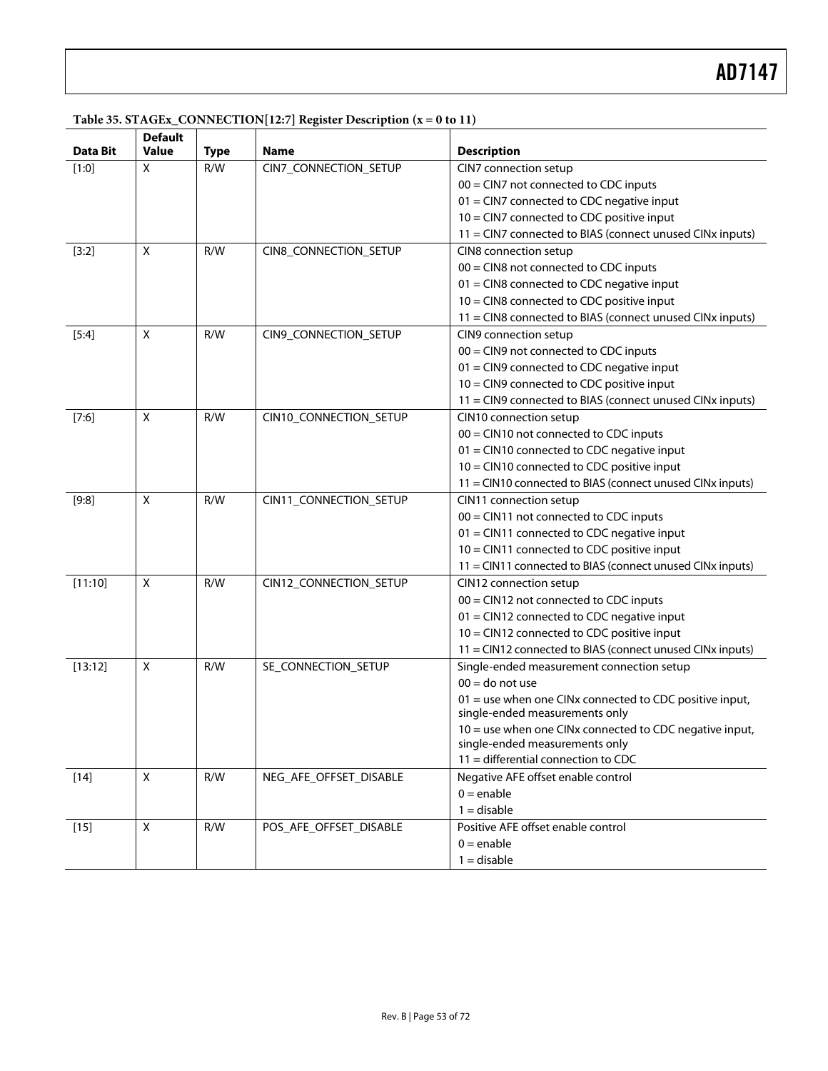<span id="page-52-0"></span>

| <b>Data Bit</b> | <b>Default</b><br><b>Value</b> | <b>Type</b> | Name                   | <b>Description</b>                                        |  |  |
|-----------------|--------------------------------|-------------|------------------------|-----------------------------------------------------------|--|--|
| $[1:0]$         | X                              | R/W         | CIN7_CONNECTION_SETUP  | CIN7 connection setup                                     |  |  |
|                 |                                |             |                        | $00 = CIN7$ not connected to CDC inputs                   |  |  |
|                 |                                |             |                        | 01 = CIN7 connected to CDC negative input                 |  |  |
|                 |                                |             |                        | 10 = CIN7 connected to CDC positive input                 |  |  |
|                 |                                |             |                        | 11 = CIN7 connected to BIAS (connect unused CINx inputs)  |  |  |
| [3:2]           | X                              | R/W         | CIN8_CONNECTION_SETUP  | CIN8 connection setup                                     |  |  |
|                 |                                |             |                        | $00 = C1$ N8 not connected to CDC inputs                  |  |  |
|                 |                                |             |                        | 01 = CIN8 connected to CDC negative input                 |  |  |
|                 |                                |             |                        | 10 = CIN8 connected to CDC positive input                 |  |  |
|                 |                                |             |                        | 11 = CIN8 connected to BIAS (connect unused CINx inputs)  |  |  |
| [5:4]           | X                              | R/W         | CIN9_CONNECTION_SETUP  | CIN9 connection setup                                     |  |  |
|                 |                                |             |                        | 00 = CIN9 not connected to CDC inputs                     |  |  |
|                 |                                |             |                        | 01 = CIN9 connected to CDC negative input                 |  |  |
|                 |                                |             |                        | 10 = CIN9 connected to CDC positive input                 |  |  |
|                 |                                |             |                        | 11 = CIN9 connected to BIAS (connect unused CINx inputs)  |  |  |
| [7:6]           | X                              | R/W         | CIN10_CONNECTION_SETUP | CIN10 connection setup                                    |  |  |
|                 |                                |             |                        | $00 = CIN10$ not connected to CDC inputs                  |  |  |
|                 |                                |             |                        | 01 = CIN10 connected to CDC negative input                |  |  |
|                 |                                |             |                        | 10 = CIN10 connected to CDC positive input                |  |  |
|                 |                                |             |                        | 11 = CIN10 connected to BIAS (connect unused CINx inputs) |  |  |
| [9:8]           | X                              | R/W         | CIN11_CONNECTION_SETUP | CIN11 connection setup                                    |  |  |
|                 |                                |             |                        | $00 = CIN11$ not connected to CDC inputs                  |  |  |
|                 |                                |             |                        | 01 = CIN11 connected to CDC negative input                |  |  |
|                 |                                |             |                        | 10 = CIN11 connected to CDC positive input                |  |  |
|                 |                                |             |                        | 11 = CIN11 connected to BIAS (connect unused CINx inputs) |  |  |
| [11:10]         | X                              | R/W         | CIN12_CONNECTION_SETUP | CIN12 connection setup                                    |  |  |
|                 |                                |             |                        | 00 = CIN12 not connected to CDC inputs                    |  |  |
|                 |                                |             |                        | 01 = CIN12 connected to CDC negative input                |  |  |
|                 |                                |             |                        | 10 = CIN12 connected to CDC positive input                |  |  |
|                 |                                |             |                        | 11 = CIN12 connected to BIAS (connect unused CINx inputs) |  |  |
| [13:12]         | $\mathsf X$                    | R/W         | SE_CONNECTION_SETUP    | Single-ended measurement connection setup                 |  |  |
|                 |                                |             |                        | $00 =$ do not use                                         |  |  |
|                 |                                |             |                        | 01 = use when one CINx connected to CDC positive input,   |  |  |
|                 |                                |             |                        | single-ended measurements only                            |  |  |
|                 |                                |             |                        | 10 = use when one CINx connected to CDC negative input,   |  |  |
|                 |                                |             |                        | single-ended measurements only                            |  |  |
|                 |                                |             |                        | $11 =$ differential connection to CDC                     |  |  |
| $[14]$          | $\mathsf{X}$                   | R/W         | NEG_AFE_OFFSET_DISABLE | Negative AFE offset enable control                        |  |  |
|                 |                                |             |                        | $0 =$ enable                                              |  |  |
|                 |                                |             |                        | $1 =$ disable                                             |  |  |
| $[15]$          | X                              | R/W         | POS_AFE_OFFSET_DISABLE | Positive AFE offset enable control                        |  |  |
|                 |                                |             |                        | $0 =$ enable                                              |  |  |
|                 |                                |             |                        | $1 =$ disable                                             |  |  |

### **Table 35. STAGEx\_CONNECTION[12:7] Register Description (x = 0 to 11)**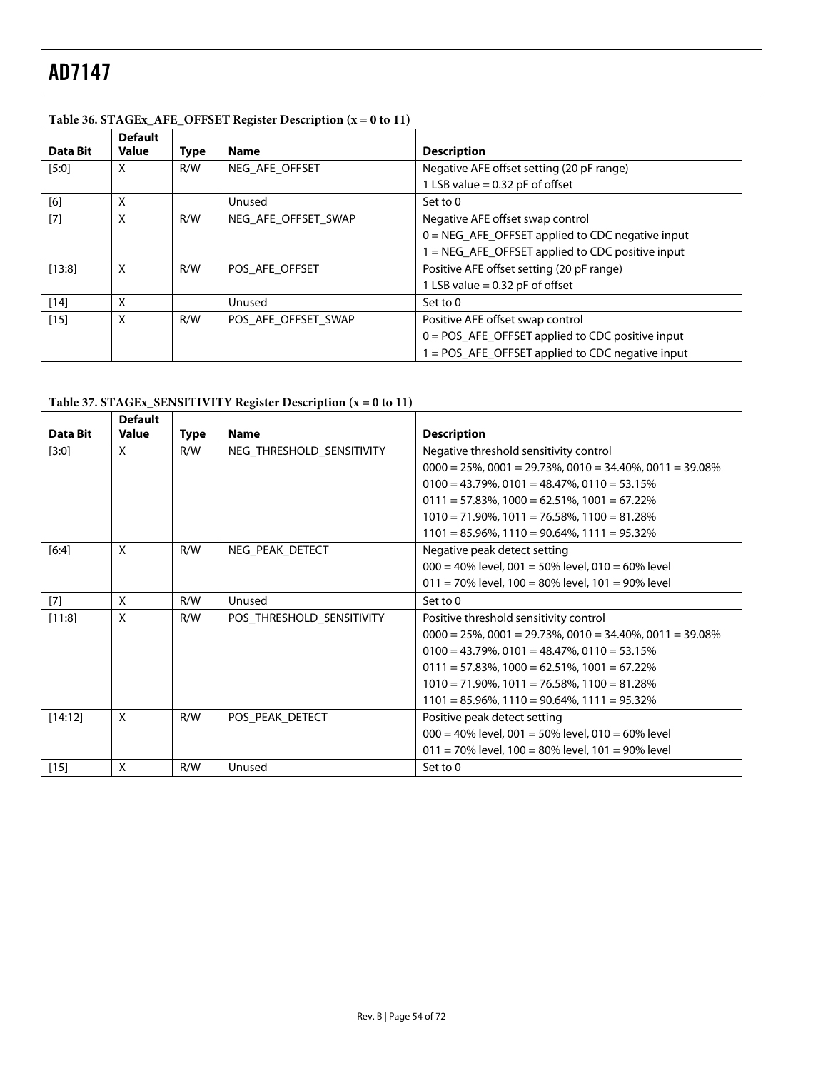<span id="page-53-0"></span>

| Data Bit | <b>Default</b><br><b>Value</b> | <b>Type</b> | <b>Name</b>                                                 | <b>Description</b>                                     |
|----------|--------------------------------|-------------|-------------------------------------------------------------|--------------------------------------------------------|
| [5:0]    | X                              | R/W         | NEG AFE OFFSET                                              | Negative AFE offset setting (20 pF range)              |
|          |                                |             |                                                             | 1 LSB value $= 0.32$ pF of offset                      |
| [6]      | X                              |             | Unused                                                      | Set to 0                                               |
| $[7]$    | X                              | R/W         | NEG AFE OFFSET SWAP                                         | Negative AFE offset swap control                       |
|          |                                |             |                                                             | 0 = NEG_AFE_OFFSET applied to CDC negative input       |
|          |                                |             |                                                             | 1 = NEG_AFE_OFFSET applied to CDC positive input       |
| [13:8]   | X                              | R/W         | Positive AFE offset setting (20 pF range)<br>POS AFE OFFSET |                                                        |
|          |                                |             |                                                             | 1 LSB value $= 0.32$ pF of offset                      |
| $[14]$   | X                              |             | Unused                                                      | Set to 0                                               |
| $[15]$   | X                              | R/W         | POS AFE OFFSET SWAP                                         | Positive AFE offset swap control                       |
|          |                                |             |                                                             | $0 = POS_{A}$ AFE_OFFSET applied to CDC positive input |
|          |                                |             |                                                             | 1 = POS_AFE_OFFSET applied to CDC negative input       |

### **Table 36. STAGEx\_AFE\_OFFSET Register Description (x = 0 to 11)**

**Table 37. STAGEx\_SENSITIVITY Register Description (x = 0 to 11)** 

<span id="page-53-1"></span>

|          | <b>Default</b> |      |                           |                                                                        |
|----------|----------------|------|---------------------------|------------------------------------------------------------------------|
| Data Bit | Value          | Type | <b>Name</b>               | <b>Description</b>                                                     |
| $[3:0]$  | $\mathsf{x}$   | R/W  | NEG_THRESHOLD_SENSITIVITY | Negative threshold sensitivity control                                 |
|          |                |      |                           | $0000 = 25\%$ , $0001 = 29.73\%$ , $0010 = 34.40\%$ , $0011 = 39.08\%$ |
|          |                |      |                           | $0100 = 43.79\%$ , $0101 = 48.47\%$ , $0110 = 53.15\%$                 |
|          |                |      |                           | $0111 = 57.83\%$ , $1000 = 62.51\%$ , $1001 = 67.22\%$                 |
|          |                |      |                           | $1010 = 71.90\%$ , $1011 = 76.58\%$ , $1100 = 81.28\%$                 |
|          |                |      |                           | $1101 = 85.96\%$ , $1110 = 90.64\%$ , $1111 = 95.32\%$                 |
| $[6:4]$  | $\mathsf{x}$   | R/W  | NEG_PEAK_DETECT           | Negative peak detect setting                                           |
|          |                |      |                           | $000 = 40\%$ level, 001 = 50% level, 010 = 60% level                   |
|          |                |      |                           | $011 = 70\%$ level, $100 = 80\%$ level, $101 = 90\%$ level             |
| $[7]$    | X              | R/W  | Unused                    | Set to 0                                                               |
| [11:8]   | X              | R/W  | POS_THRESHOLD_SENSITIVITY | Positive threshold sensitivity control                                 |
|          |                |      |                           | $0000 = 25\%$ , $0001 = 29.73\%$ , $0010 = 34.40\%$ , $0011 = 39.08\%$ |
|          |                |      |                           | $0100 = 43.79\%$ , $0101 = 48.47\%$ , $0110 = 53.15\%$                 |
|          |                |      |                           | $0111 = 57.83\%$ , $1000 = 62.51\%$ , $1001 = 67.22\%$                 |
|          |                |      |                           | $1010 = 71.90\%$ , $1011 = 76.58\%$ , $1100 = 81.28\%$                 |
|          |                |      |                           | $1101 = 85.96\%$ , $1110 = 90.64\%$ , $1111 = 95.32\%$                 |
| [14:12]  | $\mathsf{x}$   | R/W  | POS PEAK DETECT           | Positive peak detect setting                                           |
|          |                |      |                           | $000 = 40\%$ level, 001 = 50% level, 010 = 60% level                   |
|          |                |      |                           | $011 = 70\%$ level, $100 = 80\%$ level, $101 = 90\%$ level             |
| $[15]$   | X              | R/W  | Unused                    | Set to 0                                                               |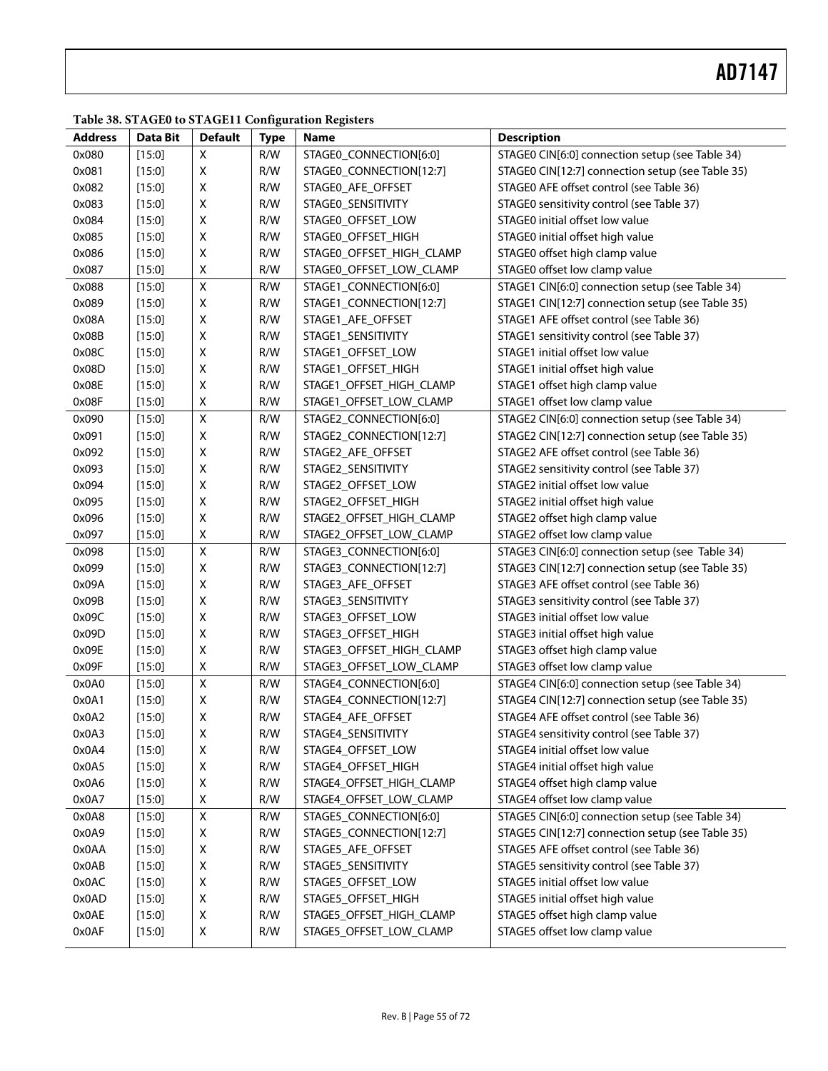#### **Table 38. STAGE0 to STAGE11 Configuration Registers**

| <b>Address</b> | <b>Data Bit</b> | <b>Default</b>     | Ō<br><b>Type</b> | ----- <del>.</del><br>Name | <b>Description</b>                               |
|----------------|-----------------|--------------------|------------------|----------------------------|--------------------------------------------------|
| 0x080          | [15:0]          | X                  | R/W              | STAGE0_CONNECTION[6:0]     | STAGE0 CIN[6:0] connection setup (see Table 34)  |
| 0x081          | [15:0]          | X                  | R/W              | STAGEO_CONNECTION[12:7]    | STAGE0 CIN[12:7] connection setup (see Table 35) |
| 0x082          | [15:0]          | Χ                  | R/W              | STAGEO AFE OFFSET          | STAGE0 AFE offset control (see Table 36)         |
| 0x083          | [15:0]          | Χ                  | R/W              | STAGEO_SENSITIVITY         | STAGE0 sensitivity control (see Table 37)        |
| 0x084          | [15:0]          | $\pmb{\mathsf{X}}$ | R/W              | STAGEO OFFSET LOW          | STAGE0 initial offset low value                  |
| 0x085          | [15:0]          | $\pmb{\mathsf{X}}$ | R/W              | STAGEO OFFSET HIGH         | STAGE0 initial offset high value                 |
| 0x086          | [15:0]          | $\pmb{\mathsf{X}}$ | R/W              | STAGEO OFFSET HIGH CLAMP   | STAGE0 offset high clamp value                   |
| 0x087          | [15:0]          | $\pmb{\mathsf{X}}$ | R/W              | STAGE0_OFFSET_LOW_CLAMP    | STAGE0 offset low clamp value                    |
| 0x088          | [15:0]          | $\mathsf X$        | R/W              | STAGE1_CONNECTION[6:0]     | STAGE1 CIN[6:0] connection setup (see Table 34)  |
| 0x089          | [15:0]          | $\pmb{\mathsf{X}}$ | R/W              | STAGE1_CONNECTION[12:7]    | STAGE1 CIN[12:7] connection setup (see Table 35) |
| 0x08A          | [15:0]          | $\pmb{\mathsf{X}}$ | R/W              | STAGE1_AFE_OFFSET          | STAGE1 AFE offset control (see Table 36)         |
| 0x08B          | [15:0]          | $\pmb{\mathsf{X}}$ | R/W              | STAGE1_SENSITIVITY         | STAGE1 sensitivity control (see Table 37)        |
| 0x08C          | [15:0]          | $\pmb{\mathsf{X}}$ | R/W              | STAGE1_OFFSET_LOW          | STAGE1 initial offset low value                  |
| 0x08D          | [15:0]          | $\pmb{\mathsf{X}}$ | R/W              | STAGE1_OFFSET_HIGH         | STAGE1 initial offset high value                 |
| 0x08E          | [15:0]          | $\pmb{\mathsf{X}}$ | R/W              | STAGE1_OFFSET_HIGH_CLAMP   | STAGE1 offset high clamp value                   |
| 0x08F          | [15:0]          | $\pmb{\mathsf{X}}$ | R/W              | STAGE1_OFFSET_LOW_CLAMP    | STAGE1 offset low clamp value                    |
| 0x090          | [15:0]          | $\mathsf X$        | R/W              | STAGE2_CONNECTION[6:0]     | STAGE2 CIN[6:0] connection setup (see Table 34)  |
| 0x091          | [15:0]          | $\pmb{\mathsf{X}}$ | R/W              | STAGE2_CONNECTION[12:7]    | STAGE2 CIN[12:7] connection setup (see Table 35) |
| 0x092          | [15:0]          | $\pmb{\mathsf{X}}$ | R/W              | STAGE2_AFE_OFFSET          | STAGE2 AFE offset control (see Table 36)         |
| 0x093          | [15:0]          | $\pmb{\mathsf{X}}$ | R/W              | STAGE2_SENSITIVITY         | STAGE2 sensitivity control (see Table 37)        |
| 0x094          | [15:0]          | $\pmb{\mathsf{X}}$ | R/W              | STAGE2_OFFSET_LOW          | STAGE2 initial offset low value                  |
| 0x095          | [15:0]          | $\pmb{\mathsf{X}}$ | R/W              | STAGE2_OFFSET_HIGH         | STAGE2 initial offset high value                 |
| 0x096          | [15:0]          | $\pmb{\mathsf{X}}$ | R/W              | STAGE2_OFFSET_HIGH_CLAMP   | STAGE2 offset high clamp value                   |
| 0x097          | [15:0]          | $\pmb{\mathsf{X}}$ | R/W              | STAGE2_OFFSET_LOW_CLAMP    | STAGE2 offset low clamp value                    |
| 0x098          | [15:0]          | $\mathsf X$        | R/W              | STAGE3_CONNECTION[6:0]     | STAGE3 CIN[6:0] connection setup (see Table 34)  |
| 0x099          | [15:0]          | X                  | R/W              | STAGE3_CONNECTION[12:7]    | STAGE3 CIN[12:7] connection setup (see Table 35) |
| 0x09A          | [15:0]          | Χ                  | R/W              | STAGE3_AFE_OFFSET          | STAGE3 AFE offset control (see Table 36)         |
| 0x09B          | [15:0]          | Χ                  | R/W              | STAGE3_SENSITIVITY         | STAGE3 sensitivity control (see Table 37)        |
| 0x09C          | [15:0]          | Χ                  | R/W              | STAGE3_OFFSET_LOW          | STAGE3 initial offset low value                  |
| 0x09D          | [15:0]          | Χ                  | R/W              | STAGE3_OFFSET_HIGH         | STAGE3 initial offset high value                 |
| 0x09E          | [15:0]          | $\pmb{\mathsf{X}}$ | R/W              | STAGE3_OFFSET_HIGH_CLAMP   | STAGE3 offset high clamp value                   |
| 0x09F          | [15:0]          | $\pmb{\mathsf{X}}$ | R/W              | STAGE3_OFFSET_LOW_CLAMP    | STAGE3 offset low clamp value                    |
| 0x0A0          | [15:0]          | $\pmb{\mathsf{X}}$ | R/W              | STAGE4 CONNECTION[6:0]     | STAGE4 CIN[6:0] connection setup (see Table 34)  |
| 0x0A1          | [15:0]          | $\pmb{\mathsf{X}}$ | R/W              | STAGE4_CONNECTION[12:7]    | STAGE4 CIN[12:7] connection setup (see Table 35) |
| 0x0A2          | [15:0]          | $\pmb{\mathsf{X}}$ | R/W              | STAGE4_AFE_OFFSET          | STAGE4 AFE offset control (see Table 36)         |
| 0x0A3          | [15:0]          | Χ                  | R/W              | STAGE4_SENSITIVITY         | STAGE4 sensitivity control (see Table 37)        |
| 0x0A4          | [15:0]          | $\pmb{\mathsf{X}}$ | R/W              | STAGE4_OFFSET_LOW          | STAGE4 initial offset low value                  |
| 0x0A5          | [15:0]          | Χ                  | R/W              | STAGE4_OFFSET_HIGH         | STAGE4 initial offset high value                 |
| 0x0A6          | $[15:0]$        | Χ                  | R/W              | STAGE4_OFFSET_HIGH_CLAMP   | STAGE4 offset high clamp value                   |
| 0x0A7          | [15:0]          | $\pmb{\mathsf{X}}$ | R/W              | STAGE4_OFFSET_LOW_CLAMP    | STAGE4 offset low clamp value                    |
| 0x0A8          | [15:0]          | $\mathsf X$        | R/W              | STAGE5_CONNECTION[6:0]     | STAGE5 CIN[6:0] connection setup (see Table 34)  |
| 0x0A9          | [15:0]          | X                  | R/W              | STAGE5_CONNECTION[12:7]    | STAGE5 CIN[12:7] connection setup (see Table 35) |
| 0x0AA          | [15:0]          | $\pmb{\mathsf{X}}$ | R/W              | STAGE5_AFE_OFFSET          | STAGE5 AFE offset control (see Table 36)         |
| 0x0AB          | [15:0]          | Χ                  | R/W              | STAGE5_SENSITIVITY         | STAGE5 sensitivity control (see Table 37)        |
| 0x0AC          | [15:0]          | Χ                  | R/W              | STAGE5_OFFSET_LOW          | STAGE5 initial offset low value                  |
| 0x0AD          | [15:0]          | Χ                  | R/W              | STAGE5_OFFSET_HIGH         | STAGE5 initial offset high value                 |
| 0x0AE          | [15:0]          | Χ                  | R/W              | STAGE5_OFFSET_HIGH_CLAMP   | STAGE5 offset high clamp value                   |
| 0x0AF          | [15:0]          | $\mathsf X$        | R/W              | STAGE5_OFFSET_LOW_CLAMP    | STAGE5 offset low clamp value                    |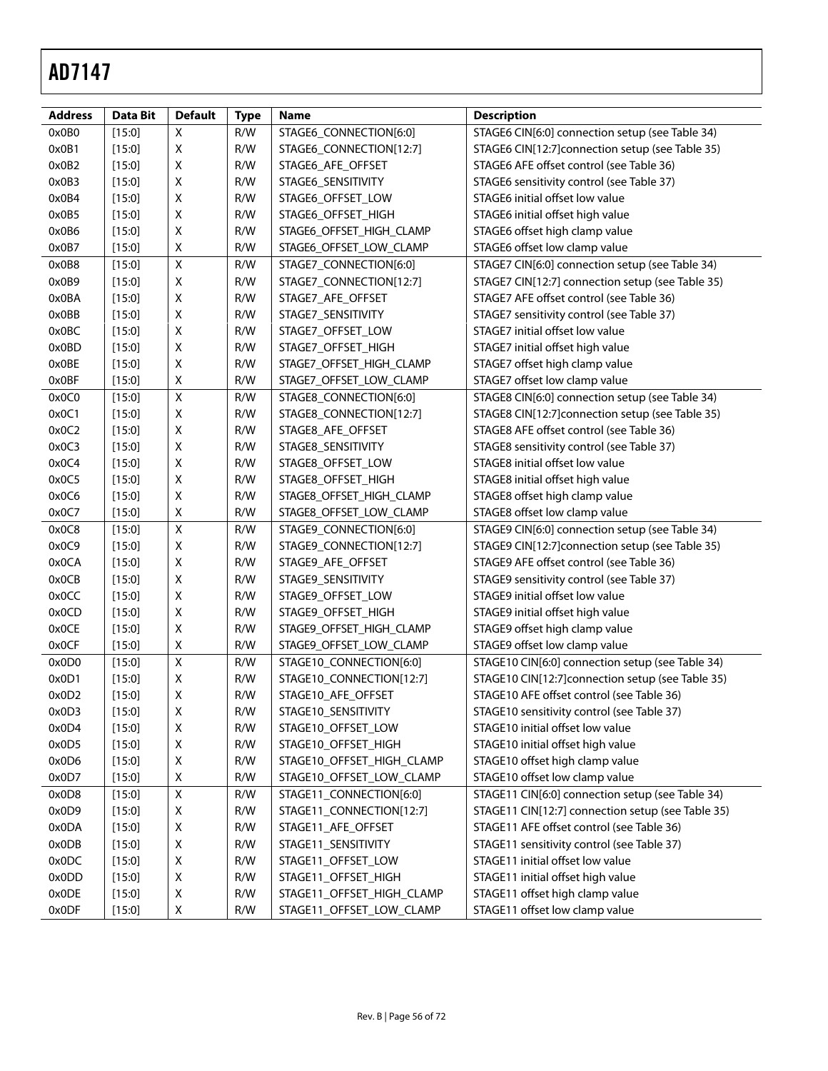| <b>Address</b> | Data Bit         | <b>Default</b>          | <b>Type</b> | <b>Name</b>               | <b>Description</b>                                |  |
|----------------|------------------|-------------------------|-------------|---------------------------|---------------------------------------------------|--|
| 0x0B0          | [15:0]           | X                       | R/W         | STAGE6_CONNECTION[6:0]    | STAGE6 CIN[6:0] connection setup (see Table 34)   |  |
| 0x0B1          | [15:0]           | X                       | R/W         | STAGE6_CONNECTION[12:7]   | STAGE6 CIN[12:7] connection setup (see Table 35)  |  |
| 0x0B2          | [15:0]           | Χ                       | R/W         | STAGE6 AFE OFFSET         | STAGE6 AFE offset control (see Table 36)          |  |
| 0x0B3          | [15:0]           | Χ                       | R/W         | STAGE6 SENSITIVITY        | STAGE6 sensitivity control (see Table 37)         |  |
| 0x0B4          | [15:0]           | X                       | R/W         | STAGE6 OFFSET LOW         | STAGE6 initial offset low value                   |  |
| 0x0B5          | [15:0]           | Χ                       | R/W         | STAGE6_OFFSET_HIGH        | STAGE6 initial offset high value                  |  |
| 0x0B6          | [15:0]           | Χ                       | R/W         | STAGE6_OFFSET_HIGH_CLAMP  | STAGE6 offset high clamp value                    |  |
| 0x0B7          | [15:0]           | Χ                       | R/W         | STAGE6_OFFSET_LOW_CLAMP   | STAGE6 offset low clamp value                     |  |
| 0x0B8          | [15:0]           | $\pmb{\mathsf{X}}$      | R/W         | STAGE7_CONNECTION[6:0]    | STAGE7 CIN[6:0] connection setup (see Table 34)   |  |
| 0x0B9          | [15:0]           | Χ                       | R/W         | STAGE7_CONNECTION[12:7]   | STAGE7 CIN[12:7] connection setup (see Table 35)  |  |
| 0x0BA          | [15:0]           | X                       | R/W         | STAGE7_AFE_OFFSET         | STAGE7 AFE offset control (see Table 36)          |  |
| 0x0BB          | [15:0]           | X                       | R/W         | STAGE7_SENSITIVITY        | STAGE7 sensitivity control (see Table 37)         |  |
| 0x0BC          | [15:0]           | Χ                       | R/W         | STAGE7_OFFSET_LOW         | STAGE7 initial offset low value                   |  |
| 0x0BD          | [15:0]           | Χ                       | R/W         | STAGE7_OFFSET_HIGH        | STAGE7 initial offset high value                  |  |
| 0x0BE          | [15:0]           | Χ                       | R/W         | STAGE7_OFFSET_HIGH_CLAMP  | STAGE7 offset high clamp value                    |  |
| 0x0BF          | [15:0]           | Χ                       | R/W         | STAGE7_OFFSET_LOW_CLAMP   | STAGE7 offset low clamp value                     |  |
| 0x0C0          |                  | $\pmb{\mathsf{X}}$      | R/W         | STAGE8_CONNECTION[6:0]    | STAGE8 CIN[6:0] connection setup (see Table 34)   |  |
| 0x0C1          | [15:0]<br>[15:0] | X                       | R/W         |                           |                                                   |  |
|                |                  |                         |             | STAGE8_CONNECTION[12:7]   | STAGE8 CIN[12:7] connection setup (see Table 35)  |  |
| 0x0C2          | [15:0]           | Χ                       | R/W         | STAGE8_AFE_OFFSET         | STAGE8 AFE offset control (see Table 36)          |  |
| 0x0C3          | [15:0]           | Χ                       | R/W         | STAGE8_SENSITIVITY        | STAGE8 sensitivity control (see Table 37)         |  |
| 0x0C4          | [15:0]           | Χ                       | R/W         | STAGE8_OFFSET_LOW         | STAGE8 initial offset low value                   |  |
| 0x0C5          | [15:0]           | Χ                       | R/W         | STAGE8_OFFSET_HIGH        | STAGE8 initial offset high value                  |  |
| 0x0C6          | [15:0]           | Χ                       | R/W         | STAGE8_OFFSET_HIGH_CLAMP  | STAGE8 offset high clamp value                    |  |
| 0x0C7          | [15:0]           | Χ<br>$\pmb{\mathsf{X}}$ | R/W         | STAGE8_OFFSET_LOW_CLAMP   | STAGE8 offset low clamp value                     |  |
| 0x0C8          | [15:0]           |                         | R/W         | STAGE9_CONNECTION[6:0]    | STAGE9 CIN[6:0] connection setup (see Table 34)   |  |
| 0x0C9          | [15:0]           | X                       | R/W         | STAGE9_CONNECTION[12:7]   | STAGE9 CIN[12:7] connection setup (see Table 35)  |  |
| 0x0CA          | [15:0]           | Χ                       | R/W         | STAGE9_AFE_OFFSET         | STAGE9 AFE offset control (see Table 36)          |  |
| 0x0CB          | [15:0]           | Χ                       | R/W         | STAGE9_SENSITIVITY        | STAGE9 sensitivity control (see Table 37)         |  |
| 0x0CC          | [15:0]           | Χ                       | R/W         | STAGE9_OFFSET_LOW         | STAGE9 initial offset low value                   |  |
| 0x0CD          | [15:0]           | Χ                       | R/W         | STAGE9_OFFSET_HIGH        | STAGE9 initial offset high value                  |  |
| 0x0CE          | [15:0]           | Χ                       | R/W         | STAGE9 OFFSET HIGH CLAMP  | STAGE9 offset high clamp value                    |  |
| 0x0CF          | [15:0]           | Χ                       | R/W         | STAGE9_OFFSET_LOW_CLAMP   | STAGE9 offset low clamp value                     |  |
| 0x0D0          | [15:0]           | $\mathsf X$             | R/W         | STAGE10_CONNECTION[6:0]   | STAGE10 CIN[6:0] connection setup (see Table 34)  |  |
| 0x0D1          | [15:0]           | Χ                       | R/W         | STAGE10_CONNECTION[12:7]  | STAGE10 CIN[12:7] connection setup (see Table 35) |  |
| 0x0D2          | [15:0]           | Χ                       | R/W         | STAGE10_AFE_OFFSET        | STAGE10 AFE offset control (see Table 36)         |  |
| 0x0D3          | [15:0]           | Χ                       | R/W         | STAGE10_SENSITIVITY       | STAGE10 sensitivity control (see Table 37)        |  |
| 0x0D4          | [15:0]           | Χ                       | R/W         | STAGE10_OFFSET_LOW        | STAGE10 initial offset low value                  |  |
| 0x0D5          | [15:0]           | Χ                       | R/W         | STAGE10_OFFSET_HIGH       | STAGE10 initial offset high value                 |  |
| 0x0D6          | [15:0]           | Χ                       | R/W         | STAGE10_OFFSET_HIGH_CLAMP | STAGE10 offset high clamp value                   |  |
| 0x0D7          | [15:0]           | Χ                       | R/W         | STAGE10_OFFSET_LOW_CLAMP  | STAGE10 offset low clamp value                    |  |
| 0x0D8          | [15:0]           | Χ                       | R/W         | STAGE11_CONNECTION[6:0]   | STAGE11 CIN[6:0] connection setup (see Table 34)  |  |
| 0x0D9          | [15:0]           | Χ                       | R/W         | STAGE11_CONNECTION[12:7]  | STAGE11 CIN[12:7] connection setup (see Table 35) |  |
| 0x0DA          | [15:0]           | Χ                       | R/W         | STAGE11_AFE_OFFSET        | STAGE11 AFE offset control (see Table 36)         |  |
| 0x0DB          | [15:0]           | Χ                       | R/W         | STAGE11_SENSITIVITY       | STAGE11 sensitivity control (see Table 37)        |  |
| 0x0DC          | [15:0]           | Χ                       | R/W         | STAGE11_OFFSET_LOW        | STAGE11 initial offset low value                  |  |
| 0x0DD          | [15:0]           | Χ                       | R/W         | STAGE11_OFFSET_HIGH       | STAGE11 initial offset high value                 |  |
| 0x0DE          | [15:0]           | Χ                       | R/W         | STAGE11_OFFSET_HIGH_CLAMP | STAGE11 offset high clamp value                   |  |
| 0x0DF          | [15:0]           | Χ                       | R/W         | STAGE11_OFFSET_LOW_CLAMP  | STAGE11 offset low clamp value                    |  |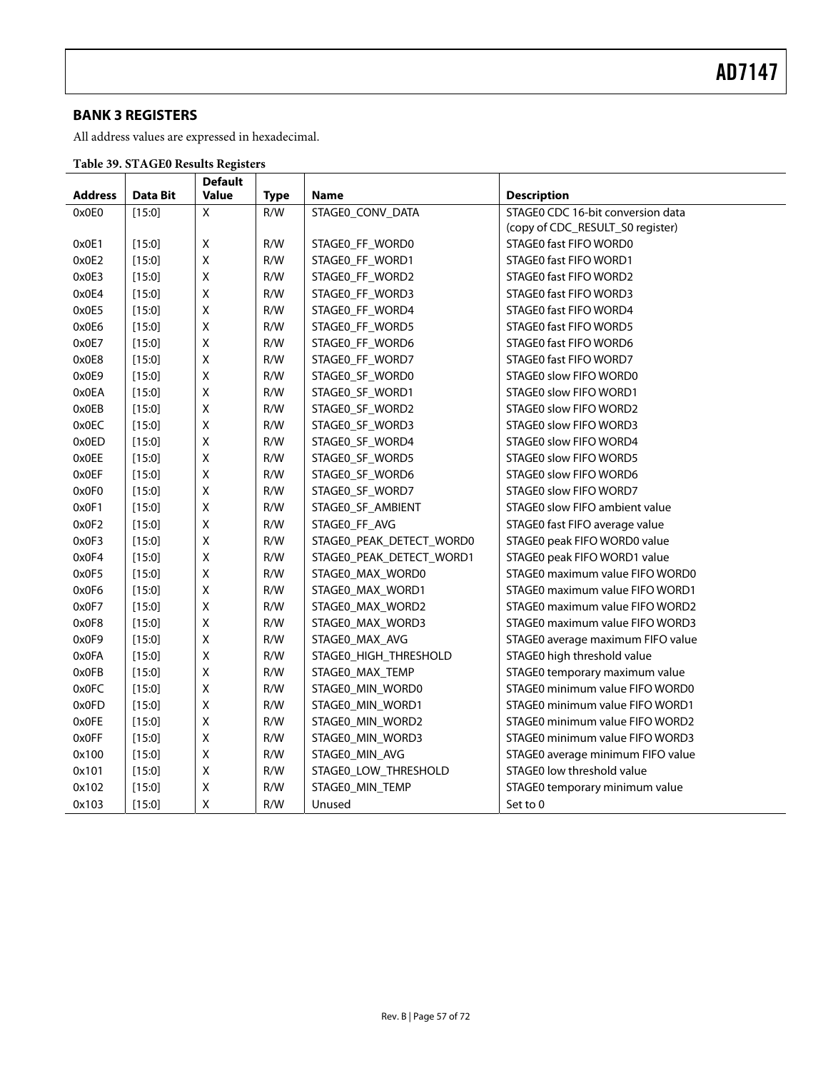### **BANK 3 REGISTERS**

All address values are expressed in hexadecimal.

|  |  |  | Table 39. STAGE0 Results Registers |
|--|--|--|------------------------------------|
|--|--|--|------------------------------------|

|                |          | <b>Default</b>     |             |                          |                                   |
|----------------|----------|--------------------|-------------|--------------------------|-----------------------------------|
| <b>Address</b> | Data Bit | <b>Value</b>       | <b>Type</b> | Name                     | <b>Description</b>                |
| 0x0E0          | [15:0]   | X                  | R/W         | STAGE0_CONV_DATA         | STAGEO CDC 16-bit conversion data |
|                |          |                    |             |                          | (copy of CDC_RESULT_S0 register)  |
| 0x0E1          | [15:0]   | Χ                  | R/W         | STAGE0_FF_WORD0          | STAGE0 fast FIFO WORD0            |
| 0x0E2          | [15:0]   | $\pmb{\mathsf{X}}$ | R/W         | STAGE0_FF_WORD1          | STAGE0 fast FIFO WORD1            |
| 0x0E3          | [15:0]   | $\pmb{\mathsf{X}}$ | R/W         | STAGEO FF WORD2          | STAGE0 fast FIFO WORD2            |
| 0x0E4          | [15:0]   | Χ                  | R/W         | STAGE0_FF_WORD3          | STAGE0 fast FIFO WORD3            |
| 0x0E5          | [15:0]   | Χ                  | R/W         | STAGEO FF WORD4          | STAGE0 fast FIFO WORD4            |
| 0x0E6          | [15:0]   | Χ                  | R/W         | STAGE0_FF_WORD5          | STAGE0 fast FIFO WORD5            |
| 0x0E7          | [15:0]   | Χ                  | R/W         | STAGE0_FF_WORD6          | STAGE0 fast FIFO WORD6            |
| 0x0E8          | [15:0]   | $\pmb{\mathsf{X}}$ | R/W         | STAGE0_FF_WORD7          | STAGE0 fast FIFO WORD7            |
| 0x0E9          | [15:0]   | X                  | R/W         | STAGEO SF WORDO          | STAGE0 slow FIFO WORD0            |
| 0x0EA          | [15:0]   | х                  | R/W         | STAGEO SF WORD1          | STAGE0 slow FIFO WORD1            |
| 0x0EB          | [15:0]   | Χ                  | R/W         | STAGEO SF WORD2          | STAGE0 slow FIFO WORD2            |
| 0x0EC          | [15:0]   | $\pmb{\mathsf{X}}$ | R/W         | STAGE0_SF_WORD3          | STAGE0 slow FIFO WORD3            |
| 0x0ED          | [15:0]   | Χ                  | R/W         | STAGEO SF WORD4          | STAGE0 slow FIFO WORD4            |
| 0x0EE          | [15:0]   | Χ                  | R/W         | STAGE0_SF_WORD5          | STAGE0 slow FIFO WORD5            |
| 0x0EF          | [15:0]   | Χ                  | R/W         | STAGEO SF WORD6          | STAGEO slow FIFO WORD6            |
| 0x0F0          | [15:0]   | $\pmb{\mathsf{X}}$ | R/W         | STAGEO SF WORD7          | STAGE0 slow FIFO WORD7            |
| 0x0F1          | [15:0]   | Χ                  | R/W         | STAGE0_SF_AMBIENT        | STAGE0 slow FIFO ambient value    |
| 0x0F2          | [15:0]   | X                  | R/W         | STAGEO_FF_AVG            | STAGE0 fast FIFO average value    |
| 0x0F3          | [15:0]   | $\pmb{\mathsf{X}}$ | R/W         | STAGE0_PEAK_DETECT_WORD0 | STAGE0 peak FIFO WORD0 value      |
| 0x0F4          | [15:0]   | $\pmb{\mathsf{X}}$ | R/W         | STAGE0_PEAK_DETECT_WORD1 | STAGE0 peak FIFO WORD1 value      |
| 0x0F5          | [15:0]   | Χ                  | R/W         | STAGE0_MAX_WORD0         | STAGE0 maximum value FIFO WORD0   |
| 0x0F6          | [15:0]   | Χ                  | R/W         | STAGE0_MAX_WORD1         | STAGE0 maximum value FIFO WORD1   |
| 0x0F7          | [15:0]   | Χ                  | R/W         | STAGE0_MAX_WORD2         | STAGE0 maximum value FIFO WORD2   |
| 0x0F8          | [15:0]   | Χ                  | R/W         | STAGE0_MAX_WORD3         | STAGE0 maximum value FIFO WORD3   |
| 0x0F9          | [15:0]   | $\pmb{\mathsf{X}}$ | R/W         | STAGEO MAX AVG           | STAGE0 average maximum FIFO value |
| 0x0FA          | [15:0]   | Χ                  | R/W         | STAGE0_HIGH_THRESHOLD    | STAGE0 high threshold value       |
| 0x0FB          | [15:0]   | X                  | R/W         | STAGE0_MAX_TEMP          | STAGE0 temporary maximum value    |
| 0x0FC          | [15:0]   | Χ                  | R/W         | STAGE0_MIN_WORD0         | STAGE0 minimum value FIFO WORD0   |
| 0x0FD          | [15:0]   | Χ                  | R/W         | STAGEO MIN WORD1         | STAGE0 minimum value FIFO WORD1   |
| 0x0FE          | [15:0]   | Χ                  | R/W         | STAGEO MIN WORD2         | STAGE0 minimum value FIFO WORD2   |
| 0x0FF          | [15:0]   | Χ                  | R/W         | STAGE0_MIN_WORD3         | STAGE0 minimum value FIFO WORD3   |
| 0x100          | [15:0]   | Χ                  | R/W         | STAGEO_MIN_AVG           | STAGE0 average minimum FIFO value |
| 0x101          | [15:0]   | Χ                  | R/W         | STAGE0_LOW_THRESHOLD     | STAGE0 low threshold value        |
| 0x102          | [15:0]   | Χ                  | R/W         | STAGE0_MIN_TEMP          | STAGE0 temporary minimum value    |
| 0x103          | [15:0]   | $\mathsf{X}$       | R/W         | Unused                   | Set to 0                          |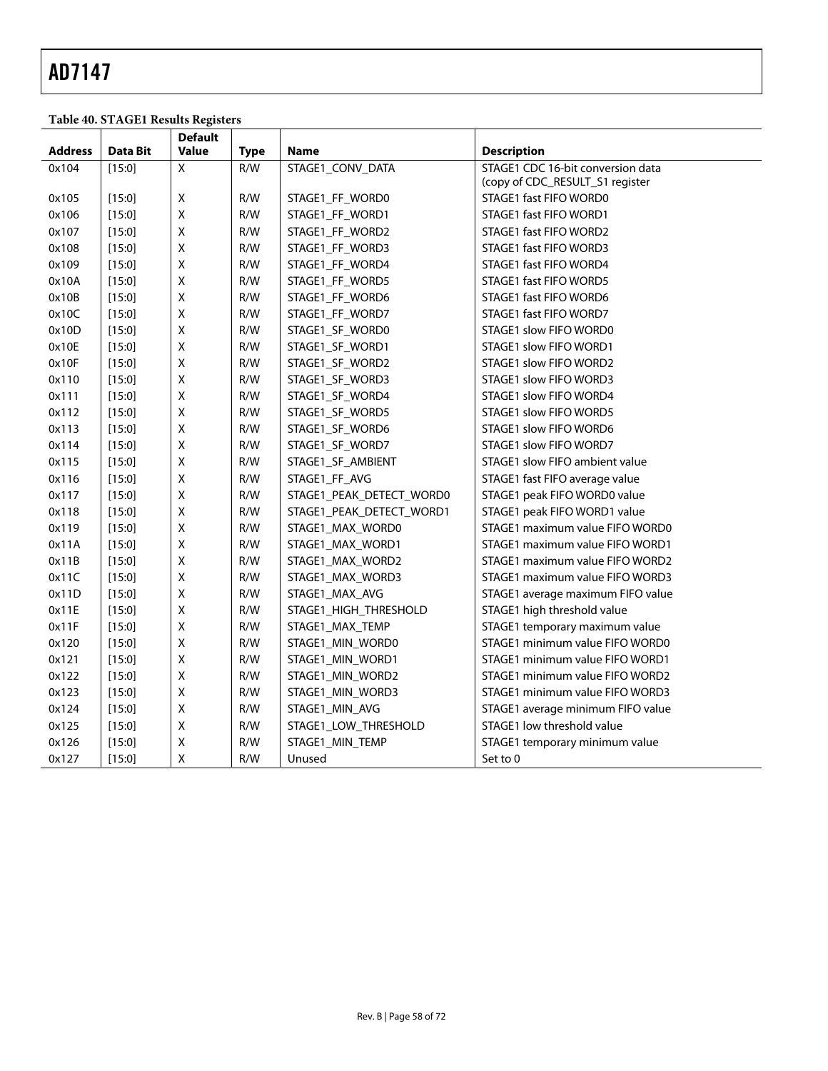**Table 40. STAGE1 Results Registers** 

|                |                 | <b>Default</b>     |             |                          |                                   |
|----------------|-----------------|--------------------|-------------|--------------------------|-----------------------------------|
| <b>Address</b> | <b>Data Bit</b> | <b>Value</b>       | <b>Type</b> | <b>Name</b>              | <b>Description</b>                |
| 0x104          | [15:0]          | $\mathsf{X}$       | R/W         | STAGE1_CONV_DATA         | STAGE1 CDC 16-bit conversion data |
|                |                 |                    |             |                          | (copy of CDC_RESULT_S1 register   |
| 0x105          | [15:0]          | X                  | R/W         | STAGE1_FF_WORD0          | STAGE1 fast FIFO WORD0            |
| 0x106          | [15:0]          | $\mathsf X$        | R/W         | STAGE1_FF_WORD1          | STAGE1 fast FIFO WORD1            |
| 0x107          | [15:0]          | $\mathsf X$        | R/W         | STAGE1 FF WORD2          | STAGE1 fast FIFO WORD2            |
| 0x108          | [15:0]          | $\mathsf X$        | R/W         | STAGE1_FF_WORD3          | STAGE1 fast FIFO WORD3            |
| 0x109          | [15:0]          | $\pmb{\mathsf{X}}$ | R/W         | STAGE1_FF_WORD4          | STAGE1 fast FIFO WORD4            |
| 0x10A          | [15:0]          | $\mathsf X$        | R/W         | STAGE1_FF_WORD5          | STAGE1 fast FIFO WORD5            |
| 0x10B          | [15:0]          | $\pmb{\mathsf{X}}$ | R/W         | STAGE1_FF_WORD6          | STAGE1 fast FIFO WORD6            |
| 0x10C          | [15:0]          | $\pmb{\mathsf{X}}$ | R/W         | STAGE1_FF_WORD7          | STAGE1 fast FIFO WORD7            |
| 0x10D          | [15:0]          | $\mathsf X$        | R/W         | STAGE1_SF_WORD0          | STAGE1 slow FIFO WORD0            |
| 0x10E          | [15:0]          | X                  | R/W         | STAGE1_SF_WORD1          | STAGE1 slow FIFO WORD1            |
| 0x10F          | [15:0]          | $\pmb{\mathsf{X}}$ | R/W         | STAGE1_SF_WORD2          | STAGE1 slow FIFO WORD2            |
| 0x110          | [15:0]          | $\mathsf X$        | R/W         | STAGE1_SF_WORD3          | STAGE1 slow FIFO WORD3            |
| 0x111          | [15:0]          | X                  | R/W         | STAGE1_SF_WORD4          | STAGE1 slow FIFO WORD4            |
| 0x112          | [15:0]          | X                  | R/W         | STAGE1_SF_WORD5          | STAGE1 slow FIFO WORD5            |
| 0x113          | [15:0]          | $\pmb{\mathsf{X}}$ | R/W         | STAGE1_SF_WORD6          | STAGE1 slow FIFO WORD6            |
| 0x114          | [15:0]          | $\mathsf X$        | R/W         | STAGE1_SF_WORD7          | STAGE1 slow FIFO WORD7            |
| 0x115          | [15:0]          | X                  | R/W         | STAGE1_SF_AMBIENT        | STAGE1 slow FIFO ambient value    |
| 0x116          | [15:0]          | $\pmb{\mathsf{X}}$ | R/W         | STAGE1_FF_AVG            | STAGE1 fast FIFO average value    |
| 0x117          | [15:0]          | X                  | R/W         | STAGE1_PEAK_DETECT_WORD0 | STAGE1 peak FIFO WORD0 value      |
| 0x118          | [15:0]          | X                  | R/W         | STAGE1_PEAK_DETECT_WORD1 | STAGE1 peak FIFO WORD1 value      |
| 0x119          | [15:0]          | $\mathsf X$        | R/W         | STAGE1_MAX_WORD0         | STAGE1 maximum value FIFO WORD0   |
| 0x11A          | [15:0]          | $\pmb{\mathsf{X}}$ | R/W         | STAGE1_MAX_WORD1         | STAGE1 maximum value FIFO WORD1   |
| 0x11B          | [15:0]          | X                  | R/W         | STAGE1_MAX_WORD2         | STAGE1 maximum value FIFO WORD2   |
| 0x11C          | [15:0]          | $\pmb{\mathsf{X}}$ | R/W         | STAGE1_MAX_WORD3         | STAGE1 maximum value FIFO WORD3   |
| 0x11D          | [15:0]          | $\pmb{\mathsf{X}}$ | R/W         | STAGE1_MAX_AVG           | STAGE1 average maximum FIFO value |
| 0x11E          | [15:0]          | X                  | R/W         | STAGE1_HIGH_THRESHOLD    | STAGE1 high threshold value       |
| 0x11F          | [15:0]          | $\pmb{\mathsf{X}}$ | R/W         | STAGE1_MAX_TEMP          | STAGE1 temporary maximum value    |
| 0x120          | [15:0]          | $\pmb{\mathsf{X}}$ | R/W         | STAGE1_MIN_WORD0         | STAGE1 minimum value FIFO WORD0   |
| 0x121          | [15:0]          | $\pmb{\mathsf{X}}$ | R/W         | STAGE1 MIN WORD1         | STAGE1 minimum value FIFO WORD1   |
| 0x122          | [15:0]          | $\pmb{\mathsf{X}}$ | R/W         | STAGE1 MIN WORD2         | STAGE1 minimum value FIFO WORD2   |
| 0x123          | [15:0]          | $\pmb{\mathsf{X}}$ | R/W         | STAGE1_MIN_WORD3         | STAGE1 minimum value FIFO WORD3   |
| 0x124          | [15:0]          | X                  | R/W         | STAGE1_MIN_AVG           | STAGE1 average minimum FIFO value |
| 0x125          | [15:0]          | $\mathsf X$        | R/W         | STAGE1_LOW_THRESHOLD     | STAGE1 low threshold value        |
| 0x126          | [15:0]          | $\pmb{\mathsf{X}}$ | R/W         | STAGE1_MIN_TEMP          | STAGE1 temporary minimum value    |
| 0x127          | [15:0]          | $\mathsf X$        | R/W         | Unused                   | Set to 0                          |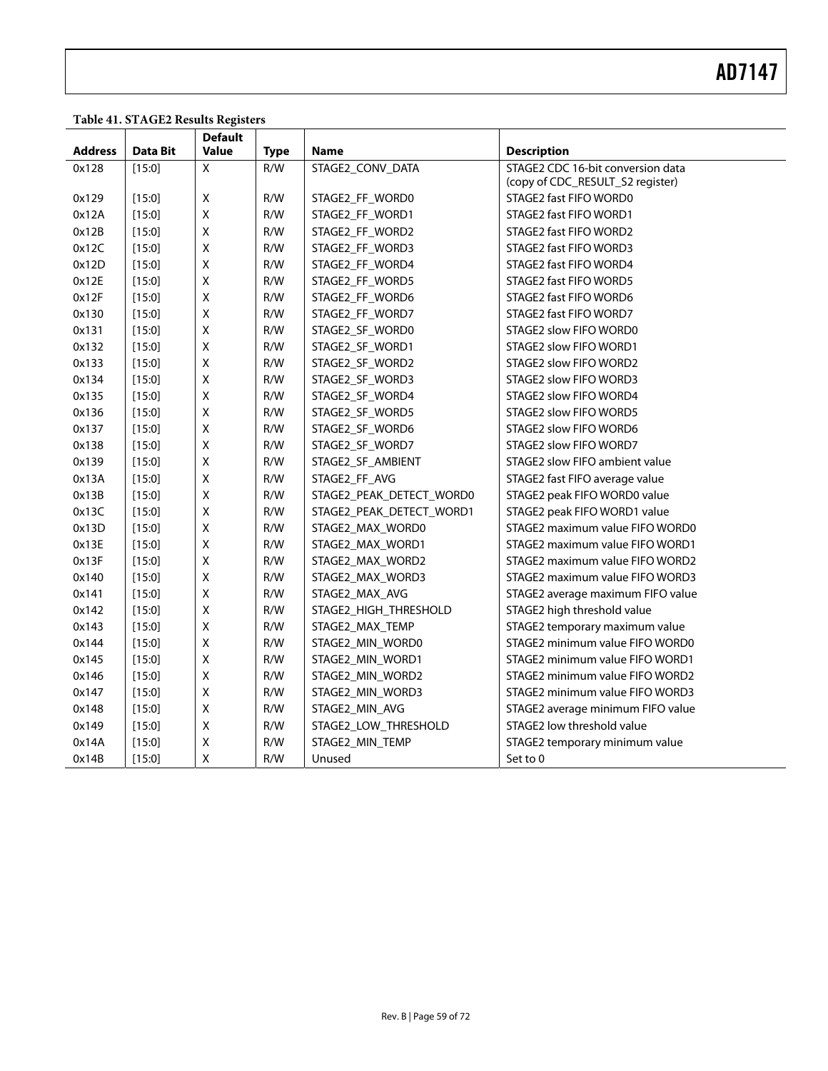### **Table 41. STAGE2 Results Registers**

|                |          | <b>Default</b>     |             |                          |                                   |
|----------------|----------|--------------------|-------------|--------------------------|-----------------------------------|
| <b>Address</b> | Data Bit | Value              | <b>Type</b> | <b>Name</b>              | <b>Description</b>                |
| 0x128          | [15:0]   | X                  | R/W         | STAGE2_CONV_DATA         | STAGE2 CDC 16-bit conversion data |
|                |          |                    |             |                          | (copy of CDC_RESULT_S2 register)  |
| 0x129          | [15:0]   | X                  | R/W         | STAGE2_FF_WORD0          | STAGE2 fast FIFO WORD0            |
| 0x12A          | [15:0]   | X                  | R/W         | STAGE2 FF WORD1          | STAGE2 fast FIFO WORD1            |
| 0x12B          | [15:0]   | X                  | R/W         | STAGE2 FF WORD2          | STAGE2 fast FIFO WORD2            |
| 0x12C          | [15:0]   | $\pmb{\times}$     | R/W         | STAGE2_FF_WORD3          | STAGE2 fast FIFO WORD3            |
| 0x12D          | [15:0]   | $\pmb{\times}$     | R/W         | STAGE2_FF_WORD4          | STAGE2 fast FIFO WORD4            |
| 0x12E          | [15:0]   | X                  | R/W         | STAGE2_FF_WORD5          | STAGE2 fast FIFO WORD5            |
| 0x12F          | [15:0]   | $\mathsf X$        | R/W         | STAGE2 FF WORD6          | STAGE2 fast FIFO WORD6            |
| 0x130          | [15:0]   | X                  | R/W         | STAGE2_FF_WORD7          | STAGE2 fast FIFO WORD7            |
| 0x131          | [15:0]   | X                  | R/W         | STAGE2_SF_WORD0          | STAGE2 slow FIFO WORD0            |
| 0x132          | [15:0]   | X                  | R/W         | STAGE2 SF WORD1          | STAGE2 slow FIFO WORD1            |
| 0x133          | [15:0]   | X                  | R/W         | STAGE2_SF_WORD2          | STAGE2 slow FIFO WORD2            |
| 0x134          | [15:0]   | $\pmb{\mathsf{X}}$ | R/W         | STAGE2_SF_WORD3          | STAGE2 slow FIFO WORD3            |
| 0x135          | [15:0]   | $\mathsf X$        | R/W         | STAGE2_SF_WORD4          | STAGE2 slow FIFO WORD4            |
| 0x136          | [15:0]   | $\pmb{\times}$     | R/W         | STAGE2 SF WORD5          | STAGE2 slow FIFO WORD5            |
| 0x137          | [15:0]   | $\pmb{\mathsf{X}}$ | R/W         | STAGE2_SF_WORD6          | STAGE2 slow FIFO WORD6            |
| 0x138          | [15:0]   | $\pmb{\times}$     | R/W         | STAGE2 SF WORD7          | STAGE2 slow FIFO WORD7            |
| 0x139          | [15:0]   | X                  | R/W         | STAGE2_SF_AMBIENT        | STAGE2 slow FIFO ambient value    |
| 0x13A          | [15:0]   | X                  | R/W         | STAGE2 FF AVG            | STAGE2 fast FIFO average value    |
| 0x13B          | [15:0]   | $\pmb{\mathsf{X}}$ | R/W         | STAGE2 PEAK DETECT WORD0 | STAGE2 peak FIFO WORD0 value      |
| 0x13C          | [15:0]   | $\pmb{\mathsf{X}}$ | R/W         | STAGE2_PEAK_DETECT_WORD1 | STAGE2 peak FIFO WORD1 value      |
| 0x13D          | [15:0]   | $\pmb{\mathsf{X}}$ | R/W         | STAGE2_MAX_WORD0         | STAGE2 maximum value FIFO WORD0   |
| 0x13E          | [15:0]   | $\pmb{\mathsf{X}}$ | R/W         | STAGE2_MAX_WORD1         | STAGE2 maximum value FIFO WORD1   |
| 0x13F          | [15:0]   | $\pmb{\mathsf{X}}$ | R/W         | STAGE2_MAX_WORD2         | STAGE2 maximum value FIFO WORD2   |
| 0x140          | [15:0]   | X                  | R/W         | STAGE2_MAX_WORD3         | STAGE2 maximum value FIFO WORD3   |
| 0x141          | [15:0]   | $\pmb{\mathsf{X}}$ | R/W         | STAGE2 MAX AVG           | STAGE2 average maximum FIFO value |
| 0x142          | [15:0]   | X                  | R/W         | STAGE2_HIGH_THRESHOLD    | STAGE2 high threshold value       |
| 0x143          | [15:0]   | X                  | R/W         | STAGE2 MAX TEMP          | STAGE2 temporary maximum value    |
| 0x144          | [15:0]   | $\pmb{\mathsf{X}}$ | R/W         | STAGE2 MIN WORD0         | STAGE2 minimum value FIFO WORD0   |
| 0x145          | [15:0]   | $\pmb{\mathsf{X}}$ | R/W         | STAGE2_MIN_WORD1         | STAGE2 minimum value FIFO WORD1   |
| 0x146          | [15:0]   | X                  | R/W         | STAGE2_MIN_WORD2         | STAGE2 minimum value FIFO WORD2   |
| 0x147          | [15:0]   | $\pmb{\mathsf{X}}$ | R/W         | STAGE2 MIN WORD3         | STAGE2 minimum value FIFO WORD3   |
| 0x148          | [15:0]   | X                  | R/W         | STAGE2 MIN AVG           | STAGE2 average minimum FIFO value |
| 0x149          | [15:0]   | X                  | R/W         | STAGE2_LOW_THRESHOLD     | STAGE2 low threshold value        |
| 0x14A          | [15:0]   | $\pmb{\mathsf{X}}$ | R/W         | STAGE2_MIN_TEMP          | STAGE2 temporary minimum value    |
| 0x14B          | [15:0]   | X                  | R/W         | Unused                   | Set to 0                          |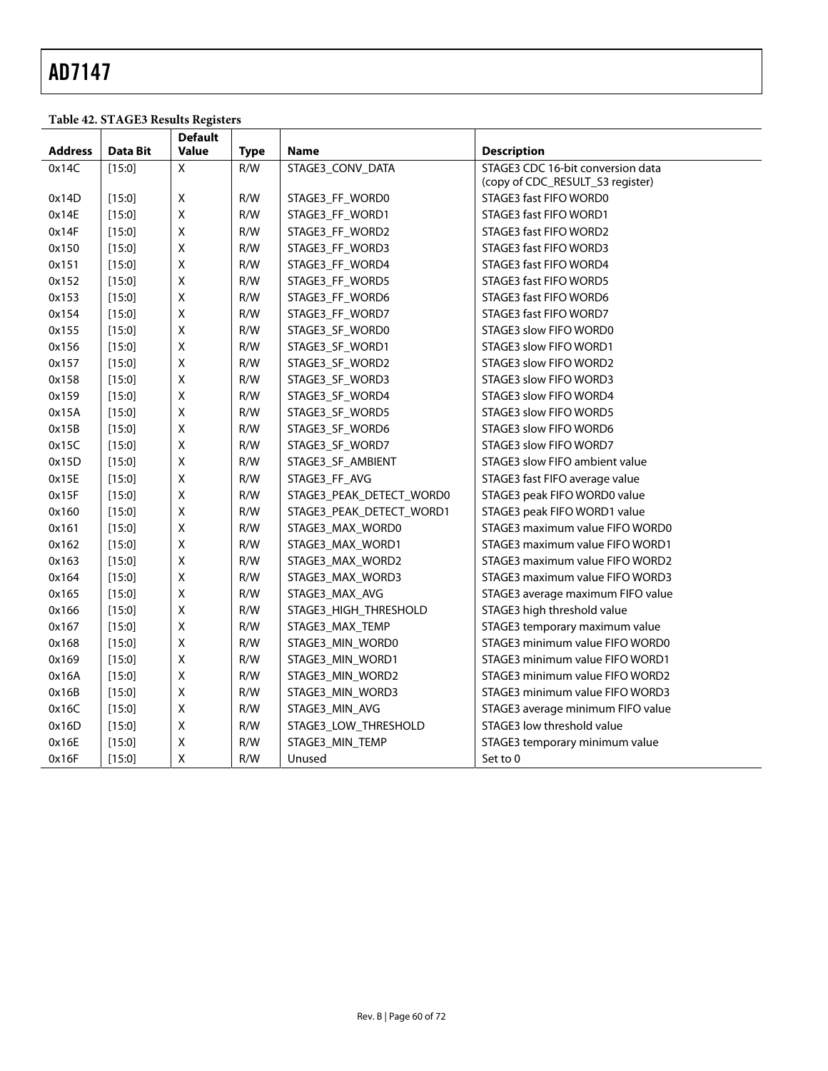**Table 42. STAGE3 Results Registers** 

|                |                 | <b>Default</b>     |             |                          |                                   |
|----------------|-----------------|--------------------|-------------|--------------------------|-----------------------------------|
| <b>Address</b> | <b>Data Bit</b> | Value              | <b>Type</b> | Name                     | <b>Description</b>                |
| 0x14C          | $[15:0]$        | X                  | R/W         | STAGE3_CONV_DATA         | STAGE3 CDC 16-bit conversion data |
|                |                 |                    |             |                          | (copy of CDC_RESULT_S3 register)  |
| 0x14D          | [15:0]          | Χ                  | R/W         | STAGE3_FF_WORD0          | STAGE3 fast FIFO WORD0            |
| 0x14E          | [15:0]          | $\mathsf X$        | R/W         | STAGE3_FF_WORD1          | STAGE3 fast FIFO WORD1            |
| 0x14F          | [15:0]          | $\pmb{\mathsf{X}}$ | R/W         | STAGE3 FF WORD2          | STAGE3 fast FIFO WORD2            |
| 0x150          | [15:0]          | $\mathsf X$        | R/W         | STAGE3_FF_WORD3          | STAGE3 fast FIFO WORD3            |
| 0x151          | [15:0]          | $\pmb{\times}$     | R/W         | STAGE3_FF_WORD4          | STAGE3 fast FIFO WORD4            |
| 0x152          | [15:0]          | $\mathsf X$        | R/W         | STAGE3_FF_WORD5          | STAGE3 fast FIFO WORD5            |
| 0x153          | [15:0]          | $\pmb{\mathsf{X}}$ | R/W         | STAGE3_FF_WORD6          | STAGE3 fast FIFO WORD6            |
| 0x154          | [15:0]          | $\mathsf X$        | R/W         | STAGE3_FF_WORD7          | STAGE3 fast FIFO WORD7            |
| 0x155          | [15:0]          | $\mathsf X$        | R/W         | STAGE3 SF WORD0          | STAGE3 slow FIFO WORD0            |
| 0x156          | [15:0]          | $\mathsf X$        | R/W         | STAGE3 SF WORD1          | STAGE3 slow FIFO WORD1            |
| 0x157          | [15:0]          | $\pmb{\mathsf{X}}$ | R/W         | STAGE3_SF_WORD2          | STAGE3 slow FIFO WORD2            |
| 0x158          | [15:0]          | $\mathsf X$        | R/W         | STAGE3_SF_WORD3          | STAGE3 slow FIFO WORD3            |
| 0x159          | [15:0]          | $\mathsf X$        | R/W         | STAGE3_SF_WORD4          | STAGE3 slow FIFO WORD4            |
| 0x15A          | [15:0]          | $\mathsf X$        | R/W         | STAGE3_SF_WORD5          | STAGE3 slow FIFO WORD5            |
| 0x15B          | [15:0]          | $\pmb{\times}$     | R/W         | STAGE3 SF WORD6          | STAGE3 slow FIFO WORD6            |
| 0x15C          | [15:0]          | $\mathsf X$        | R/W         | STAGE3 SF WORD7          | STAGE3 slow FIFO WORD7            |
| 0x15D          | [15:0]          | X                  | R/W         | STAGE3_SF_AMBIENT        | STAGE3 slow FIFO ambient value    |
| 0x15E          | [15:0]          | $\mathsf X$        | R/W         | STAGE3_FF_AVG            | STAGE3 fast FIFO average value    |
| 0x15F          | [15:0]          | $\pmb{\mathsf{X}}$ | R/W         | STAGE3_PEAK_DETECT_WORD0 | STAGE3 peak FIFO WORD0 value      |
| 0x160          | [15:0]          | X                  | R/W         | STAGE3_PEAK_DETECT_WORD1 | STAGE3 peak FIFO WORD1 value      |
| 0x161          | [15:0]          | $\mathsf X$        | R/W         | STAGE3 MAX WORD0         | STAGE3 maximum value FIFO WORD0   |
| 0x162          | [15:0]          | $\mathsf X$        | R/W         | STAGE3_MAX_WORD1         | STAGE3 maximum value FIFO WORD1   |
| 0x163          | [15:0]          | X                  | R/W         | STAGE3_MAX_WORD2         | STAGE3 maximum value FIFO WORD2   |
| 0x164          | [15:0]          | $\pmb{\mathsf{X}}$ | R/W         | STAGE3_MAX_WORD3         | STAGE3 maximum value FIFO WORD3   |
| 0x165          | [15:0]          | $\mathsf X$        | R/W         | STAGE3_MAX_AVG           | STAGE3 average maximum FIFO value |
| 0x166          | [15:0]          | $\mathsf X$        | R/W         | STAGE3_HIGH_THRESHOLD    | STAGE3 high threshold value       |
| 0x167          | [15:0]          | $\pmb{\mathsf{X}}$ | R/W         | STAGE3_MAX_TEMP          | STAGE3 temporary maximum value    |
| 0x168          | [15:0]          | $\pmb{\times}$     | R/W         | STAGE3_MIN_WORD0         | STAGE3 minimum value FIFO WORD0   |
| 0x169          | [15:0]          | $\pmb{\times}$     | R/W         | STAGE3 MIN WORD1         | STAGE3 minimum value FIFO WORD1   |
| 0x16A          | [15:0]          | $\pmb{\mathsf{X}}$ | R/W         | STAGE3 MIN WORD2         | STAGE3 minimum value FIFO WORD2   |
| 0x16B          | [15:0]          | $\pmb{\mathsf{X}}$ | R/W         | STAGE3_MIN_WORD3         | STAGE3 minimum value FIFO WORD3   |
| 0x16C          | [15:0]          | $\pmb{\mathsf{X}}$ | R/W         | STAGE3_MIN_AVG           | STAGE3 average minimum FIFO value |
| 0x16D          | [15:0]          | $\mathsf X$        | R/W         | STAGE3 LOW THRESHOLD     | STAGE3 low threshold value        |
| 0x16E          | [15:0]          | $\mathsf X$        | R/W         | STAGE3_MIN_TEMP          | STAGE3 temporary minimum value    |
| 0x16F          | [15:0]          | $\mathsf X$        | R/W         | Unused                   | Set to 0                          |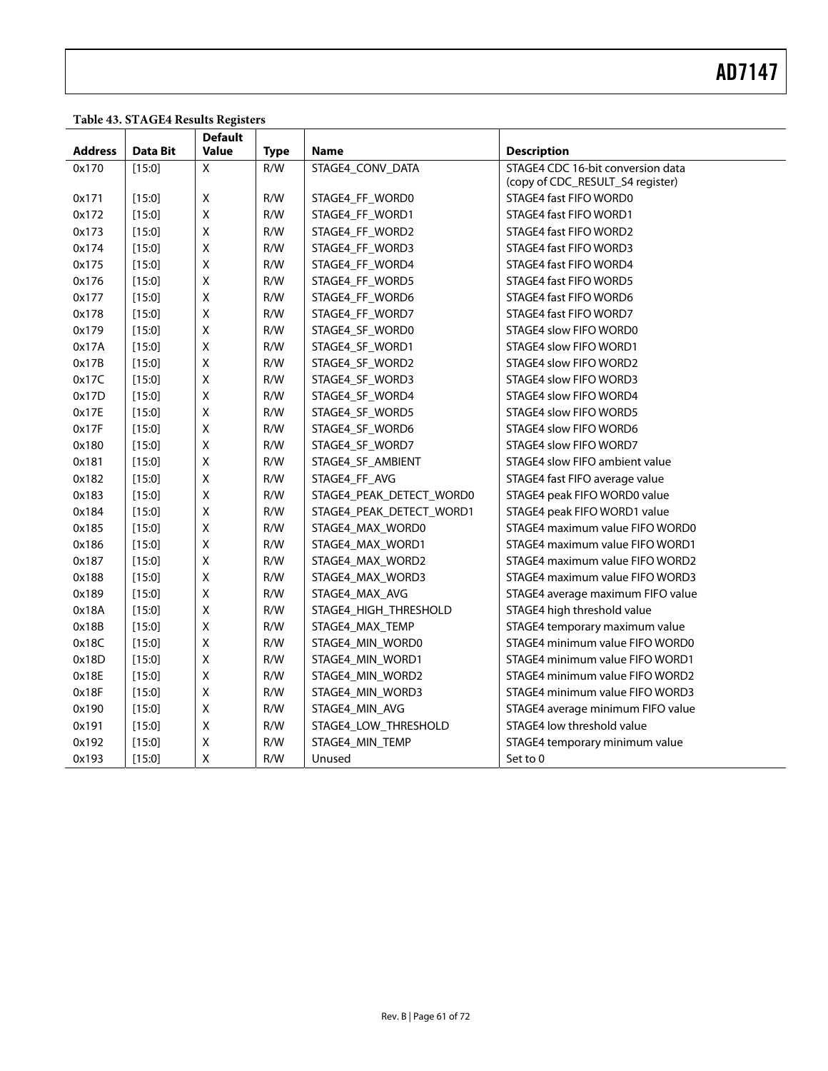### **Table 43. STAGE4 Results Registers**

|                |          | <b>Default</b>     |             |                          |                                   |
|----------------|----------|--------------------|-------------|--------------------------|-----------------------------------|
| <b>Address</b> | Data Bit | Value              | <b>Type</b> | <b>Name</b>              | <b>Description</b>                |
| 0x170          | [15:0]   | X                  | R/W         | STAGE4_CONV_DATA         | STAGE4 CDC 16-bit conversion data |
|                |          |                    |             |                          | (copy of CDC_RESULT_S4 register)  |
| 0x171          | [15:0]   | $\mathsf X$        | R/W         | STAGE4_FF_WORD0          | STAGE4 fast FIFO WORD0            |
| 0x172          | [15:0]   | $\mathsf{X}$       | R/W         | STAGE4 FF WORD1          | STAGE4 fast FIFO WORD1            |
| 0x173          | [15:0]   | X                  | R/W         | STAGE4_FF_WORD2          | STAGE4 fast FIFO WORD2            |
| 0x174          | [15:0]   | $\pmb{\times}$     | R/W         | STAGE4 FF WORD3          | STAGE4 fast FIFO WORD3            |
| 0x175          | [15:0]   | $\pmb{\times}$     | R/W         | STAGE4 FF WORD4          | STAGE4 fast FIFO WORD4            |
| 0x176          | [15:0]   | X                  | R/W         | STAGE4_FF_WORD5          | STAGE4 fast FIFO WORD5            |
| 0x177          | [15:0]   | $\pmb{\mathsf{X}}$ | R/W         | STAGE4_FF_WORD6          | STAGE4 fast FIFO WORD6            |
| 0x178          | [15:0]   | X                  | R/W         | STAGE4_FF_WORD7          | STAGE4 fast FIFO WORD7            |
| 0x179          | [15:0]   | X                  | R/W         | STAGE4_SF_WORD0          | STAGE4 slow FIFO WORD0            |
| 0x17A          | [15:0]   | $\mathsf{X}$       | R/W         | STAGE4 SF WORD1          | STAGE4 slow FIFO WORD1            |
| 0x17B          | [15:0]   | $\pmb{\mathsf{X}}$ | R/W         | STAGE4_SF_WORD2          | STAGE4 slow FIFO WORD2            |
| 0x17C          | [15:0]   | X                  | R/W         | STAGE4_SF_WORD3          | STAGE4 slow FIFO WORD3            |
| 0x17D          | [15:0]   | $\pmb{\mathsf{X}}$ | R/W         | STAGE4_SF_WORD4          | STAGE4 slow FIFO WORD4            |
| 0x17E          | [15:0]   | $\pmb{\mathsf{X}}$ | R/W         | STAGE4 SF WORD5          | STAGE4 slow FIFO WORD5            |
| 0x17F          | [15:0]   | X                  | R/W         | STAGE4 SF WORD6          | STAGE4 slow FIFO WORD6            |
| 0x180          | [15:0]   | X                  | R/W         | STAGE4_SF_WORD7          | STAGE4 slow FIFO WORD7            |
| 0x181          | [15:0]   | $\pmb{\mathsf{X}}$ | R/W         | STAGE4_SF_AMBIENT        | STAGE4 slow FIFO ambient value    |
| 0x182          | [15:0]   | X                  | R/W         | STAGE4_FF_AVG            | STAGE4 fast FIFO average value    |
| 0x183          | [15:0]   | $\pmb{\mathsf{X}}$ | R/W         | STAGE4_PEAK_DETECT_WORD0 | STAGE4 peak FIFO WORD0 value      |
| 0x184          | [15:0]   | $\mathsf X$        | R/W         | STAGE4_PEAK_DETECT_WORD1 | STAGE4 peak FIFO WORD1 value      |
| 0x185          | [15:0]   | X                  | R/W         | STAGE4_MAX_WORD0         | STAGE4 maximum value FIFO WORD0   |
| 0x186          | [15:0]   | X                  | R/W         | STAGE4_MAX_WORD1         | STAGE4 maximum value FIFO WORD1   |
| 0x187          | [15:0]   | $\pmb{\mathsf{X}}$ | R/W         | STAGE4 MAX WORD2         | STAGE4 maximum value FIFO WORD2   |
| 0x188          | [15:0]   | X                  | R/W         | STAGE4 MAX WORD3         | STAGE4 maximum value FIFO WORD3   |
| 0x189          | [15:0]   | $\mathsf X$        | R/W         | STAGE4 MAX AVG           | STAGE4 average maximum FIFO value |
| 0x18A          | [15:0]   | $\mathsf X$        | R/W         | STAGE4_HIGH_THRESHOLD    | STAGE4 high threshold value       |
| 0x18B          | [15:0]   | $\mathsf X$        | R/W         | STAGE4_MAX_TEMP          | STAGE4 temporary maximum value    |
| 0x18C          | [15:0]   | $\pmb{\mathsf{X}}$ | R/W         | STAGE4 MIN WORD0         | STAGE4 minimum value FIFO WORD0   |
| 0x18D          | [15:0]   | $\mathsf X$        | R/W         | STAGE4 MIN WORD1         | STAGE4 minimum value FIFO WORD1   |
| 0x18E          | [15:0]   | $\mathsf X$        | R/W         | STAGE4_MIN_WORD2         | STAGE4 minimum value FIFO WORD2   |
| 0x18F          | [15:0]   | $\pmb{\mathsf{X}}$ | R/W         | STAGE4_MIN_WORD3         | STAGE4 minimum value FIFO WORD3   |
| 0x190          | [15:0]   | $\pmb{\mathsf{X}}$ | R/W         | STAGE4 MIN AVG           | STAGE4 average minimum FIFO value |
| 0x191          | [15:0]   | X                  | R/W         | STAGE4_LOW_THRESHOLD     | STAGE4 low threshold value        |
| 0x192          | [15:0]   | Χ                  | R/W         | STAGE4_MIN_TEMP          | STAGE4 temporary minimum value    |
| 0x193          | [15:0]   | $\pmb{\times}$     | R/W         | Unused                   | Set to 0                          |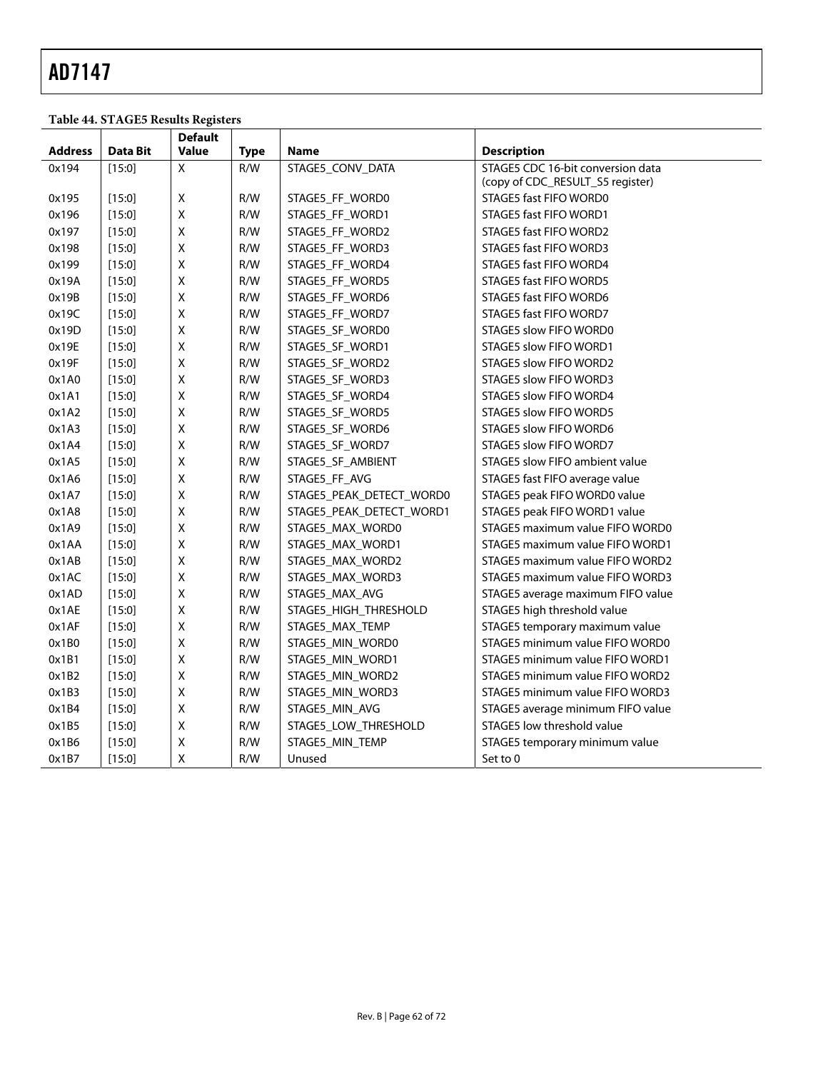**Table 44. STAGE5 Results Registers** 

|                |          | <b>Default</b>     |             |                          |                                   |
|----------------|----------|--------------------|-------------|--------------------------|-----------------------------------|
| <b>Address</b> | Data Bit | <b>Value</b>       | <b>Type</b> | Name                     | <b>Description</b>                |
| 0x194          | [15:0]   | $\mathsf X$        | R/W         | STAGE5_CONV_DATA         | STAGE5 CDC 16-bit conversion data |
|                |          |                    |             |                          | (copy of CDC_RESULT_S5 register)  |
| 0x195          | [15:0]   | X                  | R/W         | STAGE5_FF_WORD0          | STAGE5 fast FIFO WORD0            |
| 0x196          | [15:0]   | $\pmb{\mathsf{X}}$ | R/W         | STAGE5_FF_WORD1          | STAGE5 fast FIFO WORD1            |
| 0x197          | [15:0]   | $\pmb{\mathsf{X}}$ | R/W         | STAGE5 FF WORD2          | STAGE5 fast FIFO WORD2            |
| 0x198          | [15:0]   | $\mathsf X$        | R/W         | STAGE5 FF WORD3          | STAGE5 fast FIFO WORD3            |
| 0x199          | [15:0]   | X                  | R/W         | STAGE5_FF_WORD4          | STAGE5 fast FIFO WORD4            |
| 0x19A          | [15:0]   | $\pmb{\times}$     | R/W         | STAGE5 FF WORD5          | STAGE5 fast FIFO WORD5            |
| 0x19B          | [15:0]   | $\pmb{\times}$     | R/W         | STAGE5 FF WORD6          | STAGE5 fast FIFO WORD6            |
| 0x19C          | [15:0]   | $\mathsf X$        | R/W         | STAGE5 FF WORD7          | STAGE5 fast FIFO WORD7            |
| 0x19D          | [15:0]   | $\pmb{\mathsf{X}}$ | R/W         | STAGE5_SF_WORD0          | STAGE5 slow FIFO WORD0            |
| 0x19E          | [15:0]   | $\mathsf X$        | R/W         | STAGE5_SF_WORD1          | STAGE5 slow FIFO WORD1            |
| 0x19F          | [15:0]   | X                  | R/W         | STAGE5_SF_WORD2          | STAGE5 slow FIFO WORD2            |
| 0x1A0          | [15:0]   | $\pmb{\mathsf{X}}$ | R/W         | STAGE5_SF_WORD3          | STAGE5 slow FIFO WORD3            |
| 0x1A1          | [15:0]   | $\pmb{\mathsf{X}}$ | R/W         | STAGE5_SF_WORD4          | STAGE5 slow FIFO WORD4            |
| 0x1A2          | [15:0]   | $\pmb{\mathsf{X}}$ | R/W         | STAGE5 SF WORD5          | STAGE5 slow FIFO WORD5            |
| 0x1A3          | [15:0]   | $\mathsf X$        | R/W         | STAGE5 SF WORD6          | STAGE5 slow FIFO WORD6            |
| 0x1A4          | [15:0]   | $\mathsf X$        | R/W         | STAGE5_SF_WORD7          | STAGE5 slow FIFO WORD7            |
| 0x1A5          | [15:0]   | X                  | R/W         | STAGE5_SF_AMBIENT        | STAGE5 slow FIFO ambient value    |
| 0x1A6          | [15:0]   | $\mathsf X$        | R/W         | STAGE5_FF_AVG            | STAGE5 fast FIFO average value    |
| 0x1A7          | [15:0]   | $\pmb{\mathsf{X}}$ | R/W         | STAGE5_PEAK_DETECT_WORD0 | STAGE5 peak FIFO WORD0 value      |
| 0x1A8          | [15:0]   | $\mathsf X$        | R/W         | STAGE5_PEAK_DETECT_WORD1 | STAGE5 peak FIFO WORD1 value      |
| 0x1A9          | [15:0]   | $\mathsf X$        | R/W         | STAGE5 MAX WORD0         | STAGE5 maximum value FIFO WORD0   |
| 0x1AA          | [15:0]   | $\mathsf X$        | R/W         | STAGE5 MAX WORD1         | STAGE5 maximum value FIFO WORD1   |
| 0x1AB          | [15:0]   | X                  | R/W         | STAGE5_MAX_WORD2         | STAGE5 maximum value FIFO WORD2   |
| 0x1AC          | [15:0]   | $\pmb{\mathsf{X}}$ | R/W         | STAGE5_MAX_WORD3         | STAGE5 maximum value FIFO WORD3   |
| 0x1AD          | [15:0]   | $\pmb{\mathsf{X}}$ | R/W         | STAGE5_MAX_AVG           | STAGE5 average maximum FIFO value |
| 0x1AE          | [15:0]   | $\mathsf X$        | R/W         | STAGE5_HIGH_THRESHOLD    | STAGE5 high threshold value       |
| 0x1AF          | [15:0]   | $\mathsf X$        | R/W         | STAGE5 MAX TEMP          | STAGE5 temporary maximum value    |
| 0x1B0          | [15:0]   | $\mathsf X$        | R/W         | STAGE5 MIN WORD0         | STAGE5 minimum value FIFO WORD0   |
| 0x1B1          | [15:0]   | X                  | R/W         | STAGE5_MIN_WORD1         | STAGE5 minimum value FIFO WORD1   |
| 0x1B2          | [15:0]   | $\mathsf X$        | R/W         | STAGE5_MIN_WORD2         | STAGE5 minimum value FIFO WORD2   |
| 0x1B3          | [15:0]   | $\pmb{\mathsf{X}}$ | R/W         | STAGE5 MIN WORD3         | STAGE5 minimum value FIFO WORD3   |
| 0x1B4          | [15:0]   | $\mathsf X$        | R/W         | STAGE5 MIN AVG           | STAGE5 average minimum FIFO value |
| 0x1B5          | [15:0]   | $\mathsf X$        | R/W         | STAGE5_LOW_THRESHOLD     | STAGE5 low threshold value        |
| 0x1B6          | [15:0]   | $\mathsf X$        | R/W         | STAGE5_MIN_TEMP          | STAGE5 temporary minimum value    |
| 0x1B7          | [15:0]   | X                  | R/W         | Unused                   | Set to 0                          |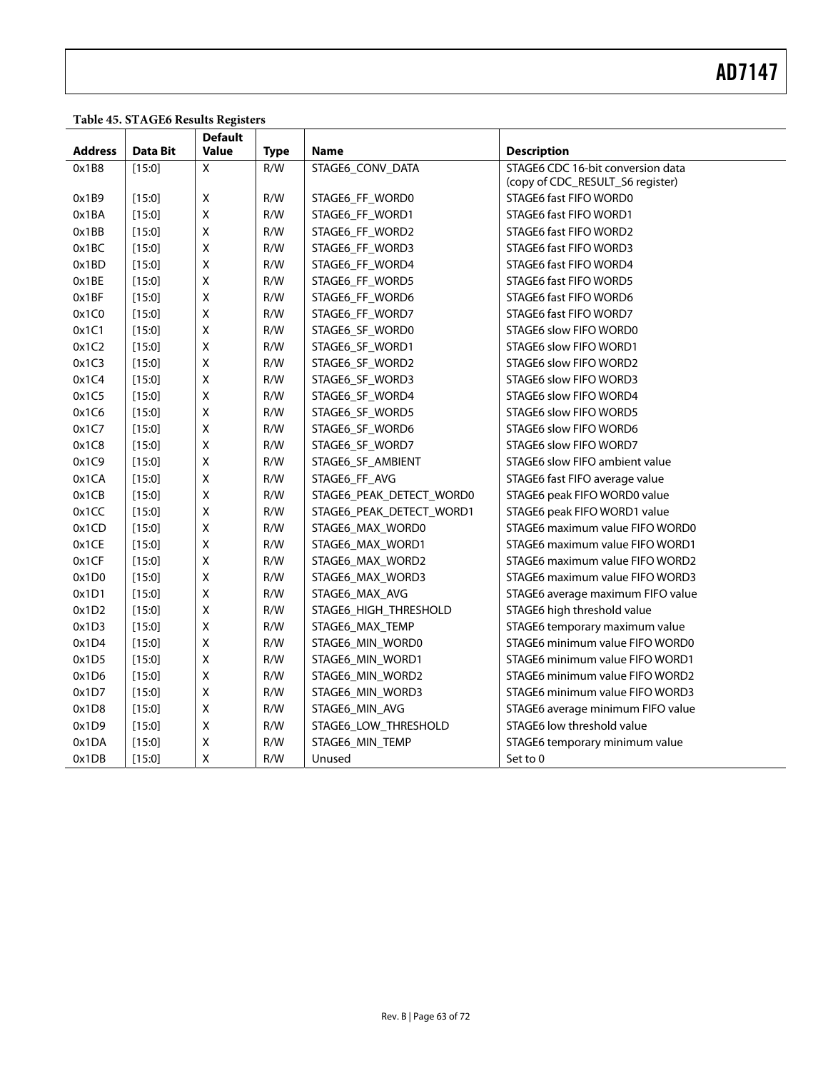|  |  |  | Table 45. STAGE6 Results Registers |
|--|--|--|------------------------------------|
|--|--|--|------------------------------------|

|                |                 | <b>Default</b>     |             |                          |                                   |
|----------------|-----------------|--------------------|-------------|--------------------------|-----------------------------------|
| <b>Address</b> | <b>Data Bit</b> | Value              | <b>Type</b> | <b>Name</b>              | <b>Description</b>                |
| 0x1B8          | [15:0]          | X                  | R/W         | STAGE6_CONV_DATA         | STAGE6 CDC 16-bit conversion data |
|                |                 |                    |             |                          | (copy of CDC_RESULT_S6 register)  |
| 0x1B9          | [15:0]          | $\mathsf X$        | R/W         | STAGE6 FF WORD0          | STAGE6 fast FIFO WORD0            |
| 0x1BA          | [15:0]          | Χ                  | R/W         | STAGE6_FF_WORD1          | STAGE6 fast FIFO WORD1            |
| 0x1BB          | [15:0]          | Χ                  | R/W         | STAGE6_FF_WORD2          | STAGE6 fast FIFO WORD2            |
| 0x1BC          | [15:0]          | Χ                  | R/W         | STAGE6 FF WORD3          | STAGE6 fast FIFO WORD3            |
| 0x1BD          | [15:0]          | Χ                  | R/W         | STAGE6_FF_WORD4          | STAGE6 fast FIFO WORD4            |
| 0x1BE          | [15:0]          | X                  | R/W         | STAGE6_FF_WORD5          | STAGE6 fast FIFO WORD5            |
| 0x1BF          | [15:0]          | Χ                  | R/W         | STAGE6 FF WORD6          | STAGE6 fast FIFO WORD6            |
| 0x1C0          | [15:0]          | Χ                  | R/W         | STAGE6 FF WORD7          | STAGE6 fast FIFO WORD7            |
| 0x1C1          | [15:0]          | Χ                  | R/W         | STAGE6 SF WORD0          | STAGE6 slow FIFO WORD0            |
| 0x1C2          | [15:0]          | X                  | R/W         | STAGE6_SF_WORD1          | STAGE6 slow FIFO WORD1            |
| 0x1C3          | [15:0]          | Χ                  | R/W         | STAGE6_SF_WORD2          | STAGE6 slow FIFO WORD2            |
| 0x1C4          | [15:0]          | Χ                  | R/W         | STAGE6_SF_WORD3          | STAGE6 slow FIFO WORD3            |
| 0x1C5          | [15:0]          | Χ                  | R/W         | STAGE6 SF WORD4          | STAGE6 slow FIFO WORD4            |
| 0x1C6          | [15:0]          | X                  | R/W         | STAGE6_SF_WORD5          | STAGE6 slow FIFO WORD5            |
| 0x1C7          | [15:0]          | X                  | R/W         | STAGE6_SF_WORD6          | STAGE6 slow FIFO WORD6            |
| 0x1C8          | [15:0]          | Χ                  | R/W         | STAGE6 SF WORD7          | STAGE6 slow FIFO WORD7            |
| 0x1C9          | [15:0]          | Χ                  | R/W         | STAGE6_SF_AMBIENT        | STAGE6 slow FIFO ambient value    |
| 0x1CA          | [15:0]          | X                  | R/W         | STAGE6_FF_AVG            | STAGE6 fast FIFO average value    |
| 0x1CB          | [15:0]          | Χ                  | R/W         | STAGE6_PEAK_DETECT_WORD0 | STAGE6 peak FIFO WORD0 value      |
| 0x1CC          | [15:0]          | Χ                  | R/W         | STAGE6_PEAK_DETECT_WORD1 | STAGE6 peak FIFO WORD1 value      |
| 0x1CD          | [15:0]          | Χ                  | R/W         | STAGE6_MAX_WORD0         | STAGE6 maximum value FIFO WORD0   |
| 0x1CE          | [15:0]          | Χ                  | R/W         | STAGE6_MAX_WORD1         | STAGE6 maximum value FIFO WORD1   |
| 0x1CF          | [15:0]          | Χ                  | R/W         | STAGE6_MAX_WORD2         | STAGE6 maximum value FIFO WORD2   |
| 0x1D0          | [15:0]          | Χ                  | R/W         | STAGE6_MAX_WORD3         | STAGE6 maximum value FIFO WORD3   |
| 0x1D1          | [15:0]          | $\pmb{\mathsf{X}}$ | R/W         | STAGE6 MAX AVG           | STAGE6 average maximum FIFO value |
| 0x1D2          | [15:0]          | $\pmb{\mathsf{X}}$ | R/W         | STAGE6_HIGH_THRESHOLD    | STAGE6 high threshold value       |
| 0x1D3          | [15:0]          | Χ                  | R/W         | STAGE6_MAX_TEMP          | STAGE6 temporary maximum value    |
| 0x1D4          | [15:0]          | X                  | R/W         | STAGE6_MIN_WORD0         | STAGE6 minimum value FIFO WORD0   |
| 0x1D5          | [15:0]          | Χ                  | R/W         | STAGE6 MIN WORD1         | STAGE6 minimum value FIFO WORD1   |
| 0x1D6          | [15:0]          | Χ                  | R/W         | STAGE6 MIN WORD2         | STAGE6 minimum value FIFO WORD2   |
| 0x1D7          | [15:0]          | X                  | R/W         | STAGE6_MIN_WORD3         | STAGE6 minimum value FIFO WORD3   |
| 0x1D8          | [15:0]          | Χ                  | R/W         | STAGE6 MIN AVG           | STAGE6 average minimum FIFO value |
| 0x1D9          | [15:0]          | Χ                  | R/W         | STAGE6_LOW_THRESHOLD     | STAGE6 low threshold value        |
| 0x1DA          | [15:0]          | Χ                  | R/W         | STAGE6_MIN_TEMP          | STAGE6 temporary minimum value    |
| 0x1DB          | [15:0]          | Χ                  | R/W         | Unused                   | Set to 0                          |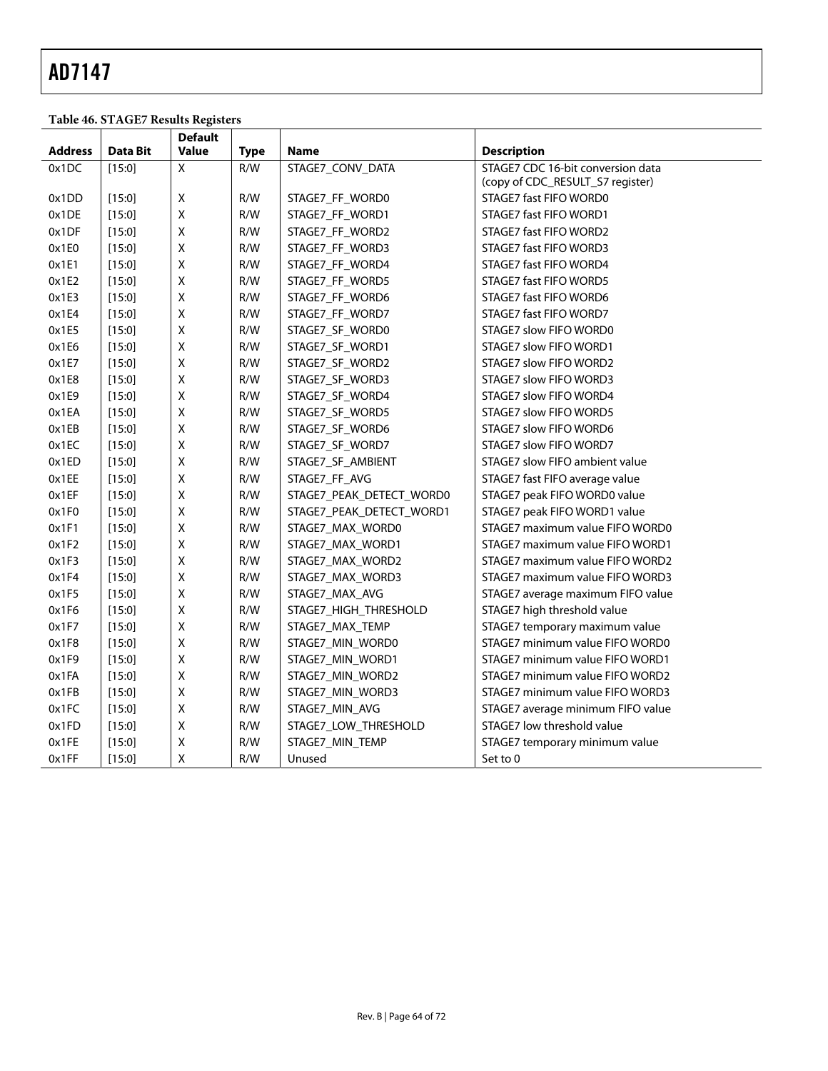**Table 46. STAGE7 Results Registers** 

|                |          | <b>Default</b>               |                    |                          |                                                                       |
|----------------|----------|------------------------------|--------------------|--------------------------|-----------------------------------------------------------------------|
| <b>Address</b> | Data Bit | <b>Value</b><br>$\mathsf{X}$ | <b>Type</b><br>R/W | Name                     | <b>Description</b>                                                    |
| 0x1DC          | [15:0]   |                              |                    | STAGE7_CONV_DATA         | STAGE7 CDC 16-bit conversion data<br>(copy of CDC_RESULT_S7 register) |
| 0x1DD          | [15:0]   | X                            | R/W                | STAGE7_FF_WORD0          | STAGE7 fast FIFO WORD0                                                |
| 0x1DE          | [15:0]   | Χ                            | R/W                | STAGE7_FF_WORD1          | STAGE7 fast FIFO WORD1                                                |
| 0x1DF          | [15:0]   | $\pmb{\mathsf{X}}$           | R/W                | STAGE7_FF_WORD2          | STAGE7 fast FIFO WORD2                                                |
| 0x1E0          | [15:0]   | $\mathsf X$                  | R/W                | STAGE7 FF WORD3          | STAGE7 fast FIFO WORD3                                                |
| 0x1E1          | [15:0]   | $\mathsf X$                  | R/W                | STAGE7_FF_WORD4          | STAGE7 fast FIFO WORD4                                                |
| 0x1E2          | [15:0]   | X                            | R/W                | STAGE7_FF_WORD5          | STAGE7 fast FIFO WORD5                                                |
| 0x1E3          | [15:0]   | $\mathsf X$                  | R/W                | STAGE7_FF_WORD6          | STAGE7 fast FIFO WORD6                                                |
| 0x1E4          | [15:0]   | X                            | R/W                | STAGE7_FF_WORD7          | STAGE7 fast FIFO WORD7                                                |
| 0x1E5          | [15:0]   | $\mathsf X$                  | R/W                | STAGE7_SF_WORD0          | STAGE7 slow FIFO WORD0                                                |
| 0x1E6          | [15:0]   | $\mathsf X$                  | R/W                | STAGE7_SF_WORD1          | STAGE7 slow FIFO WORD1                                                |
| 0x1E7          | [15:0]   | $\mathsf X$                  | R/W                | STAGE7_SF_WORD2          | STAGE7 slow FIFO WORD2                                                |
| 0x1E8          | [15:0]   | $\mathsf X$                  | R/W                | STAGE7_SF_WORD3          | STAGE7 slow FIFO WORD3                                                |
| 0x1E9          | [15:0]   | $\mathsf{X}$                 | R/W                | STAGE7_SF_WORD4          | STAGE7 slow FIFO WORD4                                                |
| 0x1EA          | [15:0]   | X                            | R/W                | STAGE7_SF_WORD5          | STAGE7 slow FIFO WORD5                                                |
| 0x1EB          | [15:0]   | $\mathsf X$                  | R/W                | STAGE7_SF_WORD6          | STAGE7 slow FIFO WORD6                                                |
| 0x1EC          | [15:0]   | $\pmb{\times}$               | R/W                | STAGE7_SF_WORD7          | STAGE7 slow FIFO WORD7                                                |
| 0x1ED          | [15:0]   | $\mathsf X$                  | R/W                | STAGE7 SF AMBIENT        | STAGE7 slow FIFO ambient value                                        |
| 0x1EE          | [15:0]   | $\mathsf X$                  | R/W                | STAGE7_FF_AVG            | STAGE7 fast FIFO average value                                        |
| 0x1EF          | [15:0]   | $\mathsf X$                  | R/W                | STAGE7_PEAK_DETECT_WORD0 | STAGE7 peak FIFO WORD0 value                                          |
| 0x1F0          | [15:0]   | X                            | R/W                | STAGE7_PEAK_DETECT_WORD1 | STAGE7 peak FIFO WORD1 value                                          |
| 0x1F1          | [15:0]   | $\mathsf X$                  | R/W                | STAGE7 MAX WORD0         | STAGE7 maximum value FIFO WORD0                                       |
| 0x1F2          | [15:0]   | $\mathsf X$                  | R/W                | STAGE7_MAX_WORD1         | STAGE7 maximum value FIFO WORD1                                       |
| 0x1F3          | [15:0]   | Χ                            | R/W                | STAGE7_MAX_WORD2         | STAGE7 maximum value FIFO WORD2                                       |
| 0x1F4          | [15:0]   | $\mathsf X$                  | R/W                | STAGE7_MAX_WORD3         | STAGE7 maximum value FIFO WORD3                                       |
| 0x1F5          | [15:0]   | Χ                            | R/W                | STAGE7 MAX AVG           | STAGE7 average maximum FIFO value                                     |
| 0x1F6          | [15:0]   | $\pmb{\mathsf{X}}$           | R/W                | STAGE7_HIGH_THRESHOLD    | STAGE7 high threshold value                                           |
| 0x1F7          | [15:0]   | $\mathsf X$                  | R/W                | STAGE7 MAX TEMP          | STAGE7 temporary maximum value                                        |
| 0x1F8          | [15:0]   | $\mathsf X$                  | R/W                | STAGE7 MIN WORD0         | STAGE7 minimum value FIFO WORD0                                       |
| 0x1F9          | [15:0]   | X                            | R/W                | STAGE7_MIN_WORD1         | STAGE7 minimum value FIFO WORD1                                       |
| 0x1FA          | [15:0]   | $\mathsf X$                  | R/W                | STAGE7_MIN_WORD2         | STAGE7 minimum value FIFO WORD2                                       |
| 0x1FB          | [15:0]   | X                            | R/W                | STAGE7_MIN_WORD3         | STAGE7 minimum value FIFO WORD3                                       |
| 0x1FC          | [15:0]   | X                            | R/W                | STAGE7 MIN AVG           | STAGE7 average minimum FIFO value                                     |
| 0x1FD          | [15:0]   | $\mathsf X$                  | R/W                | STAGE7_LOW_THRESHOLD     | STAGE7 low threshold value                                            |
| 0x1FE          | [15:0]   | Χ                            | R/W                | STAGE7_MIN_TEMP          | STAGE7 temporary minimum value                                        |
| 0x1FF          | [15:0]   | X                            | R/W                | Unused                   | Set to 0                                                              |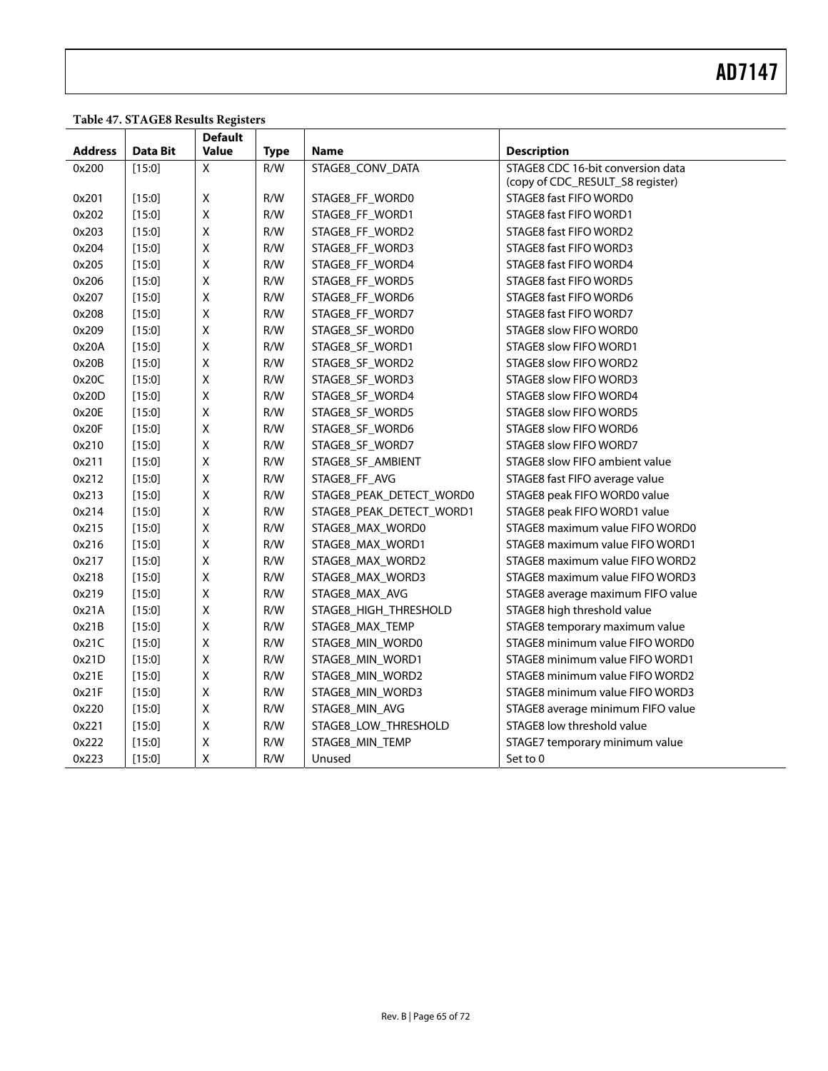#### **Table 47. STAGE8 Results Registers**

|                |                 | <b>Default</b>     |             |                          |                                   |
|----------------|-----------------|--------------------|-------------|--------------------------|-----------------------------------|
| <b>Address</b> | <b>Data Bit</b> | <b>Value</b>       | <b>Type</b> | <b>Name</b>              | <b>Description</b>                |
| 0x200          | [15:0]          | X                  | R/W         | STAGE8_CONV_DATA         | STAGE8 CDC 16-bit conversion data |
|                |                 |                    |             |                          | (copy of CDC_RESULT_S8 register)  |
| 0x201          | $[15:0]$        | $\mathsf X$        | R/W         | STAGE8 FF WORD0          | STAGE8 fast FIFO WORD0            |
| 0x202          | [15:0]          | $\mathsf X$        | R/W         | STAGE8_FF_WORD1          | STAGE8 fast FIFO WORD1            |
| 0x203          | [15:0]          | $\mathsf X$        | R/W         | STAGE8_FF_WORD2          | STAGE8 fast FIFO WORD2            |
| 0x204          | [15:0]          | $\mathsf X$        | R/W         | STAGE8_FF_WORD3          | STAGE8 fast FIFO WORD3            |
| 0x205          | [15:0]          | X                  | R/W         | STAGE8 FF WORD4          | STAGE8 fast FIFO WORD4            |
| 0x206          | [15:0]          | $\pmb{\mathsf{X}}$ | R/W         | STAGE8_FF_WORD5          | STAGE8 fast FIFO WORD5            |
| 0x207          | [15:0]          | $\pmb{\mathsf{X}}$ | R/W         | STAGE8_FF_WORD6          | STAGE8 fast FIFO WORD6            |
| 0x208          | [15:0]          | $\mathsf X$        | R/W         | STAGE8_FF_WORD7          | STAGE8 fast FIFO WORD7            |
| 0x209          | [15:0]          | $\pmb{\mathsf{X}}$ | R/W         | STAGE8_SF_WORD0          | STAGE8 slow FIFO WORD0            |
| 0x20A          | [15:0]          | $\mathsf X$        | R/W         | STAGE8_SF_WORD1          | STAGE8 slow FIFO WORD1            |
| 0x20B          | [15:0]          | X                  | R/W         | STAGE8_SF_WORD2          | STAGE8 slow FIFO WORD2            |
| 0x20C          | [15:0]          | X                  | R/W         | STAGE8_SF_WORD3          | STAGE8 slow FIFO WORD3            |
| 0x20D          | [15:0]          | $\pmb{\mathsf{X}}$ | R/W         | STAGE8_SF_WORD4          | STAGE8 slow FIFO WORD4            |
| 0x20E          | [15:0]          | $\mathsf X$        | R/W         | STAGE8_SF_WORD5          | STAGE8 slow FIFO WORD5            |
| 0x20F          | [15:0]          | $\mathsf X$        | R/W         | STAGE8_SF_WORD6          | STAGE8 slow FIFO WORD6            |
| 0x210          | [15:0]          | $\mathsf X$        | R/W         | STAGE8_SF_WORD7          | STAGE8 slow FIFO WORD7            |
| 0x211          | [15:0]          | $\mathsf X$        | R/W         | STAGE8_SF_AMBIENT        | STAGE8 slow FIFO ambient value    |
| 0x212          | [15:0]          | X                  | R/W         | STAGE8_FF_AVG            | STAGE8 fast FIFO average value    |
| 0x213          | [15:0]          | $\pmb{\mathsf{X}}$ | R/W         | STAGE8_PEAK_DETECT_WORD0 | STAGE8 peak FIFO WORD0 value      |
| 0x214          | [15:0]          | $\mathsf X$        | R/W         | STAGE8_PEAK_DETECT_WORD1 | STAGE8 peak FIFO WORD1 value      |
| 0x215          | [15:0]          | $\pmb{\mathsf{X}}$ | R/W         | STAGE8_MAX_WORD0         | STAGE8 maximum value FIFO WORD0   |
| 0x216          | [15:0]          | $\pmb{\mathsf{X}}$ | R/W         | STAGE8_MAX_WORD1         | STAGE8 maximum value FIFO WORD1   |
| 0x217          | [15:0]          | $\mathsf X$        | R/W         | STAGE8 MAX WORD2         | STAGE8 maximum value FIFO WORD2   |
| 0x218          | [15:0]          | $\pmb{\mathsf{X}}$ | R/W         | STAGE8 MAX WORD3         | STAGE8 maximum value FIFO WORD3   |
| 0x219          | [15:0]          | $\mathsf X$        | R/W         | STAGE8 MAX AVG           | STAGE8 average maximum FIFO value |
| 0x21A          | [15:0]          | $\pmb{\mathsf{X}}$ | R/W         | STAGE8_HIGH_THRESHOLD    | STAGE8 high threshold value       |
| 0x21B          | [15:0]          | $\mathsf X$        | R/W         | STAGE8 MAX TEMP          | STAGE8 temporary maximum value    |
| 0x21C          | [15:0]          | $\mathsf X$        | R/W         | STAGE8 MIN WORD0         | STAGE8 minimum value FIFO WORD0   |
| 0x21D          | [15:0]          | $\mathsf X$        | R/W         | STAGE8_MIN_WORD1         | STAGE8 minimum value FIFO WORD1   |
| 0x21E          | [15:0]          | $\mathsf X$        | R/W         | STAGE8_MIN_WORD2         | STAGE8 minimum value FIFO WORD2   |
| 0x21F          | [15:0]          | $\pmb{\mathsf{X}}$ | R/W         | STAGE8_MIN_WORD3         | STAGE8 minimum value FIFO WORD3   |
| 0x220          | [15:0]          | $\pmb{\mathsf{X}}$ | R/W         | STAGE8_MIN_AVG           | STAGE8 average minimum FIFO value |
| 0x221          | [15:0]          | $\mathsf X$        | R/W         | STAGE8_LOW_THRESHOLD     | STAGE8 low threshold value        |
| 0x222          | [15:0]          | Χ                  | R/W         | STAGE8_MIN_TEMP          | STAGE7 temporary minimum value    |
| 0x223          | [15:0]          | X                  | R/W         | Unused                   | Set to 0                          |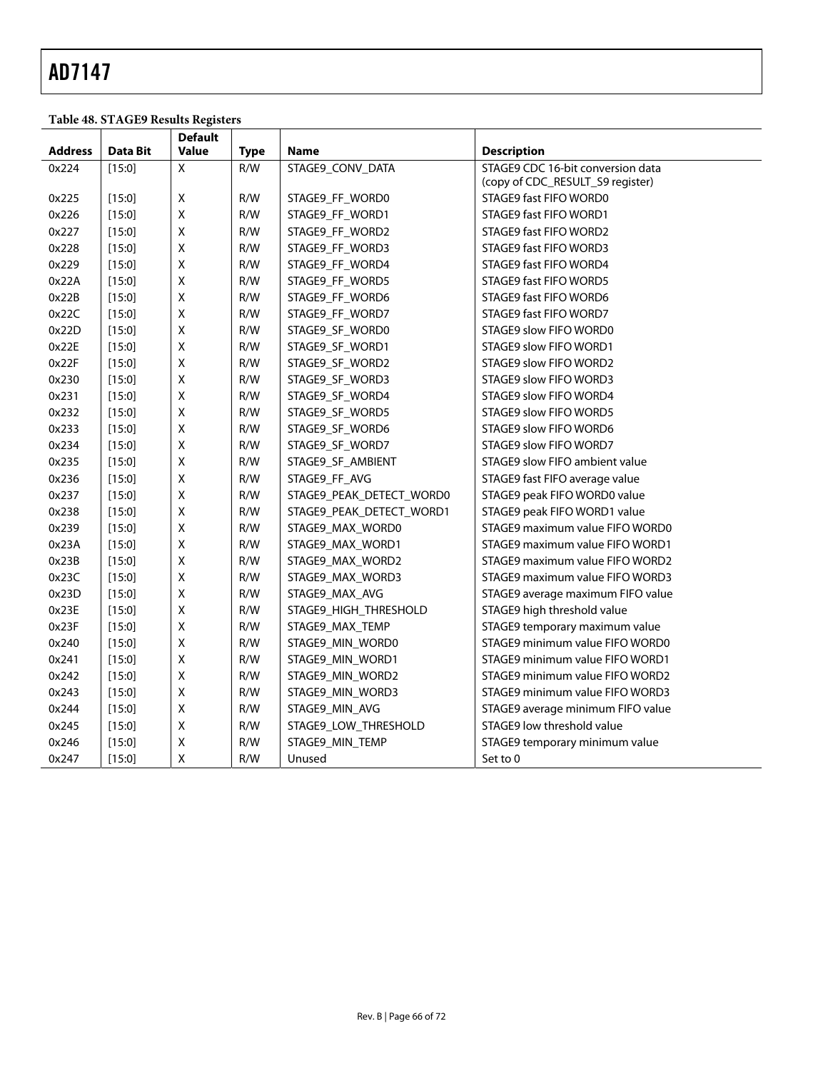**Table 48. STAGE9 Results Registers** 

|                |                 | <b>Default</b>     |             |                          |                                   |
|----------------|-----------------|--------------------|-------------|--------------------------|-----------------------------------|
| <b>Address</b> | <b>Data Bit</b> | Value              | <b>Type</b> | Name                     | <b>Description</b>                |
| 0x224          | $[15:0]$        | X                  | R/W         | STAGE9_CONV_DATA         | STAGE9 CDC 16-bit conversion data |
|                |                 |                    |             |                          | (copy of CDC_RESULT_S9 register)  |
| 0x225          | [15:0]          | Χ                  | R/W         | STAGE9_FF_WORD0          | STAGE9 fast FIFO WORD0            |
| 0x226          | $[15:0]$        | $\mathsf X$        | R/W         | STAGE9_FF_WORD1          | STAGE9 fast FIFO WORD1            |
| 0x227          | [15:0]          | $\pmb{\mathsf{X}}$ | R/W         | STAGE9 FF WORD2          | STAGE9 fast FIFO WORD2            |
| 0x228          | [15:0]          | $\mathsf X$        | R/W         | STAGE9_FF_WORD3          | STAGE9 fast FIFO WORD3            |
| 0x229          | [15:0]          | $\mathsf X$        | R/W         | STAGE9_FF_WORD4          | STAGE9 fast FIFO WORD4            |
| 0x22A          | [15:0]          | $\mathsf X$        | R/W         | STAGE9_FF_WORD5          | STAGE9 fast FIFO WORD5            |
| 0x22B          | [15:0]          | $\pmb{\mathsf{X}}$ | R/W         | STAGE9_FF_WORD6          | STAGE9 fast FIFO WORD6            |
| 0x22C          | [15:0]          | $\mathsf X$        | R/W         | STAGE9_FF_WORD7          | STAGE9 fast FIFO WORD7            |
| 0x22D          | [15:0]          | $\mathsf X$        | R/W         | STAGE9 SF WORD0          | STAGE9 slow FIFO WORD0            |
| 0x22E          | [15:0]          | $\mathsf X$        | R/W         | STAGE9 SF WORD1          | STAGE9 slow FIFO WORD1            |
| 0x22F          | [15:0]          | $\pmb{\mathsf{X}}$ | R/W         | STAGE9_SF_WORD2          | STAGE9 slow FIFO WORD2            |
| 0x230          | [15:0]          | $\mathsf X$        | R/W         | STAGE9_SF_WORD3          | STAGE9 slow FIFO WORD3            |
| 0x231          | [15:0]          | $\pmb{\mathsf{X}}$ | R/W         | STAGE9_SF_WORD4          | STAGE9 slow FIFO WORD4            |
| 0x232          | [15:0]          | X                  | R/W         | STAGE9_SF_WORD5          | STAGE9 slow FIFO WORD5            |
| 0x233          | [15:0]          | $\pmb{\times}$     | R/W         | STAGE9 SF WORD6          | STAGE9 slow FIFO WORD6            |
| 0x234          | [15:0]          | $\mathsf X$        | R/W         | STAGE9 SF WORD7          | STAGE9 slow FIFO WORD7            |
| 0x235          | [15:0]          | X                  | R/W         | STAGE9_SF_AMBIENT        | STAGE9 slow FIFO ambient value    |
| 0x236          | [15:0]          | $\mathsf X$        | R/W         | STAGE9_FF_AVG            | STAGE9 fast FIFO average value    |
| 0x237          | [15:0]          | $\pmb{\mathsf{X}}$ | R/W         | STAGE9_PEAK_DETECT_WORD0 | STAGE9 peak FIFO WORD0 value      |
| 0x238          | [15:0]          | X                  | R/W         | STAGE9_PEAK_DETECT_WORD1 | STAGE9 peak FIFO WORD1 value      |
| 0x239          | [15:0]          | $\pmb{\mathsf{X}}$ | R/W         | STAGE9 MAX WORD0         | STAGE9 maximum value FIFO WORD0   |
| 0x23A          | [15:0]          | $\mathsf X$        | R/W         | STAGE9 MAX WORD1         | STAGE9 maximum value FIFO WORD1   |
| 0x23B          | [15:0]          | X                  | R/W         | STAGE9_MAX_WORD2         | STAGE9 maximum value FIFO WORD2   |
| 0x23C          | [15:0]          | $\pmb{\mathsf{X}}$ | R/W         | STAGE9_MAX_WORD3         | STAGE9 maximum value FIFO WORD3   |
| 0x23D          | [15:0]          | $\mathsf X$        | R/W         | STAGE9 MAX AVG           | STAGE9 average maximum FIFO value |
| 0x23E          | [15:0]          | $\mathsf X$        | R/W         | STAGE9_HIGH_THRESHOLD    | STAGE9 high threshold value       |
| 0x23F          | [15:0]          | $\pmb{\mathsf{X}}$ | R/W         | STAGE9_MAX_TEMP          | STAGE9 temporary maximum value    |
| 0x240          | [15:0]          | $\mathsf X$        | R/W         | STAGE9_MIN_WORD0         | STAGE9 minimum value FIFO WORD0   |
| 0x241          | [15:0]          | $\mathsf X$        | R/W         | STAGE9 MIN WORD1         | STAGE9 minimum value FIFO WORD1   |
| 0x242          | [15:0]          | $\pmb{\mathsf{X}}$ | R/W         | STAGE9 MIN WORD2         | STAGE9 minimum value FIFO WORD2   |
| 0x243          | [15:0]          | $\pmb{\mathsf{X}}$ | R/W         | STAGE9_MIN_WORD3         | STAGE9 minimum value FIFO WORD3   |
| 0x244          | [15:0]          | $\pmb{\mathsf{X}}$ | R/W         | STAGE9_MIN_AVG           | STAGE9 average minimum FIFO value |
| 0x245          | [15:0]          | $\mathsf X$        | R/W         | STAGE9 LOW THRESHOLD     | STAGE9 low threshold value        |
| 0x246          | [15:0]          | $\mathsf X$        | R/W         | STAGE9_MIN_TEMP          | STAGE9 temporary minimum value    |
| 0x247          | [15:0]          | $\mathsf X$        | R/W         | Unused                   | Set to 0                          |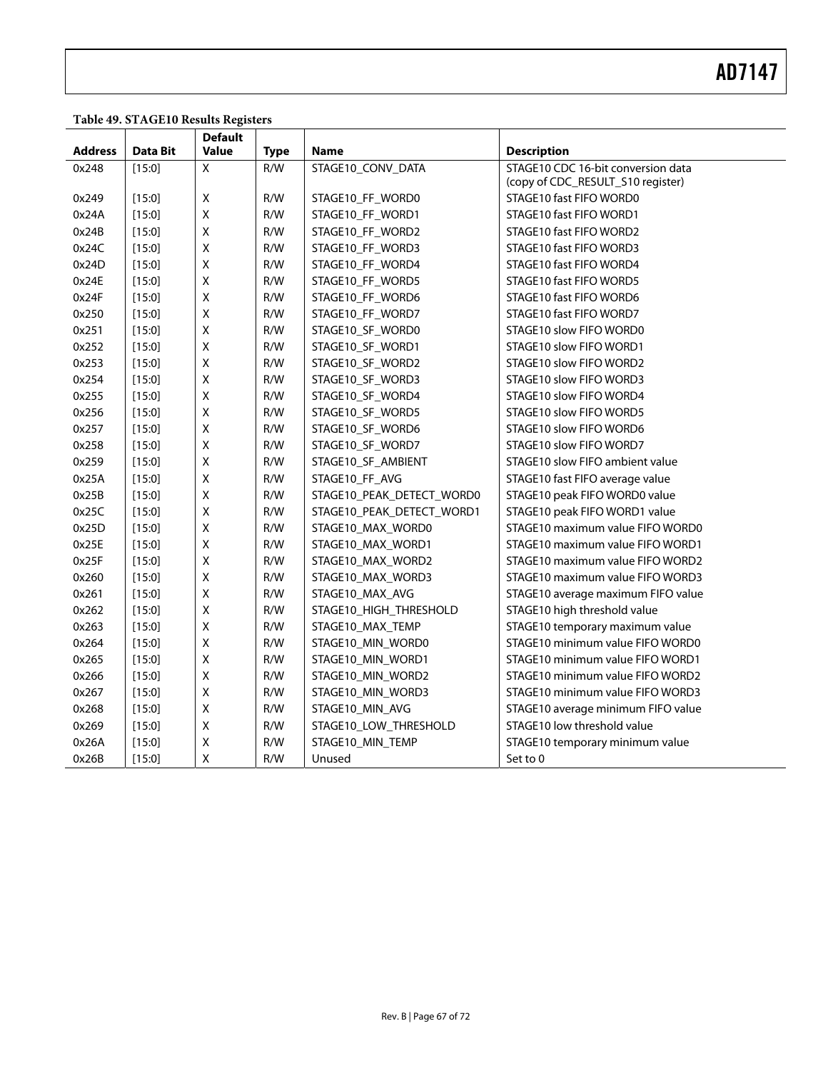#### **Table 49. STAGE10 Results Registers**

|                |          | <b>Default</b> |             |                           |                                    |
|----------------|----------|----------------|-------------|---------------------------|------------------------------------|
| <b>Address</b> | Data Bit | Value          | <b>Type</b> | <b>Name</b>               | <b>Description</b>                 |
| 0x248          | [15:0]   | X              | R/W         | STAGE10_CONV_DATA         | STAGE10 CDC 16-bit conversion data |
|                |          |                |             |                           | (copy of CDC_RESULT_S10 register)  |
| 0x249          | [15:0]   | $\mathsf X$    | R/W         | STAGE10 FF WORD0          | STAGE10 fast FIFO WORD0            |
| 0x24A          | [15:0]   | Χ              | R/W         | STAGE10_FF_WORD1          | STAGE10 fast FIFO WORD1            |
| 0x24B          | [15:0]   | X              | R/W         | STAGE10_FF_WORD2          | STAGE10 fast FIFO WORD2            |
| 0x24C          | [15:0]   | $\mathsf X$    | R/W         | STAGE10_FF_WORD3          | STAGE10 fast FIFO WORD3            |
| 0x24D          | [15:0]   | Χ              | R/W         | STAGE10_FF_WORD4          | STAGE10 fast FIFO WORD4            |
| 0x24E          | [15:0]   | Χ              | R/W         | STAGE10_FF_WORD5          | STAGE10 fast FIFO WORD5            |
| 0x24F          | [15:0]   | Χ              | R/W         | STAGE10 FF WORD6          | STAGE10 fast FIFO WORD6            |
| 0x250          | [15:0]   | $\mathsf X$    | R/W         | STAGE10_FF_WORD7          | STAGE10 fast FIFO WORD7            |
| 0x251          | [15:0]   | Χ              | R/W         | STAGE10_SF_WORD0          | STAGE10 slow FIFO WORD0            |
| 0x252          | [15:0]   | Χ              | R/W         | STAGE10_SF_WORD1          | STAGE10 slow FIFO WORD1            |
| 0x253          | [15:0]   | Χ              | R/W         | STAGE10_SF_WORD2          | STAGE10 slow FIFO WORD2            |
| 0x254          | [15:0]   | Χ              | R/W         | STAGE10_SF_WORD3          | STAGE10 slow FIFO WORD3            |
| 0x255          | [15:0]   | Χ              | R/W         | STAGE10_SF_WORD4          | STAGE10 slow FIFO WORD4            |
| 0x256          | [15:0]   | Χ              | R/W         | STAGE10_SF_WORD5          | STAGE10 slow FIFO WORD5            |
| 0x257          | [15:0]   | X              | R/W         | STAGE10_SF_WORD6          | STAGE10 slow FIFO WORD6            |
| 0x258          | [15:0]   | X              | R/W         | STAGE10_SF_WORD7          | STAGE10 slow FIFO WORD7            |
| 0x259          | [15:0]   | Χ              | R/W         | STAGE10_SF_AMBIENT        | STAGE10 slow FIFO ambient value    |
| 0x25A          | [15:0]   | X              | R/W         | STAGE10_FF_AVG            | STAGE10 fast FIFO average value    |
| 0x25B          | [15:0]   | $\mathsf X$    | R/W         | STAGE10_PEAK_DETECT_WORD0 | STAGE10 peak FIFO WORD0 value      |
| 0x25C          | $[15:0]$ | Χ              | R/W         | STAGE10_PEAK_DETECT_WORD1 | STAGE10 peak FIFO WORD1 value      |
| 0x25D          | [15:0]   | Χ              | R/W         | STAGE10_MAX_WORD0         | STAGE10 maximum value FIFO WORD0   |
| 0x25E          | [15:0]   | Χ              | R/W         | STAGE10_MAX_WORD1         | STAGE10 maximum value FIFO WORD1   |
| 0x25F          | [15:0]   | $\mathsf X$    | R/W         | STAGE10 MAX WORD2         | STAGE10 maximum value FIFO WORD2   |
| 0x260          | [15:0]   | Χ              | R/W         | STAGE10_MAX_WORD3         | STAGE10 maximum value FIFO WORD3   |
| 0x261          | [15:0]   | Χ              | R/W         | STAGE10_MAX_AVG           | STAGE10 average maximum FIFO value |
| 0x262          | [15:0]   | Χ              | R/W         | STAGE10_HIGH_THRESHOLD    | STAGE10 high threshold value       |
| 0x263          | [15:0]   | $\mathsf X$    | R/W         | STAGE10 MAX TEMP          | STAGE10 temporary maximum value    |
| 0x264          | [15:0]   | Χ              | R/W         | STAGE10_MIN_WORD0         | STAGE10 minimum value FIFO WORD0   |
| 0x265          | [15:0]   | Χ              | R/W         | STAGE10 MIN WORD1         | STAGE10 minimum value FIFO WORD1   |
| 0x266          | [15:0]   | $\mathsf X$    | R/W         | STAGE10 MIN WORD2         | STAGE10 minimum value FIFO WORD2   |
| 0x267          | [15:0]   | $\mathsf X$    | R/W         | STAGE10_MIN_WORD3         | STAGE10 minimum value FIFO WORD3   |
| 0x268          | [15:0]   | Χ              | R/W         | STAGE10_MIN_AVG           | STAGE10 average minimum FIFO value |
| 0x269          | [15:0]   | Χ              | R/W         | STAGE10_LOW_THRESHOLD     | STAGE10 low threshold value        |
| 0x26A          | [15:0]   | Χ              | R/W         | STAGE10_MIN_TEMP          | STAGE10 temporary minimum value    |
| 0x26B          | $[15:0]$ | $\mathsf{X}$   | R/W         | Unused                    | Set to 0                           |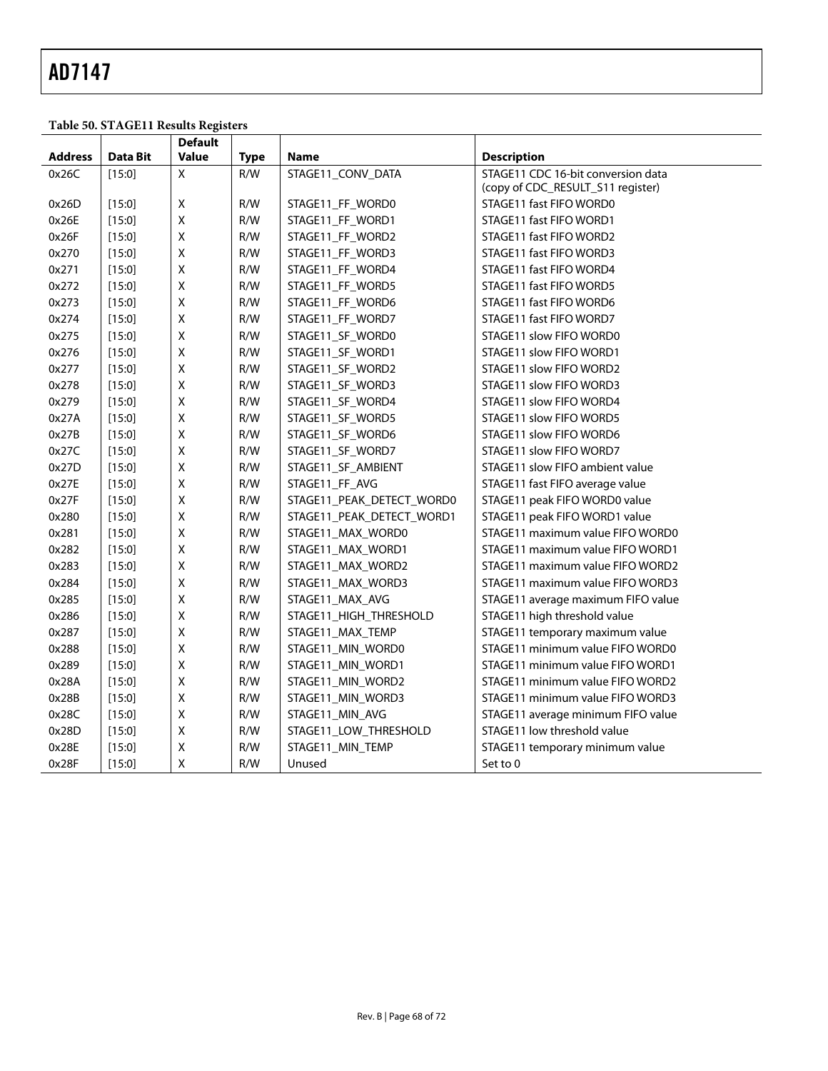#### **Table 50. STAGE11 Results Registers**

|                |          | <b>Default</b>          |             |                           |                                                                         |  |
|----------------|----------|-------------------------|-------------|---------------------------|-------------------------------------------------------------------------|--|
| <b>Address</b> | Data Bit | <b>Value</b>            | <b>Type</b> | <b>Name</b>               | <b>Description</b>                                                      |  |
| 0x26C          | [15:0]   | $\mathsf{x}$            | R/W         | STAGE11_CONV_DATA         | STAGE11 CDC 16-bit conversion data<br>(copy of CDC_RESULT_S11 register) |  |
| 0x26D          | [15:0]   | X                       | R/W         | STAGE11_FF_WORD0          | STAGE11 fast FIFO WORD0                                                 |  |
|                |          | $\pmb{\mathsf{X}}$      |             |                           |                                                                         |  |
| 0x26E<br>0x26F | [15:0]   | $\mathsf{X}$            | R/W<br>R/W  | STAGE11_FF_WORD1          | STAGE11 fast FIFO WORD1                                                 |  |
|                | [15:0]   |                         |             | STAGE11_FF_WORD2          | STAGE11 fast FIFO WORD2                                                 |  |
| 0x270          | [15:0]   | X<br>$\pmb{\mathsf{X}}$ | R/W         | STAGE11_FF_WORD3          | STAGE11 fast FIFO WORD3                                                 |  |
| 0x271          | [15:0]   |                         | R/W         | STAGE11_FF_WORD4          | STAGE11 fast FIFO WORD4                                                 |  |
| 0x272          | [15:0]   | $\pmb{\mathsf{X}}$      | R/W         | STAGE11_FF_WORD5          | STAGE11 fast FIFO WORD5                                                 |  |
| 0x273          | [15:0]   | $\pmb{\mathsf{X}}$      | R/W         | STAGE11_FF_WORD6          | STAGE11 fast FIFO WORD6                                                 |  |
| 0x274          | [15:0]   | $\mathsf{X}$            | R/W         | STAGE11_FF_WORD7          | STAGE11 fast FIFO WORD7                                                 |  |
| 0x275          | [15:0]   | $\pmb{\mathsf{X}}$      | R/W         | STAGE11_SF_WORD0          | STAGE11 slow FIFO WORD0                                                 |  |
| 0x276          | [15:0]   | $\pmb{\mathsf{X}}$      | R/W         | STAGE11_SF_WORD1          | STAGE11 slow FIFO WORD1                                                 |  |
| 0x277          | [15:0]   | $\mathsf X$             | R/W         | STAGE11_SF_WORD2          | STAGE11 slow FIFO WORD2                                                 |  |
| 0x278          | [15:0]   | $\mathsf X$             | R/W         | STAGE11_SF_WORD3          | STAGE11 slow FIFO WORD3                                                 |  |
| 0x279          | [15:0]   | X                       | R/W         | STAGE11_SF_WORD4          | STAGE11 slow FIFO WORD4                                                 |  |
| 0x27A          | [15:0]   | X                       | R/W         | STAGE11_SF_WORD5          | STAGE11 slow FIFO WORD5                                                 |  |
| 0x27B          | [15:0]   | $\pmb{\mathsf{X}}$      | R/W         | STAGE11_SF_WORD6          | STAGE11 slow FIFO WORD6                                                 |  |
| 0x27C          | [15:0]   | $\pmb{\mathsf{X}}$      | R/W         | STAGE11_SF_WORD7          | STAGE11 slow FIFO WORD7                                                 |  |
| 0x27D          | [15:0]   | $\mathsf{X}$            | R/W         | STAGE11_SF_AMBIENT        | STAGE11 slow FIFO ambient value                                         |  |
| 0x27E          | [15:0]   | $\pmb{\mathsf{X}}$      | R/W         | STAGE11 FF AVG            | STAGE11 fast FIFO average value                                         |  |
| 0x27F          | [15:0]   | $\mathsf X$             | R/W         | STAGE11_PEAK_DETECT_WORD0 | STAGE11 peak FIFO WORD0 value                                           |  |
| 0x280          | [15:0]   | X                       | R/W         | STAGE11_PEAK_DETECT_WORD1 | STAGE11 peak FIFO WORD1 value                                           |  |
| 0x281          | [15:0]   | $\pmb{\mathsf{X}}$      | R/W         | STAGE11_MAX_WORD0         | STAGE11 maximum value FIFO WORD0                                        |  |
| 0x282          | [15:0]   | X                       | R/W         | STAGE11_MAX_WORD1         | STAGE11 maximum value FIFO WORD1                                        |  |
| 0x283          | [15:0]   | X                       | R/W         | STAGE11_MAX_WORD2         | STAGE11 maximum value FIFO WORD2                                        |  |
| 0x284          | [15:0]   | $\pmb{\mathsf{X}}$      | R/W         | STAGE11_MAX_WORD3         | STAGE11 maximum value FIFO WORD3                                        |  |
| 0x285          | [15:0]   | $\mathsf X$             | R/W         | STAGE11_MAX_AVG           | STAGE11 average maximum FIFO value                                      |  |
| 0x286          | [15:0]   | $\pmb{\mathsf{X}}$      | R/W         | STAGE11_HIGH_THRESHOLD    | STAGE11 high threshold value                                            |  |
| 0x287          | [15:0]   | $\mathsf{X}$            | R/W         | STAGE11 MAX TEMP          | STAGE11 temporary maximum value                                         |  |
| 0x288          | [15:0]   | $\mathsf{X}$            | R/W         | STAGE11_MIN_WORD0         | STAGE11 minimum value FIFO WORD0                                        |  |
| 0x289          | [15:0]   | X                       | R/W         | STAGE11_MIN_WORD1         | STAGE11 minimum value FIFO WORD1                                        |  |
| 0x28A          | [15:0]   | $\pmb{\mathsf{X}}$      | R/W         | STAGE11 MIN WORD2         | STAGE11 minimum value FIFO WORD2                                        |  |
| 0x28B          | [15:0]   | $\pmb{\mathsf{X}}$      | R/W         | STAGE11_MIN_WORD3         | STAGE11 minimum value FIFO WORD3                                        |  |
| 0x28C          | [15:0]   | X                       | R/W         | STAGE11_MIN_AVG           | STAGE11 average minimum FIFO value                                      |  |
| 0x28D          | [15:0]   | $\pmb{\mathsf{X}}$      | R/W         | STAGE11_LOW_THRESHOLD     | STAGE11 low threshold value                                             |  |
| 0x28E          | [15:0]   | $\pmb{\mathsf{X}}$      | R/W         | STAGE11_MIN_TEMP          | STAGE11 temporary minimum value                                         |  |
| 0x28F          | [15:0]   | X                       | R/W         | Unused                    | Set to 0                                                                |  |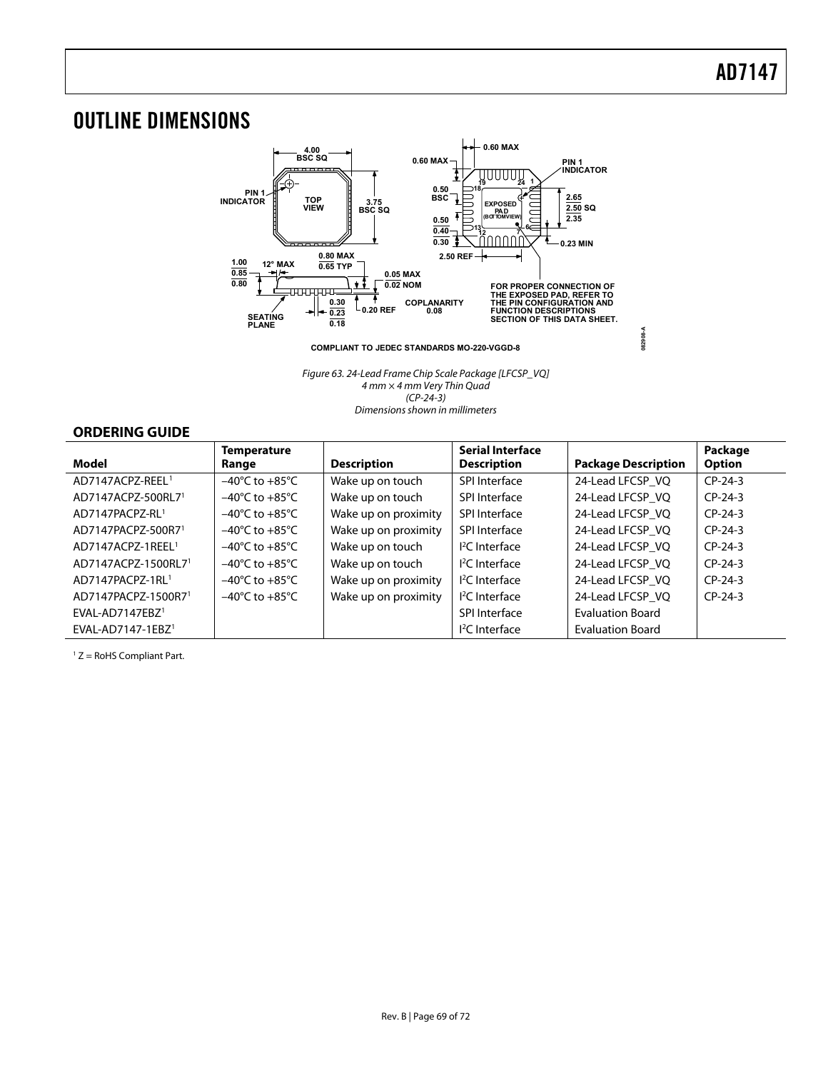**082908-A**

## OUTLINE DIMENSIONS



Figure 63. 24-Lead Frame Chip Scale Package [LFCSP\_VQ]  $4$  mm  $\times$  4 mm Very Thin Quad (CP-24-3) Dimensions shown in millimeters

#### **ORDERING GUIDE**

|                                 | <b>Temperature</b>                 |                      | <b>Serial Interface</b>  |                            | Package       |
|---------------------------------|------------------------------------|----------------------|--------------------------|----------------------------|---------------|
| Model                           | Range                              | <b>Description</b>   | <b>Description</b>       | <b>Package Description</b> | <b>Option</b> |
| AD7147ACPZ-REEL <sup>1</sup>    | $-40^{\circ}$ C to $+85^{\circ}$ C | Wake up on touch     | SPI Interface            | 24-Lead LFCSP VQ           | $CP-24-3$     |
| AD7147ACPZ-500RL7 <sup>1</sup>  | $-40^{\circ}$ C to $+85^{\circ}$ C | Wake up on touch     | SPI Interface            | 24-Lead LFCSP VQ           | $CP-24-3$     |
| AD7147PACPZ-RL1                 | $-40^{\circ}$ C to $+85^{\circ}$ C | Wake up on proximity | SPI Interface            | 24-Lead LFCSP VQ           | $CP-24-3$     |
| AD7147PACPZ-500R7 <sup>1</sup>  | $-40^{\circ}$ C to $+85^{\circ}$ C | Wake up on proximity | SPI Interface            | 24-Lead LFCSP VQ           | $CP-24-3$     |
| AD7147ACPZ-1REEL <sup>1</sup>   | $-40^{\circ}$ C to $+85^{\circ}$ C | Wake up on touch     | <sup>2</sup> C Interface | 24-Lead LFCSP VO           | $CP-24-3$     |
| AD7147ACPZ-1500RL7 <sup>1</sup> | $-40^{\circ}$ C to $+85^{\circ}$ C | Wake up on touch     | $I2C$ Interface          | 24-Lead LFCSP VO           | $CP-24-3$     |
| AD7147PACP7-1RL1                | $-40^{\circ}$ C to $+85^{\circ}$ C | Wake up on proximity | $I2C$ Interface          | 24-Lead LFCSP VQ           | $CP-24-3$     |
| AD7147PACPZ-1500R7 <sup>1</sup> | $-40^{\circ}$ C to $+85^{\circ}$ C | Wake up on proximity | $I2C$ Interface          | 24-Lead LFCSP VQ           | $CP-24-3$     |
| EVAL-AD7147EBZ <sup>1</sup>     |                                    |                      | <b>SPI Interface</b>     | <b>Evaluation Board</b>    |               |
| EVAL-AD7147-1EBZ <sup>1</sup>   |                                    |                      | $I2C$ Interface          | <b>Evaluation Board</b>    |               |

 $1 Z =$  RoHS Compliant Part.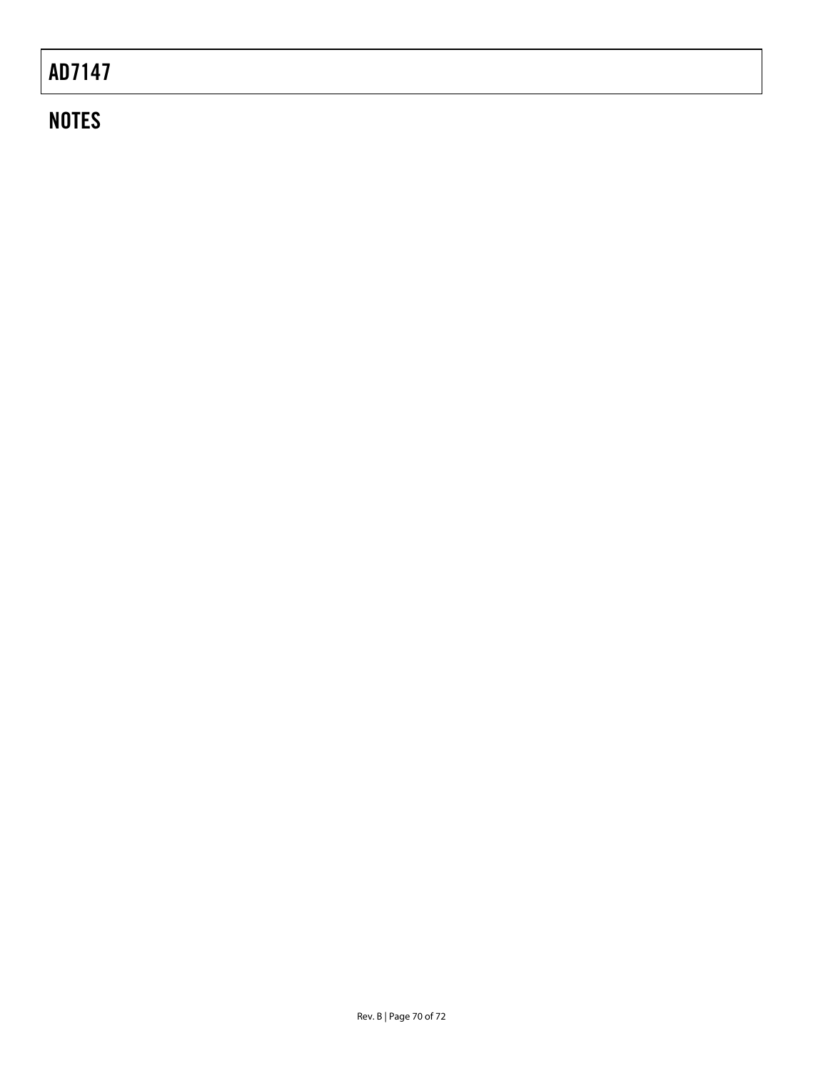# **NOTES**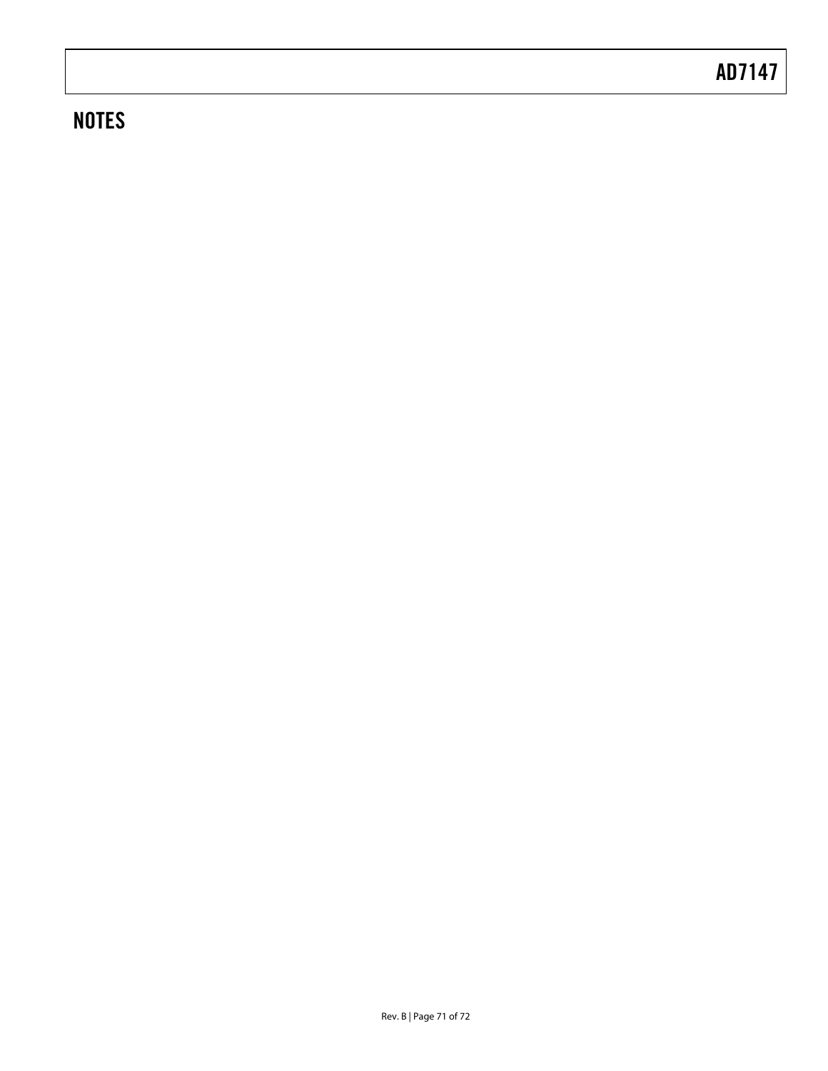# **NOTES**